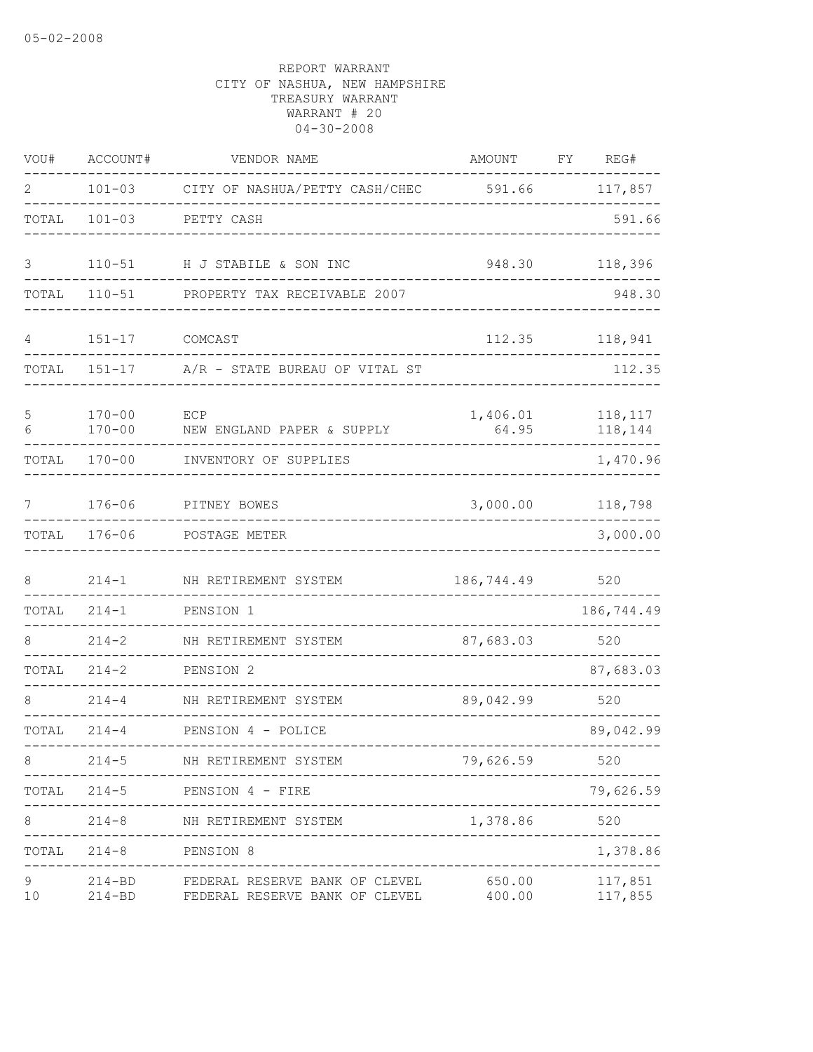| VOU#    | ACCOUNT#                 | VENDOR NAME                                                      | AMOUNT            | FΥ | REG#               |
|---------|--------------------------|------------------------------------------------------------------|-------------------|----|--------------------|
| 2       | $101 - 03$               | CITY OF NASHUA/PETTY CASH/CHEC                                   | 591.66            |    | 117,857            |
| TOTAL   | $101 - 03$               | PETTY CASH                                                       |                   |    | 591.66             |
| 3       | $110 - 51$               | H J STABILE & SON INC                                            | 948.30            |    | 118,396            |
| TOTAL   | $110 - 51$               | PROPERTY TAX RECEIVABLE 2007                                     |                   |    | 948.30             |
| 4       | $151 - 17$               | COMCAST                                                          | 112.35            |    | 118,941            |
| TOTAL   | $151 - 17$               | A/R - STATE BUREAU OF VITAL ST                                   |                   |    | 112.35             |
| 5<br>6  | $170 - 00$<br>$170 - 00$ | ECP<br>NEW ENGLAND PAPER & SUPPLY                                | 1,406.01<br>64.95 |    | 118,117<br>118,144 |
| TOTAL   | $170 - 00$               | INVENTORY OF SUPPLIES                                            |                   |    | 1,470.96           |
| 7       | $176 - 06$               | PITNEY BOWES                                                     | 3,000.00          |    | 118,798            |
| TOTAL   | $176 - 06$               | POSTAGE METER                                                    |                   |    | 3,000.00           |
| 8       | $214 - 1$                | NH RETIREMENT SYSTEM                                             | 186,744.49        |    | 520                |
| TOTAL   | $214 - 1$                | PENSION 1                                                        |                   |    | 186,744.49         |
| 8       | $214 - 2$                | NH RETIREMENT SYSTEM                                             | 87,683.03         |    | 520                |
| TOTAL   | $214 - 2$                | PENSION 2                                                        |                   |    | 87,683.03          |
|         | $214 - 4$                | NH RETIREMENT SYSTEM                                             | 89,042.99         |    | 520                |
| TOTAL   | $214 - 4$                | PENSION 4 - POLICE                                               |                   |    | 89,042.99          |
| 8       | $214 - 5$                | NH RETIREMENT SYSTEM                                             | 79,626.59         |    | 520                |
| TOTAL   | $214 - 5$                | PENSION 4 - FIRE                                                 |                   |    | 79,626.59          |
| 8       | $214 - 8$                | NH RETIREMENT SYSTEM                                             | 1,378.86          |    | 520                |
| TOTAL   | $214 - 8$                | PENSION 8                                                        |                   |    | 1,378.86           |
| 9<br>10 | $214 - BD$<br>$214 - BD$ | FEDERAL RESERVE BANK OF CLEVEL<br>FEDERAL RESERVE BANK OF CLEVEL | 650.00<br>400.00  |    | 117,851<br>117,855 |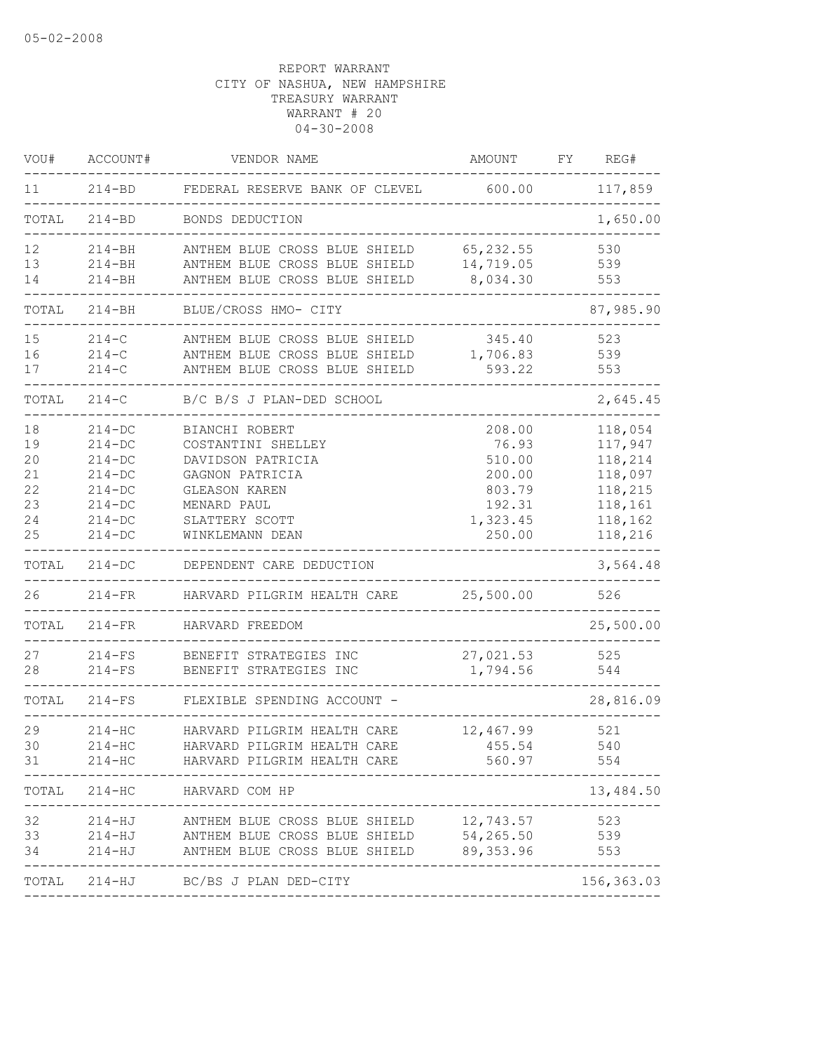| VOU#     | ACCOUNT#                 | VENDOR NAME                                                    | AMOUNT                       | FY | REG#                        |
|----------|--------------------------|----------------------------------------------------------------|------------------------------|----|-----------------------------|
| 11       | $214 - BD$               | FEDERAL RESERVE BANK OF CLEVEL                                 | 600.00                       |    | 117,859                     |
| TOTAL    | $214 - BD$               | BONDS DEDUCTION                                                |                              |    | 1,650.00                    |
| 12       | $214 - BH$               | ANTHEM BLUE CROSS BLUE SHIELD                                  | 65, 232.55                   |    | 530                         |
| 13<br>14 | $214 - BH$<br>$214 - BH$ | ANTHEM BLUE CROSS BLUE SHIELD<br>ANTHEM BLUE CROSS BLUE SHIELD | 14,719.05<br>8,034.30        |    | 539<br>553                  |
|          |                          |                                                                |                              |    |                             |
| TOTAL    | $214 - BH$               | BLUE/CROSS HMO- CITY                                           |                              |    | 87,985.90                   |
| 15       | $214 - C$                | ANTHEM BLUE CROSS BLUE SHIELD                                  | 345.40                       |    | 523                         |
| 16       | $214-C$                  | ANTHEM BLUE CROSS BLUE SHIELD                                  | 1,706.83                     |    | 539                         |
| 17       | $214-C$                  | ANTHEM BLUE CROSS BLUE SHIELD                                  | 593.22                       |    | 553                         |
| TOTAL    | $214-C$                  | B/C B/S J PLAN-DED SCHOOL                                      |                              |    | 2,645.45                    |
| 18       | $214 - DC$               | BIANCHI ROBERT                                                 | 208.00                       |    | 118,054                     |
| 19       | $214 - DC$               | COSTANTINI SHELLEY                                             | 76.93                        |    | 117,947                     |
| 20       | $214 - DC$               | DAVIDSON PATRICIA                                              | 510.00                       |    | 118,214                     |
| 21       | $214-DC$                 | GAGNON PATRICIA                                                | 200.00                       |    | 118,097                     |
| 22       | $214-DC$                 | <b>GLEASON KAREN</b>                                           | 803.79                       |    | 118,215                     |
| 23       | $214 - DC$               | MENARD PAUL                                                    | 192.31                       |    | 118,161                     |
| 24       | $214 - DC$               | SLATTERY SCOTT                                                 | 1,323.45                     |    | 118,162                     |
| 25       | $214 - DC$               | WINKLEMANN DEAN                                                | 250.00                       |    | 118,216                     |
| TOTAL    | $214 - DC$               | DEPENDENT CARE DEDUCTION                                       |                              |    | 3,564.48                    |
| 26       | $214-FR$                 | HARVARD PILGRIM HEALTH CARE                                    | 25,500.00                    |    | 526                         |
| TOTAL    | $214-FR$                 | HARVARD FREEDOM                                                |                              |    | 25,500.00                   |
| 27       | $214-FS$                 | BENEFIT STRATEGIES INC                                         | 27,021.53                    |    | 525                         |
| 28       | $214-FS$                 | BENEFIT STRATEGIES INC                                         | 1,794.56                     |    | 544                         |
| TOTAL    | $214-FS$                 | FLEXIBLE SPENDING ACCOUNT -                                    |                              |    | 28,816.09                   |
| 29       | $214 - HC$               | HARVARD PILGRIM HEALTH CARE                                    | 12,467.99                    |    | 521                         |
| 30       | 214-HC                   | HARVARD PILGRIM HEALTH CARE                                    | 455.54                       |    | 540                         |
| 31       | $214 - HC$               | HARVARD PILGRIM HEALTH CARE                                    | 560.97                       |    | 554                         |
|          |                          | TOTAL 214-HC HARVARD COM HP                                    |                              |    | 13,484.50                   |
| 32       | 214-HJ                   | ANTHEM BLUE CROSS BLUE SHIELD                                  | ---------------<br>12,743.57 |    | 523                         |
| 33       | 214-HJ                   | ANTHEM BLUE CROSS BLUE SHIELD                                  | 54,265.50                    |    | 539                         |
| 34       | 214-HJ                   | ANTHEM BLUE CROSS BLUE SHIELD                                  | 89,353.96                    |    | 553                         |
|          |                          | -----------------------<br>TOTAL 214-HJ BC/BS J PLAN DED-CITY  |                              |    | -------------<br>156,363.03 |
|          |                          |                                                                |                              |    |                             |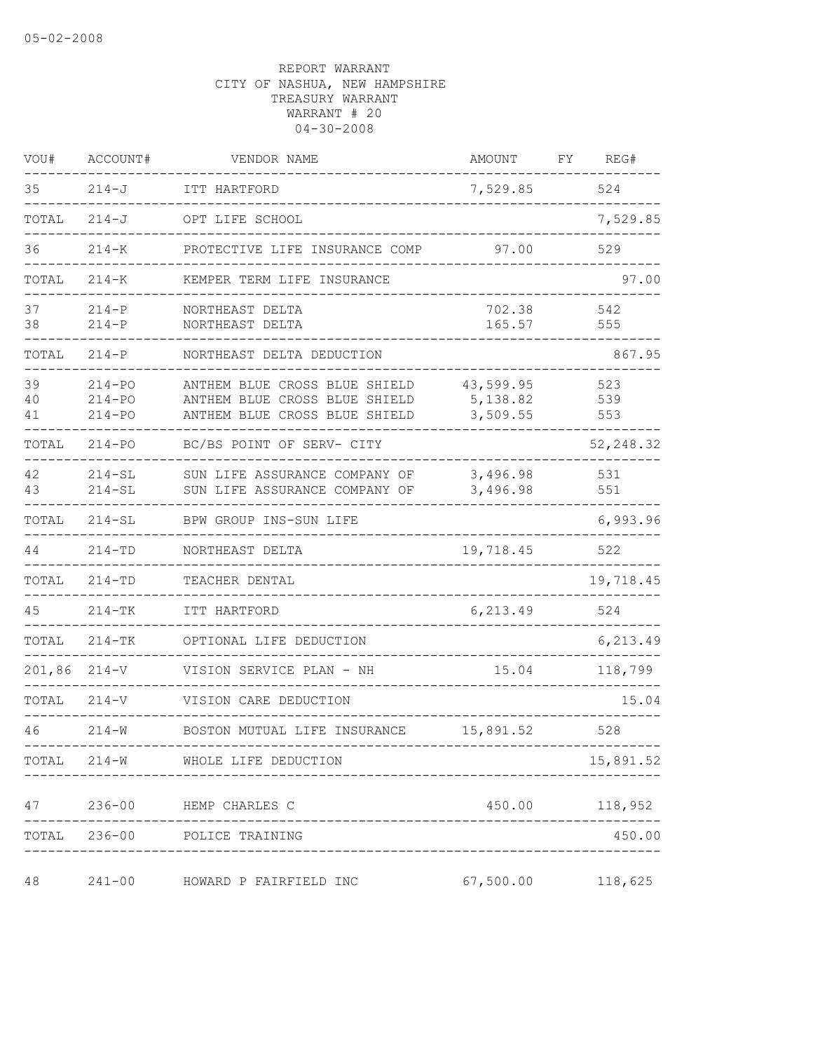| VOU#           | ACCOUNT#                               | VENDOR NAME                                                                                     | AMOUNT                            | FY | REG#              |
|----------------|----------------------------------------|-------------------------------------------------------------------------------------------------|-----------------------------------|----|-------------------|
| 35             | $214 - J$                              | ITT HARTFORD                                                                                    | 7,529.85                          |    | 524               |
| TOTAL          | $214 - J$                              | OPT LIFE SCHOOL                                                                                 |                                   |    | 7,529.85          |
| 36             | $214 - K$                              | PROTECTIVE LIFE INSURANCE COMP                                                                  | 97.00                             |    | 529               |
| TOTAL          | $214 - K$                              | KEMPER TERM LIFE INSURANCE                                                                      |                                   |    | 97.00             |
| 37<br>38       | $214-P$<br>$214 - P$                   | NORTHEAST DELTA<br>NORTHEAST DELTA                                                              | 702.38<br>165.57                  |    | 542<br>555        |
| TOTAL          | $214 - P$                              | NORTHEAST DELTA DEDUCTION                                                                       |                                   |    | 867.95            |
| 39<br>40<br>41 | $214 - PQ$<br>$214 - PQ$<br>$214 - PQ$ | ANTHEM BLUE CROSS BLUE SHIELD<br>ANTHEM BLUE CROSS BLUE SHIELD<br>ANTHEM BLUE CROSS BLUE SHIELD | 43,599.95<br>5,138.82<br>3,509.55 |    | 523<br>539<br>553 |
| TOTAL          | $214 - PO$                             | BC/BS POINT OF SERV- CITY                                                                       |                                   |    | 52, 248.32        |
| 42<br>43       | $214 - SL$<br>$214 - SL$               | SUN LIFE ASSURANCE COMPANY OF<br>SUN LIFE ASSURANCE COMPANY OF                                  | 3,496.98<br>3,496.98              |    | 531<br>551        |
| TOTAL          | $214 - SL$                             | BPW GROUP INS-SUN LIFE                                                                          |                                   |    | 6,993.96          |
| 44             | $214 - TD$                             | NORTHEAST DELTA                                                                                 | 19,718.45                         |    | 522               |
| TOTAL          | $214 - TD$                             | TEACHER DENTAL                                                                                  |                                   |    | 19,718.45         |
| 45             | $214 - TK$                             | ITT HARTFORD                                                                                    | 6,213.49                          |    | 524               |
| TOTAL          | $214 - TK$                             | OPTIONAL LIFE DEDUCTION                                                                         |                                   |    | 6,213.49          |
| 201,86         | $214 - V$                              | VISION SERVICE PLAN - NH                                                                        | 15.04                             |    | 118,799           |
| TOTAL          | $214 - V$                              | VISION CARE DEDUCTION                                                                           |                                   |    | 15.04             |
| 46             | $214 - W$                              | BOSTON MUTUAL LIFE INSURANCE                                                                    | 15,891.52                         |    | 528               |
| TOTAL          |                                        | 214-W WHOLE LIFE DEDUCTION                                                                      |                                   |    | 15,891.52         |
| 47             |                                        | 236-00 HEMP CHARLES C                                                                           | 450.00                            |    | 118,952           |
| TOTAL          |                                        | 236-00 POLICE TRAINING                                                                          |                                   |    | 450.00            |
| 48             | $241 - 00$                             | HOWARD P FAIRFIELD INC                                                                          | 67,500.00                         |    | 118,625           |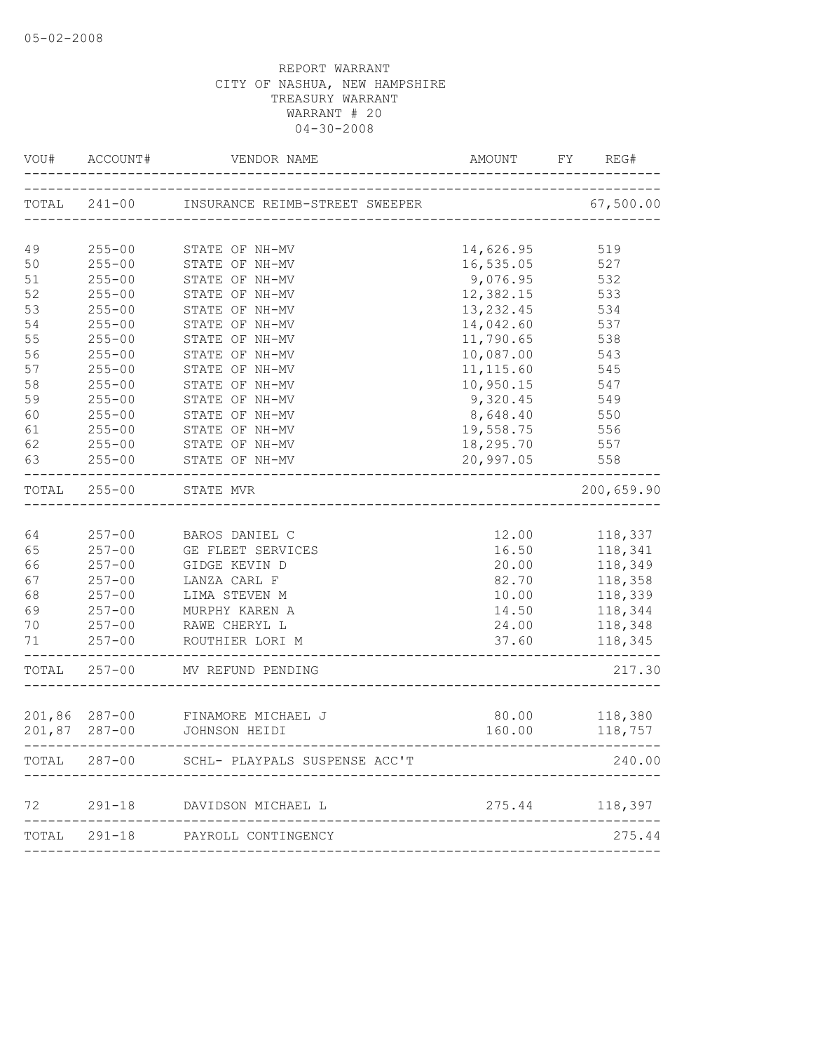| VOU#  | ACCOUNT#                       | VENDOR NAME                                 | AMOUNT                        | FY | REG#               |
|-------|--------------------------------|---------------------------------------------|-------------------------------|----|--------------------|
|       |                                | TOTAL 241-00 INSURANCE REIMB-STREET SWEEPER |                               |    | 67,500.00          |
| 49    | $255 - 00$                     | STATE OF NH-MV                              | 14,626.95                     |    | 519                |
| 50    | $255 - 00$                     | STATE OF NH-MV                              | 16,535.05                     |    | 527                |
| 51    | $255 - 00$                     | STATE OF NH-MV                              | 9,076.95                      |    | 532                |
| 52    | $255 - 00$                     | STATE OF NH-MV                              | 12,382.15                     |    | 533                |
| 53    | $255 - 00$                     | STATE OF NH-MV                              | 13, 232.45                    |    | 534                |
| 54    | $255 - 00$                     | STATE OF NH-MV                              | 14,042.60                     |    | 537                |
| 55    | $255 - 00$                     | STATE OF NH-MV                              | 11,790.65                     |    | 538                |
| 56    | $255 - 00$                     | STATE OF NH-MV                              | 10,087.00                     |    | 543                |
| 57    | $255 - 00$                     | STATE OF NH-MV                              | 11, 115.60                    |    | 545                |
| 58    | $255 - 00$                     | STATE OF NH-MV                              | 10,950.15                     |    | 547                |
| 59    | $255 - 00$                     | STATE OF NH-MV                              | 9,320.45                      |    | 549                |
| 60    | $255 - 00$                     | STATE OF NH-MV                              | 8,648.40                      |    | 550                |
| 61    | $255 - 00$                     | STATE OF NH-MV                              | 19,558.75                     |    | 556                |
| 62    | $255 - 00$                     | STATE OF NH-MV                              | 18,295.70                     |    | 557                |
| 63    | $255 - 00$                     | STATE OF NH-MV<br>______________________    | 20,997.05                     |    | 558                |
|       | TOTAL 255-00                   | STATE MVR                                   |                               |    | 200,659.90         |
|       |                                |                                             |                               |    |                    |
| 64    | $257 - 00$                     | BAROS DANIEL C                              | 12.00                         |    | 118,337            |
| 65    | $257 - 00$                     | GE FLEET SERVICES                           | 16.50                         |    | 118,341            |
| 66    | $257 - 00$                     | GIDGE KEVIN D                               | 20.00                         |    | 118,349            |
| 67    | $257 - 00$                     | LANZA CARL F                                | 82.70                         |    | 118,358            |
| 68    | $257 - 00$                     | LIMA STEVEN M                               | 10.00                         |    | 118,339            |
| 69    | $257 - 00$                     | MURPHY KAREN A                              | 14.50                         |    | 118,344            |
| 70    | $257 - 00$                     | RAWE CHERYL L                               | 24.00                         |    | 118,348            |
| 71    | $257 - 00$                     | ROUTHIER LORI M                             | 37.60                         |    | 118,345            |
| TOTAL | $257 - 00$                     | MV REFUND PENDING                           |                               |    | 217.30             |
|       |                                |                                             |                               |    |                    |
|       | 201,86 287-00<br>201,87 287-00 | FINAMORE MICHAEL J<br>JOHNSON HEIDI         | 80.00<br>160.00               |    | 118,380<br>118,757 |
|       |                                | TOTAL 287-00 SCHL- PLAYPALS SUSPENSE ACC'T  | ----------------------------- |    | 240.00             |
|       |                                |                                             |                               |    |                    |
|       |                                | 72 291-18 DAVIDSON MICHAEL L                | 275.44 118,397                |    |                    |
|       |                                | TOTAL 291-18 PAYROLL CONTINGENCY            |                               |    | 275.44             |
|       |                                |                                             |                               |    |                    |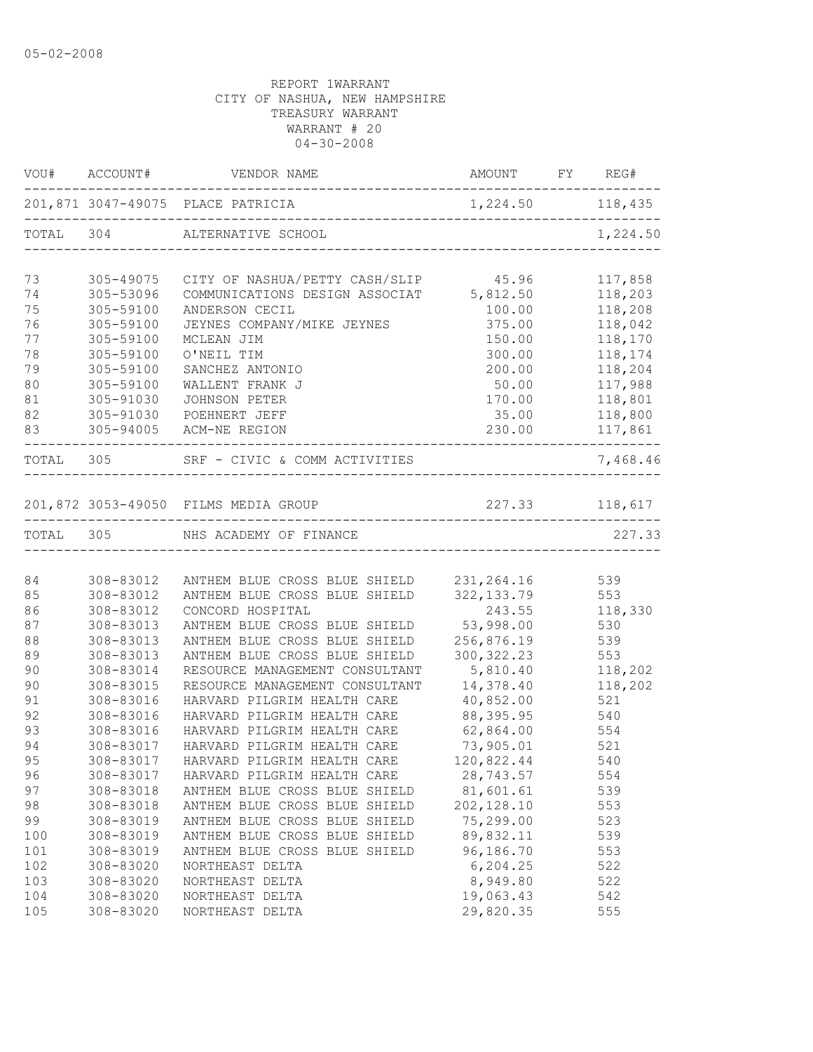| VOU# ACCOUNT# VENDOR NAME AMOUNT FY REG#<br>. _ _ _ _ _ _ _ _ _ _ _ _ _ _<br>201,871 3047-49075 PLACE PATRICIA 1,224.50 118,435<br>TOTAL 304 ALTERNATIVE SCHOOL<br>1,224.50<br>73<br>CITY OF NASHUA/PETTY CASH/SLIP 45.96<br>117,858<br>305-49075<br>COMMUNICATIONS DESIGN ASSOCIAT 5,812.50<br>118,203<br>74<br>305-53096<br>75<br>305-59100<br>100.00<br>118,208<br>ANDERSON CECIL<br>76<br>305-59100<br>JEYNES COMPANY/MIKE JEYNES<br>375.00<br>118,042<br>77<br>118,170<br>305-59100<br>150.00<br>MCLEAN JIM<br>78<br>305-59100<br>O'NEIL TIM<br>300.00<br>118,174<br>79<br>305-59100<br>200.00<br>118,204<br>SANCHEZ ANTONIO<br>80<br>305-59100<br>WALLENT FRANK J<br>50.00<br>117,988<br>81<br>118,801<br>305-91030<br>JOHNSON PETER<br>170.00<br>82<br>305-91030<br>35.00<br>118,800<br>POEHNERT JEFF<br>83<br>230.00<br>305-94005 ACM-NE REGION<br>117,861<br>------<br>_____________ |  |
|-----------------------------------------------------------------------------------------------------------------------------------------------------------------------------------------------------------------------------------------------------------------------------------------------------------------------------------------------------------------------------------------------------------------------------------------------------------------------------------------------------------------------------------------------------------------------------------------------------------------------------------------------------------------------------------------------------------------------------------------------------------------------------------------------------------------------------------------------------------------------------------------------|--|
|                                                                                                                                                                                                                                                                                                                                                                                                                                                                                                                                                                                                                                                                                                                                                                                                                                                                                               |  |
|                                                                                                                                                                                                                                                                                                                                                                                                                                                                                                                                                                                                                                                                                                                                                                                                                                                                                               |  |
|                                                                                                                                                                                                                                                                                                                                                                                                                                                                                                                                                                                                                                                                                                                                                                                                                                                                                               |  |
|                                                                                                                                                                                                                                                                                                                                                                                                                                                                                                                                                                                                                                                                                                                                                                                                                                                                                               |  |
|                                                                                                                                                                                                                                                                                                                                                                                                                                                                                                                                                                                                                                                                                                                                                                                                                                                                                               |  |
|                                                                                                                                                                                                                                                                                                                                                                                                                                                                                                                                                                                                                                                                                                                                                                                                                                                                                               |  |
|                                                                                                                                                                                                                                                                                                                                                                                                                                                                                                                                                                                                                                                                                                                                                                                                                                                                                               |  |
|                                                                                                                                                                                                                                                                                                                                                                                                                                                                                                                                                                                                                                                                                                                                                                                                                                                                                               |  |
|                                                                                                                                                                                                                                                                                                                                                                                                                                                                                                                                                                                                                                                                                                                                                                                                                                                                                               |  |
|                                                                                                                                                                                                                                                                                                                                                                                                                                                                                                                                                                                                                                                                                                                                                                                                                                                                                               |  |
|                                                                                                                                                                                                                                                                                                                                                                                                                                                                                                                                                                                                                                                                                                                                                                                                                                                                                               |  |
|                                                                                                                                                                                                                                                                                                                                                                                                                                                                                                                                                                                                                                                                                                                                                                                                                                                                                               |  |
|                                                                                                                                                                                                                                                                                                                                                                                                                                                                                                                                                                                                                                                                                                                                                                                                                                                                                               |  |
| SRF - CIVIC & COMM ACTIVITIES<br>TOTAL 305<br>7,468.46                                                                                                                                                                                                                                                                                                                                                                                                                                                                                                                                                                                                                                                                                                                                                                                                                                        |  |
| 227.33 118,617<br>201,872 3053-49050 FILMS MEDIA GROUP                                                                                                                                                                                                                                                                                                                                                                                                                                                                                                                                                                                                                                                                                                                                                                                                                                        |  |
|                                                                                                                                                                                                                                                                                                                                                                                                                                                                                                                                                                                                                                                                                                                                                                                                                                                                                               |  |
| TOTAL 305 NHS ACADEMY OF FINANCE<br>227.33                                                                                                                                                                                                                                                                                                                                                                                                                                                                                                                                                                                                                                                                                                                                                                                                                                                    |  |
|                                                                                                                                                                                                                                                                                                                                                                                                                                                                                                                                                                                                                                                                                                                                                                                                                                                                                               |  |
| 231, 264. 16<br>84<br>308-83012<br>539<br>ANTHEM BLUE CROSS BLUE SHIELD                                                                                                                                                                                                                                                                                                                                                                                                                                                                                                                                                                                                                                                                                                                                                                                                                       |  |
| 322, 133.79<br>553<br>85<br>308-83012<br>ANTHEM BLUE CROSS BLUE SHIELD                                                                                                                                                                                                                                                                                                                                                                                                                                                                                                                                                                                                                                                                                                                                                                                                                        |  |
| 86<br>308-83012<br>CONCORD HOSPITAL<br>243.55<br>118,330                                                                                                                                                                                                                                                                                                                                                                                                                                                                                                                                                                                                                                                                                                                                                                                                                                      |  |
| ANTHEM BLUE CROSS BLUE SHIELD<br>53,998.00<br>87<br>308-83013<br>530                                                                                                                                                                                                                                                                                                                                                                                                                                                                                                                                                                                                                                                                                                                                                                                                                          |  |
| 88<br>308-83013<br>ANTHEM BLUE CROSS BLUE SHIELD<br>256,876.19<br>539                                                                                                                                                                                                                                                                                                                                                                                                                                                                                                                                                                                                                                                                                                                                                                                                                         |  |
| 89<br>308-83013<br>ANTHEM BLUE CROSS BLUE SHIELD<br>300, 322.23<br>553                                                                                                                                                                                                                                                                                                                                                                                                                                                                                                                                                                                                                                                                                                                                                                                                                        |  |
| 90<br>RESOURCE MANAGEMENT CONSULTANT<br>5,810.40<br>308-83014<br>118,202                                                                                                                                                                                                                                                                                                                                                                                                                                                                                                                                                                                                                                                                                                                                                                                                                      |  |
| 90<br>308-83015<br>14,378.40<br>118,202<br>RESOURCE MANAGEMENT CONSULTANT                                                                                                                                                                                                                                                                                                                                                                                                                                                                                                                                                                                                                                                                                                                                                                                                                     |  |
| 91<br>308-83016<br>HARVARD PILGRIM HEALTH CARE<br>40,852.00<br>521                                                                                                                                                                                                                                                                                                                                                                                                                                                                                                                                                                                                                                                                                                                                                                                                                            |  |
| 92<br>308-83016<br>88,395.95<br>540<br>HARVARD PILGRIM HEALTH CARE                                                                                                                                                                                                                                                                                                                                                                                                                                                                                                                                                                                                                                                                                                                                                                                                                            |  |
| 62,864.00<br>93<br>308-83016<br>554<br>HARVARD PILGRIM HEALTH CARE                                                                                                                                                                                                                                                                                                                                                                                                                                                                                                                                                                                                                                                                                                                                                                                                                            |  |
| 73,905.01<br>94<br>521<br>308-83017<br>HARVARD PILGRIM HEALTH CARE                                                                                                                                                                                                                                                                                                                                                                                                                                                                                                                                                                                                                                                                                                                                                                                                                            |  |
| 95<br>308-83017<br>120,822.44<br>540<br>HARVARD PILGRIM HEALTH CARE                                                                                                                                                                                                                                                                                                                                                                                                                                                                                                                                                                                                                                                                                                                                                                                                                           |  |
| 28,743.57<br>308-83017<br>554<br>96<br>HARVARD PILGRIM HEALTH CARE                                                                                                                                                                                                                                                                                                                                                                                                                                                                                                                                                                                                                                                                                                                                                                                                                            |  |
| 97<br>308-83018<br>81,601.61<br>539<br>ANTHEM BLUE CROSS BLUE SHIELD                                                                                                                                                                                                                                                                                                                                                                                                                                                                                                                                                                                                                                                                                                                                                                                                                          |  |
| 98<br>308-83018<br>ANTHEM BLUE CROSS BLUE SHIELD<br>202, 128.10<br>553<br>99<br>308-83019<br>ANTHEM BLUE CROSS BLUE SHIELD<br>75,299.00<br>523                                                                                                                                                                                                                                                                                                                                                                                                                                                                                                                                                                                                                                                                                                                                                |  |
| 89,832.11                                                                                                                                                                                                                                                                                                                                                                                                                                                                                                                                                                                                                                                                                                                                                                                                                                                                                     |  |
| 100<br>308-83019<br>ANTHEM BLUE CROSS BLUE SHIELD<br>539<br>308-83019<br>96,186.70<br>553<br>101<br>ANTHEM BLUE CROSS BLUE SHIELD                                                                                                                                                                                                                                                                                                                                                                                                                                                                                                                                                                                                                                                                                                                                                             |  |
| 102<br>6,204.25<br>522<br>308-83020<br>NORTHEAST DELTA                                                                                                                                                                                                                                                                                                                                                                                                                                                                                                                                                                                                                                                                                                                                                                                                                                        |  |
| 8,949.80<br>522<br>103<br>308-83020<br>NORTHEAST DELTA                                                                                                                                                                                                                                                                                                                                                                                                                                                                                                                                                                                                                                                                                                                                                                                                                                        |  |
| 19,063.43<br>104<br>308-83020<br>542<br>NORTHEAST DELTA                                                                                                                                                                                                                                                                                                                                                                                                                                                                                                                                                                                                                                                                                                                                                                                                                                       |  |
| 29,820.35<br>555<br>105<br>308-83020<br>NORTHEAST DELTA                                                                                                                                                                                                                                                                                                                                                                                                                                                                                                                                                                                                                                                                                                                                                                                                                                       |  |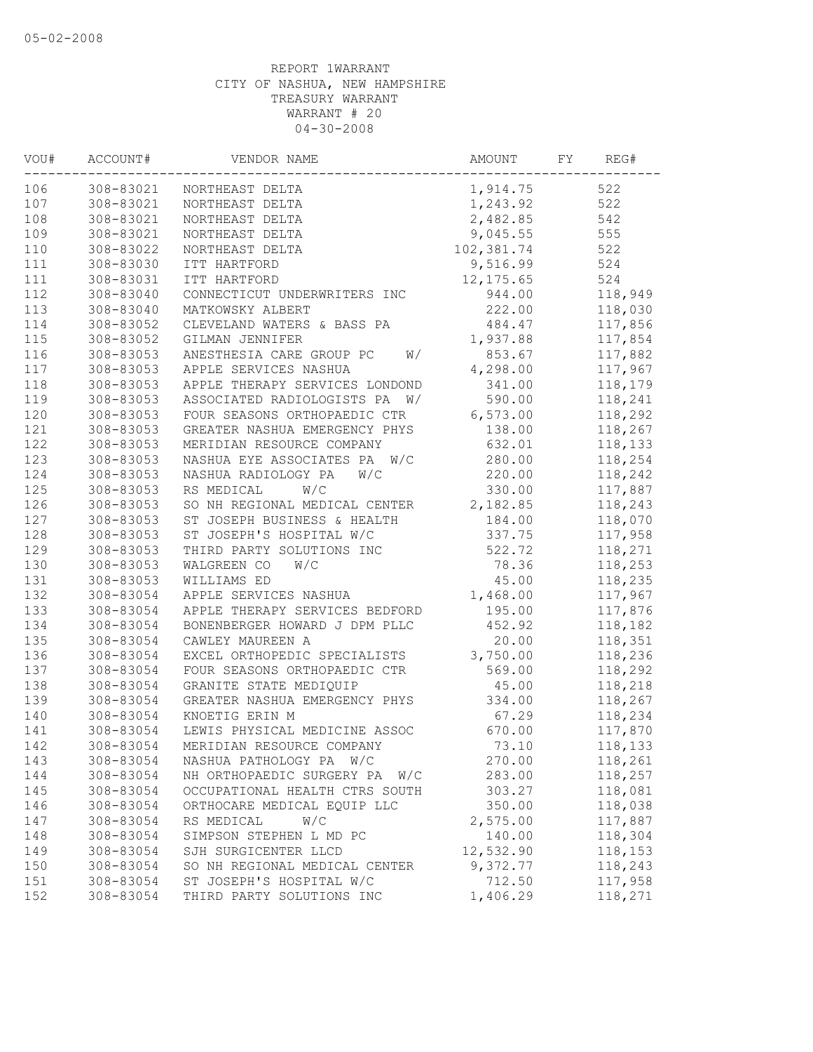| VOU# | ACCOUNT#  | VENDOR NAME                      | AMOUNT     | FY | REG#    |
|------|-----------|----------------------------------|------------|----|---------|
| 106  | 308-83021 | NORTHEAST DELTA                  | 1,914.75   |    | 522     |
| 107  | 308-83021 | NORTHEAST DELTA                  | 1,243.92   |    | 522     |
| 108  | 308-83021 | NORTHEAST DELTA                  | 2,482.85   |    | 542     |
| 109  | 308-83021 | NORTHEAST DELTA                  | 9,045.55   |    | 555     |
| 110  | 308-83022 | NORTHEAST DELTA                  | 102,381.74 |    | 522     |
| 111  | 308-83030 | ITT HARTFORD                     | 9,516.99   |    | 524     |
| 111  | 308-83031 | ITT HARTFORD                     | 12, 175.65 |    | 524     |
| 112  | 308-83040 | CONNECTICUT UNDERWRITERS INC     | 944.00     |    | 118,949 |
| 113  | 308-83040 | MATKOWSKY ALBERT                 | 222.00     |    | 118,030 |
| 114  | 308-83052 | CLEVELAND WATERS & BASS PA       | 484.47     |    | 117,856 |
| 115  | 308-83052 | GILMAN JENNIFER                  | 1,937.88   |    | 117,854 |
| 116  | 308-83053 | ANESTHESIA CARE GROUP PC<br>W/   | 853.67     |    | 117,882 |
| 117  | 308-83053 | APPLE SERVICES NASHUA            | 4,298.00   |    | 117,967 |
| 118  | 308-83053 | APPLE THERAPY SERVICES LONDOND   | 341.00     |    | 118,179 |
| 119  | 308-83053 | ASSOCIATED RADIOLOGISTS PA<br>W/ | 590.00     |    | 118,241 |
| 120  | 308-83053 | FOUR SEASONS ORTHOPAEDIC CTR     | 6,573.00   |    | 118,292 |
| 121  | 308-83053 | GREATER NASHUA EMERGENCY PHYS    | 138.00     |    | 118,267 |
| 122  | 308-83053 | MERIDIAN RESOURCE COMPANY        | 632.01     |    | 118,133 |
| 123  | 308-83053 | NASHUA EYE ASSOCIATES PA<br>W/C  | 280.00     |    | 118,254 |
| 124  | 308-83053 | NASHUA RADIOLOGY PA<br>W/C       | 220.00     |    | 118,242 |
| 125  | 308-83053 | RS MEDICAL<br>W/C                | 330.00     |    | 117,887 |
| 126  | 308-83053 | SO NH REGIONAL MEDICAL CENTER    | 2,182.85   |    | 118,243 |
| 127  | 308-83053 | ST JOSEPH BUSINESS & HEALTH      | 184.00     |    | 118,070 |
| 128  | 308-83053 | ST JOSEPH'S HOSPITAL W/C         | 337.75     |    | 117,958 |
| 129  | 308-83053 | THIRD PARTY SOLUTIONS INC        | 522.72     |    | 118,271 |
| 130  | 308-83053 | WALGREEN CO<br>W/C               | 78.36      |    | 118,253 |
| 131  | 308-83053 | WILLIAMS ED                      | 45.00      |    | 118,235 |
| 132  | 308-83054 | APPLE SERVICES NASHUA            | 1,468.00   |    | 117,967 |
| 133  | 308-83054 | APPLE THERAPY SERVICES BEDFORD   | 195.00     |    | 117,876 |
| 134  | 308-83054 | BONENBERGER HOWARD J DPM PLLC    | 452.92     |    | 118,182 |
| 135  | 308-83054 | CAWLEY MAUREEN A                 | 20.00      |    | 118,351 |
| 136  | 308-83054 | EXCEL ORTHOPEDIC SPECIALISTS     | 3,750.00   |    | 118,236 |
| 137  | 308-83054 | FOUR SEASONS ORTHOPAEDIC CTR     | 569.00     |    | 118,292 |
| 138  | 308-83054 | GRANITE STATE MEDIQUIP           | 45.00      |    | 118,218 |
|      |           |                                  |            |    |         |
| 139  | 308-83054 | GREATER NASHUA EMERGENCY PHYS    | 334.00     |    | 118,267 |
| 140  | 308-83054 | KNOETIG ERIN M                   | 67.29      |    | 118,234 |
| 141  | 308-83054 | LEWIS PHYSICAL MEDICINE ASSOC    | 670.00     |    | 117,870 |
| 142  | 308-83054 | MERIDIAN RESOURCE COMPANY        | 73.10      |    | 118,133 |
| 143  | 308-83054 | NASHUA PATHOLOGY PA W/C          | 270.00     |    | 118,261 |
| 144  | 308-83054 | NH ORTHOPAEDIC SURGERY PA<br>W/C | 283.00     |    | 118,257 |
| 145  | 308-83054 | OCCUPATIONAL HEALTH CTRS SOUTH   | 303.27     |    | 118,081 |
| 146  | 308-83054 | ORTHOCARE MEDICAL EQUIP LLC      | 350.00     |    | 118,038 |
| 147  | 308-83054 | W/C<br>RS MEDICAL                | 2,575.00   |    | 117,887 |
| 148  | 308-83054 | SIMPSON STEPHEN L MD PC          | 140.00     |    | 118,304 |
| 149  | 308-83054 | SJH SURGICENTER LLCD             | 12,532.90  |    | 118,153 |
| 150  | 308-83054 | SO NH REGIONAL MEDICAL CENTER    | 9,372.77   |    | 118,243 |
| 151  | 308-83054 | ST JOSEPH'S HOSPITAL W/C         | 712.50     |    | 117,958 |
| 152  | 308-83054 | THIRD PARTY SOLUTIONS INC        | 1,406.29   |    | 118,271 |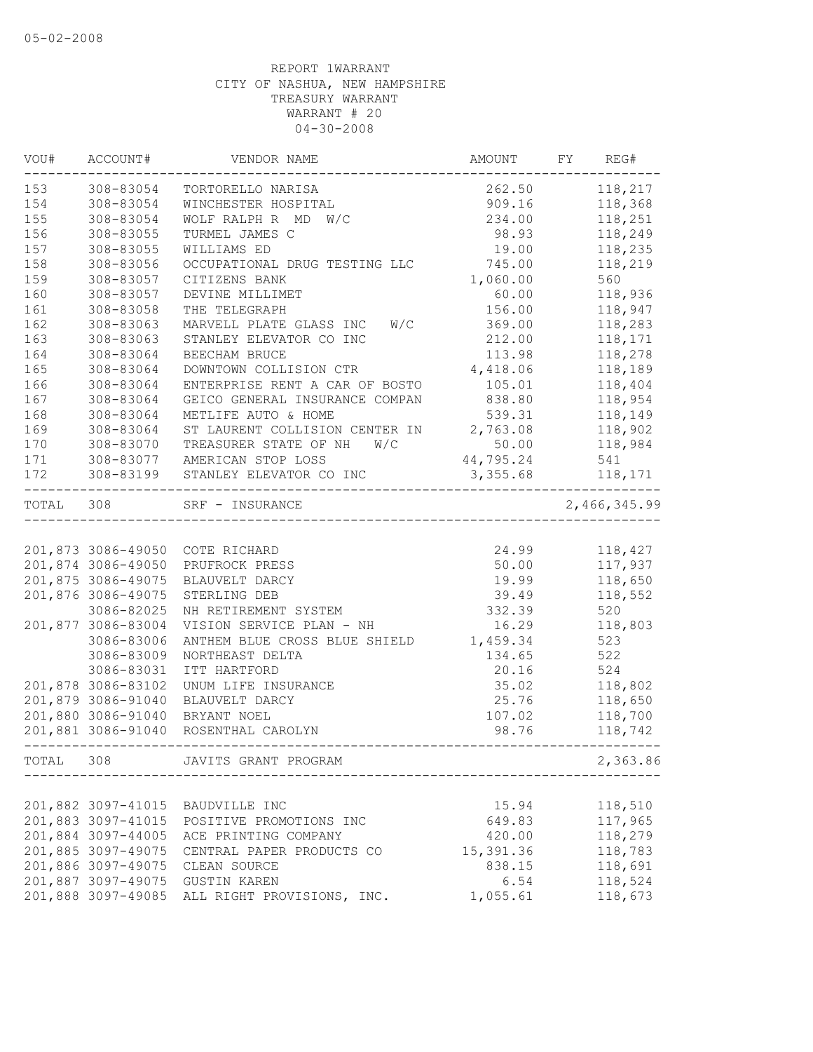| VOU#  | ACCOUNT#           | VENDOR NAME                                    | AMOUNT    | FY REG#      |
|-------|--------------------|------------------------------------------------|-----------|--------------|
| 153   | 308-83054          | TORTORELLO NARISA                              | 262.50    | 118,217      |
| 154   | 308-83054          | WINCHESTER HOSPITAL                            | 909.16    | 118,368      |
| 155   | 308-83054          | WOLF RALPH R MD<br>W/C                         | 234.00    | 118,251      |
| 156   | 308-83055          | TURMEL JAMES C                                 | 98.93     | 118,249      |
| 157   | 308-83055          | WILLIAMS ED                                    | 19.00     | 118,235      |
| 158   | 308-83056          | OCCUPATIONAL DRUG TESTING LLC                  | 745.00    | 118,219      |
| 159   | 308-83057          | CITIZENS BANK                                  | 1,060.00  | 560          |
| 160   | 308-83057          | DEVINE MILLIMET                                | 60.00     | 118,936      |
| 161   | 308-83058          | THE TELEGRAPH                                  | 156.00    | 118,947      |
| 162   | 308-83063          | MARVELL PLATE GLASS INC W/C                    | 369.00    | 118,283      |
| 163   | 308-83063          | STANLEY ELEVATOR CO INC                        | 212.00    | 118,171      |
| 164   | 308-83064          | BEECHAM BRUCE                                  | 113.98    | 118,278      |
| 165   | 308-83064          | DOWNTOWN COLLISION CTR                         | 4,418.06  | 118,189      |
| 166   | 308-83064          | ENTERPRISE RENT A CAR OF BOSTO                 | 105.01    | 118,404      |
| 167   | 308-83064          | GEICO GENERAL INSURANCE COMPAN                 | 838.80    | 118,954      |
| 168   | 308-83064          | METLIFE AUTO & HOME                            | 539.31    | 118,149      |
| 169   | 308-83064          | ST LAURENT COLLISION CENTER IN                 | 2,763.08  | 118,902      |
| 170   | 308-83070          | TREASURER STATE OF NH<br>W/C                   | 50.00     | 118,984      |
| 171   | 308-83077          | AMERICAN STOP LOSS                             | 44,795.24 | 541          |
| 172   | 308-83199          | STANLEY ELEVATOR CO INC                        | 3,355.68  | 118,171      |
| TOTAL | 308                | SRF - INSURANCE                                |           | 2,466,345.99 |
|       |                    |                                                |           |              |
|       |                    | 201,873 3086-49050 COTE RICHARD                | 24.99     | 118,427      |
|       | 201,874 3086-49050 | PRUFROCK PRESS                                 | 50.00     | 117,937      |
|       | 201,875 3086-49075 | BLAUVELT DARCY                                 | 19.99     | 118,650      |
|       | 201,876 3086-49075 | STERLING DEB                                   | 39.49     | 118,552      |
|       | 3086-82025         | NH RETIREMENT SYSTEM                           | 332.39    | 520          |
|       | 201,877 3086-83004 | VISION SERVICE PLAN - NH                       | 16.29     | 118,803      |
|       | 3086-83006         | ANTHEM BLUE CROSS BLUE SHIELD                  | 1,459.34  | 523          |
|       | 3086-83009         | NORTHEAST DELTA                                | 134.65    | 522          |
|       | 3086-83031         | ITT HARTFORD                                   | 20.16     | 524          |
|       | 201,878 3086-83102 | UNUM LIFE INSURANCE                            | 35.02     | 118,802      |
|       | 201,879 3086-91040 | BLAUVELT DARCY                                 | 25.76     | 118,650      |
|       | 201,880 3086-91040 | BRYANT NOEL                                    | 107.02    | 118,700      |
|       | 201,881 3086-91040 | ROSENTHAL CAROLYN<br>.------------------------ | 98.76     | 118,742      |
| TOTAL | 308                | JAVITS GRANT PROGRAM                           |           | 2,363.86     |
|       |                    |                                                |           |              |
|       | 201,882 3097-41015 | BAUDVILLE INC                                  | 15.94     | 118,510      |
|       | 201,883 3097-41015 | POSITIVE PROMOTIONS INC                        | 649.83    | 117,965      |
|       | 201,884 3097-44005 | ACE PRINTING COMPANY                           | 420.00    | 118,279      |
|       | 201,885 3097-49075 | CENTRAL PAPER PRODUCTS CO                      | 15,391.36 | 118,783      |
|       | 201,886 3097-49075 | CLEAN SOURCE                                   | 838.15    | 118,691      |
|       | 201,887 3097-49075 | GUSTIN KAREN                                   | 6.54      | 118,524      |
|       | 201,888 3097-49085 | ALL RIGHT PROVISIONS, INC.                     | 1,055.61  | 118,673      |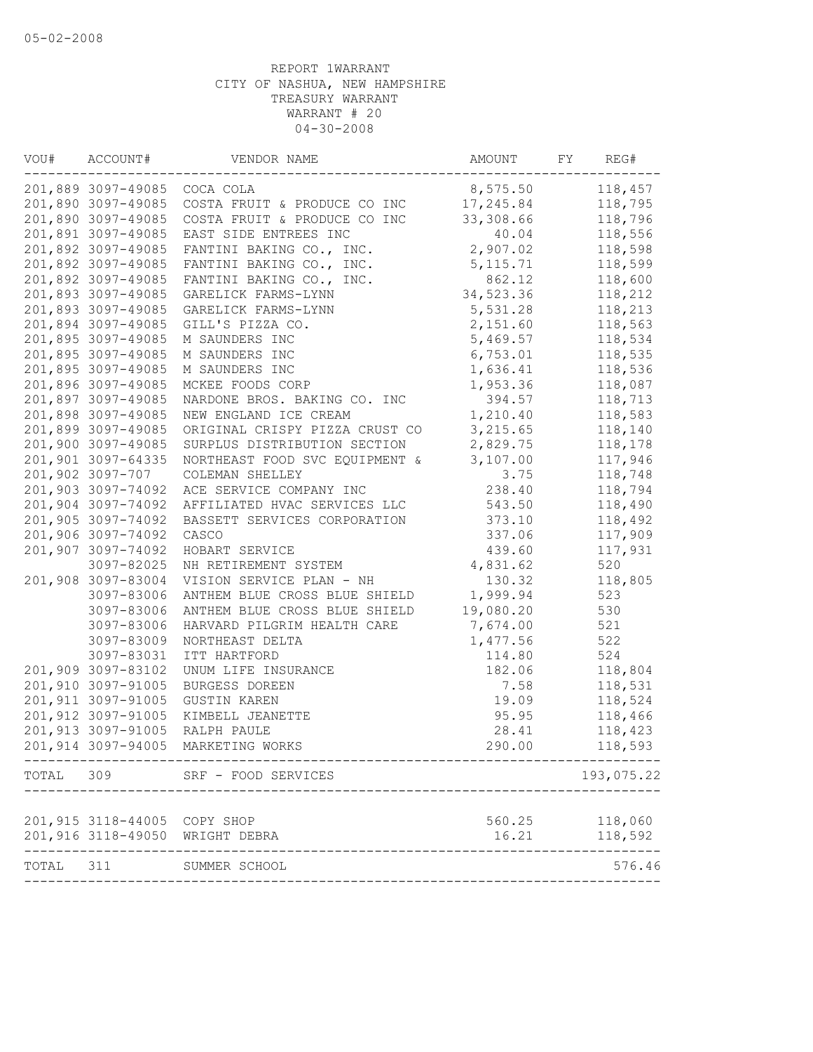| VOU#      | ACCOUNT#                     | VENDOR NAME                     | AMOUNT    | FY | REG#       |
|-----------|------------------------------|---------------------------------|-----------|----|------------|
|           | 201,889 3097-49085           | COCA COLA                       | 8,575.50  |    | 118,457    |
|           | 201,890 3097-49085           | COSTA FRUIT & PRODUCE CO INC    | 17,245.84 |    | 118,795    |
|           | 201,890 3097-49085           | COSTA FRUIT & PRODUCE CO INC    | 33,308.66 |    | 118,796    |
|           | 201,891 3097-49085           | EAST SIDE ENTREES INC           | 40.04     |    | 118,556    |
|           | 201,892 3097-49085           | FANTINI BAKING CO., INC.        | 2,907.02  |    | 118,598    |
|           | 201,892 3097-49085           | FANTINI BAKING CO., INC.        | 5,115.71  |    | 118,599    |
|           | 201,892 3097-49085           | FANTINI BAKING CO., INC.        | 862.12    |    | 118,600    |
|           | 201,893 3097-49085           | GARELICK FARMS-LYNN             | 34,523.36 |    | 118,212    |
|           | 201,893 3097-49085           | GARELICK FARMS-LYNN             | 5,531.28  |    | 118,213    |
|           | 201,894 3097-49085           | GILL'S PIZZA CO.                | 2,151.60  |    | 118,563    |
|           | 201,895 3097-49085           | M SAUNDERS INC                  | 5,469.57  |    | 118,534    |
|           | 201,895 3097-49085           | M SAUNDERS INC                  | 6,753.01  |    | 118,535    |
|           | 201,895 3097-49085           | M SAUNDERS INC                  | 1,636.41  |    | 118,536    |
|           | 201,896 3097-49085           | MCKEE FOODS CORP                | 1,953.36  |    | 118,087    |
|           | 201,897 3097-49085           | NARDONE BROS. BAKING CO. INC    | 394.57    |    | 118,713    |
|           | 201,898 3097-49085           | NEW ENGLAND ICE CREAM           | 1,210.40  |    | 118,583    |
|           | 201,899 3097-49085           | ORIGINAL CRISPY PIZZA CRUST CO  | 3,215.65  |    | 118,140    |
|           | 201,900 3097-49085           | SURPLUS DISTRIBUTION SECTION    | 2,829.75  |    | 118,178    |
|           | 201,901 3097-64335           | NORTHEAST FOOD SVC EQUIPMENT &  | 3,107.00  |    | 117,946    |
|           | 201,902 3097-707             | COLEMAN SHELLEY                 | 3.75      |    | 118,748    |
|           | 201,903 3097-74092           | ACE SERVICE COMPANY INC         | 238.40    |    | 118,794    |
|           | 201,904 3097-74092           | AFFILIATED HVAC SERVICES LLC    | 543.50    |    | 118,490    |
|           | 201,905 3097-74092           | BASSETT SERVICES CORPORATION    | 373.10    |    | 118,492    |
|           | 201,906 3097-74092           | CASCO                           | 337.06    |    | 117,909    |
|           | 201,907 3097-74092           | HOBART SERVICE                  | 439.60    |    | 117,931    |
|           | 3097-82025                   | NH RETIREMENT SYSTEM            | 4,831.62  |    | 520        |
|           | 201,908 3097-83004           | VISION SERVICE PLAN - NH        | 130.32    |    | 118,805    |
|           | 3097-83006                   | ANTHEM BLUE CROSS BLUE SHIELD   | 1,999.94  |    | 523        |
|           | 3097-83006                   | ANTHEM BLUE CROSS BLUE SHIELD   | 19,080.20 |    | 530        |
|           | 3097-83006                   | HARVARD PILGRIM HEALTH CARE     | 7,674.00  |    | 521        |
|           | 3097-83009                   | NORTHEAST DELTA                 | 1,477.56  |    | 522        |
|           | 3097-83031                   | ITT HARTFORD                    | 114.80    |    | 524        |
|           | 201,909 3097-83102           | UNUM LIFE INSURANCE             | 182.06    |    | 118,804    |
|           | 201,910 3097-91005           | BURGESS DOREEN                  | 7.58      |    | 118,531    |
|           | 201,911 3097-91005           | <b>GUSTIN KAREN</b>             | 19.09     |    | 118,524    |
|           | 201,912 3097-91005           | KIMBELL JEANETTE                | 95.95     |    | 118,466    |
|           | 201,913 3097-91005           | RALPH PAULE                     | 28.41     |    | 118,423    |
|           | 201,914 3097-94005           | MARKETING WORKS                 | 290.00    |    | 118,593    |
|           |                              | TOTAL 309 SRF - FOOD SERVICES   |           |    | 193,075.22 |
|           |                              |                                 |           |    |            |
|           | 201,915 3118-44005 COPY SHOP |                                 | 560.25    |    | 118,060    |
|           |                              | 201,916 3118-49050 WRIGHT DEBRA | 16.21     |    | 118,592    |
| TOTAL 311 |                              | SUMMER SCHOOL                   |           |    | 576.46     |
|           |                              |                                 |           |    |            |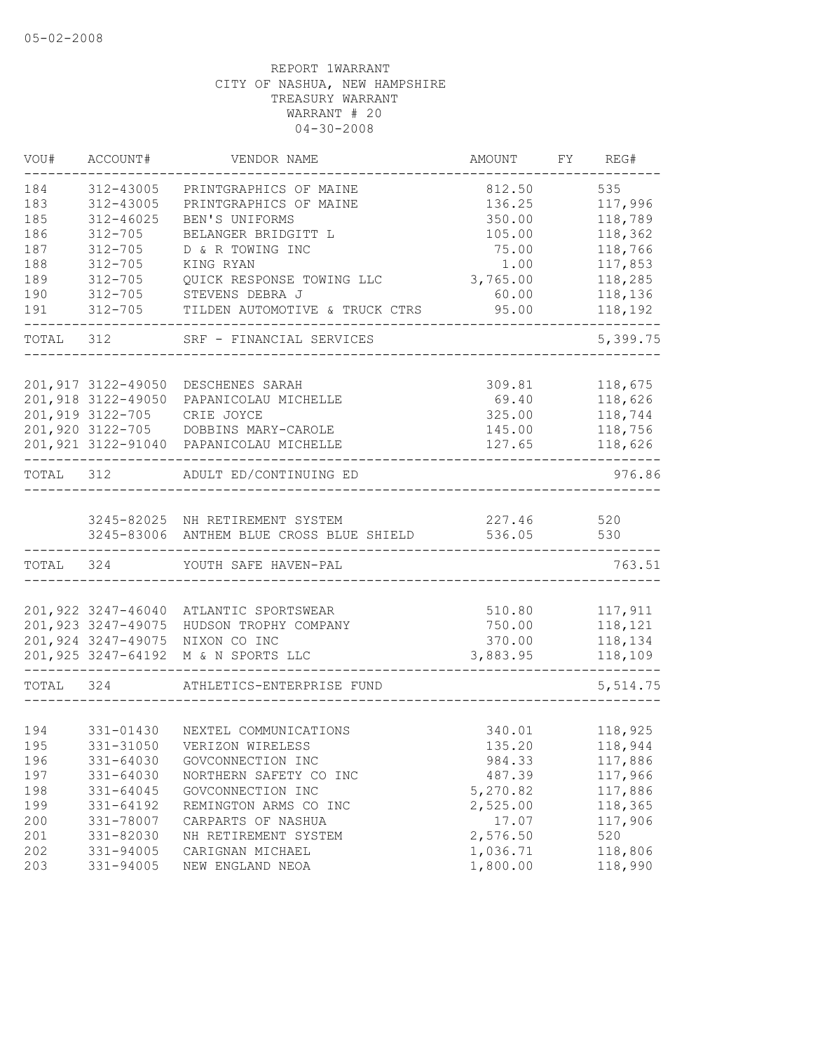| VOU#      | ACCOUNT#           | VENDOR NAME                                                                     | AMOUNT           | FY REG#            |
|-----------|--------------------|---------------------------------------------------------------------------------|------------------|--------------------|
| 184       | 312-43005          | PRINTGRAPHICS OF MAINE                                                          | 812.50           | 535                |
| 183       | 312-43005          | PRINTGRAPHICS OF MAINE                                                          | 136.25           | 117,996            |
| 185       | $312 - 46025$      | BEN'S UNIFORMS                                                                  | 350.00           | 118,789            |
| 186       | $312 - 705$        | BELANGER BRIDGITT L                                                             | 105.00           | 118,362            |
| 187       | $312 - 705$        | D & R TOWING INC                                                                | 75.00            | 118,766            |
| 188       | $312 - 705$        | KING RYAN                                                                       | 1.00             | 117,853            |
| 189       | $312 - 705$        | QUICK RESPONSE TOWING LLC                                                       | 3,765.00         | 118,285            |
| 190       | $312 - 705$        | STEVENS DEBRA J                                                                 | 60.00            | 118,136            |
| 191       | $312 - 705$        | TILDEN AUTOMOTIVE & TRUCK CTRS                                                  | 95.00            | 118,192            |
|           |                    | TOTAL 312 SRF - FINANCIAL SERVICES                                              |                  | 5,399.75           |
|           | 201,917 3122-49050 |                                                                                 |                  |                    |
|           | 201,918 3122-49050 | DESCHENES SARAH<br>PAPANICOLAU MICHELLE                                         | 309.81<br>69.40  | 118,675<br>118,626 |
|           | 201,919 3122-705   | CRIE JOYCE                                                                      | 325.00           |                    |
|           |                    |                                                                                 |                  | 118,744<br>118,756 |
|           |                    | 201,920 3122-705 DOBBINS MARY-CAROLE<br>201,921 3122-91040 PAPANICOLAU MICHELLE | 145.00<br>127.65 |                    |
|           |                    |                                                                                 |                  | 118,626            |
| TOTAL 312 |                    | ADULT ED/CONTINUING ED                                                          |                  | 976.86             |
|           |                    |                                                                                 |                  |                    |
|           |                    | 3245-82025 NH RETIREMENT SYSTEM                                                 | 227.46           | 520                |
|           |                    | 3245-83006 ANTHEM BLUE CROSS BLUE SHIELD                                        | 536.05           | 530                |
| TOTAL 324 |                    | YOUTH SAFE HAVEN-PAL                                                            |                  | 763.51             |
|           |                    |                                                                                 |                  |                    |
|           |                    | 201,922 3247-46040 ATLANTIC SPORTSWEAR                                          | 510.80           | 117,911            |
|           |                    | 201,923 3247-49075 HUDSON TROPHY COMPANY                                        | 750.00           | 118,121            |
|           |                    | 201,924 3247-49075 NIXON CO INC                                                 | 370.00           | 118,134            |
|           |                    | 201,925 3247-64192 M & N SPORTS LLC                                             | 3,883.95         | 118,109            |
| TOTAL 324 |                    | ATHLETICS-ENTERPRISE FUND                                                       |                  | 5,514.75           |
|           |                    |                                                                                 |                  |                    |
| 194       | 331-01430          | NEXTEL COMMUNICATIONS                                                           | 340.01           | 118,925            |
| 195       |                    | 331-31050 VERIZON WIRELESS                                                      | 135.20           | 118,944            |
| 196       | 331-64030          | GOVCONNECTION INC                                                               | 984.33           | 117,886            |
| 197       | 331-64030          | NORTHERN SAFETY CO INC                                                          | 487.39           | 117,966            |
| 198       | 331-64045          | GOVCONNECTION INC                                                               | 5,270.82         | 117,886            |
| 199       | 331-64192          | REMINGTON ARMS CO INC                                                           | 2,525.00         | 118,365            |
| 200       | 331-78007          | CARPARTS OF NASHUA                                                              | 17.07            | 117,906            |
| 201       | 331-82030          | NH RETIREMENT SYSTEM                                                            | 2,576.50         | 520                |
| 202       | 331-94005          | CARIGNAN MICHAEL                                                                | 1,036.71         | 118,806            |
| 203       | 331-94005          | NEW ENGLAND NEOA                                                                | 1,800.00         | 118,990            |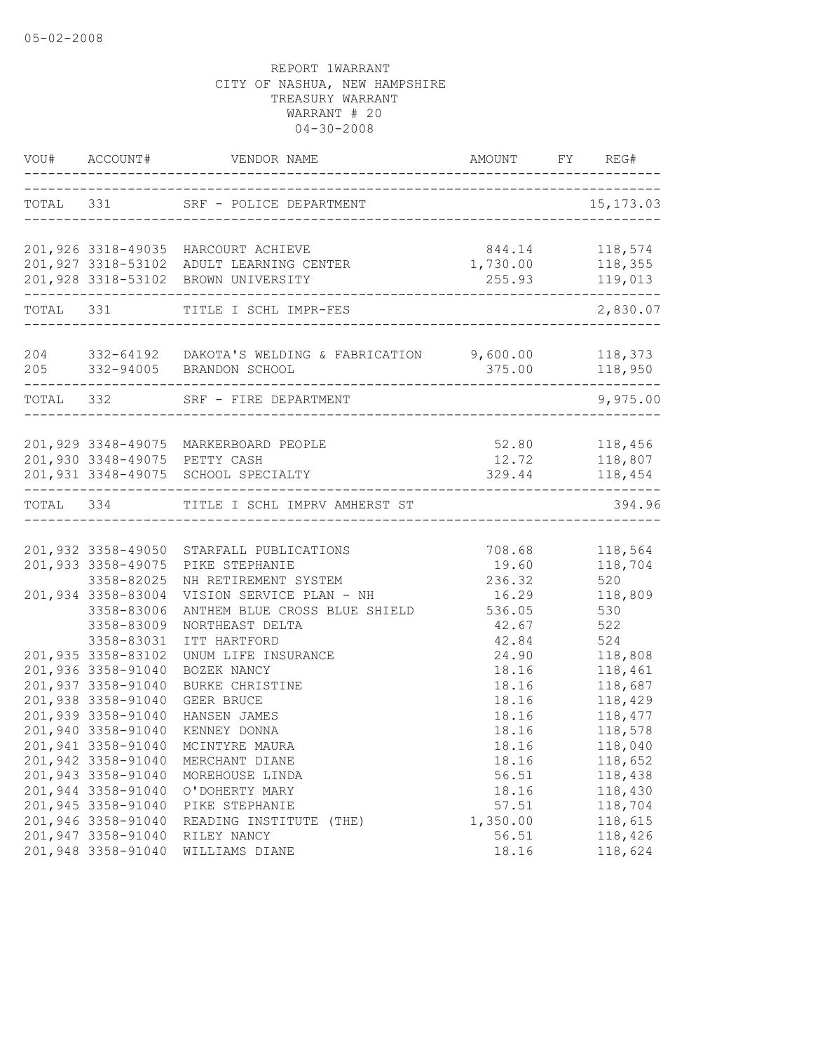|                                          | VOU# ACCOUNT# VENDOR NAME AMOUNT FY REG#                                                      |                                                      |                    |
|------------------------------------------|-----------------------------------------------------------------------------------------------|------------------------------------------------------|--------------------|
|                                          | TOTAL 331 SRF - POLICE DEPARTMENT<br>--------------------------------------                   |                                                      | 15, 173.03         |
|                                          | 201,926 3318-49035 HARCOURT ACHIEVE                                                           | 844.14 118,574                                       |                    |
|                                          | 201,927 3318-53102 ADULT LEARNING CENTER<br>201,928 3318-53102 BROWN UNIVERSITY               | 1,730.00 118,355                                     | 255.93 119,013     |
|                                          | TOTAL 331 TITLE I SCHL IMPR-FES                                                               |                                                      | 2,830.07           |
|                                          | 204 332-64192 DAKOTA'S WELDING & FABRICATION 9,600.00 118,373<br>205 332-94005 BRANDON SCHOOL | 375.00 118,950<br>---------------------------------- |                    |
|                                          | TOTAL 332 SRF - FIRE DEPARTMENT                                                               |                                                      | 9,975.00           |
|                                          |                                                                                               | 52.80 118,456                                        |                    |
|                                          | 201,929 3348-49075 MARKERBOARD PEOPLE<br>201,930 3348-49075 PETTY CASH                        | 12.72                                                |                    |
|                                          | 201,931 3348-49075 SCHOOL SPECIALTY                                                           | 329.44                                               | 118,807<br>118,454 |
|                                          | TOTAL 334 TITLE I SCHL IMPRV AMHERST ST                                                       |                                                      | 394.96             |
|                                          |                                                                                               |                                                      |                    |
|                                          | 201,932 3358-49050 STARFALL PUBLICATIONS                                                      | 708.68                                               | 118,564            |
| 201,933 3358-49075                       | PIKE STEPHANIE                                                                                | 19.60                                                | 118,704            |
| 3358-82025                               | NH RETIREMENT SYSTEM                                                                          | 236.32                                               | 520                |
| 201,934 3358-83004                       | VISION SERVICE PLAN - NH                                                                      | 16.29                                                | 118,809            |
| 3358-83006                               | ANTHEM BLUE CROSS BLUE SHIELD                                                                 | 536.05                                               | 530                |
| 3358-83009                               | NORTHEAST DELTA                                                                               | 42.67                                                | 522                |
| 3358-83031                               | ITT HARTFORD                                                                                  | 42.84 524                                            |                    |
| 201,935 3358-83102<br>201,936 3358-91040 | UNUM LIFE INSURANCE                                                                           | 24.90                                                | 118,808            |
| 201,937 3358-91040                       | BOZEK NANCY<br>BURKE CHRISTINE                                                                | 18.16<br>18.16                                       | 118,461<br>118,687 |
| 201,938 3358-91040                       | GEER BRUCE                                                                                    | 18.16                                                | 118,429            |
| 201,939 3358-91040                       | HANSEN JAMES                                                                                  | 18.16                                                | 118,477            |
| 201,940 3358-91040                       | KENNEY DONNA                                                                                  | 18.16                                                | 118,578            |
|                                          | 201,941 3358-91040 MCINTYRE MAURA                                                             | 18.16                                                | 118,040            |
| 201,942 3358-91040                       | MERCHANT DIANE                                                                                | 18.16                                                | 118,652            |
| 201,943 3358-91040                       | MOREHOUSE LINDA                                                                               | 56.51                                                | 118,438            |
| 201,944 3358-91040                       | O'DOHERTY MARY                                                                                | 18.16                                                | 118,430            |
| 201,945 3358-91040                       | PIKE STEPHANIE                                                                                | 57.51                                                | 118,704            |
| 201,946 3358-91040                       | READING INSTITUTE (THE)                                                                       | 1,350.00                                             | 118,615            |
| 201,947 3358-91040                       | RILEY NANCY                                                                                   | 56.51                                                | 118,426            |
| 201,948 3358-91040                       | WILLIAMS DIANE                                                                                | 18.16                                                | 118,624            |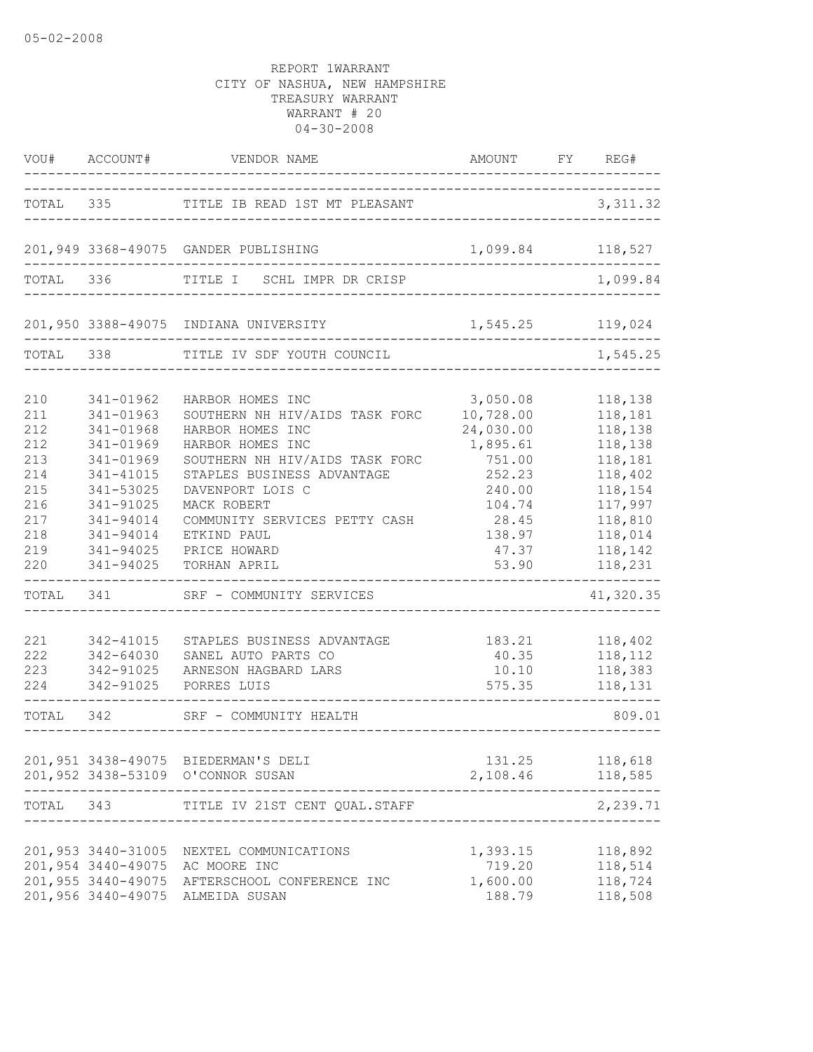|                                                                                  | VOU# ACCOUNT#                                                                                                                                            | VENDOR NAME                                                                                                                                                                                                                                                                   | AMOUNT                                                                                                                      | FY | REG#                                                                                                                             |
|----------------------------------------------------------------------------------|----------------------------------------------------------------------------------------------------------------------------------------------------------|-------------------------------------------------------------------------------------------------------------------------------------------------------------------------------------------------------------------------------------------------------------------------------|-----------------------------------------------------------------------------------------------------------------------------|----|----------------------------------------------------------------------------------------------------------------------------------|
| TOTAL                                                                            |                                                                                                                                                          | 335 TITLE IB READ 1ST MT PLEASANT                                                                                                                                                                                                                                             |                                                                                                                             |    | 3, 311.32                                                                                                                        |
|                                                                                  |                                                                                                                                                          | 201,949 3368-49075 GANDER PUBLISHING                                                                                                                                                                                                                                          | 1,099.84 118,527                                                                                                            |    |                                                                                                                                  |
| TOTAL                                                                            | 336                                                                                                                                                      | TITLE I<br>SCHL IMPR DR CRISP                                                                                                                                                                                                                                                 |                                                                                                                             |    | 1,099.84                                                                                                                         |
|                                                                                  |                                                                                                                                                          | 201,950 3388-49075 INDIANA UNIVERSITY                                                                                                                                                                                                                                         | 1,545.25 119,024                                                                                                            |    |                                                                                                                                  |
| TOTAL                                                                            | 338                                                                                                                                                      | TITLE IV SDF YOUTH COUNCIL                                                                                                                                                                                                                                                    |                                                                                                                             |    | 1,545.25                                                                                                                         |
| 210<br>211<br>212<br>212<br>213<br>214<br>215<br>216<br>217<br>218<br>219<br>220 | 341-01962<br>341-01963<br>341-01968<br>341-01969<br>341-01969<br>341-41015<br>341-53025<br>341-91025<br>341-94014<br>341-94014<br>341-94025<br>341-94025 | HARBOR HOMES INC<br>SOUTHERN NH HIV/AIDS TASK FORC<br>HARBOR HOMES INC<br>HARBOR HOMES INC<br>SOUTHERN NH HIV/AIDS TASK FORC<br>STAPLES BUSINESS ADVANTAGE<br>DAVENPORT LOIS C<br>MACK ROBERT<br>COMMUNITY SERVICES PETTY CASH<br>ETKIND PAUL<br>PRICE HOWARD<br>TORHAN APRIL | 3,050.08<br>10,728.00<br>24,030.00<br>1,895.61<br>751.00<br>252.23<br>240.00<br>104.74<br>28.45<br>138.97<br>47.37<br>53.90 |    | 118,138<br>118,181<br>118,138<br>118,138<br>118,181<br>118,402<br>118,154<br>117,997<br>118,810<br>118,014<br>118,142<br>118,231 |
| TOTAL                                                                            | 341                                                                                                                                                      | SRF - COMMUNITY SERVICES                                                                                                                                                                                                                                                      |                                                                                                                             |    | 41,320.35                                                                                                                        |
| 221<br>222<br>223<br>224                                                         | 342-41015<br>342-64030<br>342-91025<br>342-91025                                                                                                         | STAPLES BUSINESS ADVANTAGE<br>SANEL AUTO PARTS CO<br>ARNESON HAGBARD LARS<br>PORRES LUIS                                                                                                                                                                                      | 183.21<br>40.35<br>10.10<br>575.35                                                                                          |    | 118,402<br>118,112<br>118,383<br>118,131                                                                                         |
| TOTAL                                                                            | 342                                                                                                                                                      | SRF - COMMUNITY HEALTH                                                                                                                                                                                                                                                        |                                                                                                                             |    | 809.01                                                                                                                           |
|                                                                                  |                                                                                                                                                          | 201,951 3438-49075 BIEDERMAN'S DELI<br>201,952 3438-53109 O'CONNOR SUSAN                                                                                                                                                                                                      | 131.25<br>2,108.46                                                                                                          |    | 118,618<br>118,585                                                                                                               |
| TOTAL                                                                            | 343                                                                                                                                                      | TITLE IV 21ST CENT QUAL. STAFF                                                                                                                                                                                                                                                |                                                                                                                             |    | 2,239.71                                                                                                                         |
|                                                                                  | 201,953 3440-31005<br>201,954 3440-49075<br>201,955 3440-49075<br>201,956 3440-49075                                                                     | NEXTEL COMMUNICATIONS<br>AC MOORE INC<br>AFTERSCHOOL CONFERENCE INC<br>ALMEIDA SUSAN                                                                                                                                                                                          | 1,393.15<br>719.20<br>1,600.00<br>188.79                                                                                    |    | 118,892<br>118,514<br>118,724<br>118,508                                                                                         |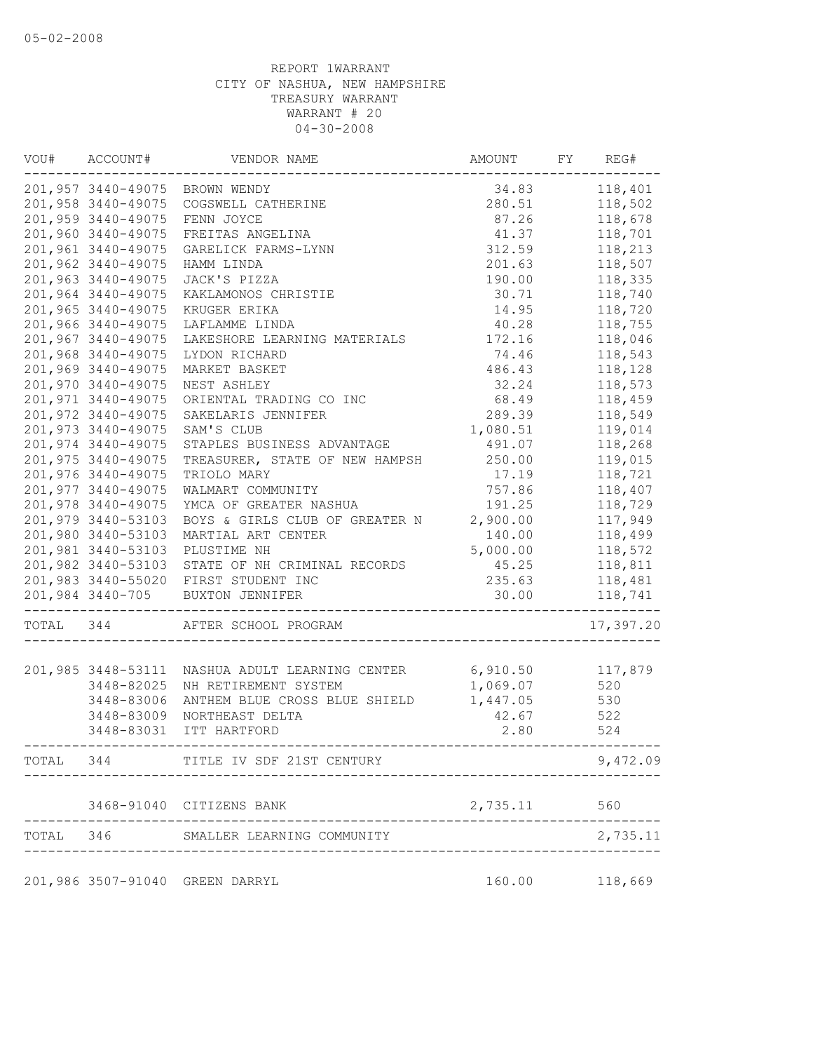| VOU#      | ACCOUNT#           | VENDOR NAME                          | AMOUNT   | FY | REG#      |
|-----------|--------------------|--------------------------------------|----------|----|-----------|
|           |                    | 201,957 3440-49075 BROWN WENDY       | 34.83    |    | 118,401   |
|           | 201,958 3440-49075 | COGSWELL CATHERINE                   | 280.51   |    | 118,502   |
|           | 201,959 3440-49075 | FENN JOYCE                           | 87.26    |    | 118,678   |
|           | 201,960 3440-49075 | FREITAS ANGELINA                     | 41.37    |    | 118,701   |
|           | 201,961 3440-49075 | GARELICK FARMS-LYNN                  | 312.59   |    | 118,213   |
|           | 201,962 3440-49075 | HAMM LINDA                           | 201.63   |    | 118,507   |
|           | 201,963 3440-49075 | JACK'S PIZZA                         | 190.00   |    | 118,335   |
|           | 201,964 3440-49075 | KAKLAMONOS CHRISTIE                  | 30.71    |    | 118,740   |
|           | 201,965 3440-49075 | KRUGER ERIKA                         | 14.95    |    | 118,720   |
|           | 201,966 3440-49075 | LAFLAMME LINDA                       | 40.28    |    | 118,755   |
|           | 201,967 3440-49075 | LAKESHORE LEARNING MATERIALS 172.16  |          |    | 118,046   |
|           | 201,968 3440-49075 | LYDON RICHARD                        | 74.46    |    | 118,543   |
|           | 201,969 3440-49075 | MARKET BASKET                        | 486.43   |    | 118,128   |
|           | 201,970 3440-49075 | NEST ASHLEY                          | 32.24    |    | 118,573   |
|           | 201,971 3440-49075 | ORIENTAL TRADING CO INC              | 68.49    |    | 118,459   |
|           | 201,972 3440-49075 | SAKELARIS JENNIFER                   | 289.39   |    | 118,549   |
|           | 201,973 3440-49075 | SAM'S CLUB                           | 1,080.51 |    | 119,014   |
|           | 201,974 3440-49075 | STAPLES BUSINESS ADVANTAGE           | 491.07   |    | 118,268   |
|           | 201,975 3440-49075 | TREASURER, STATE OF NEW HAMPSH       | 250.00   |    | 119,015   |
|           | 201,976 3440-49075 | TRIOLO MARY                          | 17.19    |    | 118,721   |
|           | 201,977 3440-49075 | WALMART COMMUNITY                    | 757.86   |    | 118,407   |
|           | 201,978 3440-49075 | YMCA OF GREATER NASHUA               | 191.25   |    | 118,729   |
|           | 201,979 3440-53103 | BOYS & GIRLS CLUB OF GREATER N       | 2,900.00 |    | 117,949   |
|           | 201,980 3440-53103 | MARTIAL ART CENTER                   | 140.00   |    | 118,499   |
|           | 201,981 3440-53103 | PLUSTIME NH                          | 5,000.00 |    | 118,572   |
|           | 201,982 3440-53103 | STATE OF NH CRIMINAL RECORDS         | 45.25    |    | 118,811   |
|           |                    | 201,983 3440-55020 FIRST STUDENT INC | 235.63   |    | 118,481   |
|           | 201,984 3440-705   | BUXTON JENNIFER                      | 30.00    |    | 118,741   |
| TOTAL 344 |                    | AFTER SCHOOL PROGRAM                 |          |    | 17,397.20 |
|           | 201,985 3448-53111 | NASHUA ADULT LEARNING CENTER         | 6,910.50 |    | 117,879   |
|           | 3448-82025         | NH RETIREMENT SYSTEM                 | 1,069.07 |    | 520       |
|           | 3448-83006         | ANTHEM BLUE CROSS BLUE SHIELD        | 1,447.05 |    | 530       |
|           | 3448-83009         | NORTHEAST DELTA                      | 42.67    |    | 522       |
|           | 3448-83031         | ITT HARTFORD                         | 2.80     |    | 524       |
| TOTAL     | 344                | TITLE IV SDF 21ST CENTURY            |          |    | 9,472.09  |
|           |                    |                                      |          |    |           |
|           |                    | 3468-91040 CITIZENS BANK             | 2,735.11 |    | 560       |
| TOTAL     | 346                | SMALLER LEARNING COMMUNITY           |          |    | 2,735.11  |
|           |                    | 201,986 3507-91040 GREEN DARRYL      | 160.00   |    | 118,669   |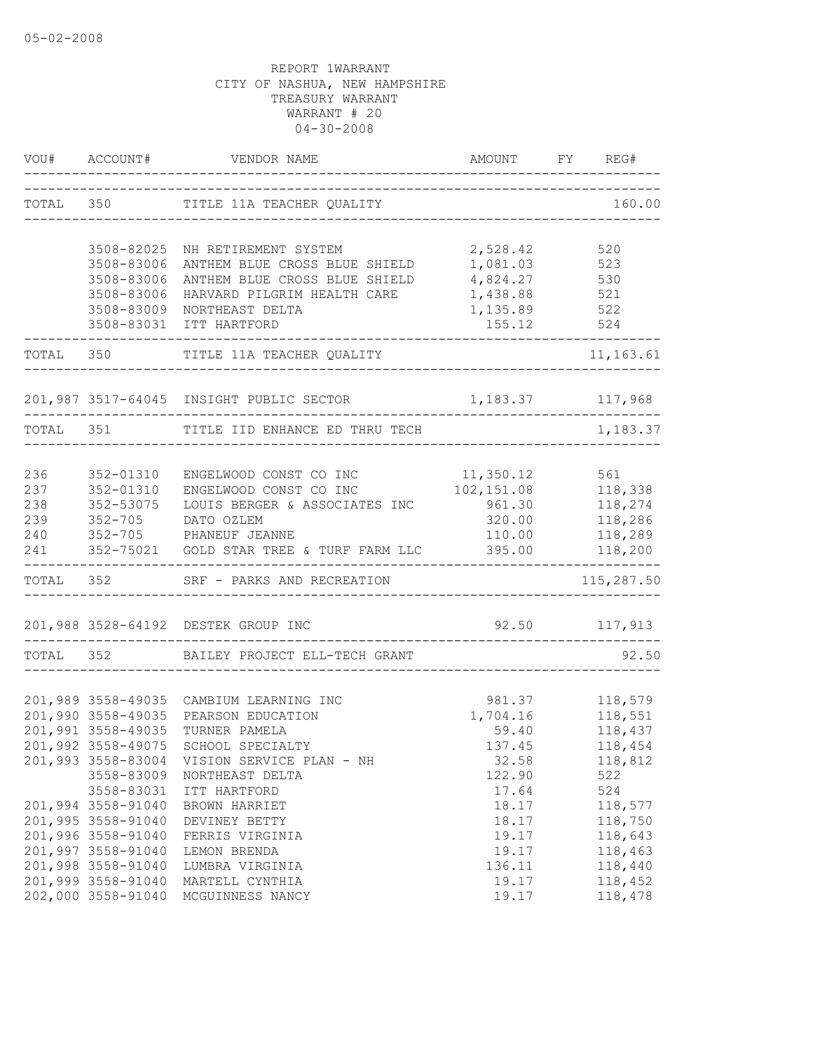|            |                    | VOU# ACCOUNT# VENDOR NAME                                 | AMOUNT                                     | FY REG#                   |
|------------|--------------------|-----------------------------------------------------------|--------------------------------------------|---------------------------|
|            |                    | TOTAL 350 TITLE 11A TEACHER QUALITY                       | ------------------------------             | 160.00                    |
|            | 3508-82025         | NH RETIREMENT SYSTEM                                      | 2,528.42                                   | 520                       |
|            | 3508-83006         | ANTHEM BLUE CROSS BLUE SHIELD                             | 1,081.03 523                               |                           |
|            | 3508-83006         | ANTHEM BLUE CROSS BLUE SHIELD                             | 4,824.27                                   | 530                       |
|            | 3508-83006         | HARVARD PILGRIM HEALTH CARE                               | 1,438.88                                   | 521                       |
|            | 3508-83009         | NORTHEAST DELTA                                           | 1,135.89                                   | $\frac{1}{522}$           |
|            | 3508-83031         | ITT HARTFORD                                              | 155.12<br>----------------------------     | 524                       |
|            |                    | TOTAL 350 TITLE 11A TEACHER QUALITY                       |                                            | 11,163.61                 |
|            |                    | 201,987 3517-64045 INSIGHT PUBLIC SECTOR 1,183.37 117,968 |                                            |                           |
| TOTAL 351  |                    | TITLE IID ENHANCE ED THRU TECH                            |                                            | 1,183.37                  |
|            |                    |                                                           |                                            |                           |
| 236        | 352-01310          | ENGELWOOD CONST CO INC 11,350.12                          |                                            | 561                       |
| 237        | 352-01310          | ENGELWOOD CONST CO INC                                    | 102, 151.08 118, 338                       |                           |
| 238        | 352-53075          | LOUIS BERGER & ASSOCIATES INC 961.30 118,274              |                                            |                           |
| 239<br>240 |                    | 352-705 DATO OZLEM<br>352-705 PHANEUF JEANNE              | 110.00                                     | 320.00 118,286<br>118,289 |
| 241        |                    | 352-75021 GOLD STAR TREE & TURF FARM LLC                  | 395.00                                     | 118,200                   |
|            |                    | TOTAL 352 SRF - PARKS AND RECREATION                      | ____________________________               | 115,287.50                |
|            |                    |                                                           |                                            |                           |
|            |                    | 201,988 3528-64192 DESTEK GROUP INC                       | 92.50 117,913<br>_________________________ |                           |
| TOTAL 352  |                    | BAILEY PROJECT ELL-TECH GRANT                             |                                            | 92.50                     |
|            |                    |                                                           |                                            |                           |
|            | 201,990 3558-49035 | 201,989 3558-49035 CAMBIUM LEARNING INC                   |                                            | 981.37 118,579            |
|            | 201,991 3558-49035 | PEARSON EDUCATION<br>TURNER PAMELA                        | 1,704.16<br>59.40                          | 118,551<br>118,437        |
|            | 201,992 3558-49075 | SCHOOL SPECIALTY                                          | 137.45                                     | 118,454                   |
|            | 201,993 3558-83004 | VISION SERVICE PLAN - NH                                  | 32.58                                      | 118,812                   |
|            | 3558-83009         | NORTHEAST DELTA                                           | 122.90                                     | 522                       |
|            | 3558-83031         | ITT HARTFORD                                              | 17.64                                      | 524                       |
|            | 201,994 3558-91040 | BROWN HARRIET                                             | 18.17                                      | 118,577                   |
|            | 201,995 3558-91040 | DEVINEY BETTY                                             | 18.17                                      | 118,750                   |
|            | 201,996 3558-91040 | FERRIS VIRGINIA                                           | 19.17                                      | 118,643                   |
|            | 201,997 3558-91040 | LEMON BRENDA                                              | 19.17                                      | 118,463                   |
|            | 201,998 3558-91040 | LUMBRA VIRGINIA                                           | 136.11                                     | 118,440                   |
|            | 201,999 3558-91040 | MARTELL CYNTHIA                                           | 19.17                                      | 118,452                   |
|            | 202,000 3558-91040 | MCGUINNESS NANCY                                          | 19.17                                      | 118,478                   |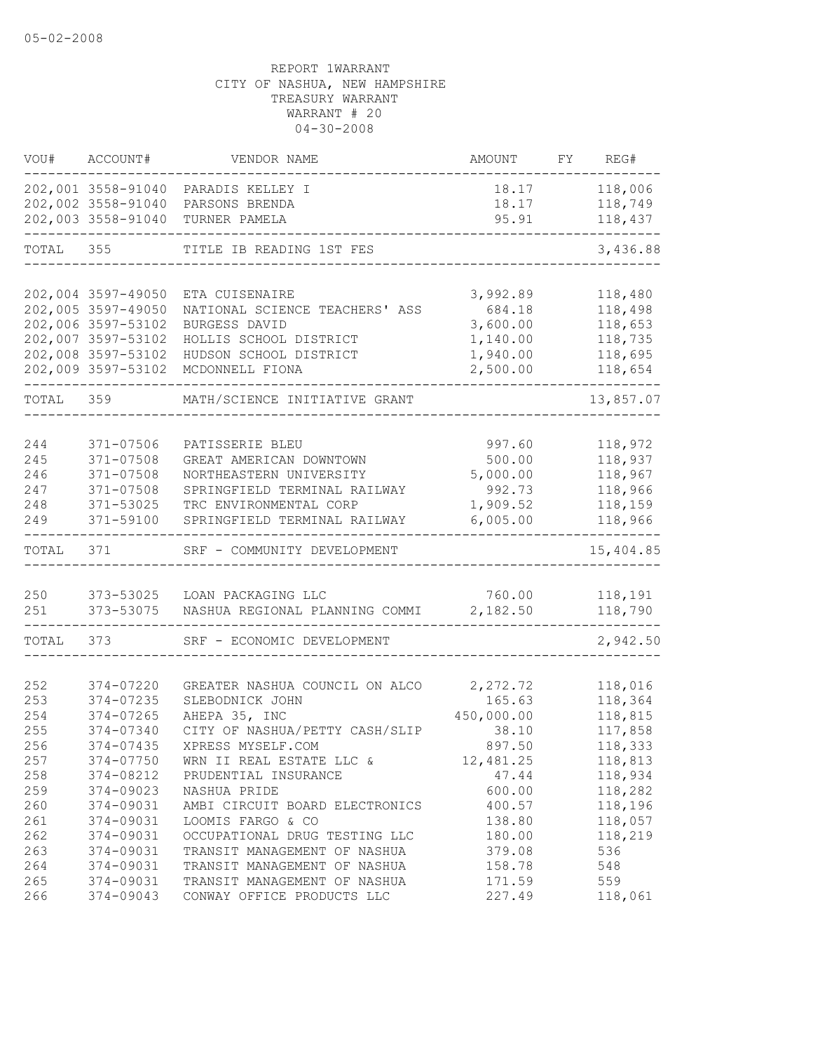| VOU#  | ACCOUNT#           | VENDOR NAME                    | AMOUNT     | FY | REG#      |
|-------|--------------------|--------------------------------|------------|----|-----------|
|       | 202,001 3558-91040 | PARADIS KELLEY I               | 18.17      |    | 118,006   |
|       | 202,002 3558-91040 | PARSONS BRENDA                 | 18.17      |    | 118,749   |
|       | 202,003 3558-91040 | TURNER PAMELA                  | 95.91      |    | 118,437   |
| TOTAL | 355                | TITLE IB READING 1ST FES       |            |    | 3,436.88  |
|       |                    |                                |            |    |           |
|       | 202,004 3597-49050 | ETA CUISENAIRE                 | 3,992.89   |    | 118,480   |
|       | 202,005 3597-49050 | NATIONAL SCIENCE TEACHERS' ASS | 684.18     |    | 118,498   |
|       | 202,006 3597-53102 | BURGESS DAVID                  | 3,600.00   |    | 118,653   |
|       | 202,007 3597-53102 | HOLLIS SCHOOL DISTRICT         | 1,140.00   |    | 118,735   |
|       | 202,008 3597-53102 | HUDSON SCHOOL DISTRICT         | 1,940.00   |    | 118,695   |
|       | 202,009 3597-53102 | MCDONNELL FIONA                | 2,500.00   |    | 118,654   |
| TOTAL | 359                | MATH/SCIENCE INITIATIVE GRANT  |            |    | 13,857.07 |
|       |                    |                                |            |    |           |
| 244   | 371-07506          | PATISSERIE BLEU                | 997.60     |    | 118,972   |
| 245   | $371 - 07508$      | GREAT AMERICAN DOWNTOWN        | 500.00     |    | 118,937   |
| 246   | 371-07508          | NORTHEASTERN UNIVERSITY        | 5,000.00   |    | 118,967   |
| 247   | $371 - 07508$      | SPRINGFIELD TERMINAL RAILWAY   | 992.73     |    | 118,966   |
| 248   | 371-53025          | TRC ENVIRONMENTAL CORP         | 1,909.52   |    | 118,159   |
| 249   | 371-59100          | SPRINGFIELD TERMINAL RAILWAY   | 6,005.00   |    | 118,966   |
| TOTAL | 371                | SRF - COMMUNITY DEVELOPMENT    |            |    | 15,404.85 |
|       |                    |                                |            |    |           |
| 250   | 373-53025          | LOAN PACKAGING LLC             | 760.00     |    | 118,191   |
| 251   | 373-53075          | NASHUA REGIONAL PLANNING COMMI | 2,182.50   |    | 118,790   |
| TOTAL | 373                | SRF - ECONOMIC DEVELOPMENT     |            |    | 2,942.50  |
|       |                    |                                |            |    |           |
| 252   | 374-07220          | GREATER NASHUA COUNCIL ON ALCO | 2,272.72   |    | 118,016   |
| 253   | 374-07235          | SLEBODNICK JOHN                | 165.63     |    | 118,364   |
| 254   | 374-07265          | AHEPA 35, INC                  | 450,000.00 |    | 118,815   |
| 255   | 374-07340          | CITY OF NASHUA/PETTY CASH/SLIP | 38.10      |    | 117,858   |
| 256   | 374-07435          | XPRESS MYSELF.COM              | 897.50     |    | 118,333   |
| 257   | 374-07750          | WRN II REAL ESTATE LLC &       | 12,481.25  |    | 118,813   |
| 258   | 374-08212          | PRUDENTIAL INSURANCE           | 47.44      |    | 118,934   |
| 259   | 374-09023          | NASHUA PRIDE                   | 600.00     |    | 118,282   |
| 260   | 374-09031          | AMBI CIRCUIT BOARD ELECTRONICS | 400.57     |    | 118,196   |
| 261   | 374-09031          | LOOMIS FARGO & CO              | 138.80     |    | 118,057   |
| 262   | 374-09031          | OCCUPATIONAL DRUG TESTING LLC  | 180.00     |    | 118,219   |
| 263   | 374-09031          | TRANSIT MANAGEMENT OF NASHUA   | 379.08     |    | 536       |
| 264   | 374-09031          | TRANSIT MANAGEMENT OF NASHUA   | 158.78     |    | 548       |
| 265   | 374-09031          | TRANSIT MANAGEMENT OF NASHUA   | 171.59     |    | 559       |
| 266   | 374-09043          | CONWAY OFFICE PRODUCTS LLC     | 227.49     |    | 118,061   |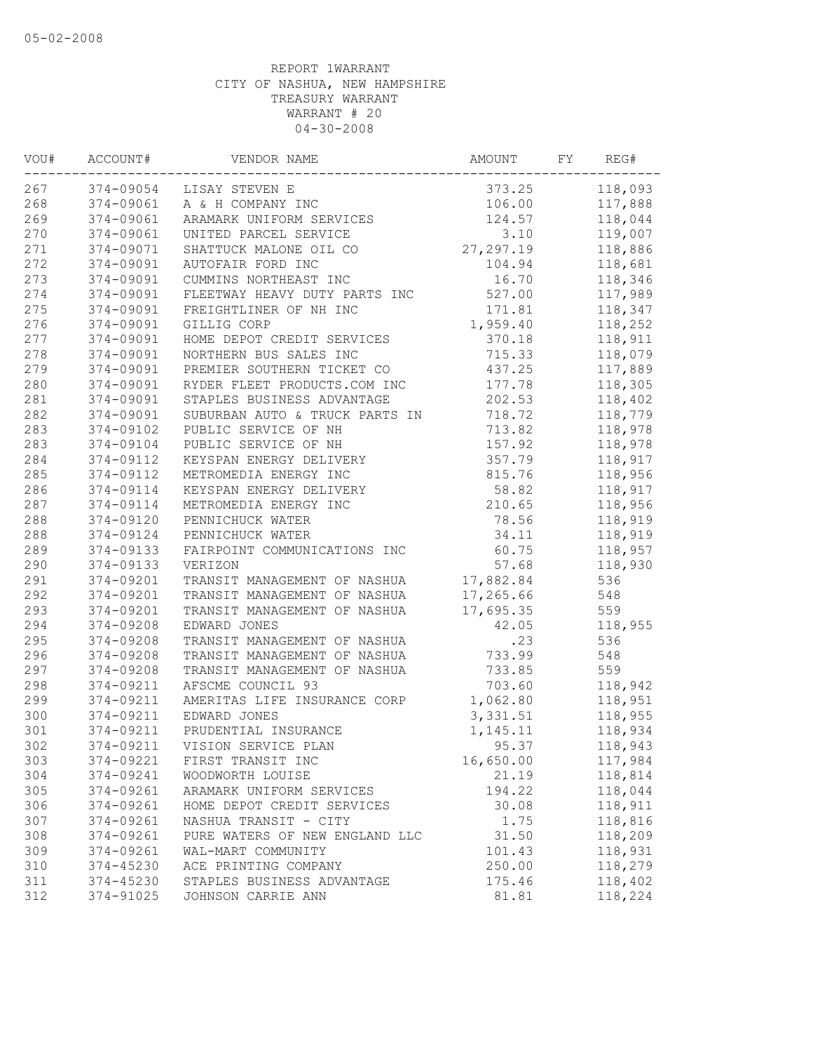| 374-09054<br>373.25<br>118,093<br>LISAY STEVEN E<br>374-09061<br>106.00<br>117,888<br>A & H COMPANY INC<br>374-09061<br>124.57<br>118,044<br>ARAMARK UNIFORM SERVICES<br>119,007<br>374-09061<br>3.10<br>UNITED PARCEL SERVICE<br>374-09071<br>27, 297.19<br>118,886<br>SHATTUCK MALONE OIL CO<br>374-09091<br>AUTOFAIR FORD INC<br>104.94<br>118,681<br>118,346<br>374-09091<br>CUMMINS NORTHEAST INC<br>16.70<br>374-09091<br>527.00<br>117,989<br>FLEETWAY HEAVY DUTY PARTS INC<br>374-09091<br>171.81<br>118,347<br>FREIGHTLINER OF NH INC<br>276<br>374-09091<br>GILLIG CORP<br>1,959.40<br>118,252<br>374-09091<br>HOME DEPOT CREDIT SERVICES<br>370.18<br>118,911<br>374-09091<br>715.33<br>118,079<br>NORTHERN BUS SALES INC<br>374-09091<br>437.25<br>117,889<br>PREMIER SOUTHERN TICKET CO<br>374-09091<br>177.78<br>RYDER FLEET PRODUCTS.COM INC<br>118,305<br>374-09091<br>STAPLES BUSINESS ADVANTAGE<br>202.53<br>118,402<br>118,779<br>374-09091<br>SUBURBAN AUTO & TRUCK PARTS IN<br>718.72<br>713.82<br>374-09102<br>PUBLIC SERVICE OF NH<br>118,978<br>374-09104<br>157.92<br>118,978<br>PUBLIC SERVICE OF NH<br>374-09112<br>357.79<br>118,917<br>KEYSPAN ENERGY DELIVERY<br>374-09112<br>METROMEDIA ENERGY INC<br>815.76<br>118,956<br>374-09114<br>KEYSPAN ENERGY DELIVERY<br>58.82<br>118,917<br>374-09114<br>210.65<br>118,956<br>METROMEDIA ENERGY INC<br>374-09120<br>78.56<br>PENNICHUCK WATER<br>118,919<br>374-09124<br>34.11<br>118,919<br>PENNICHUCK WATER<br>374-09133<br>FAIRPOINT COMMUNICATIONS INC<br>60.75<br>118,957<br>374-09133<br>57.68<br>118,930<br>VERIZON<br>374-09201<br>17,882.84<br>536<br>TRANSIT MANAGEMENT OF NASHUA<br>374-09201<br>17,265.66<br>548<br>TRANSIT MANAGEMENT OF NASHUA<br>374-09201<br>TRANSIT MANAGEMENT OF NASHUA<br>17,695.35<br>559<br>374-09208<br>EDWARD JONES<br>42.05<br>118,955<br>374-09208<br>TRANSIT MANAGEMENT OF NASHUA<br>.23<br>536<br>374-09208<br>733.99<br>548<br>TRANSIT MANAGEMENT OF NASHUA<br>559<br>374-09208<br>733.85<br>TRANSIT MANAGEMENT OF NASHUA<br>374-09211<br>AFSCME COUNCIL 93<br>703.60<br>118,942<br>374-09211<br>AMERITAS LIFE INSURANCE CORP<br>1,062.80<br>118,951<br>374-09211<br>EDWARD JONES<br>3,331.51<br>118,955<br>374-09211<br>PRUDENTIAL INSURANCE<br>118,934<br>1,145.11<br>374-09211<br>VISION SERVICE PLAN<br>95.37<br>118,943<br>303<br>374-09221<br>16,650.00<br>FIRST TRANSIT INC<br>117,984<br>374-09241<br>WOODWORTH LOUISE<br>21.19<br>118,814<br>374-09261<br>ARAMARK UNIFORM SERVICES<br>194.22<br>118,044<br>118,911<br>374-09261<br>HOME DEPOT CREDIT SERVICES<br>30.08<br>374-09261<br>NASHUA TRANSIT - CITY<br>1.75<br>118,816<br>308<br>31.50<br>118,209<br>374-09261<br>PURE WATERS OF NEW ENGLAND LLC<br>309<br>374-09261<br>WAL-MART COMMUNITY<br>101.43<br>118,931<br>310<br>374-45230<br>ACE PRINTING COMPANY<br>250.00<br>118,279<br>311<br>374-45230<br>STAPLES BUSINESS ADVANTAGE<br>175.46<br>118,402<br>374-91025<br>JOHNSON CARRIE ANN<br>81.81<br>118,224 | VOU# | ACCOUNT# | VENDOR NAME | AMOUNT | FY | REG# |
|--------------------------------------------------------------------------------------------------------------------------------------------------------------------------------------------------------------------------------------------------------------------------------------------------------------------------------------------------------------------------------------------------------------------------------------------------------------------------------------------------------------------------------------------------------------------------------------------------------------------------------------------------------------------------------------------------------------------------------------------------------------------------------------------------------------------------------------------------------------------------------------------------------------------------------------------------------------------------------------------------------------------------------------------------------------------------------------------------------------------------------------------------------------------------------------------------------------------------------------------------------------------------------------------------------------------------------------------------------------------------------------------------------------------------------------------------------------------------------------------------------------------------------------------------------------------------------------------------------------------------------------------------------------------------------------------------------------------------------------------------------------------------------------------------------------------------------------------------------------------------------------------------------------------------------------------------------------------------------------------------------------------------------------------------------------------------------------------------------------------------------------------------------------------------------------------------------------------------------------------------------------------------------------------------------------------------------------------------------------------------------------------------------------------------------------------------------------------------------------------------------------------------------------------------------------------------------------------------------------------------------------------------------------------------------------------------------------------------------------------------------------------------------------------------------------------------------------------------------------------------------------------------------------------------------------------------------------------------------------------------------|------|----------|-------------|--------|----|------|
|                                                                                                                                                                                                                                                                                                                                                                                                                                                                                                                                                                                                                                                                                                                                                                                                                                                                                                                                                                                                                                                                                                                                                                                                                                                                                                                                                                                                                                                                                                                                                                                                                                                                                                                                                                                                                                                                                                                                                                                                                                                                                                                                                                                                                                                                                                                                                                                                                                                                                                                                                                                                                                                                                                                                                                                                                                                                                                                                                                                                        | 267  |          |             |        |    |      |
|                                                                                                                                                                                                                                                                                                                                                                                                                                                                                                                                                                                                                                                                                                                                                                                                                                                                                                                                                                                                                                                                                                                                                                                                                                                                                                                                                                                                                                                                                                                                                                                                                                                                                                                                                                                                                                                                                                                                                                                                                                                                                                                                                                                                                                                                                                                                                                                                                                                                                                                                                                                                                                                                                                                                                                                                                                                                                                                                                                                                        | 268  |          |             |        |    |      |
|                                                                                                                                                                                                                                                                                                                                                                                                                                                                                                                                                                                                                                                                                                                                                                                                                                                                                                                                                                                                                                                                                                                                                                                                                                                                                                                                                                                                                                                                                                                                                                                                                                                                                                                                                                                                                                                                                                                                                                                                                                                                                                                                                                                                                                                                                                                                                                                                                                                                                                                                                                                                                                                                                                                                                                                                                                                                                                                                                                                                        | 269  |          |             |        |    |      |
|                                                                                                                                                                                                                                                                                                                                                                                                                                                                                                                                                                                                                                                                                                                                                                                                                                                                                                                                                                                                                                                                                                                                                                                                                                                                                                                                                                                                                                                                                                                                                                                                                                                                                                                                                                                                                                                                                                                                                                                                                                                                                                                                                                                                                                                                                                                                                                                                                                                                                                                                                                                                                                                                                                                                                                                                                                                                                                                                                                                                        | 270  |          |             |        |    |      |
|                                                                                                                                                                                                                                                                                                                                                                                                                                                                                                                                                                                                                                                                                                                                                                                                                                                                                                                                                                                                                                                                                                                                                                                                                                                                                                                                                                                                                                                                                                                                                                                                                                                                                                                                                                                                                                                                                                                                                                                                                                                                                                                                                                                                                                                                                                                                                                                                                                                                                                                                                                                                                                                                                                                                                                                                                                                                                                                                                                                                        | 271  |          |             |        |    |      |
|                                                                                                                                                                                                                                                                                                                                                                                                                                                                                                                                                                                                                                                                                                                                                                                                                                                                                                                                                                                                                                                                                                                                                                                                                                                                                                                                                                                                                                                                                                                                                                                                                                                                                                                                                                                                                                                                                                                                                                                                                                                                                                                                                                                                                                                                                                                                                                                                                                                                                                                                                                                                                                                                                                                                                                                                                                                                                                                                                                                                        | 272  |          |             |        |    |      |
|                                                                                                                                                                                                                                                                                                                                                                                                                                                                                                                                                                                                                                                                                                                                                                                                                                                                                                                                                                                                                                                                                                                                                                                                                                                                                                                                                                                                                                                                                                                                                                                                                                                                                                                                                                                                                                                                                                                                                                                                                                                                                                                                                                                                                                                                                                                                                                                                                                                                                                                                                                                                                                                                                                                                                                                                                                                                                                                                                                                                        | 273  |          |             |        |    |      |
|                                                                                                                                                                                                                                                                                                                                                                                                                                                                                                                                                                                                                                                                                                                                                                                                                                                                                                                                                                                                                                                                                                                                                                                                                                                                                                                                                                                                                                                                                                                                                                                                                                                                                                                                                                                                                                                                                                                                                                                                                                                                                                                                                                                                                                                                                                                                                                                                                                                                                                                                                                                                                                                                                                                                                                                                                                                                                                                                                                                                        | 274  |          |             |        |    |      |
|                                                                                                                                                                                                                                                                                                                                                                                                                                                                                                                                                                                                                                                                                                                                                                                                                                                                                                                                                                                                                                                                                                                                                                                                                                                                                                                                                                                                                                                                                                                                                                                                                                                                                                                                                                                                                                                                                                                                                                                                                                                                                                                                                                                                                                                                                                                                                                                                                                                                                                                                                                                                                                                                                                                                                                                                                                                                                                                                                                                                        | 275  |          |             |        |    |      |
|                                                                                                                                                                                                                                                                                                                                                                                                                                                                                                                                                                                                                                                                                                                                                                                                                                                                                                                                                                                                                                                                                                                                                                                                                                                                                                                                                                                                                                                                                                                                                                                                                                                                                                                                                                                                                                                                                                                                                                                                                                                                                                                                                                                                                                                                                                                                                                                                                                                                                                                                                                                                                                                                                                                                                                                                                                                                                                                                                                                                        |      |          |             |        |    |      |
|                                                                                                                                                                                                                                                                                                                                                                                                                                                                                                                                                                                                                                                                                                                                                                                                                                                                                                                                                                                                                                                                                                                                                                                                                                                                                                                                                                                                                                                                                                                                                                                                                                                                                                                                                                                                                                                                                                                                                                                                                                                                                                                                                                                                                                                                                                                                                                                                                                                                                                                                                                                                                                                                                                                                                                                                                                                                                                                                                                                                        | 277  |          |             |        |    |      |
|                                                                                                                                                                                                                                                                                                                                                                                                                                                                                                                                                                                                                                                                                                                                                                                                                                                                                                                                                                                                                                                                                                                                                                                                                                                                                                                                                                                                                                                                                                                                                                                                                                                                                                                                                                                                                                                                                                                                                                                                                                                                                                                                                                                                                                                                                                                                                                                                                                                                                                                                                                                                                                                                                                                                                                                                                                                                                                                                                                                                        | 278  |          |             |        |    |      |
|                                                                                                                                                                                                                                                                                                                                                                                                                                                                                                                                                                                                                                                                                                                                                                                                                                                                                                                                                                                                                                                                                                                                                                                                                                                                                                                                                                                                                                                                                                                                                                                                                                                                                                                                                                                                                                                                                                                                                                                                                                                                                                                                                                                                                                                                                                                                                                                                                                                                                                                                                                                                                                                                                                                                                                                                                                                                                                                                                                                                        | 279  |          |             |        |    |      |
|                                                                                                                                                                                                                                                                                                                                                                                                                                                                                                                                                                                                                                                                                                                                                                                                                                                                                                                                                                                                                                                                                                                                                                                                                                                                                                                                                                                                                                                                                                                                                                                                                                                                                                                                                                                                                                                                                                                                                                                                                                                                                                                                                                                                                                                                                                                                                                                                                                                                                                                                                                                                                                                                                                                                                                                                                                                                                                                                                                                                        | 280  |          |             |        |    |      |
|                                                                                                                                                                                                                                                                                                                                                                                                                                                                                                                                                                                                                                                                                                                                                                                                                                                                                                                                                                                                                                                                                                                                                                                                                                                                                                                                                                                                                                                                                                                                                                                                                                                                                                                                                                                                                                                                                                                                                                                                                                                                                                                                                                                                                                                                                                                                                                                                                                                                                                                                                                                                                                                                                                                                                                                                                                                                                                                                                                                                        | 281  |          |             |        |    |      |
|                                                                                                                                                                                                                                                                                                                                                                                                                                                                                                                                                                                                                                                                                                                                                                                                                                                                                                                                                                                                                                                                                                                                                                                                                                                                                                                                                                                                                                                                                                                                                                                                                                                                                                                                                                                                                                                                                                                                                                                                                                                                                                                                                                                                                                                                                                                                                                                                                                                                                                                                                                                                                                                                                                                                                                                                                                                                                                                                                                                                        | 282  |          |             |        |    |      |
|                                                                                                                                                                                                                                                                                                                                                                                                                                                                                                                                                                                                                                                                                                                                                                                                                                                                                                                                                                                                                                                                                                                                                                                                                                                                                                                                                                                                                                                                                                                                                                                                                                                                                                                                                                                                                                                                                                                                                                                                                                                                                                                                                                                                                                                                                                                                                                                                                                                                                                                                                                                                                                                                                                                                                                                                                                                                                                                                                                                                        | 283  |          |             |        |    |      |
|                                                                                                                                                                                                                                                                                                                                                                                                                                                                                                                                                                                                                                                                                                                                                                                                                                                                                                                                                                                                                                                                                                                                                                                                                                                                                                                                                                                                                                                                                                                                                                                                                                                                                                                                                                                                                                                                                                                                                                                                                                                                                                                                                                                                                                                                                                                                                                                                                                                                                                                                                                                                                                                                                                                                                                                                                                                                                                                                                                                                        | 283  |          |             |        |    |      |
|                                                                                                                                                                                                                                                                                                                                                                                                                                                                                                                                                                                                                                                                                                                                                                                                                                                                                                                                                                                                                                                                                                                                                                                                                                                                                                                                                                                                                                                                                                                                                                                                                                                                                                                                                                                                                                                                                                                                                                                                                                                                                                                                                                                                                                                                                                                                                                                                                                                                                                                                                                                                                                                                                                                                                                                                                                                                                                                                                                                                        | 284  |          |             |        |    |      |
|                                                                                                                                                                                                                                                                                                                                                                                                                                                                                                                                                                                                                                                                                                                                                                                                                                                                                                                                                                                                                                                                                                                                                                                                                                                                                                                                                                                                                                                                                                                                                                                                                                                                                                                                                                                                                                                                                                                                                                                                                                                                                                                                                                                                                                                                                                                                                                                                                                                                                                                                                                                                                                                                                                                                                                                                                                                                                                                                                                                                        | 285  |          |             |        |    |      |
|                                                                                                                                                                                                                                                                                                                                                                                                                                                                                                                                                                                                                                                                                                                                                                                                                                                                                                                                                                                                                                                                                                                                                                                                                                                                                                                                                                                                                                                                                                                                                                                                                                                                                                                                                                                                                                                                                                                                                                                                                                                                                                                                                                                                                                                                                                                                                                                                                                                                                                                                                                                                                                                                                                                                                                                                                                                                                                                                                                                                        | 286  |          |             |        |    |      |
|                                                                                                                                                                                                                                                                                                                                                                                                                                                                                                                                                                                                                                                                                                                                                                                                                                                                                                                                                                                                                                                                                                                                                                                                                                                                                                                                                                                                                                                                                                                                                                                                                                                                                                                                                                                                                                                                                                                                                                                                                                                                                                                                                                                                                                                                                                                                                                                                                                                                                                                                                                                                                                                                                                                                                                                                                                                                                                                                                                                                        | 287  |          |             |        |    |      |
|                                                                                                                                                                                                                                                                                                                                                                                                                                                                                                                                                                                                                                                                                                                                                                                                                                                                                                                                                                                                                                                                                                                                                                                                                                                                                                                                                                                                                                                                                                                                                                                                                                                                                                                                                                                                                                                                                                                                                                                                                                                                                                                                                                                                                                                                                                                                                                                                                                                                                                                                                                                                                                                                                                                                                                                                                                                                                                                                                                                                        | 288  |          |             |        |    |      |
|                                                                                                                                                                                                                                                                                                                                                                                                                                                                                                                                                                                                                                                                                                                                                                                                                                                                                                                                                                                                                                                                                                                                                                                                                                                                                                                                                                                                                                                                                                                                                                                                                                                                                                                                                                                                                                                                                                                                                                                                                                                                                                                                                                                                                                                                                                                                                                                                                                                                                                                                                                                                                                                                                                                                                                                                                                                                                                                                                                                                        | 288  |          |             |        |    |      |
|                                                                                                                                                                                                                                                                                                                                                                                                                                                                                                                                                                                                                                                                                                                                                                                                                                                                                                                                                                                                                                                                                                                                                                                                                                                                                                                                                                                                                                                                                                                                                                                                                                                                                                                                                                                                                                                                                                                                                                                                                                                                                                                                                                                                                                                                                                                                                                                                                                                                                                                                                                                                                                                                                                                                                                                                                                                                                                                                                                                                        | 289  |          |             |        |    |      |
|                                                                                                                                                                                                                                                                                                                                                                                                                                                                                                                                                                                                                                                                                                                                                                                                                                                                                                                                                                                                                                                                                                                                                                                                                                                                                                                                                                                                                                                                                                                                                                                                                                                                                                                                                                                                                                                                                                                                                                                                                                                                                                                                                                                                                                                                                                                                                                                                                                                                                                                                                                                                                                                                                                                                                                                                                                                                                                                                                                                                        | 290  |          |             |        |    |      |
|                                                                                                                                                                                                                                                                                                                                                                                                                                                                                                                                                                                                                                                                                                                                                                                                                                                                                                                                                                                                                                                                                                                                                                                                                                                                                                                                                                                                                                                                                                                                                                                                                                                                                                                                                                                                                                                                                                                                                                                                                                                                                                                                                                                                                                                                                                                                                                                                                                                                                                                                                                                                                                                                                                                                                                                                                                                                                                                                                                                                        | 291  |          |             |        |    |      |
|                                                                                                                                                                                                                                                                                                                                                                                                                                                                                                                                                                                                                                                                                                                                                                                                                                                                                                                                                                                                                                                                                                                                                                                                                                                                                                                                                                                                                                                                                                                                                                                                                                                                                                                                                                                                                                                                                                                                                                                                                                                                                                                                                                                                                                                                                                                                                                                                                                                                                                                                                                                                                                                                                                                                                                                                                                                                                                                                                                                                        | 292  |          |             |        |    |      |
|                                                                                                                                                                                                                                                                                                                                                                                                                                                                                                                                                                                                                                                                                                                                                                                                                                                                                                                                                                                                                                                                                                                                                                                                                                                                                                                                                                                                                                                                                                                                                                                                                                                                                                                                                                                                                                                                                                                                                                                                                                                                                                                                                                                                                                                                                                                                                                                                                                                                                                                                                                                                                                                                                                                                                                                                                                                                                                                                                                                                        | 293  |          |             |        |    |      |
|                                                                                                                                                                                                                                                                                                                                                                                                                                                                                                                                                                                                                                                                                                                                                                                                                                                                                                                                                                                                                                                                                                                                                                                                                                                                                                                                                                                                                                                                                                                                                                                                                                                                                                                                                                                                                                                                                                                                                                                                                                                                                                                                                                                                                                                                                                                                                                                                                                                                                                                                                                                                                                                                                                                                                                                                                                                                                                                                                                                                        | 294  |          |             |        |    |      |
|                                                                                                                                                                                                                                                                                                                                                                                                                                                                                                                                                                                                                                                                                                                                                                                                                                                                                                                                                                                                                                                                                                                                                                                                                                                                                                                                                                                                                                                                                                                                                                                                                                                                                                                                                                                                                                                                                                                                                                                                                                                                                                                                                                                                                                                                                                                                                                                                                                                                                                                                                                                                                                                                                                                                                                                                                                                                                                                                                                                                        | 295  |          |             |        |    |      |
|                                                                                                                                                                                                                                                                                                                                                                                                                                                                                                                                                                                                                                                                                                                                                                                                                                                                                                                                                                                                                                                                                                                                                                                                                                                                                                                                                                                                                                                                                                                                                                                                                                                                                                                                                                                                                                                                                                                                                                                                                                                                                                                                                                                                                                                                                                                                                                                                                                                                                                                                                                                                                                                                                                                                                                                                                                                                                                                                                                                                        | 296  |          |             |        |    |      |
|                                                                                                                                                                                                                                                                                                                                                                                                                                                                                                                                                                                                                                                                                                                                                                                                                                                                                                                                                                                                                                                                                                                                                                                                                                                                                                                                                                                                                                                                                                                                                                                                                                                                                                                                                                                                                                                                                                                                                                                                                                                                                                                                                                                                                                                                                                                                                                                                                                                                                                                                                                                                                                                                                                                                                                                                                                                                                                                                                                                                        | 297  |          |             |        |    |      |
|                                                                                                                                                                                                                                                                                                                                                                                                                                                                                                                                                                                                                                                                                                                                                                                                                                                                                                                                                                                                                                                                                                                                                                                                                                                                                                                                                                                                                                                                                                                                                                                                                                                                                                                                                                                                                                                                                                                                                                                                                                                                                                                                                                                                                                                                                                                                                                                                                                                                                                                                                                                                                                                                                                                                                                                                                                                                                                                                                                                                        | 298  |          |             |        |    |      |
|                                                                                                                                                                                                                                                                                                                                                                                                                                                                                                                                                                                                                                                                                                                                                                                                                                                                                                                                                                                                                                                                                                                                                                                                                                                                                                                                                                                                                                                                                                                                                                                                                                                                                                                                                                                                                                                                                                                                                                                                                                                                                                                                                                                                                                                                                                                                                                                                                                                                                                                                                                                                                                                                                                                                                                                                                                                                                                                                                                                                        | 299  |          |             |        |    |      |
|                                                                                                                                                                                                                                                                                                                                                                                                                                                                                                                                                                                                                                                                                                                                                                                                                                                                                                                                                                                                                                                                                                                                                                                                                                                                                                                                                                                                                                                                                                                                                                                                                                                                                                                                                                                                                                                                                                                                                                                                                                                                                                                                                                                                                                                                                                                                                                                                                                                                                                                                                                                                                                                                                                                                                                                                                                                                                                                                                                                                        | 300  |          |             |        |    |      |
|                                                                                                                                                                                                                                                                                                                                                                                                                                                                                                                                                                                                                                                                                                                                                                                                                                                                                                                                                                                                                                                                                                                                                                                                                                                                                                                                                                                                                                                                                                                                                                                                                                                                                                                                                                                                                                                                                                                                                                                                                                                                                                                                                                                                                                                                                                                                                                                                                                                                                                                                                                                                                                                                                                                                                                                                                                                                                                                                                                                                        | 301  |          |             |        |    |      |
|                                                                                                                                                                                                                                                                                                                                                                                                                                                                                                                                                                                                                                                                                                                                                                                                                                                                                                                                                                                                                                                                                                                                                                                                                                                                                                                                                                                                                                                                                                                                                                                                                                                                                                                                                                                                                                                                                                                                                                                                                                                                                                                                                                                                                                                                                                                                                                                                                                                                                                                                                                                                                                                                                                                                                                                                                                                                                                                                                                                                        | 302  |          |             |        |    |      |
|                                                                                                                                                                                                                                                                                                                                                                                                                                                                                                                                                                                                                                                                                                                                                                                                                                                                                                                                                                                                                                                                                                                                                                                                                                                                                                                                                                                                                                                                                                                                                                                                                                                                                                                                                                                                                                                                                                                                                                                                                                                                                                                                                                                                                                                                                                                                                                                                                                                                                                                                                                                                                                                                                                                                                                                                                                                                                                                                                                                                        |      |          |             |        |    |      |
|                                                                                                                                                                                                                                                                                                                                                                                                                                                                                                                                                                                                                                                                                                                                                                                                                                                                                                                                                                                                                                                                                                                                                                                                                                                                                                                                                                                                                                                                                                                                                                                                                                                                                                                                                                                                                                                                                                                                                                                                                                                                                                                                                                                                                                                                                                                                                                                                                                                                                                                                                                                                                                                                                                                                                                                                                                                                                                                                                                                                        | 304  |          |             |        |    |      |
|                                                                                                                                                                                                                                                                                                                                                                                                                                                                                                                                                                                                                                                                                                                                                                                                                                                                                                                                                                                                                                                                                                                                                                                                                                                                                                                                                                                                                                                                                                                                                                                                                                                                                                                                                                                                                                                                                                                                                                                                                                                                                                                                                                                                                                                                                                                                                                                                                                                                                                                                                                                                                                                                                                                                                                                                                                                                                                                                                                                                        | 305  |          |             |        |    |      |
|                                                                                                                                                                                                                                                                                                                                                                                                                                                                                                                                                                                                                                                                                                                                                                                                                                                                                                                                                                                                                                                                                                                                                                                                                                                                                                                                                                                                                                                                                                                                                                                                                                                                                                                                                                                                                                                                                                                                                                                                                                                                                                                                                                                                                                                                                                                                                                                                                                                                                                                                                                                                                                                                                                                                                                                                                                                                                                                                                                                                        | 306  |          |             |        |    |      |
|                                                                                                                                                                                                                                                                                                                                                                                                                                                                                                                                                                                                                                                                                                                                                                                                                                                                                                                                                                                                                                                                                                                                                                                                                                                                                                                                                                                                                                                                                                                                                                                                                                                                                                                                                                                                                                                                                                                                                                                                                                                                                                                                                                                                                                                                                                                                                                                                                                                                                                                                                                                                                                                                                                                                                                                                                                                                                                                                                                                                        | 307  |          |             |        |    |      |
|                                                                                                                                                                                                                                                                                                                                                                                                                                                                                                                                                                                                                                                                                                                                                                                                                                                                                                                                                                                                                                                                                                                                                                                                                                                                                                                                                                                                                                                                                                                                                                                                                                                                                                                                                                                                                                                                                                                                                                                                                                                                                                                                                                                                                                                                                                                                                                                                                                                                                                                                                                                                                                                                                                                                                                                                                                                                                                                                                                                                        |      |          |             |        |    |      |
|                                                                                                                                                                                                                                                                                                                                                                                                                                                                                                                                                                                                                                                                                                                                                                                                                                                                                                                                                                                                                                                                                                                                                                                                                                                                                                                                                                                                                                                                                                                                                                                                                                                                                                                                                                                                                                                                                                                                                                                                                                                                                                                                                                                                                                                                                                                                                                                                                                                                                                                                                                                                                                                                                                                                                                                                                                                                                                                                                                                                        |      |          |             |        |    |      |
|                                                                                                                                                                                                                                                                                                                                                                                                                                                                                                                                                                                                                                                                                                                                                                                                                                                                                                                                                                                                                                                                                                                                                                                                                                                                                                                                                                                                                                                                                                                                                                                                                                                                                                                                                                                                                                                                                                                                                                                                                                                                                                                                                                                                                                                                                                                                                                                                                                                                                                                                                                                                                                                                                                                                                                                                                                                                                                                                                                                                        |      |          |             |        |    |      |
|                                                                                                                                                                                                                                                                                                                                                                                                                                                                                                                                                                                                                                                                                                                                                                                                                                                                                                                                                                                                                                                                                                                                                                                                                                                                                                                                                                                                                                                                                                                                                                                                                                                                                                                                                                                                                                                                                                                                                                                                                                                                                                                                                                                                                                                                                                                                                                                                                                                                                                                                                                                                                                                                                                                                                                                                                                                                                                                                                                                                        |      |          |             |        |    |      |
|                                                                                                                                                                                                                                                                                                                                                                                                                                                                                                                                                                                                                                                                                                                                                                                                                                                                                                                                                                                                                                                                                                                                                                                                                                                                                                                                                                                                                                                                                                                                                                                                                                                                                                                                                                                                                                                                                                                                                                                                                                                                                                                                                                                                                                                                                                                                                                                                                                                                                                                                                                                                                                                                                                                                                                                                                                                                                                                                                                                                        | 312  |          |             |        |    |      |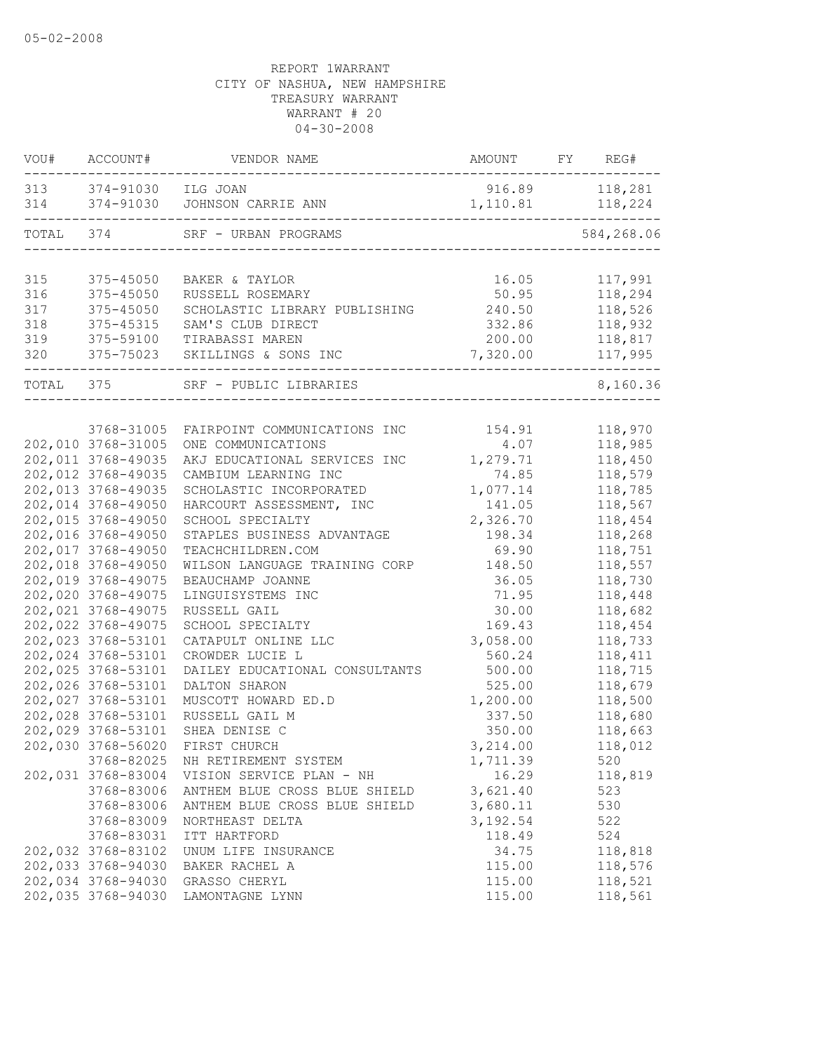|            | VOU# ACCOUNT#          | VENDOR NAME                             | AMOUNT FY REG#     |                |
|------------|------------------------|-----------------------------------------|--------------------|----------------|
|            | 313 374-91030 ILG JOAN |                                         |                    | 916.89 118,281 |
|            | 314 374-91030          | JOHNSON CARRIE ANN                      | 1, 110.81 118, 224 | -------        |
| TOTAL 374  |                        | SRF - URBAN PROGRAMS                    |                    | 584,268.06     |
|            |                        |                                         |                    |                |
| 315        | 375-45050              | BAKER & TAYLOR                          | 16.05              | 117,991        |
| 316        | 375-45050              | RUSSELL ROSEMARY                        | 50.95              | 118,294        |
| 317        | $375 - 45050$          | SCHOLASTIC LIBRARY PUBLISHING 240.50    |                    | 118,526        |
| 318        | 375-45315              | SAM'S CLUB DIRECT                       | 332.86             | 118,932        |
| 319<br>320 | 375-59100<br>375-75023 | TIRABASSI MAREN<br>SKILLINGS & SONS INC | 200.00<br>7,320.00 | 118,817        |
|            |                        |                                         |                    | 117,995        |
| TOTAL 375  |                        | SRF - PUBLIC LIBRARIES                  |                    | 8,160.36       |
|            |                        |                                         |                    |                |
|            | 3768-31005             | FAIRPOINT COMMUNICATIONS INC            | 154.91             | 118,970        |
|            | 202,010 3768-31005     | ONE COMMUNICATIONS                      | 4.07               | 118,985        |
|            | 202,011 3768-49035     | AKJ EDUCATIONAL SERVICES INC            | 1,279.71           | 118,450        |
|            | 202,012 3768-49035     | CAMBIUM LEARNING INC                    | 74.85              | 118,579        |
|            | 202,013 3768-49035     | SCHOLASTIC INCORPORATED                 | 1,077.14           | 118,785        |
|            | 202,014 3768-49050     | HARCOURT ASSESSMENT, INC                | 141.05             | 118,567        |
|            | 202,015 3768-49050     | SCHOOL SPECIALTY                        | 2,326.70           | 118,454        |
|            | 202,016 3768-49050     | STAPLES BUSINESS ADVANTAGE              | 198.34             | 118,268        |
|            | 202,017 3768-49050     | TEACHCHILDREN.COM                       | 69.90              | 118,751        |
|            | 202,018 3768-49050     | WILSON LANGUAGE TRAINING CORP           | 148.50             | 118,557        |
|            | 202,019 3768-49075     | BEAUCHAMP JOANNE                        | 36.05              | 118,730        |
|            | 202,020 3768-49075     | LINGUISYSTEMS INC                       | 71.95              | 118,448        |
|            | 202,021 3768-49075     | RUSSELL GAIL                            | 30.00              | 118,682        |
|            | 202,022 3768-49075     | SCHOOL SPECIALTY                        | 169.43             | 118,454        |
|            | 202,023 3768-53101     | CATAPULT ONLINE LLC                     | 3,058.00           | 118,733        |
|            | 202,024 3768-53101     | CROWDER LUCIE L                         | 560.24             | 118,411        |
|            | 202,025 3768-53101     | DAILEY EDUCATIONAL CONSULTANTS          | 500.00             | 118,715        |
|            | 202,026 3768-53101     | DALTON SHARON                           | 525.00             | 118,679        |
|            | 202,027 3768-53101     | MUSCOTT HOWARD ED.D                     | 1,200.00           | 118,500        |
|            | 202,028 3768-53101     | RUSSELL GAIL M                          | 337.50             | 118,680        |
|            | 202,029 3768-53101     | SHEA DENISE C                           | 350.00             | 118,663        |
|            | 202,030 3768-56020     | FIRST CHURCH                            | 3,214.00           | 118,012        |
|            | 3768-82025             | NH RETIREMENT SYSTEM                    | 1,711.39           | 520            |
|            | 202,031 3768-83004     | VISION SERVICE PLAN - NH                | 16.29              | 118,819        |
|            | 3768-83006             | ANTHEM BLUE CROSS BLUE SHIELD           | 3,621.40           | 523            |
|            | 3768-83006             | ANTHEM BLUE CROSS BLUE SHIELD           | 3,680.11           | 530            |
|            | 3768-83009             | NORTHEAST DELTA                         | 3, 192.54          | 522            |
|            | 3768-83031             | ITT HARTFORD                            | 118.49             | 524            |
|            | 202,032 3768-83102     | UNUM LIFE INSURANCE                     | 34.75              | 118,818        |
|            | 202,033 3768-94030     | BAKER RACHEL A                          | 115.00             | 118,576        |
|            | 202,034 3768-94030     | GRASSO CHERYL                           | 115.00             | 118,521        |
|            | 202,035 3768-94030     | LAMONTAGNE LYNN                         | 115.00             | 118,561        |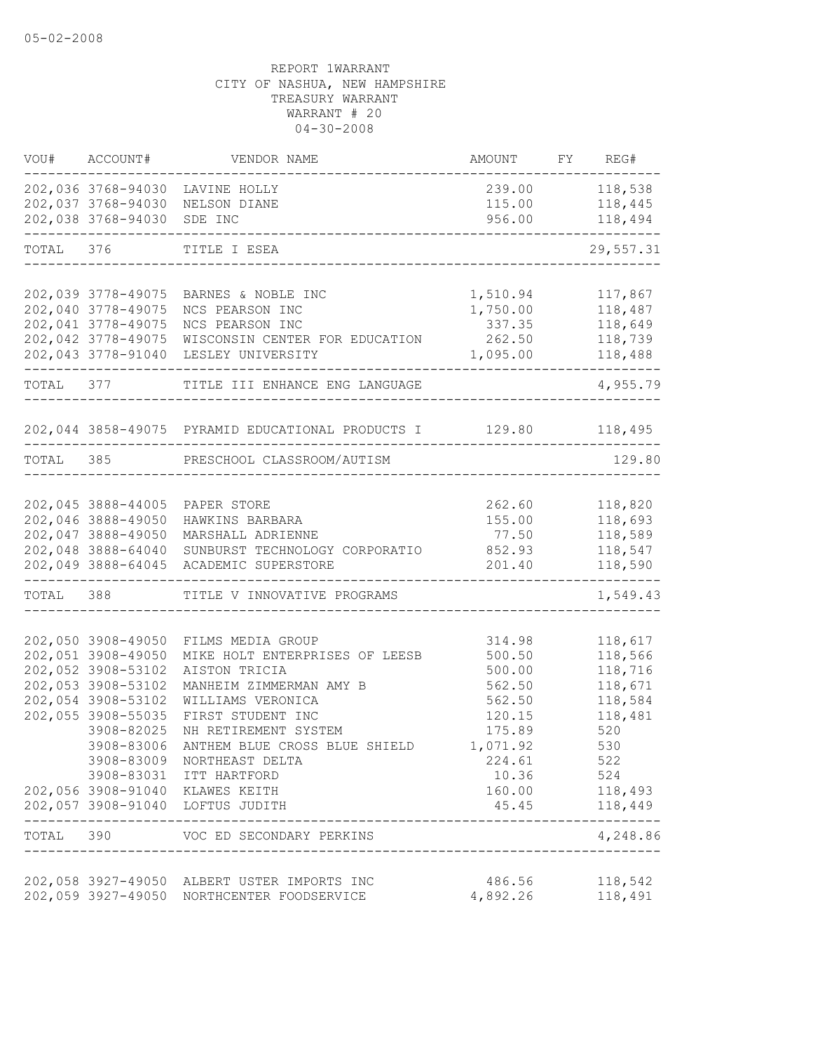| VOU#      | ACCOUNT#           | VENDOR NAME                                                         | AMOUNT            | FY REG#            |
|-----------|--------------------|---------------------------------------------------------------------|-------------------|--------------------|
|           |                    | 202,036 3768-94030 LAVINE HOLLY                                     |                   | 239.00 118,538     |
|           |                    | 202,037 3768-94030 NELSON DIANE                                     |                   | 115.00 118,445     |
|           | 202,038 3768-94030 | SDE INC                                                             | 956.00            | 118,494            |
|           | TOTAL 376          | TITLE I ESEA                                                        |                   | 29,557.31          |
|           |                    |                                                                     |                   |                    |
|           | 202,039 3778-49075 | BARNES & NOBLE INC                                                  | 1,510.94          | 117,867            |
|           | 202,040 3778-49075 | NCS PEARSON INC                                                     | 1,750.00          | 118,487            |
|           | 202,041 3778-49075 | NCS PEARSON INC                                                     | 337.35            | 118,649            |
|           | 202,042 3778-49075 | WISCONSIN CENTER FOR EDUCATION                                      | 262.50            | 118,739            |
|           | 202,043 3778-91040 | LESLEY UNIVERSITY                                                   | 1,095.00          | 118,488            |
| TOTAL 377 |                    | TITLE III ENHANCE ENG LANGUAGE                                      |                   | 4,955.79           |
|           |                    | 202,044 3858-49075 PYRAMID EDUCATIONAL PRODUCTS I 129.80 118,495    |                   |                    |
|           |                    | TOTAL 385 PRESCHOOL CLASSROOM/AUTISM                                |                   | 129.80             |
|           |                    |                                                                     |                   |                    |
|           |                    | 202,045 3888-44005 PAPER STORE                                      |                   |                    |
|           | 202,046 3888-49050 | HAWKINS BARBARA                                                     | 262.60<br>155.00  | 118,820<br>118,693 |
|           | 202,047 3888-49050 | MARSHALL ADRIENNE                                                   | 77.50             | 118,589            |
|           | 202,048 3888-64040 | SUNBURST TECHNOLOGY CORPORATIO                                      | 852.93            | 118,547            |
|           |                    | 202,049 3888-64045 ACADEMIC SUPERSTORE                              | 201.40            | 118,590            |
| TOTAL 388 |                    | TITLE V INNOVATIVE PROGRAMS                                         | _________________ | 1,549.43           |
|           |                    |                                                                     |                   |                    |
|           | 202,050 3908-49050 | FILMS MEDIA GROUP                                                   | 314.98            | 118,617            |
|           | 202,051 3908-49050 | MIKE HOLT ENTERPRISES OF LEESB                                      | 500.50            | 118,566            |
|           | 202,052 3908-53102 | AISTON TRICIA                                                       | 500.00            | 118,716            |
|           | 202,053 3908-53102 | MANHEIM ZIMMERMAN AMY B                                             | 562.50            | 118,671            |
|           | 202,054 3908-53102 | WILLIAMS VERONICA                                                   | 562.50            | 118,584            |
|           | 202,055 3908-55035 | FIRST STUDENT INC                                                   | 120.15            | 118,481            |
|           | 3908-82025         | NH RETIREMENT SYSTEM                                                | 175.89            | 520                |
|           | 3908-83006         | ANTHEM BLUE CROSS BLUE SHIELD                                       | 1,071.92          | 530                |
|           |                    | 3908-83009 NORTHEAST DELTA                                          | 224.61            | 522                |
|           |                    | 3908-83031 ITT HARTFORD                                             | 10.36             | 524                |
|           |                    | 202,056 3908-91040 KLAWES KEITH<br>202,057 3908-91040 LOFTUS JUDITH | 160.00<br>45.45   | 118,493<br>118,449 |
| TOTAL 390 |                    | VOC ED SECONDARY PERKINS                                            |                   | 4,248.86           |
|           |                    |                                                                     |                   |                    |
|           |                    | 202,058 3927-49050 ALBERT USTER IMPORTS INC                         | 486.56            | 118,542            |
|           |                    | 202,059 3927-49050 NORTHCENTER FOODSERVICE                          | 4,892.26          | 118,491            |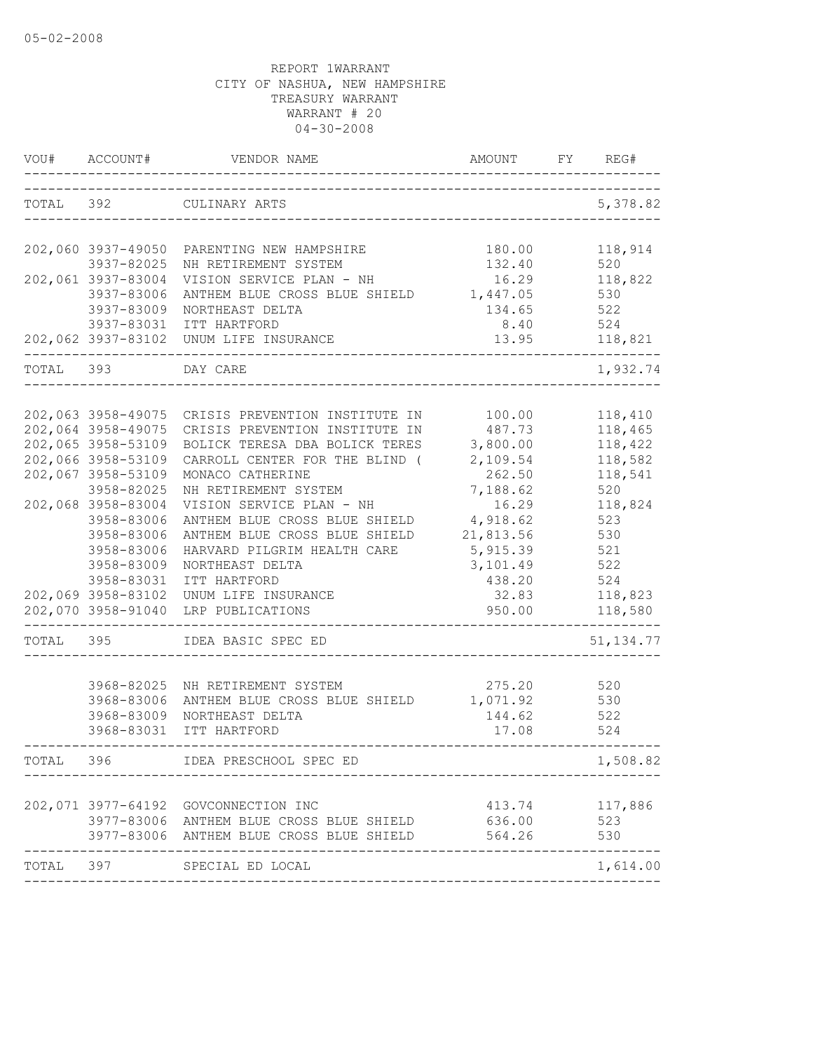| VOU#      | ACCOUNT#                         | VENDOR NAME                                                                         | AMOUNT            | FY | REG#               |
|-----------|----------------------------------|-------------------------------------------------------------------------------------|-------------------|----|--------------------|
| TOTAL 392 |                                  | CULINARY ARTS                                                                       |                   |    | 5,378.82           |
|           |                                  | 202,060 3937-49050 PARENTING NEW HAMPSHIRE                                          | 180.00            |    | 118,914            |
|           | 3937-82025                       | NH RETIREMENT SYSTEM                                                                | 132.40            |    | 520                |
|           | 202,061 3937-83004<br>3937-83006 | VISION SERVICE PLAN - NH<br>ANTHEM BLUE CROSS BLUE SHIELD                           | 16.29<br>1,447.05 |    | 118,822<br>530     |
|           | 3937-83009                       | NORTHEAST DELTA                                                                     | 134.65            |    | 522                |
|           | 3937-83031                       | ITT HARTFORD                                                                        | 8.40              |    | 524                |
|           |                                  | 202,062 3937-83102 UNUM LIFE INSURANCE                                              | 13.95             |    | 118,821            |
| TOTAL     | 393                              | DAY CARE                                                                            |                   |    | 1,932.74           |
|           |                                  |                                                                                     |                   |    |                    |
|           | 202,064 3958-49075               | 202,063 3958-49075 CRISIS PREVENTION INSTITUTE IN<br>CRISIS PREVENTION INSTITUTE IN | 100.00<br>487.73  |    | 118,410<br>118,465 |
|           | 202,065 3958-53109               | BOLICK TERESA DBA BOLICK TERES                                                      | 3,800.00          |    | 118,422            |
|           | 202,066 3958-53109               | CARROLL CENTER FOR THE BLIND (                                                      | 2,109.54          |    | 118,582            |
|           | 202,067 3958-53109               | MONACO CATHERINE                                                                    | 262.50            |    | 118,541            |
|           | 3958-82025                       | NH RETIREMENT SYSTEM                                                                | 7,188.62          |    | 520                |
|           | 202,068 3958-83004               | VISION SERVICE PLAN - NH                                                            | 16.29             |    | 118,824            |
|           | 3958-83006                       | ANTHEM BLUE CROSS BLUE SHIELD                                                       | 4,918.62          |    | 523                |
|           | 3958-83006                       | ANTHEM BLUE CROSS BLUE SHIELD                                                       | 21,813.56         |    | 530                |
|           | 3958-83006                       | HARVARD PILGRIM HEALTH CARE                                                         | 5,915.39          |    | 521                |
|           | 3958-83009                       | NORTHEAST DELTA                                                                     | 3,101.49          |    | 522                |
|           | 3958-83031                       | ITT HARTFORD                                                                        | 438.20            |    | 524                |
|           | 202,069 3958-83102               | UNUM LIFE INSURANCE                                                                 | 32.83             |    | 118,823            |
|           | 202,070 3958-91040               | LRP PUBLICATIONS                                                                    | 950.00            |    | 118,580            |
| TOTAL     | 395                              | IDEA BASIC SPEC ED                                                                  |                   |    | 51, 134.77         |
|           |                                  |                                                                                     |                   |    |                    |
|           | 3968-82025                       | NH RETIREMENT SYSTEM                                                                | 275.20            |    | 520                |
|           | 3968-83006                       | ANTHEM BLUE CROSS BLUE SHIELD                                                       | 1,071.92          |    | 530                |
|           | 3968-83009<br>3968-83031         | NORTHEAST DELTA<br>ITT HARTFORD                                                     | 144.62<br>17.08   |    | 522<br>524         |
|           |                                  |                                                                                     |                   |    |                    |
| TOTAL     | 396                              | IDEA PRESCHOOL SPEC ED                                                              |                   |    | 1,508.82           |
|           | 202,071 3977-64192               | GOVCONNECTION INC                                                                   | 413.74            |    | 117,886            |
|           |                                  | 3977-83006 ANTHEM BLUE CROSS BLUE SHIELD                                            | 636.00            |    | 523                |
|           |                                  | 3977-83006 ANTHEM BLUE CROSS BLUE SHIELD                                            | 564.26            |    | 530                |
| TOTAL     | 397                              | SPECIAL ED LOCAL                                                                    |                   |    | 1,614.00           |
|           |                                  |                                                                                     |                   |    |                    |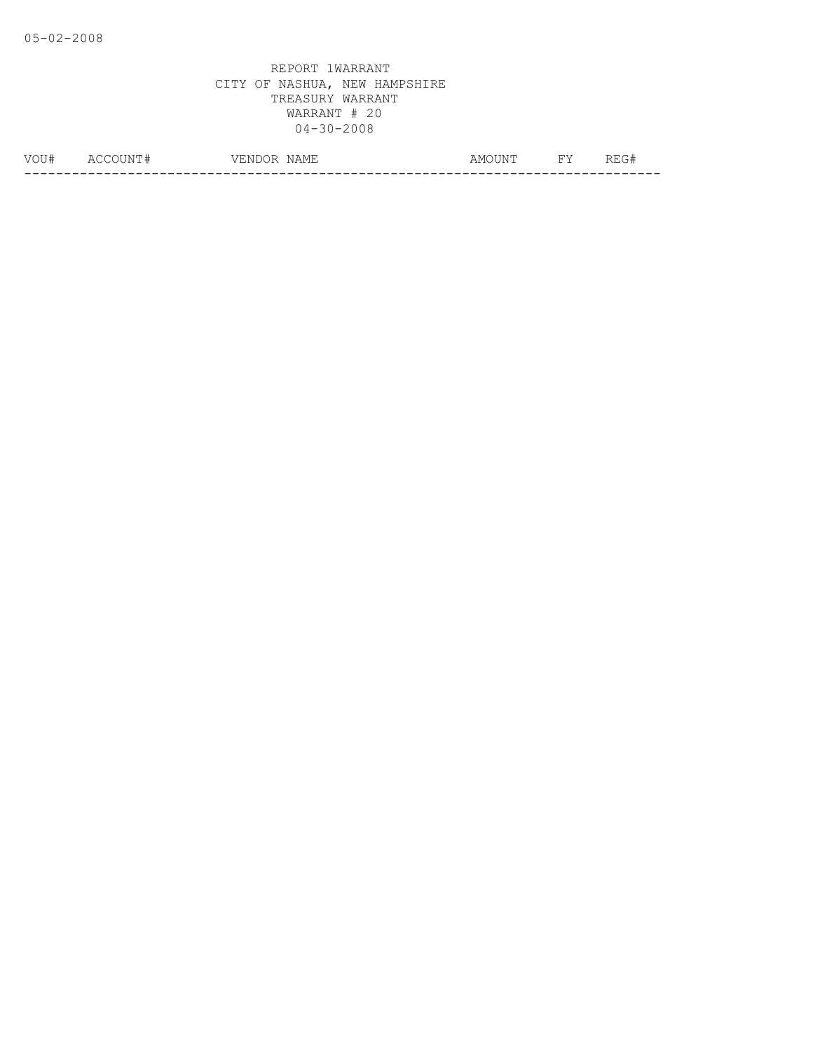| VOU: | $\Delta$ | 71.NT<br>$\cup$ | NAME | $\overline{\text{N}}$<br>AMC<br>◡▴◥▴ | <b>TIT</b><br><u>ـ ـ</u> | .<br>---<br>_____ |
|------|----------|-----------------|------|--------------------------------------|--------------------------|-------------------|
|      |          |                 |      |                                      |                          | __                |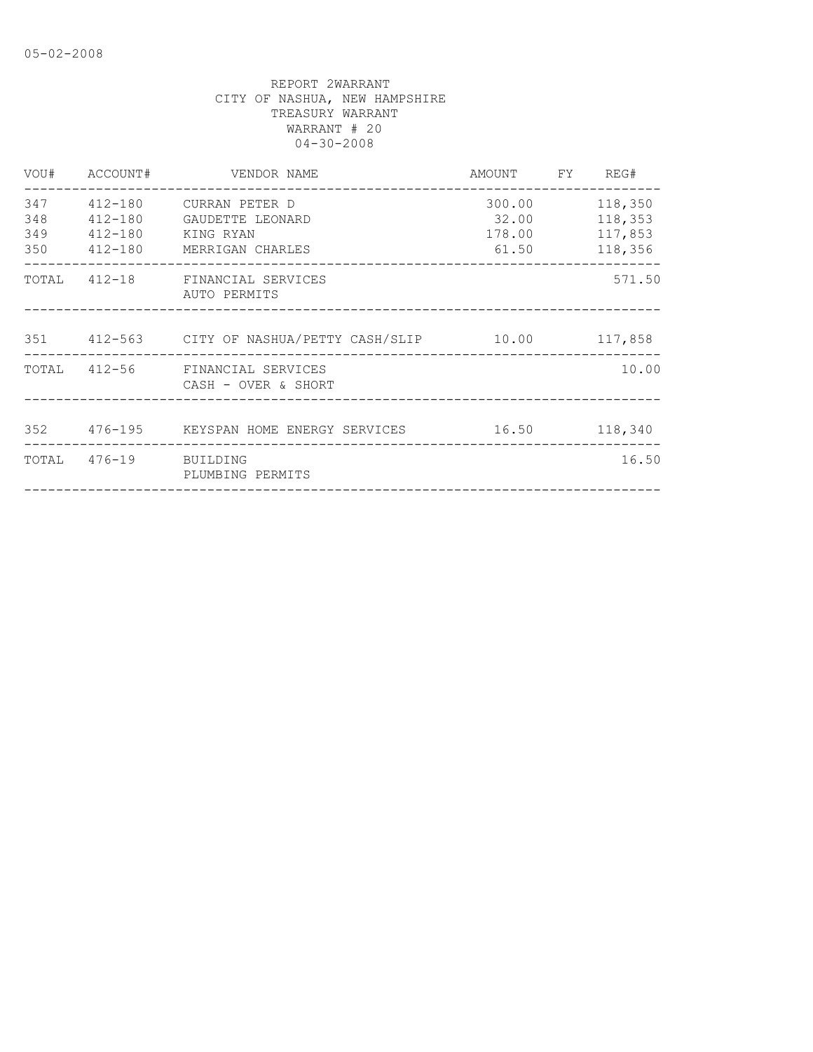|            |                       | VOU# ACCOUNT# VENDOR NAME                                                                  | AMOUNT FY REG#           |                                                 |
|------------|-----------------------|--------------------------------------------------------------------------------------------|--------------------------|-------------------------------------------------|
| 348<br>349 | 412-180 KING RYAN     | 347   412-180   CURRAN PETER D<br>412-180 GAUDETTE LEONARD<br>350 412-180 MERRIGAN CHARLES | 300.00<br>32.00<br>61.50 | 118,350<br>118,353<br>178.00 117,853<br>118,356 |
|            |                       | TOTAL 412-18 FINANCIAL SERVICES<br>AUTO PERMITS                                            |                          | 571.50                                          |
|            |                       | 351  412-563  CITY OF NASHUA/PETTY CASH/SLIP  10.00  117,858                               |                          |                                                 |
|            |                       | TOTAL 412-56 FINANCIAL SERVICES<br>CASH - OVER & SHORT                                     |                          | 10.00                                           |
|            |                       | 352   476-195   KEYSPAN HOME ENERGY SERVICES   16.50   118,340                             |                          |                                                 |
|            | TOTAL 476-19 BUILDING | PLUMBING PERMITS                                                                           |                          | 16.50                                           |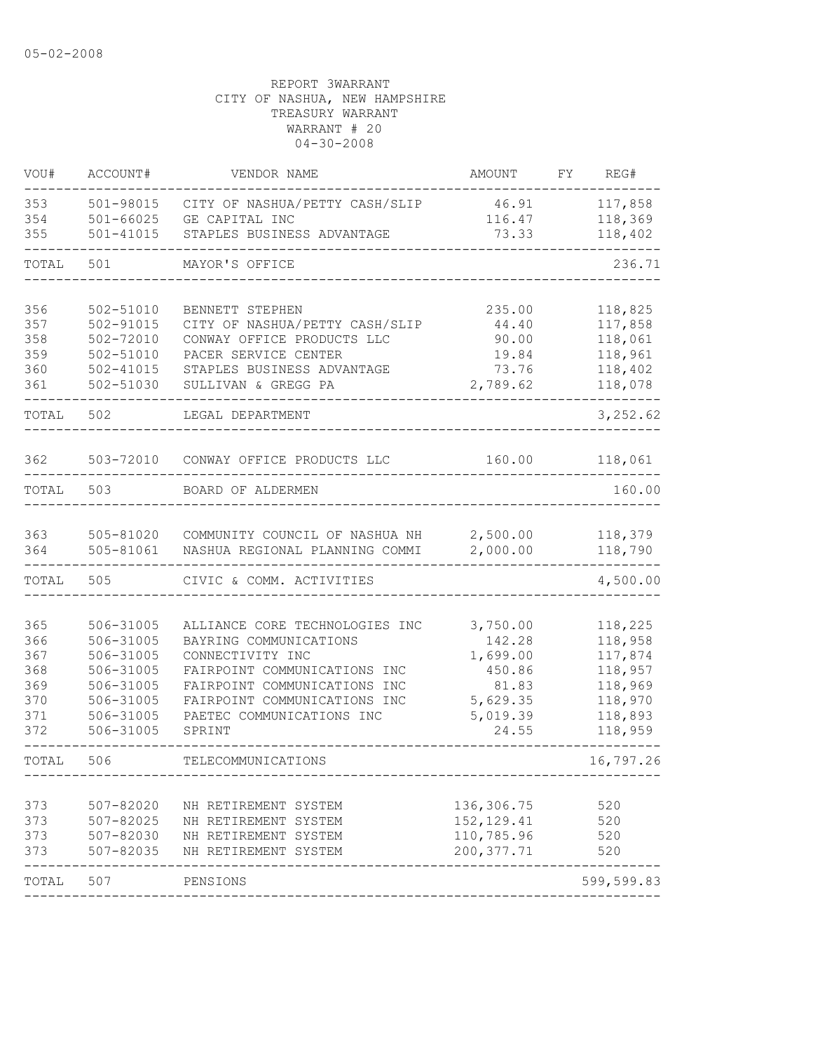| VOU#       | ACCOUNT#               | VENDOR NAME                                      | AMOUNT             | FY | REG#               |
|------------|------------------------|--------------------------------------------------|--------------------|----|--------------------|
| 353        | 501-98015              | CITY OF NASHUA/PETTY CASH/SLIP                   | 46.91              |    | 117,858            |
| 354        | $501 - 66025$          | GE CAPITAL INC                                   | 116.47             |    | 118,369            |
| 355        | 501-41015              | STAPLES BUSINESS ADVANTAGE                       | 73.33              |    | 118,402            |
| TOTAL      | 501                    | MAYOR'S OFFICE                                   |                    |    | 236.71             |
| 356        | 502-51010              | BENNETT STEPHEN                                  | 235.00             |    | 118,825            |
| 357        | 502-91015              | CITY OF NASHUA/PETTY CASH/SLIP                   | 44.40              |    | 117,858            |
| 358        | 502-72010              | CONWAY OFFICE PRODUCTS LLC                       | 90.00              |    | 118,061            |
| 359        | 502-51010              | PACER SERVICE CENTER                             | 19.84              |    | 118,961            |
| 360        | $502 - 41015$          | STAPLES BUSINESS ADVANTAGE                       | 73.76              |    | 118,402            |
| 361        | 502-51030              | SULLIVAN & GREGG PA                              | 2,789.62           |    | 118,078            |
| TOTAL      | 502                    | LEGAL DEPARTMENT                                 |                    |    | 3,252.62           |
| 362        | 503-72010              | CONWAY OFFICE PRODUCTS LLC                       | 160.00             |    | 118,061            |
| TOTAL      | 503                    | BOARD OF ALDERMEN                                |                    |    | 160.00             |
|            |                        |                                                  |                    |    |                    |
| 363        | 505-81020              | COMMUNITY COUNCIL OF NASHUA NH                   | 2,500.00           |    | 118,379            |
| 364        | 505-81061              | NASHUA REGIONAL PLANNING COMMI                   | 2,000.00           |    | 118,790            |
| TOTAL      | 505                    | CIVIC & COMM. ACTIVITIES                         |                    |    | 4,500.00           |
|            |                        |                                                  |                    |    |                    |
| 365        | 506-31005              | ALLIANCE CORE TECHNOLOGIES INC                   | 3,750.00           |    | 118,225            |
| 366        | 506-31005<br>506-31005 | BAYRING COMMUNICATIONS                           | 142.28             |    | 118,958            |
| 367<br>368 | 506-31005              | CONNECTIVITY INC<br>FAIRPOINT COMMUNICATIONS INC | 1,699.00<br>450.86 |    | 117,874<br>118,957 |
| 369        | 506-31005              | FAIRPOINT COMMUNICATIONS INC                     | 81.83              |    | 118,969            |
| 370        | 506-31005              | FAIRPOINT COMMUNICATIONS INC                     | 5,629.35           |    | 118,970            |
| 371        | 506-31005              | PAETEC COMMUNICATIONS INC                        | 5,019.39           |    | 118,893            |
| 372        | 506-31005              | SPRINT                                           | 24.55              |    | 118,959            |
| TOTAL      | 506                    | TELECOMMUNICATIONS                               |                    |    | 16,797.26          |
|            |                        |                                                  |                    |    |                    |
| 373        | $507 - 82020$          | NH RETIREMENT SYSTEM                             | 136,306.75         |    | 520                |
| 373        | 507-82025              | NH RETIREMENT SYSTEM                             | 152, 129.41        |    | 520                |
| 373        | $507 - 82030$          | NH RETIREMENT SYSTEM                             | 110,785.96         |    | 520                |
| 373        | 507-82035              | NH RETIREMENT SYSTEM                             | 200, 377.71        |    | 520                |
| TOTAL      | 507                    | PENSIONS                                         |                    |    | 599,599.83         |
|            |                        |                                                  |                    |    |                    |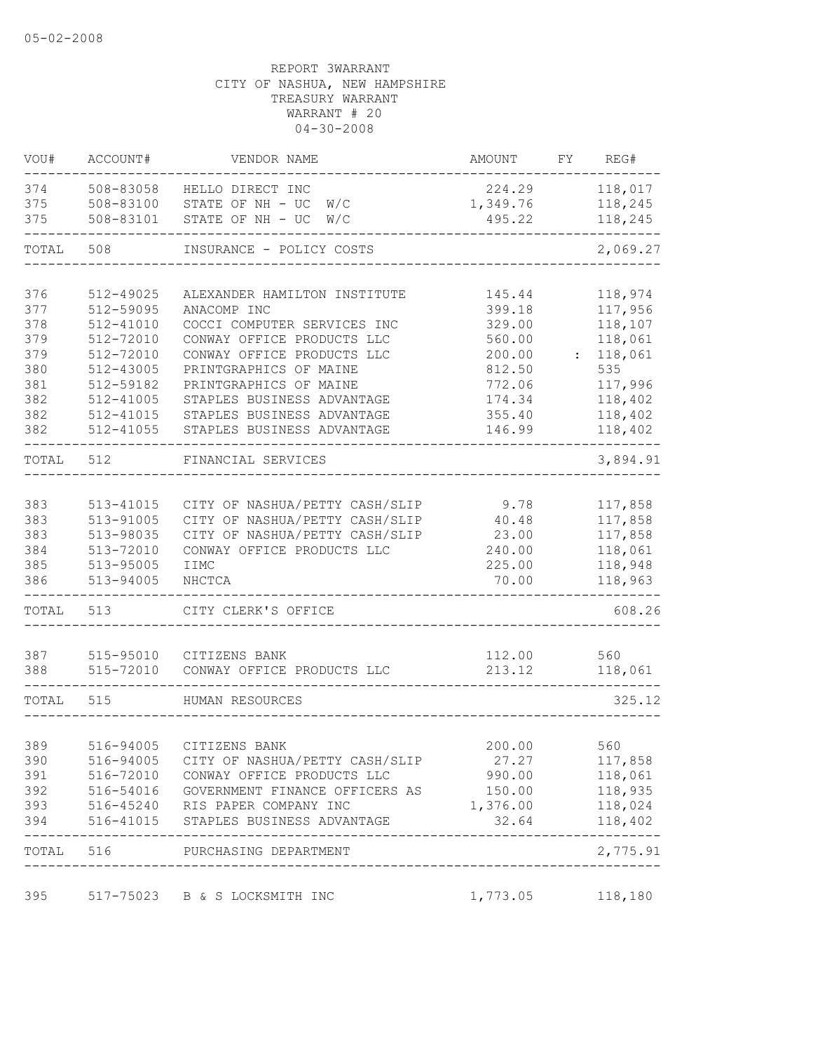| VOU#       | ACCOUNT#               | VENDOR NAME                                 | AMOUNT           | FY | REG#               |
|------------|------------------------|---------------------------------------------|------------------|----|--------------------|
| 374        | 508-83058              | HELLO DIRECT INC                            | 224.29           |    | 118,017            |
| 375        | 508-83100              | STATE OF NH - UC<br>W/C                     | 1,349.76         |    | 118,245            |
| 375        | 508-83101              | STATE OF NH - UC<br>W/C                     | 495.22           |    | 118,245            |
| TOTAL      | 508                    | INSURANCE - POLICY COSTS                    |                  |    | 2,069.27           |
|            |                        |                                             |                  |    |                    |
| 376        | 512-49025              | ALEXANDER HAMILTON INSTITUTE<br>ANACOMP INC | 145.44           |    | 118,974            |
| 377<br>378 | 512-59095<br>512-41010 | COCCI COMPUTER SERVICES INC                 | 399.18<br>329.00 |    | 117,956<br>118,107 |
| 379        | 512-72010              | CONWAY OFFICE PRODUCTS LLC                  | 560.00           |    | 118,061            |
|            |                        |                                             |                  |    | 118,061            |
| 379        | 512-72010              | CONWAY OFFICE PRODUCTS LLC                  | 200.00           |    | 535                |
| 380        | 512-43005              | PRINTGRAPHICS OF MAINE                      | 812.50           |    |                    |
| 381        | 512-59182              | PRINTGRAPHICS OF MAINE                      | 772.06           |    | 117,996            |
| 382        | 512-41005              | STAPLES BUSINESS ADVANTAGE                  | 174.34           |    | 118,402            |
| 382        | 512-41015              | STAPLES BUSINESS ADVANTAGE                  | 355.40           |    | 118,402            |
| 382        | 512-41055              | STAPLES BUSINESS ADVANTAGE                  | 146.99           |    | 118,402            |
| TOTAL      | 512                    | FINANCIAL SERVICES                          |                  |    | 3,894.91           |
|            |                        |                                             |                  |    |                    |
| 383        | 513-41015              | CITY OF NASHUA/PETTY CASH/SLIP              | 9.78             |    | 117,858            |
| 383        | 513-91005              | CITY OF NASHUA/PETTY CASH/SLIP              | 40.48            |    | 117,858            |
| 383        | 513-98035              | CITY OF NASHUA/PETTY CASH/SLIP              | 23.00            |    | 117,858            |
| 384        | 513-72010              | CONWAY OFFICE PRODUCTS LLC                  | 240.00           |    | 118,061            |
| 385        | 513-95005              | IIMC                                        | 225.00           |    | 118,948            |
| 386        | 513-94005              | NHCTCA                                      | 70.00            |    | 118,963            |
| TOTAL      | 513                    | CITY CLERK'S OFFICE                         |                  |    | 608.26             |
|            |                        |                                             |                  |    |                    |
| 387        | 515-95010              | CITIZENS BANK                               | 112.00           |    | 560                |
| 388        | 515-72010              | CONWAY OFFICE PRODUCTS LLC                  | 213.12           |    | 118,061            |
| TOTAL 515  |                        | HUMAN RESOURCES                             |                  |    | 325.12             |
|            |                        |                                             |                  |    |                    |
| 389        |                        | 516-94005 CITIZENS BANK                     | 200.00           |    | 560                |
| 390        | 516-94005              | CITY OF NASHUA/PETTY CASH/SLIP              | 27.27            |    | 117,858            |
| 391        |                        | 516-72010 CONWAY OFFICE PRODUCTS LLC        | 990.00           |    | 118,061            |
| 392        |                        | 516-54016 GOVERNMENT FINANCE OFFICERS AS    | 150.00           |    | 118,935            |
| 393        |                        | 516-45240 RIS PAPER COMPANY INC             | 1,376.00         |    | 118,024            |
| 394        |                        | 516-41015 STAPLES BUSINESS ADVANTAGE        | 32.64            |    | 118,402            |
| TOTAL 516  |                        | PURCHASING DEPARTMENT                       |                  |    | 2,775.91           |
|            |                        |                                             |                  |    |                    |
| 395        |                        | 517-75023 B & S LOCKSMITH INC               | 1,773.05         |    | 118,180            |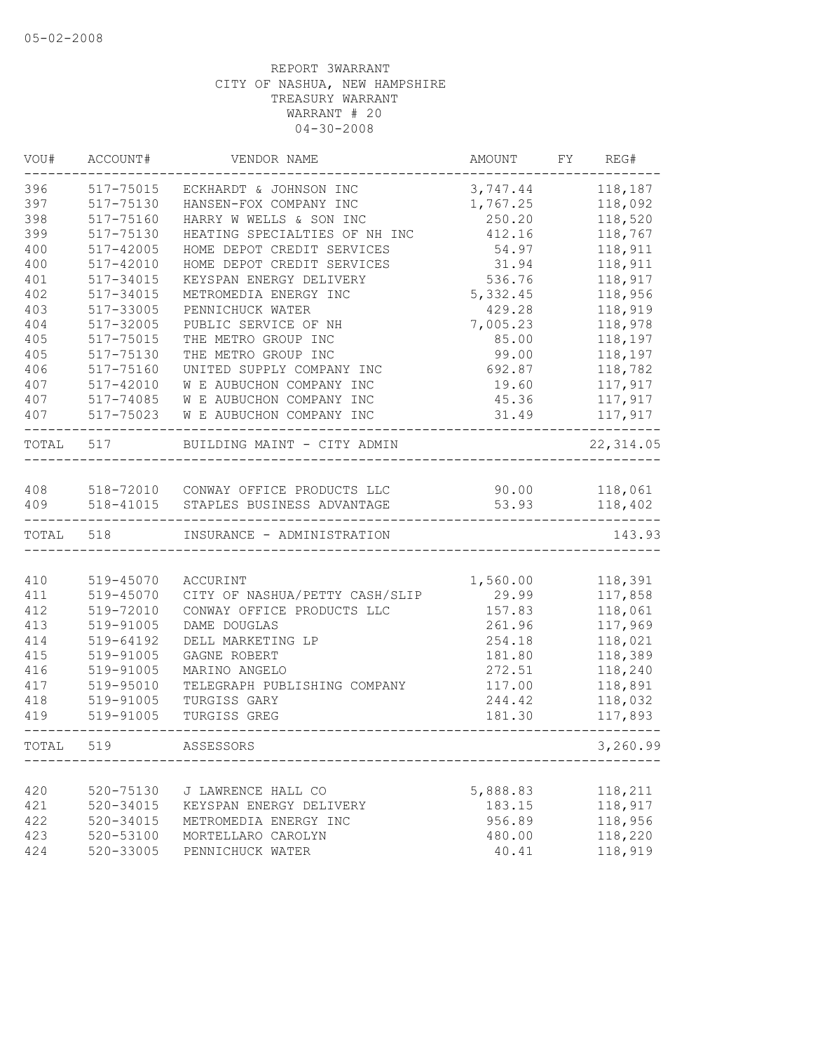| VOU#      | ACCOUNT#      | VENDOR NAME                          | AMOUNT    | FY | REG#       |
|-----------|---------------|--------------------------------------|-----------|----|------------|
| 396       | 517-75015     | ECKHARDT & JOHNSON INC               | 3,747.44  |    | 118,187    |
| 397       | 517-75130     | HANSEN-FOX COMPANY INC               | 1,767.25  |    | 118,092    |
| 398       | 517-75160     | HARRY W WELLS & SON INC              | 250.20    |    | 118,520    |
| 399       | 517-75130     | HEATING SPECIALTIES OF NH INC        | 412.16    |    | 118,767    |
| 400       | 517-42005     | HOME DEPOT CREDIT SERVICES           | 54.97     |    | 118,911    |
| 400       | 517-42010     | HOME DEPOT CREDIT SERVICES           | 31.94     |    | 118,911    |
| 401       | 517-34015     | KEYSPAN ENERGY DELIVERY              | 536.76    |    | 118,917    |
| 402       | $517 - 34015$ | METROMEDIA ENERGY INC                | 5, 332.45 |    | 118,956    |
| 403       | 517-33005     | PENNICHUCK WATER                     | 429.28    |    | 118,919    |
| 404       | 517-32005     | PUBLIC SERVICE OF NH                 | 7,005.23  |    | 118,978    |
| 405       | 517-75015     | THE METRO GROUP INC                  | 85.00     |    | 118,197    |
| 405       | 517-75130     | THE METRO GROUP INC                  | 99.00     |    | 118,197    |
| 406       | 517-75160     | UNITED SUPPLY COMPANY INC            | 692.87    |    | 118,782    |
| 407       | 517-42010     | W E AUBUCHON COMPANY INC             | 19.60     |    | 117,917    |
| 407       | 517-74085     | W E AUBUCHON COMPANY INC             | 45.36     |    | 117,917    |
| 407       | 517-75023     | W E AUBUCHON COMPANY INC             | 31.49     |    | 117,917    |
| TOTAL 517 |               | BUILDING MAINT - CITY ADMIN          |           |    | 22, 314.05 |
|           |               |                                      |           |    |            |
| 408       |               | 518-72010 CONWAY OFFICE PRODUCTS LLC | 90.00     |    | 118,061    |
| 409       | 518-41015     | STAPLES BUSINESS ADVANTAGE           | 53.93     |    | 118,402    |
| TOTAL     | 518           | INSURANCE - ADMINISTRATION           |           |    | 143.93     |
|           |               |                                      |           |    |            |
| 410       | 519-45070     | ACCURINT                             | 1,560.00  |    | 118,391    |
| 411       | 519-45070     | CITY OF NASHUA/PETTY CASH/SLIP       | 29.99     |    | 117,858    |
| 412       | 519-72010     | CONWAY OFFICE PRODUCTS LLC           | 157.83    |    | 118,061    |
| 413       | 519-91005     | DAME DOUGLAS                         | 261.96    |    | 117,969    |
| 414       | 519-64192     | DELL MARKETING LP                    | 254.18    |    | 118,021    |
| 415       | 519-91005     | GAGNE ROBERT                         | 181.80    |    | 118,389    |
| 416       | 519-91005     | MARINO ANGELO                        | 272.51    |    | 118,240    |
| 417       | 519-95010     | TELEGRAPH PUBLISHING COMPANY         | 117.00    |    | 118,891    |
| 418       | 519-91005     | TURGISS GARY                         | 244.42    |    | 118,032    |
| 419       | 519-91005     | TURGISS GREG                         | 181.30    |    | 117,893    |
| TOTAL     | 519           | ASSESSORS                            |           |    | 3,260.99   |
|           |               |                                      |           |    |            |
| 420       | 520-75130     | J LAWRENCE HALL CO                   | 5,888.83  |    | 118,211    |
| 421       | 520-34015     | KEYSPAN ENERGY DELIVERY              | 183.15    |    | 118,917    |
| 422       | 520-34015     | METROMEDIA ENERGY INC                | 956.89    |    | 118,956    |
| 423       | 520-53100     | MORTELLARO CAROLYN                   | 480.00    |    | 118,220    |
| 424       | 520-33005     | PENNICHUCK WATER                     | 40.41     |    | 118,919    |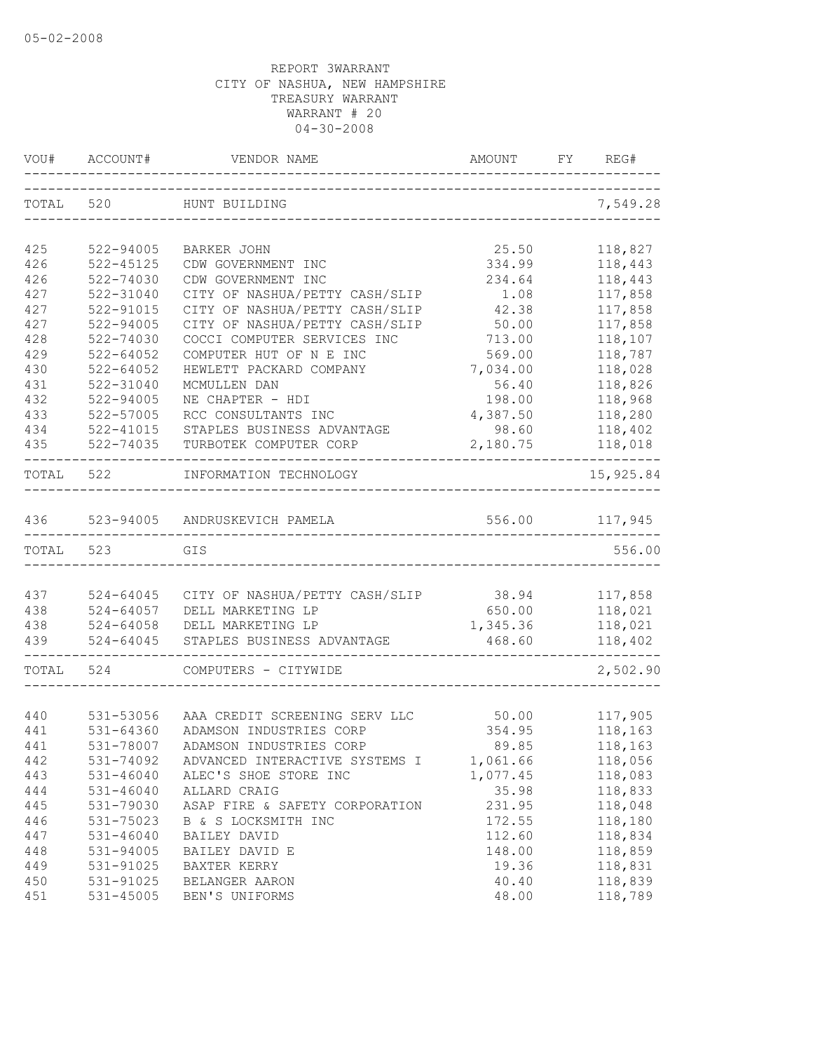|            | VOU# ACCOUNT#              | VENDOR NAME                                                      | AMOUNT<br>------------------------- | FY REG#             |
|------------|----------------------------|------------------------------------------------------------------|-------------------------------------|---------------------|
| TOTAL 520  |                            | HUNT BUILDING                                                    |                                     | 7,549.28            |
|            |                            |                                                                  |                                     |                     |
| 425        | 522-94005                  | BARKER JOHN                                                      | 25.50                               | 118,827             |
| 426        | 522-45125                  | CDW GOVERNMENT INC                                               | 334.99                              | 118,443             |
| 426        | 522-74030                  | CDW GOVERNMENT INC                                               | 234.64                              | 118,443             |
| 427        | 522-31040                  | CITY OF NASHUA/PETTY CASH/SLIP                                   | 1.08                                | 117,858             |
| 427<br>427 | 522-91015<br>$522 - 94005$ | CITY OF NASHUA/PETTY CASH/SLIP<br>CITY OF NASHUA/PETTY CASH/SLIP | 42.38<br>50.00                      | 117,858             |
| 428        |                            |                                                                  |                                     | 117,858             |
|            | 522-74030                  | COCCI COMPUTER SERVICES INC                                      | 713.00                              | 118,107             |
| 429        | $522 - 64052$              | COMPUTER HUT OF N E INC                                          | 569.00                              | 118,787             |
| 430        | $522 - 64052$              | HEWLETT PACKARD COMPANY                                          | 7,034.00                            | 118,028             |
| 431        | 522-31040                  | MCMULLEN DAN                                                     | 56.40                               | 118,826             |
| 432        | 522-94005                  | NE CHAPTER - HDI                                                 | 198.00                              | 118,968             |
| 433        | 522-57005                  | RCC CONSULTANTS INC                                              | 4,387.50                            | 118,280             |
| 434<br>435 | 522-41015<br>522-74035     | STAPLES BUSINESS ADVANTAGE<br>TURBOTEK COMPUTER CORP             | 98.60<br>2,180.75                   | 118,402             |
|            |                            |                                                                  |                                     | 118,018<br>-------- |
| TOTAL      | 522                        | INFORMATION TECHNOLOGY                                           |                                     | 15,925.84           |
| 436        |                            | 523-94005 ANDRUSKEVICH PAMELA                                    | 556.00                              | 117,945             |
| TOTAL      | 523                        | GIS                                                              |                                     | 556.00              |
|            |                            |                                                                  |                                     |                     |
| 437        | 524-64045                  | CITY OF NASHUA/PETTY CASH/SLIP                                   | 38.94                               | 117,858             |
| 438        | 524-64057                  | DELL MARKETING LP                                                | 650.00                              | 118,021             |
| 438        | 524-64058                  | DELL MARKETING LP                                                | 1,345.36                            | 118,021             |
| 439        | $524 - 64045$              | STAPLES BUSINESS ADVANTAGE                                       | 468.60                              | 118,402             |
| TOTAL      | 524                        | COMPUTERS - CITYWIDE                                             |                                     | 2,502.90            |
|            |                            |                                                                  |                                     |                     |
| 440        | 531-53056                  | AAA CREDIT SCREENING SERV LLC                                    | 50.00                               | 117,905             |
| 441        | $531 - 64360$              | ADAMSON INDUSTRIES CORP                                          | 354.95                              | 118,163             |
| 441        | 531-78007                  | ADAMSON INDUSTRIES CORP                                          | 89.85                               | 118,163             |
| 442        | 531-74092                  | ADVANCED INTERACTIVE SYSTEMS I                                   | 1,061.66                            | 118,056             |
| 443        | $531 - 46040$              | ALEC'S SHOE STORE INC                                            | 1,077.45                            | 118,083             |
| 444        | $531 - 46040$              | ALLARD CRAIG                                                     | 35.98                               | 118,833             |
| 445        | 531-79030                  | ASAP FIRE & SAFETY CORPORATION                                   | 231.95                              | 118,048             |
| 446        | 531-75023                  | B & S LOCKSMITH INC                                              | 172.55                              | 118,180             |
| 447        | $531 - 46040$              | BAILEY DAVID                                                     | 112.60                              | 118,834             |
| 448        | 531-94005                  | BAILEY DAVID E                                                   | 148.00                              | 118,859             |
| 449        | 531-91025                  | BAXTER KERRY                                                     | 19.36                               | 118,831             |
| 450        | 531-91025                  | BELANGER AARON                                                   | 40.40                               | 118,839             |
| 451        | 531-45005                  | BEN'S UNIFORMS                                                   | 48.00                               | 118,789             |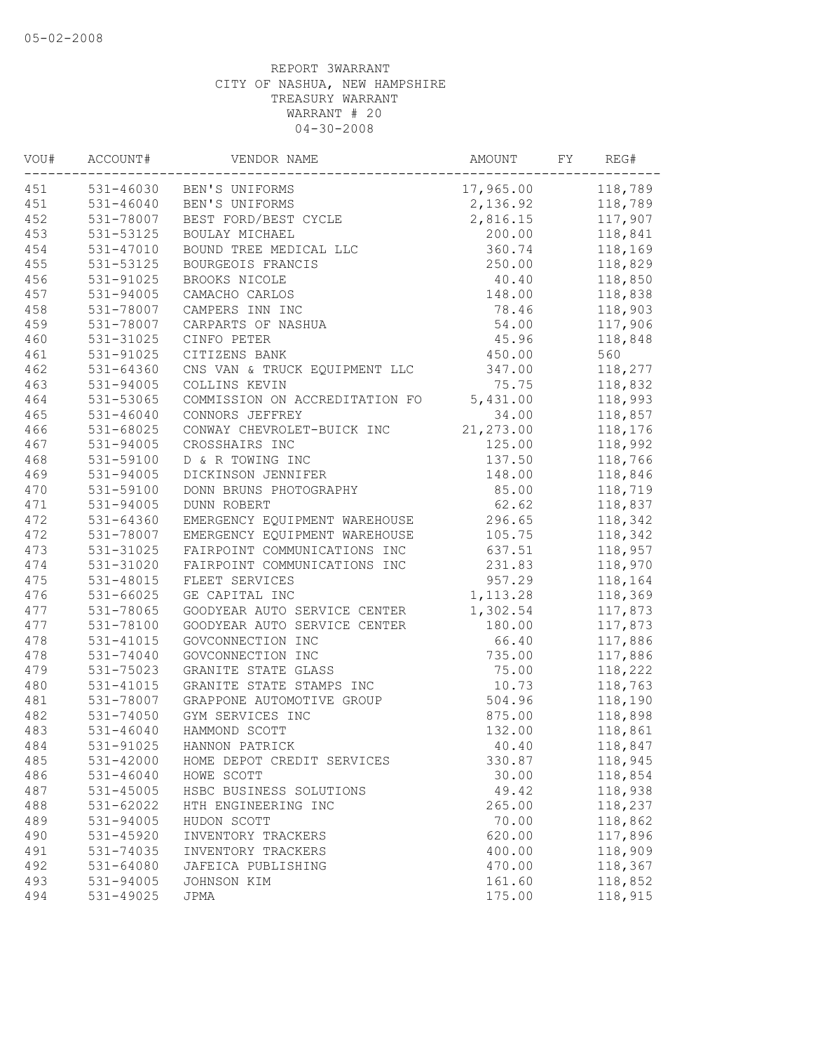| VOU# | ACCOUNT#      | VENDOR NAME                    | AMOUNT     | FY | REG#    |
|------|---------------|--------------------------------|------------|----|---------|
| 451  |               | 531-46030 BEN'S UNIFORMS       | 17,965.00  |    | 118,789 |
| 451  | $531 - 46040$ | BEN'S UNIFORMS                 | 2,136.92   |    | 118,789 |
| 452  | 531-78007     | BEST FORD/BEST CYCLE           | 2,816.15   |    | 117,907 |
| 453  | 531-53125     | BOULAY MICHAEL                 | 200.00     |    | 118,841 |
| 454  | 531-47010     | BOUND TREE MEDICAL LLC         | 360.74     |    | 118,169 |
| 455  | 531-53125     | BOURGEOIS FRANCIS              | 250.00     |    | 118,829 |
| 456  | 531-91025     | BROOKS NICOLE                  | 40.40      |    | 118,850 |
| 457  | 531-94005     | CAMACHO CARLOS                 | 148.00     |    | 118,838 |
| 458  | 531-78007     | CAMPERS INN INC                | 78.46      |    | 118,903 |
| 459  | 531-78007     | CARPARTS OF NASHUA             | 54.00      |    | 117,906 |
| 460  | 531-31025     | CINFO PETER                    | 45.96      |    | 118,848 |
| 461  | 531-91025     | CITIZENS BANK                  | 450.00     |    | 560     |
| 462  | 531-64360     | CNS VAN & TRUCK EQUIPMENT LLC  | 347.00     |    | 118,277 |
| 463  | 531-94005     | COLLINS KEVIN                  | 75.75      |    | 118,832 |
| 464  | 531-53065     | COMMISSION ON ACCREDITATION FO | 5,431.00   |    | 118,993 |
| 465  | $531 - 46040$ | CONNORS JEFFREY                | 34.00      |    | 118,857 |
| 466  | $531 - 68025$ | CONWAY CHEVROLET-BUICK INC     | 21, 273.00 |    | 118,176 |
| 467  | 531-94005     | CROSSHAIRS INC                 | 125.00     |    | 118,992 |
| 468  | 531-59100     | D & R TOWING INC               | 137.50     |    | 118,766 |
| 469  | 531-94005     | DICKINSON JENNIFER             | 148.00     |    | 118,846 |
| 470  | 531-59100     | DONN BRUNS PHOTOGRAPHY         | 85.00      |    | 118,719 |
| 471  | 531-94005     | DUNN ROBERT                    | 62.62      |    | 118,837 |
| 472  | 531-64360     | EMERGENCY EQUIPMENT WAREHOUSE  | 296.65     |    | 118,342 |
| 472  | 531-78007     | EMERGENCY EQUIPMENT WAREHOUSE  | 105.75     |    | 118,342 |
| 473  | 531-31025     | FAIRPOINT COMMUNICATIONS INC   | 637.51     |    | 118,957 |
| 474  | 531-31020     | FAIRPOINT COMMUNICATIONS INC   | 231.83     |    | 118,970 |
| 475  | 531-48015     | FLEET SERVICES                 | 957.29     |    | 118,164 |
| 476  | 531-66025     | GE CAPITAL INC                 | 1, 113.28  |    | 118,369 |
| 477  | 531-78065     | GOODYEAR AUTO SERVICE CENTER   | 1,302.54   |    | 117,873 |
| 477  | 531-78100     | GOODYEAR AUTO SERVICE CENTER   | 180.00     |    | 117,873 |
| 478  | 531-41015     | GOVCONNECTION INC              | 66.40      |    | 117,886 |
| 478  | 531-74040     | GOVCONNECTION INC              | 735.00     |    | 117,886 |
| 479  | 531-75023     | GRANITE STATE GLASS            | 75.00      |    | 118,222 |
| 480  | 531-41015     | GRANITE STATE STAMPS INC       | 10.73      |    | 118,763 |
| 481  | 531-78007     | GRAPPONE AUTOMOTIVE GROUP      | 504.96     |    | 118,190 |
| 482  | 531-74050     | GYM SERVICES INC               | 875.00     |    | 118,898 |
| 483  | 531-46040     | HAMMOND SCOTT                  | 132.00     |    | 118,861 |
| 484  | 531-91025     | HANNON PATRICK                 | 40.40      |    | 118,847 |
| 485  | 531-42000     | HOME DEPOT CREDIT SERVICES     | 330.87     |    | 118,945 |
| 486  | $531 - 46040$ | HOWE SCOTT                     | 30.00      |    | 118,854 |
| 487  | 531-45005     | HSBC BUSINESS SOLUTIONS        | 49.42      |    | 118,938 |
| 488  | 531-62022     | HTH ENGINEERING INC            | 265.00     |    | 118,237 |
| 489  | 531-94005     | HUDON SCOTT                    | 70.00      |    | 118,862 |
| 490  | 531-45920     | INVENTORY TRACKERS             | 620.00     |    | 117,896 |
| 491  | 531-74035     | INVENTORY TRACKERS             | 400.00     |    | 118,909 |
| 492  | 531-64080     | JAFEICA PUBLISHING             | 470.00     |    | 118,367 |
| 493  | 531-94005     | JOHNSON KIM                    | 161.60     |    | 118,852 |
| 494  | 531-49025     | JPMA                           | 175.00     |    | 118,915 |
|      |               |                                |            |    |         |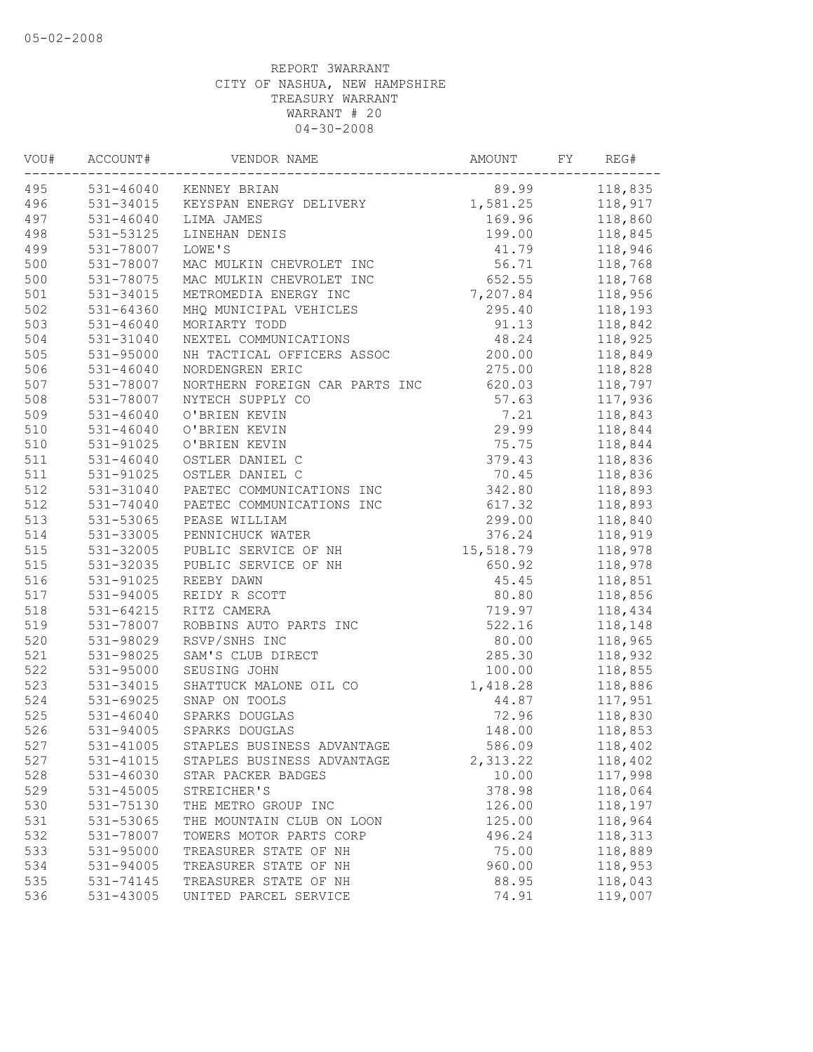| VOU# | ACCOUNT#      | VENDOR NAME                    | AMOUNT    | FY | REG#    |
|------|---------------|--------------------------------|-----------|----|---------|
| 495  |               | 531-46040 KENNEY BRIAN         | 89.99     |    | 118,835 |
| 496  | 531-34015     | KEYSPAN ENERGY DELIVERY        | 1,581.25  |    | 118,917 |
| 497  | 531-46040     | LIMA JAMES                     | 169.96    |    | 118,860 |
| 498  | 531-53125     | LINEHAN DENIS                  | 199.00    |    | 118,845 |
| 499  | 531-78007     | LOWE'S                         | 41.79     |    | 118,946 |
| 500  | 531-78007     | MAC MULKIN CHEVROLET INC       | 56.71     |    | 118,768 |
| 500  | 531-78075     | MAC MULKIN CHEVROLET INC       | 652.55    |    | 118,768 |
| 501  | 531-34015     | METROMEDIA ENERGY INC          | 7,207.84  |    | 118,956 |
| 502  | 531-64360     | MHQ MUNICIPAL VEHICLES         | 295.40    |    | 118,193 |
| 503  | 531-46040     | MORIARTY TODD                  | 91.13     |    | 118,842 |
| 504  | 531-31040     | NEXTEL COMMUNICATIONS          | 48.24     |    | 118,925 |
| 505  | 531-95000     | NH TACTICAL OFFICERS ASSOC     | 200.00    |    | 118,849 |
| 506  | $531 - 46040$ | NORDENGREN ERIC                | 275.00    |    | 118,828 |
| 507  | 531-78007     | NORTHERN FOREIGN CAR PARTS INC | 620.03    |    | 118,797 |
| 508  | 531-78007     | NYTECH SUPPLY CO               | 57.63     |    | 117,936 |
| 509  | $531 - 46040$ | O'BRIEN KEVIN                  | 7.21      |    | 118,843 |
| 510  | $531 - 46040$ | O'BRIEN KEVIN                  | 29.99     |    | 118,844 |
| 510  | 531-91025     | O'BRIEN KEVIN                  | 75.75     |    | 118,844 |
| 511  | $531 - 46040$ | OSTLER DANIEL C                | 379.43    |    | 118,836 |
| 511  | 531-91025     | OSTLER DANIEL C                | 70.45     |    | 118,836 |
| 512  | 531-31040     | PAETEC COMMUNICATIONS INC      | 342.80    |    | 118,893 |
| 512  | 531-74040     | PAETEC COMMUNICATIONS INC      | 617.32    |    | 118,893 |
| 513  | 531-53065     | PEASE WILLIAM                  | 299.00    |    | 118,840 |
| 514  | 531-33005     | PENNICHUCK WATER               | 376.24    |    | 118,919 |
| 515  | 531-32005     | PUBLIC SERVICE OF NH           | 15,518.79 |    | 118,978 |
| 515  | 531-32035     | PUBLIC SERVICE OF NH           | 650.92    |    | 118,978 |
| 516  | 531-91025     | REEBY DAWN                     | 45.45     |    | 118,851 |
| 517  | 531-94005     | REIDY R SCOTT                  | 80.80     |    | 118,856 |
| 518  | 531-64215     | RITZ CAMERA                    | 719.97    |    | 118,434 |
| 519  | 531-78007     | ROBBINS AUTO PARTS INC         | 522.16    |    | 118,148 |
| 520  | 531-98029     | RSVP/SNHS INC                  | 80.00     |    | 118,965 |
| 521  | 531-98025     | SAM'S CLUB DIRECT              | 285.30    |    | 118,932 |
| 522  | 531-95000     | SEUSING JOHN                   | 100.00    |    | 118,855 |
| 523  | 531-34015     | SHATTUCK MALONE OIL CO         | 1,418.28  |    | 118,886 |
| 524  | 531-69025     | SNAP ON TOOLS                  | 44.87     |    | 117,951 |
| 525  | 531-46040     | SPARKS DOUGLAS                 | 72.96     |    | 118,830 |
| 526  | 531-94005     | SPARKS DOUGLAS                 | 148.00    |    | 118,853 |
| 527  | 531-41005     | STAPLES BUSINESS ADVANTAGE     | 586.09    |    | 118,402 |
| 527  | 531-41015     | STAPLES BUSINESS ADVANTAGE     | 2,313.22  |    | 118,402 |
| 528  | 531-46030     | STAR PACKER BADGES             | 10.00     |    | 117,998 |
| 529  | $531 - 45005$ | STREICHER'S                    | 378.98    |    | 118,064 |
| 530  | 531-75130     | THE METRO GROUP INC            | 126.00    |    | 118,197 |
| 531  | 531-53065     | THE MOUNTAIN CLUB ON LOON      | 125.00    |    | 118,964 |
| 532  | 531-78007     | TOWERS MOTOR PARTS CORP        | 496.24    |    | 118,313 |
| 533  | 531-95000     | TREASURER STATE OF NH          | 75.00     |    | 118,889 |
| 534  | 531-94005     | TREASURER STATE OF NH          | 960.00    |    | 118,953 |
| 535  | 531-74145     | TREASURER STATE OF NH          | 88.95     |    | 118,043 |
| 536  | 531-43005     | UNITED PARCEL SERVICE          | 74.91     |    | 119,007 |
|      |               |                                |           |    |         |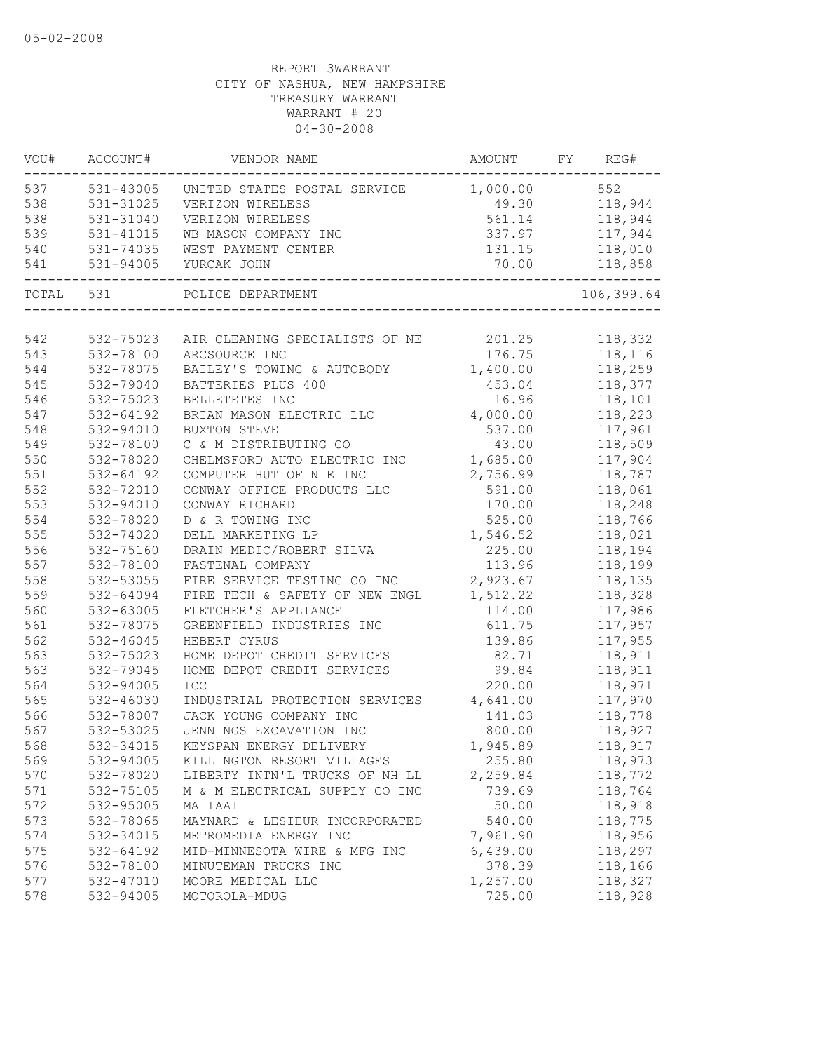| VOU#  | ACCOUNT#  | VENDOR NAME                                         | AMOUNT FY REG# |                    |
|-------|-----------|-----------------------------------------------------|----------------|--------------------|
| 537   |           | 531-43005 UNITED STATES POSTAL SERVICE 1,000.00 552 |                |                    |
| 538   | 531-31025 | VERIZON WIRELESS                                    |                | 49.30 118,944      |
| 538   | 531-31040 | VERIZON WIRELESS                                    |                | 561.14 118,944     |
| 539   | 531-41015 | WB MASON COMPANY INC                                |                | 337.97 117,944     |
| 540   | 531-74035 | WEST PAYMENT CENTER                                 |                | 131.15 118,010     |
| 541   | 531-94005 | YURCAK JOHN                                         | 70.00          | 118,858<br>------- |
| TOTAL | 531       | POLICE DEPARTMENT                                   |                | 106,399.64         |
|       |           |                                                     |                |                    |
| 542   | 532-75023 | AIR CLEANING SPECIALISTS OF NE 201.25               |                | 118,332            |
| 543   | 532-78100 | ARCSOURCE INC                                       | 176.75         | 118,116            |
| 544   | 532-78075 | BAILEY'S TOWING & AUTOBODY                          | 1,400.00       | 118,259            |
| 545   | 532-79040 | BATTERIES PLUS 400                                  | 453.04         | 118,377            |
| 546   | 532-75023 | BELLETETES INC                                      | 16.96          | 118,101            |
| 547   | 532-64192 | BRIAN MASON ELECTRIC LLC                            | 4,000.00       | 118,223            |
| 548   | 532-94010 | <b>BUXTON STEVE</b>                                 | 537.00         | 117,961            |
| 549   | 532-78100 | C & M DISTRIBUTING CO                               | 43.00          | 118,509            |
| 550   | 532-78020 | CHELMSFORD AUTO ELECTRIC INC                        | 1,685.00       | 117,904            |
| 551   | 532-64192 | COMPUTER HUT OF N E INC                             | 2,756.99       | 118,787            |
| 552   | 532-72010 | CONWAY OFFICE PRODUCTS LLC                          | 591.00         | 118,061            |
| 553   | 532-94010 | CONWAY RICHARD                                      | 170.00         | 118,248            |
| 554   | 532-78020 | D & R TOWING INC                                    | 525.00         | 118,766            |
| 555   | 532-74020 | DELL MARKETING LP                                   | 1,546.52       | 118,021            |
| 556   | 532-75160 | DRAIN MEDIC/ROBERT SILVA                            | 225.00         | 118,194            |
| 557   | 532-78100 | FASTENAL COMPANY                                    | 113.96         | 118,199            |
| 558   | 532-53055 | FIRE SERVICE TESTING CO INC                         | 2,923.67       | 118,135            |
| 559   | 532-64094 | FIRE TECH & SAFETY OF NEW ENGL                      | 1,512.22       | 118,328            |
| 560   | 532-63005 | FLETCHER'S APPLIANCE                                | 114.00         | 117,986            |
| 561   | 532-78075 | GREENFIELD INDUSTRIES INC                           | 611.75         | 117,957            |
| 562   | 532-46045 | HEBERT CYRUS                                        | 139.86         | 117,955            |
| 563   | 532-75023 | HOME DEPOT CREDIT SERVICES                          | 82.71          | 118,911            |
| 563   | 532-79045 | HOME DEPOT CREDIT SERVICES                          | 99.84          | 118,911            |
| 564   | 532-94005 | ICC                                                 | 220.00         | 118,971            |
| 565   | 532-46030 | INDUSTRIAL PROTECTION SERVICES                      | 4,641.00       | 117,970            |
| 566   | 532-78007 | JACK YOUNG COMPANY INC                              | 141.03         | 118,778            |
| 567   | 532-53025 | JENNINGS EXCAVATION INC                             | 800.00         | 118,927            |
| 568   | 532-34015 | KEYSPAN ENERGY DELIVERY                             | 1,945.89       | 118,917            |
| 569   | 532-94005 | KILLINGTON RESORT VILLAGES                          | 255.80         | 118,973            |
| 570   | 532-78020 | LIBERTY INTN'L TRUCKS OF NH LL                      | 2,259.84       | 118,772            |
| 571   | 532-75105 | M & M ELECTRICAL SUPPLY CO INC                      | 739.69         | 118,764            |
| 572   | 532-95005 | MA IAAI                                             | 50.00          | 118,918            |
| 573   | 532-78065 | MAYNARD & LESIEUR INCORPORATED                      | 540.00         | 118,775            |
| 574   | 532-34015 | METROMEDIA ENERGY INC                               | 7,961.90       | 118,956            |
| 575   | 532-64192 | MID-MINNESOTA WIRE & MFG INC                        | 6,439.00       | 118,297            |
| 576   | 532-78100 | MINUTEMAN TRUCKS INC                                | 378.39         | 118,166            |
| 577   | 532-47010 | MOORE MEDICAL LLC                                   | 1,257.00       | 118,327            |
| 578   | 532-94005 | MOTOROLA-MDUG                                       | 725.00         | 118,928            |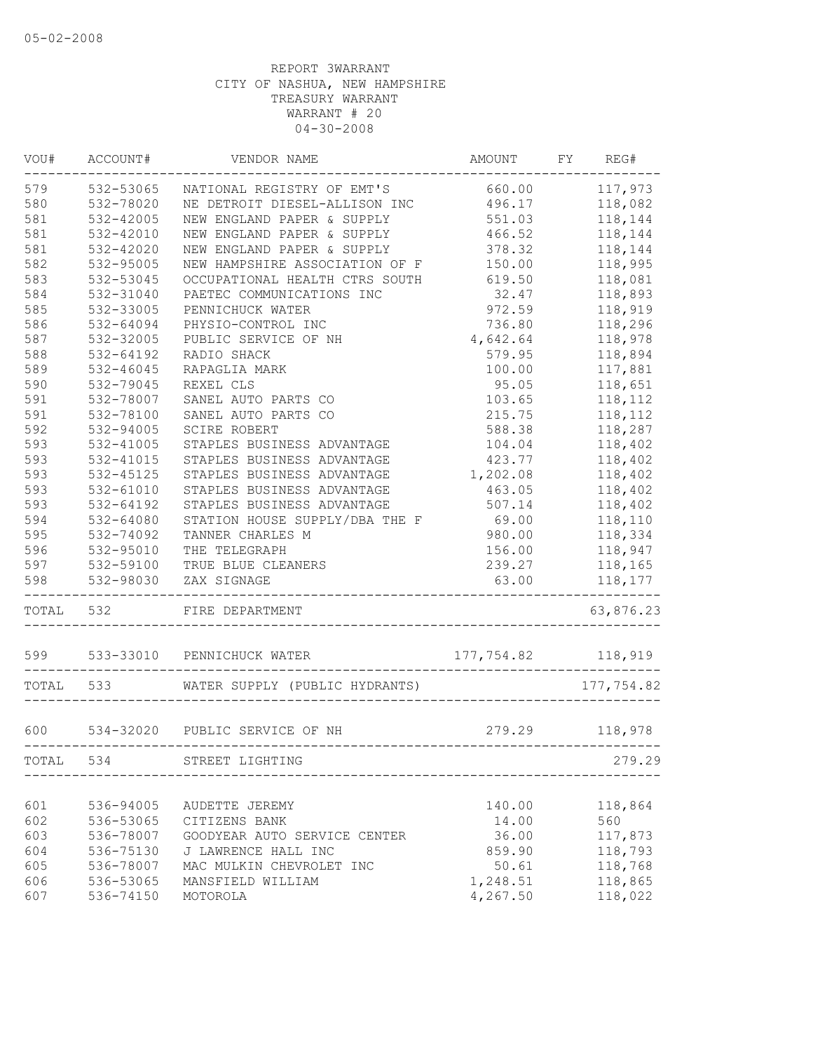| WOU#  | ACCOUNT#      | VENDOR NAME                    | AMOUNT             | FY | REG#       |
|-------|---------------|--------------------------------|--------------------|----|------------|
| 579   | 532-53065     | NATIONAL REGISTRY OF EMT'S     | 660.00             |    | 117,973    |
| 580   | 532-78020     | NE DETROIT DIESEL-ALLISON INC  | 496.17             |    | 118,082    |
| 581   | 532-42005     | NEW ENGLAND PAPER & SUPPLY     | 551.03             |    | 118,144    |
| 581   | 532-42010     | NEW ENGLAND PAPER & SUPPLY     | 466.52             |    | 118,144    |
| 581   | 532-42020     | NEW ENGLAND PAPER & SUPPLY     | 378.32             |    | 118,144    |
| 582   | 532-95005     | NEW HAMPSHIRE ASSOCIATION OF F | 150.00             |    | 118,995    |
| 583   | 532-53045     | OCCUPATIONAL HEALTH CTRS SOUTH | 619.50             |    | 118,081    |
| 584   | 532-31040     | PAETEC COMMUNICATIONS INC      | 32.47              |    | 118,893    |
| 585   | 532-33005     | PENNICHUCK WATER               | 972.59             |    | 118,919    |
| 586   | 532-64094     | PHYSIO-CONTROL INC             | 736.80             |    | 118,296    |
| 587   | 532-32005     | PUBLIC SERVICE OF NH           | 4,642.64           |    | 118,978    |
| 588   | 532-64192     | RADIO SHACK                    | 579.95             |    | 118,894    |
| 589   | 532-46045     | RAPAGLIA MARK                  | 100.00             |    | 117,881    |
| 590   | 532-79045     | REXEL CLS                      | 95.05              |    | 118,651    |
| 591   | 532-78007     | SANEL AUTO PARTS CO            | 103.65             |    | 118,112    |
| 591   | 532-78100     | SANEL AUTO PARTS CO            | 215.75             |    | 118,112    |
| 592   | 532-94005     | SCIRE ROBERT                   | 588.38             |    | 118,287    |
| 593   | 532-41005     | STAPLES BUSINESS ADVANTAGE     | 104.04             |    | 118,402    |
| 593   | 532-41015     | STAPLES BUSINESS ADVANTAGE     | 423.77             |    | 118,402    |
| 593   | 532-45125     | STAPLES BUSINESS ADVANTAGE     | 1,202.08           |    | 118,402    |
| 593   | 532-61010     | STAPLES BUSINESS ADVANTAGE     | 463.05             |    | 118,402    |
| 593   | 532-64192     | STAPLES BUSINESS ADVANTAGE     | 507.14             |    | 118,402    |
| 594   | 532-64080     | STATION HOUSE SUPPLY/DBA THE F | 69.00              |    | 118,110    |
| 595   | 532-74092     | TANNER CHARLES M               | 980.00             |    | 118,334    |
| 596   | 532-95010     | THE TELEGRAPH                  | 156.00             |    | 118,947    |
| 597   | 532-59100     | TRUE BLUE CLEANERS             | 239.27             |    | 118,165    |
| 598   | 532-98030     | ZAX SIGNAGE                    | 63.00              |    | 118,177    |
| TOTAL | 532           | FIRE DEPARTMENT                |                    |    | 63,876.23  |
|       | 599 533-33010 | PENNICHUCK WATER               | 177,754.82 118,919 |    |            |
|       | TOTAL 533     | WATER SUPPLY (PUBLIC HYDRANTS) |                    |    | 177,754.82 |
| 600   |               | 534-32020 PUBLIC SERVICE OF NH | 279.29             |    | 118,978    |
| TOTAL | 534           | STREET LIGHTING                |                    |    | 279.29     |
|       |               |                                |                    |    |            |
| 601   | 536-94005     | AUDETTE JEREMY                 | 140.00             |    | 118,864    |
| 602   | 536-53065     | CITIZENS BANK                  | 14.00              |    | 560        |
| 603   | 536-78007     | GOODYEAR AUTO SERVICE CENTER   | 36.00              |    | 117,873    |
| 604   | 536-75130     | J LAWRENCE HALL INC            | 859.90             |    | 118,793    |
| 605   | 536-78007     | MAC MULKIN CHEVROLET INC       | 50.61              |    | 118,768    |
| 606   | 536-53065     | MANSFIELD WILLIAM              | 1,248.51           |    | 118,865    |
| 607   | 536-74150     | MOTOROLA                       | 4,267.50           |    | 118,022    |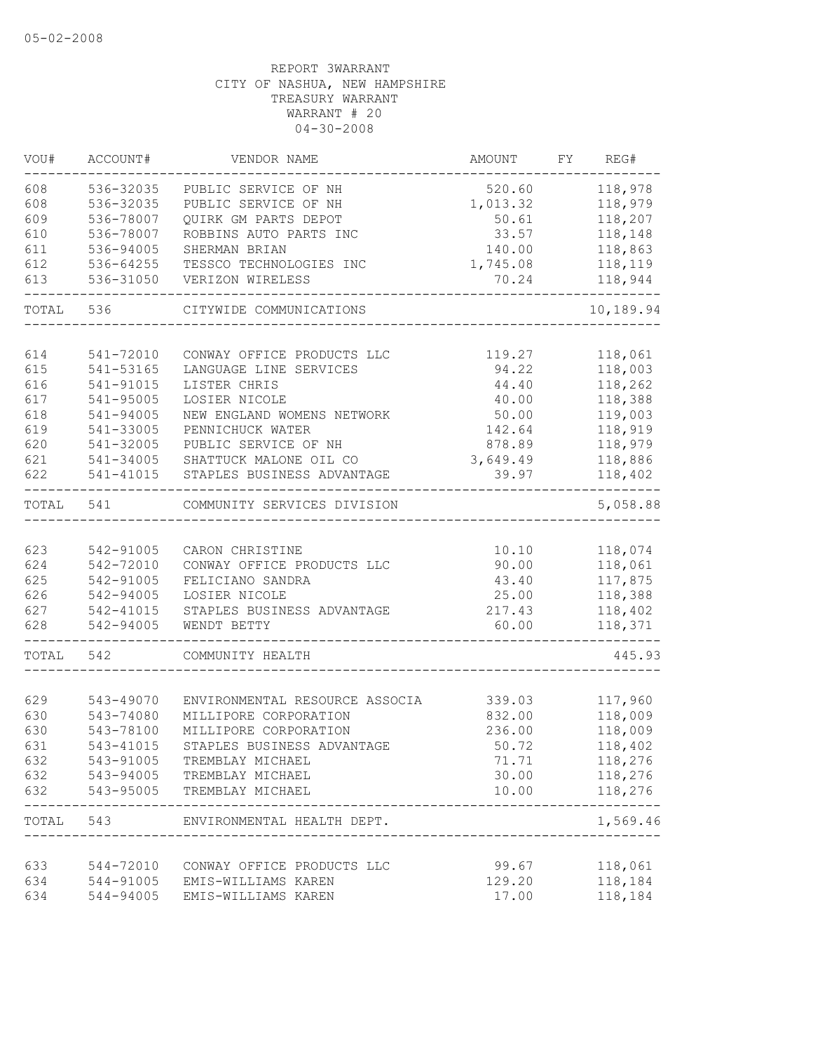| VOU#       | ACCOUNT#               | VENDOR NAME                                             | AMOUNT           | FY | REG#                   |
|------------|------------------------|---------------------------------------------------------|------------------|----|------------------------|
| 608        | 536-32035              | PUBLIC SERVICE OF NH                                    | 520.60           |    | 118,978                |
| 608        | 536-32035              | PUBLIC SERVICE OF NH                                    | 1,013.32         |    | 118,979                |
| 609        | 536-78007              | QUIRK GM PARTS DEPOT                                    | 50.61            |    | 118,207                |
| 610        | 536-78007              | ROBBINS AUTO PARTS INC                                  | 33.57            |    | 118,148                |
| 611        | 536-94005              | SHERMAN BRIAN                                           | 140.00           |    | 118,863                |
| 612        | 536-64255              | TESSCO TECHNOLOGIES INC                                 | 1,745.08         |    | 118,119                |
| 613        | 536-31050              | VERIZON WIRELESS                                        | 70.24            |    | 118,944                |
| TOTAL      | 536                    | CITYWIDE COMMUNICATIONS                                 |                  |    | 10,189.94              |
|            |                        |                                                         |                  |    |                        |
| 614        | 541-72010              | CONWAY OFFICE PRODUCTS LLC                              | 119.27           |    | 118,061                |
| 615        | 541-53165              | LANGUAGE LINE SERVICES                                  | 94.22            |    | 118,003                |
| 616        | 541-91015              | LISTER CHRIS                                            | 44.40            |    | 118,262                |
| 617        | 541-95005              | LOSIER NICOLE                                           | 40.00            |    | 118,388                |
| 618        | 541-94005              | NEW ENGLAND WOMENS NETWORK                              | 50.00            |    | 119,003                |
| 619        | 541-33005              | PENNICHUCK WATER                                        | 142.64           |    | 118,919                |
| 620        | 541-32005              | PUBLIC SERVICE OF NH                                    | 878.89           |    | 118,979                |
| 621        | 541-34005              | SHATTUCK MALONE OIL CO                                  | 3,649.49         |    | 118,886                |
| 622        | 541-41015              | STAPLES BUSINESS ADVANTAGE                              | 39.97            |    | 118,402                |
| TOTAL      | 541                    | COMMUNITY SERVICES DIVISION                             |                  |    | 5,058.88               |
|            |                        |                                                         |                  |    |                        |
| 623        | 542-91005              | CARON CHRISTINE                                         | 10.10            |    | 118,074                |
| 624        | 542-72010              | CONWAY OFFICE PRODUCTS LLC                              | 90.00            |    | 118,061                |
| 625        | 542-91005              | FELICIANO SANDRA                                        | 43.40            |    | 117,875                |
| 626        | 542-94005              | LOSIER NICOLE                                           | 25.00            |    | 118,388                |
| 627<br>628 | 542-41015<br>542-94005 | STAPLES BUSINESS ADVANTAGE<br>WENDT BETTY               | 217.43<br>60.00  |    | 118,402<br>118,371     |
|            |                        |                                                         |                  |    |                        |
| TOTAL      | 542                    | COMMUNITY HEALTH                                        |                  |    | 445.93                 |
| 629        |                        |                                                         |                  |    |                        |
| 630        | 543-49070<br>543-74080 | ENVIRONMENTAL RESOURCE ASSOCIA<br>MILLIPORE CORPORATION | 339.03<br>832.00 |    | 117,960<br>118,009     |
| 630        | 543-78100              | MILLIPORE CORPORATION                                   | 236.00           |    | 118,009                |
| 631        | 543-41015              | STAPLES BUSINESS ADVANTAGE                              | 50.72            |    | 118,402                |
| 632        | 543-91005              |                                                         | 71.71            |    | 118,276                |
| 632        |                        | TREMBLAY MICHAEL                                        | 30.00            |    | 118,276                |
| 632        | 543-95005              | 543-94005 TREMBLAY MICHAEL<br>TREMBLAY MICHAEL          | 10.00            |    | 118,276                |
|            | TOTAL 543              | ENVIRONMENTAL HEALTH DEPT.                              |                  |    | ----------<br>1,569.46 |
|            |                        |                                                         |                  |    |                        |
| 633        |                        | 544-72010 CONWAY OFFICE PRODUCTS LLC                    | 99.67            |    | 118,061                |
| 634        | 544-91005              | EMIS-WILLIAMS KAREN                                     | 129.20           |    | 118,184                |
| 634        | 544-94005              | EMIS-WILLIAMS KAREN                                     | 17.00            |    | 118,184                |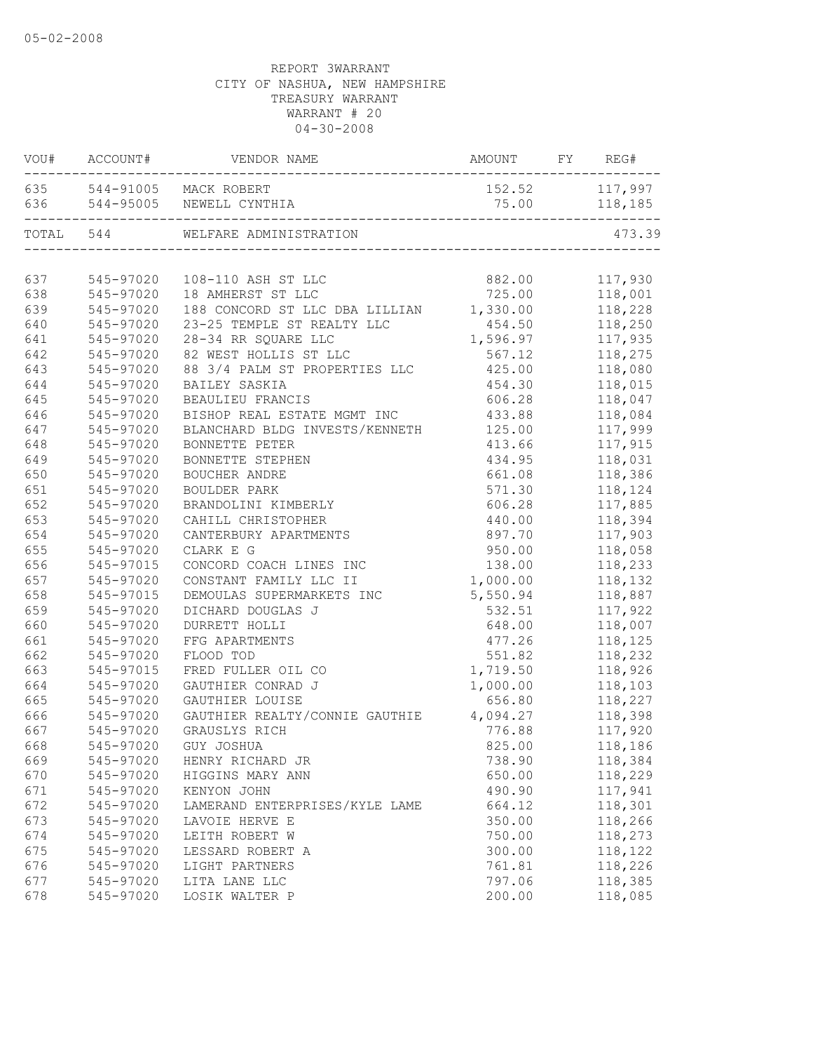|     | VOU# ACCOUNT# | AMOUNT FY REG#<br>VENDOR NAME                                          |          |                |
|-----|---------------|------------------------------------------------------------------------|----------|----------------|
|     |               | 635 544-91005 MACK ROBERT                                              |          | 152.52 117,997 |
|     |               | 636 544-95005 NEWELL CYNTHIA<br>-------------------------------------- |          | 75.00 118,185  |
|     | TOTAL 544     | WELFARE ADMINISTRATION                                                 |          | 473.39         |
|     |               |                                                                        |          |                |
| 637 |               | 545-97020  108-110 ASH ST LLC                                          | 882.00   | 117,930        |
| 638 | 545-97020     | 18 AMHERST ST LLC                                                      | 725.00   | 118,001        |
| 639 | 545-97020     | 188 CONCORD ST LLC DBA LILLIAN                                         | 1,330.00 | 118,228        |
| 640 | 545-97020     | 23-25 TEMPLE ST REALTY LLC                                             | 454.50   | 118,250        |
| 641 | 545-97020     | 28-34 RR SQUARE LLC                                                    | 1,596.97 | 117,935        |
| 642 | 545-97020     | 82 WEST HOLLIS ST LLC                                                  | 567.12   | 118,275        |
| 643 | 545-97020     | 88 3/4 PALM ST PROPERTIES LLC                                          | 425.00   | 118,080        |
| 644 | 545-97020     | BAILEY SASKIA                                                          | 454.30   | 118,015        |
| 645 | 545-97020     | BEAULIEU FRANCIS                                                       | 606.28   | 118,047        |
| 646 | 545-97020     | BISHOP REAL ESTATE MGMT INC                                            | 433.88   | 118,084        |
| 647 | 545-97020     | BLANCHARD BLDG INVESTS/KENNETH                                         | 125.00   | 117,999        |
| 648 | 545-97020     | BONNETTE PETER                                                         | 413.66   | 117,915        |
| 649 | 545-97020     | BONNETTE STEPHEN                                                       | 434.95   | 118,031        |
| 650 | 545-97020     | BOUCHER ANDRE                                                          | 661.08   | 118,386        |
| 651 | 545-97020     | <b>BOULDER PARK</b>                                                    | 571.30   | 118,124        |
| 652 | 545-97020     | BRANDOLINI KIMBERLY                                                    | 606.28   | 117,885        |
| 653 | 545-97020     | CAHILL CHRISTOPHER                                                     | 440.00   | 118,394        |
| 654 | 545-97020     | CANTERBURY APARTMENTS                                                  | 897.70   | 117,903        |
| 655 | 545-97020     | CLARK E G                                                              | 950.00   | 118,058        |
| 656 | 545-97015     | CONCORD COACH LINES INC                                                | 138.00   | 118,233        |
| 657 | 545-97020     | CONSTANT FAMILY LLC II                                                 | 1,000.00 | 118,132        |
| 658 | 545-97015     | DEMOULAS SUPERMARKETS INC                                              | 5,550.94 | 118,887        |
| 659 | 545-97020     | DICHARD DOUGLAS J                                                      | 532.51   | 117,922        |
| 660 | 545-97020     | DURRETT HOLLI                                                          | 648.00   | 118,007        |
| 661 | 545-97020     | FFG APARTMENTS                                                         | 477.26   | 118,125        |
| 662 | 545-97020     | FLOOD TOD                                                              | 551.82   | 118,232        |
| 663 | 545-97015     | FRED FULLER OIL CO                                                     | 1,719.50 | 118,926        |
| 664 | 545-97020     | GAUTHIER CONRAD J                                                      | 1,000.00 | 118,103        |
| 665 | 545-97020     | GAUTHIER LOUISE                                                        | 656.80   | 118,227        |
| 666 | 545-97020     | GAUTHIER REALTY/CONNIE GAUTHIE                                         | 4,094.27 | 118,398        |
| 667 | 545-97020     | GRAUSLYS RICH                                                          | 776.88   | 117,920        |
| 668 |               | 545-97020 GUY JOSHUA                                                   | 825.00   | 118,186        |
| 669 | 545-97020     | HENRY RICHARD JR                                                       | 738.90   | 118,384        |
| 670 | 545-97020     | HIGGINS MARY ANN                                                       | 650.00   | 118,229        |
| 671 | 545-97020     | KENYON JOHN                                                            | 490.90   | 117,941        |
| 672 | 545-97020     | LAMERAND ENTERPRISES/KYLE LAME                                         | 664.12   | 118,301        |
| 673 | 545-97020     | LAVOIE HERVE E                                                         | 350.00   | 118,266        |
| 674 | 545-97020     | LEITH ROBERT W                                                         | 750.00   | 118,273        |
| 675 | 545-97020     | LESSARD ROBERT A                                                       | 300.00   | 118,122        |
| 676 | 545-97020     | LIGHT PARTNERS                                                         | 761.81   | 118,226        |
| 677 | 545-97020     | LITA LANE LLC                                                          | 797.06   | 118,385        |
| 678 | 545-97020     | LOSIK WALTER P                                                         | 200.00   | 118,085        |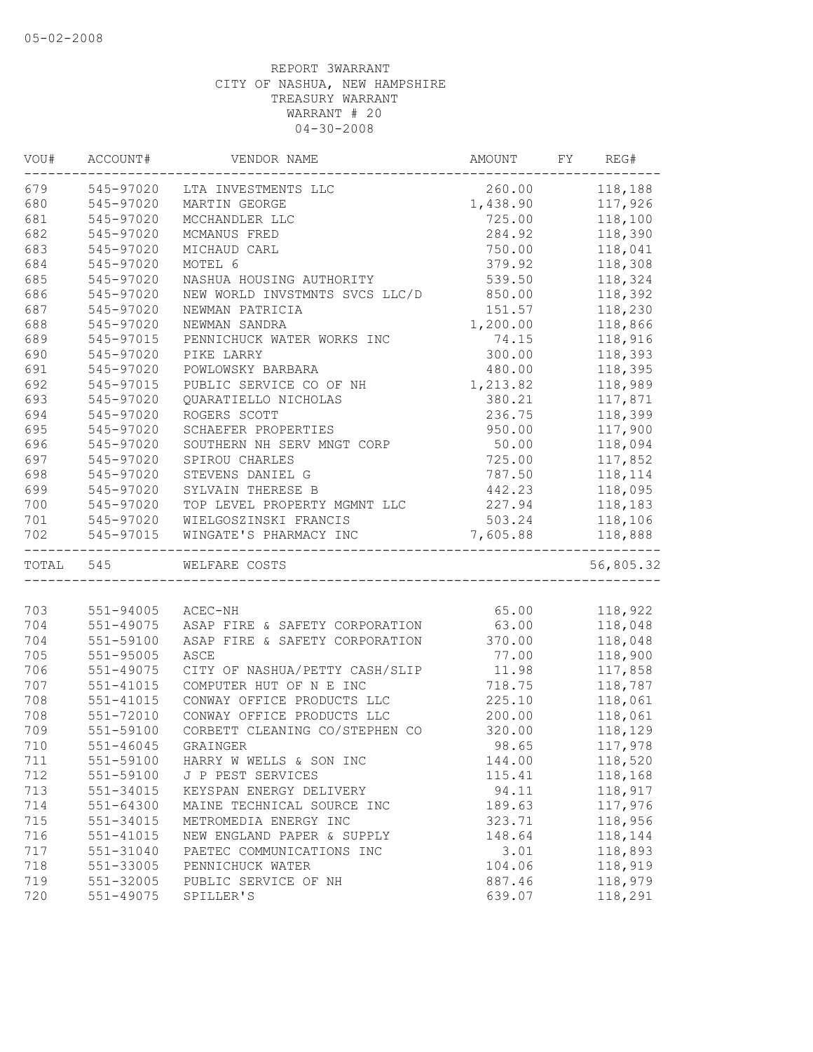| VOU# | ACCOUNT#      | VENDOR NAME                          | AMOUNT   | FY REG#   |
|------|---------------|--------------------------------------|----------|-----------|
|      | 679 545-97020 | LTA INVESTMENTS LLC                  | 260.00   | 118,188   |
| 680  | 545-97020     | MARTIN GEORGE                        | 1,438.90 | 117,926   |
| 681  | 545-97020     | MCCHANDLER LLC                       | 725.00   | 118,100   |
| 682  | 545-97020     | MCMANUS FRED                         | 284.92   | 118,390   |
| 683  | 545-97020     | MICHAUD CARL                         | 750.00   | 118,041   |
| 684  | 545-97020     | MOTEL 6                              | 379.92   | 118,308   |
| 685  | 545-97020     | NASHUA HOUSING AUTHORITY             | 539.50   | 118,324   |
| 686  | 545-97020     | NEW WORLD INVSTMNTS SVCS LLC/D       | 850.00   | 118,392   |
| 687  | 545-97020     | NEWMAN PATRICIA                      | 151.57   | 118,230   |
| 688  | 545-97020     | NEWMAN SANDRA                        | 1,200.00 | 118,866   |
| 689  | 545-97015     | PENNICHUCK WATER WORKS INC           | 74.15    | 118,916   |
| 690  | 545-97020     | PIKE LARRY                           | 300.00   | 118,393   |
| 691  | 545-97020     | POWLOWSKY BARBARA                    | 480.00   | 118,395   |
| 692  | 545-97015     | PUBLIC SERVICE CO OF NH              | 1,213.82 | 118,989   |
| 693  | 545-97020     | QUARATIELLO NICHOLAS                 | 380.21   | 117,871   |
| 694  | 545-97020     | ROGERS SCOTT                         | 236.75   | 118,399   |
| 695  | 545-97020     | SCHAEFER PROPERTIES                  | 950.00   | 117,900   |
| 696  | 545-97020     | SOUTHERN NH SERV MNGT CORP           | 50.00    | 118,094   |
| 697  | 545-97020     | SPIROU CHARLES                       | 725.00   | 117,852   |
| 698  | 545-97020     | STEVENS DANIEL G                     | 787.50   | 118,114   |
| 699  | 545-97020     | SYLVAIN THERESE B                    | 442.23   | 118,095   |
| 700  | 545-97020     | TOP LEVEL PROPERTY MGMNT LLC         | 227.94   | 118,183   |
| 701  | 545-97020     | WIELGOSZINSKI FRANCIS                | 503.24   | 118,106   |
| 702  | 545-97015     | WINGATE'S PHARMACY INC               | 7,605.88 | 118,888   |
|      | TOTAL 545     | WELFARE COSTS                        |          | 56,805.32 |
|      |               |                                      |          |           |
| 703  | 551-94005     | ACEC-NH                              | 65.00    | 118,922   |
| 704  | 551-49075     | ASAP FIRE & SAFETY CORPORATION 63.00 |          | 118,048   |
| 704  | 551-59100     | ASAP FIRE & SAFETY CORPORATION       | 370.00   | 118,048   |
| 705  | 551-95005     | ASCE                                 | 77.00    | 118,900   |
| 706  | 551-49075     | CITY OF NASHUA/PETTY CASH/SLIP       | 11.98    | 117,858   |
| 707  | 551-41015     | COMPUTER HUT OF N E INC              | 718.75   | 118,787   |
| 708  | 551-41015     | CONWAY OFFICE PRODUCTS LLC           | 225.10   | 118,061   |
| 708  | 551-72010     | CONWAY OFFICE PRODUCTS LLC           | 200.00   | 118,061   |
| 709  | 551-59100     | CORBETT CLEANING CO/STEPHEN CO       | 320.00   | 118,129   |
| 710  | 551-46045     | GRAINGER                             | 98.65    | 117,978   |
| 711  | 551-59100     | HARRY W WELLS & SON INC              | 144.00   | 118,520   |
| 712  | 551-59100     | J P PEST SERVICES                    | 115.41   | 118,168   |
| 713  | 551-34015     | KEYSPAN ENERGY DELIVERY              | 94.11    | 118,917   |
| 714  | $551 - 64300$ | MAINE TECHNICAL SOURCE INC           | 189.63   | 117,976   |
| 715  | 551-34015     | METROMEDIA ENERGY INC                | 323.71   | 118,956   |
| 716  | 551-41015     | NEW ENGLAND PAPER & SUPPLY           | 148.64   | 118,144   |
| 717  | 551-31040     | PAETEC COMMUNICATIONS INC            | 3.01     | 118,893   |
| 718  | 551-33005     | PENNICHUCK WATER                     | 104.06   | 118,919   |
| 719  |               |                                      | 887.46   |           |
|      | 551-32005     | PUBLIC SERVICE OF NH                 |          | 118,979   |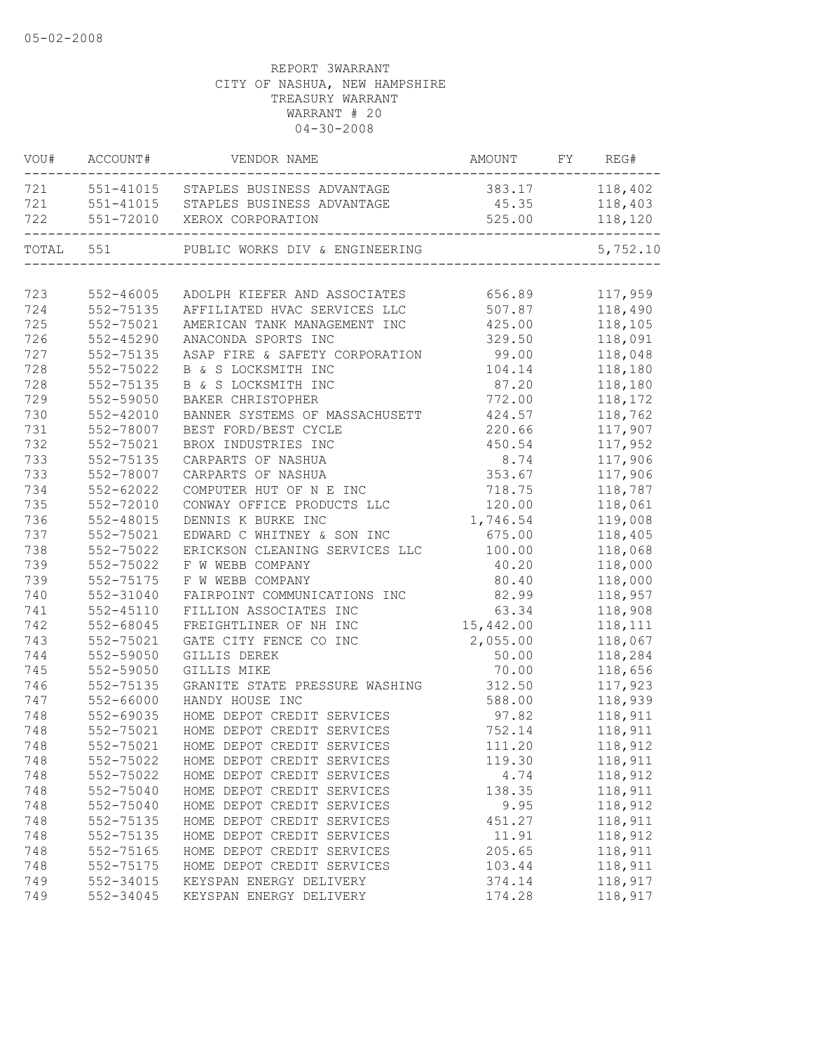| VOU#  | ACCOUNT#      | VENDOR NAME                                                       | AMOUNT         | FY REG#  |
|-------|---------------|-------------------------------------------------------------------|----------------|----------|
|       |               | 721 551-41015 STAPLES BUSINESS ADVANTAGE                          | 383.17 118,402 |          |
| 721   |               | 551-41015 STAPLES BUSINESS ADVANTAGE                              | 45.35          | 118,403  |
| 722   |               | 551-72010 XEROX CORPORATION<br>---------------------------------- | 525.00         | 118,120  |
| TOTAL | 551           | PUBLIC WORKS DIV & ENGINEERING                                    |                | 5,752.10 |
|       |               |                                                                   |                |          |
| 723   | 552-46005     | ADOLPH KIEFER AND ASSOCIATES                                      | 656.89         | 117,959  |
| 724   | 552-75135     | AFFILIATED HVAC SERVICES LLC                                      | 507.87         | 118,490  |
| 725   | 552-75021     | AMERICAN TANK MANAGEMENT INC                                      | 425.00         | 118,105  |
| 726   | 552-45290     | ANACONDA SPORTS INC                                               | 329.50         | 118,091  |
| 727   | 552-75135     | ASAP FIRE & SAFETY CORPORATION                                    | 99.00          | 118,048  |
| 728   | 552-75022     | B & S LOCKSMITH INC                                               | 104.14         | 118,180  |
| 728   | 552-75135     | B & S LOCKSMITH INC                                               | 87.20          | 118,180  |
| 729   | 552-59050     | BAKER CHRISTOPHER                                                 | 772.00         | 118,172  |
| 730   | 552-42010     | BANNER SYSTEMS OF MASSACHUSETT                                    | 424.57         | 118,762  |
| 731   | 552-78007     | BEST FORD/BEST CYCLE                                              | 220.66         | 117,907  |
| 732   | 552-75021     | BROX INDUSTRIES INC                                               | 450.54         | 117,952  |
| 733   | 552-75135     | CARPARTS OF NASHUA                                                | 8.74           | 117,906  |
| 733   | 552-78007     | CARPARTS OF NASHUA                                                | 353.67         | 117,906  |
| 734   | 552-62022     | COMPUTER HUT OF N E INC                                           | 718.75         | 118,787  |
| 735   | 552-72010     | CONWAY OFFICE PRODUCTS LLC                                        | 120.00         | 118,061  |
| 736   | 552-48015     | DENNIS K BURKE INC                                                | 1,746.54       | 119,008  |
| 737   | 552-75021     | EDWARD C WHITNEY & SON INC                                        | 675.00         | 118,405  |
| 738   | 552-75022     | ERICKSON CLEANING SERVICES LLC                                    | 100.00         | 118,068  |
| 739   | 552-75022     | F W WEBB COMPANY                                                  | 40.20          | 118,000  |
| 739   | 552-75175     | F W WEBB COMPANY                                                  | 80.40          | 118,000  |
| 740   | 552-31040     | FAIRPOINT COMMUNICATIONS INC                                      | 82.99          | 118,957  |
| 741   | $552 - 45110$ | FILLION ASSOCIATES INC                                            | 63.34          | 118,908  |
| 742   | 552-68045     | FREIGHTLINER OF NH INC                                            | 15,442.00      | 118,111  |
| 743   | 552-75021     | GATE CITY FENCE CO INC                                            | 2,055.00       | 118,067  |
| 744   | 552-59050     | GILLIS DEREK                                                      | 50.00          | 118,284  |
| 745   | 552-59050     | GILLIS MIKE                                                       | 70.00          | 118,656  |
| 746   | 552-75135     | GRANITE STATE PRESSURE WASHING                                    | 312.50         | 117,923  |
| 747   | 552-66000     | HANDY HOUSE INC                                                   | 588.00         | 118,939  |
| 748   | 552-69035     | HOME DEPOT CREDIT SERVICES                                        | 97.82          | 118,911  |
| 748   | 552-75021     | HOME DEPOT CREDIT SERVICES                                        | 752.14         | 118,911  |
| 748   | 552-75021     | HOME DEPOT CREDIT SERVICES                                        | 111.20         | 118,912  |
| 748   | 552-75022     | HOME DEPOT CREDIT SERVICES                                        | 119.30         | 118,911  |
| 748   | 552-75022     | HOME DEPOT CREDIT SERVICES                                        | 4.74           | 118,912  |
| 748   | 552-75040     | HOME DEPOT CREDIT SERVICES                                        | 138.35         | 118,911  |
| 748   | 552-75040     | HOME DEPOT CREDIT SERVICES                                        | 9.95           | 118,912  |
| 748   | 552-75135     | HOME DEPOT CREDIT SERVICES                                        | 451.27         | 118,911  |
| 748   | 552-75135     | HOME DEPOT CREDIT SERVICES                                        | 11.91          | 118,912  |
| 748   | 552-75165     | HOME DEPOT CREDIT SERVICES                                        | 205.65         | 118,911  |
| 748   | 552-75175     | HOME DEPOT CREDIT SERVICES                                        | 103.44         | 118,911  |
| 749   | 552-34015     | KEYSPAN ENERGY DELIVERY                                           | 374.14         | 118,917  |
| 749   | 552-34045     | KEYSPAN ENERGY DELIVERY                                           | 174.28         | 118,917  |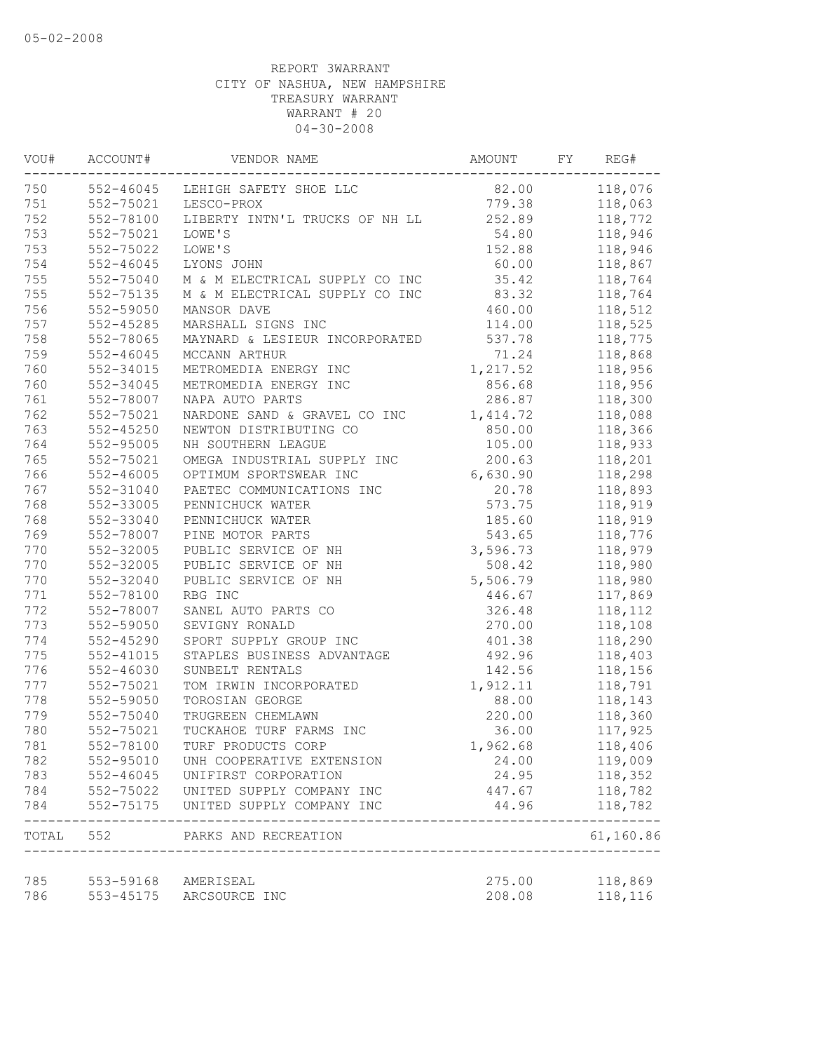| VOU#       | ACCOUNT#               | VENDOR NAME                      | AMOUNT           | FY | REG#      |
|------------|------------------------|----------------------------------|------------------|----|-----------|
| 750        |                        | 552-46045 LEHIGH SAFETY SHOE LLC | 82.00            |    | 118,076   |
| 751        | 552-75021              | LESCO-PROX                       | 779.38           |    | 118,063   |
| 752        | 552-78100              | LIBERTY INTN'L TRUCKS OF NH LL   | 252.89           |    | 118,772   |
| 753        | 552-75021              | LOWE'S                           | 54.80            |    | 118,946   |
| 753        | 552-75022              | LOWE'S                           | 152.88           |    | 118,946   |
| 754        | $552 - 46045$          | LYONS JOHN                       | 60.00            |    | 118,867   |
| 755        | 552-75040              | M & M ELECTRICAL SUPPLY CO INC   | 35.42            |    | 118,764   |
| 755        | 552-75135              | M & M ELECTRICAL SUPPLY CO INC   | 83.32            |    | 118,764   |
| 756        | 552-59050              | MANSOR DAVE                      | 460.00           |    | 118,512   |
| 757        | 552-45285              | MARSHALL SIGNS INC               | 114.00           |    | 118,525   |
| 758        | 552-78065              | MAYNARD & LESIEUR INCORPORATED   | 537.78           |    | 118,775   |
| 759        | $552 - 46045$          | MCCANN ARTHUR                    | 71.24            |    | 118,868   |
| 760        | 552-34015              | METROMEDIA ENERGY INC            | 1,217.52         |    | 118,956   |
| 760        | 552-34045              | METROMEDIA ENERGY INC            | 856.68           |    | 118,956   |
| 761        | 552-78007              | NAPA AUTO PARTS                  | 286.87           |    | 118,300   |
| 762        | 552-75021              | NARDONE SAND & GRAVEL CO INC     | 1, 414.72        |    | 118,088   |
| 763        | $552 - 45250$          | NEWTON DISTRIBUTING CO           | 850.00           |    | 118,366   |
| 764        | 552-95005              | NH SOUTHERN LEAGUE               | 105.00           |    | 118,933   |
| 765        | 552-75021              | OMEGA INDUSTRIAL SUPPLY INC      | 200.63           |    | 118,201   |
| 766        | 552-46005              | OPTIMUM SPORTSWEAR INC           | 6,630.90         |    | 118,298   |
| 767        | 552-31040              | PAETEC COMMUNICATIONS INC        | 20.78            |    | 118,893   |
| 768        | 552-33005              | PENNICHUCK WATER                 | 573.75           |    | 118,919   |
| 768        | 552-33040              | PENNICHUCK WATER                 | 185.60           |    | 118,919   |
| 769        | 552-78007              | PINE MOTOR PARTS                 | 543.65           |    | 118,776   |
| 770        | 552-32005              | PUBLIC SERVICE OF NH             | 3,596.73         |    | 118,979   |
| 770        | 552-32005              | PUBLIC SERVICE OF NH             | 508.42           |    | 118,980   |
| 770        | 552-32040              | PUBLIC SERVICE OF NH             | 5,506.79         |    | 118,980   |
| 771        | 552-78100              | RBG INC                          | 446.67           |    | 117,869   |
| 772        | 552-78007              | SANEL AUTO PARTS CO              | 326.48           |    | 118,112   |
| 773        | 552-59050              | SEVIGNY RONALD                   | 270.00           |    | 118,108   |
| 774        | $552 - 45290$          | SPORT SUPPLY GROUP INC           | 401.38           |    | 118,290   |
| 775        | 552-41015              | STAPLES BUSINESS ADVANTAGE       | 492.96           |    | 118,403   |
| 776        | 552-46030              | SUNBELT RENTALS                  | 142.56           |    | 118,156   |
| 777        | 552-75021              | TOM IRWIN INCORPORATED           | 1,912.11         |    | 118,791   |
| 778        | 552-59050              | TOROSIAN GEORGE                  | 88.00            |    | 118,143   |
| 779        | 552-75040              | TRUGREEN CHEMLAWN                | 220.00           |    | 118,360   |
| 780        | 552-75021              | TUCKAHOE TURF FARMS INC          | 36.00            |    | 117,925   |
| 781        | 552-78100              | TURF PRODUCTS CORP               | 1,962.68         |    | 118,406   |
| 782        | 552-95010              | UNH COOPERATIVE EXTENSION        | 24.00            |    | 119,009   |
| 783        | $552 - 46045$          | UNIFIRST CORPORATION             | 24.95            |    | 118,352   |
| 784        | 552-75022              | UNITED SUPPLY COMPANY INC        | 447.67           |    | 118,782   |
| 784        | 552-75175              | UNITED SUPPLY COMPANY INC        | 44.96            |    | 118,782   |
|            |                        | TOTAL 552 PARKS AND RECREATION   |                  |    | 61,160.86 |
|            |                        |                                  |                  |    |           |
| 785<br>786 | 553-59168<br>553-45175 | AMERISEAL<br>ARCSOURCE INC       | 275.00<br>208.08 |    | 118,869   |
|            |                        |                                  |                  |    | 118,116   |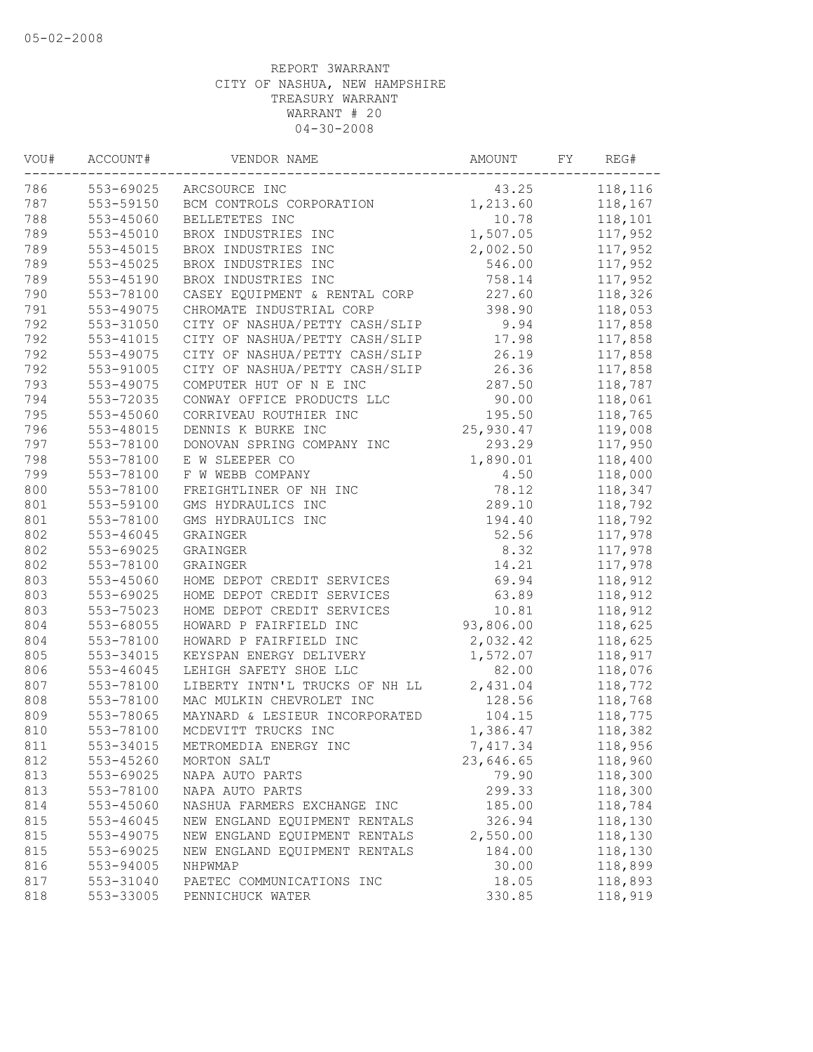| 553-69025<br>118,116<br>43.25<br>ARCSOURCE INC<br>553-59150<br>1,213.60<br>118,167<br>BCM CONTROLS CORPORATION<br>553-45060<br>BELLETETES INC<br>118,101<br>10.78<br>789<br>$553 - 45010$<br>1,507.05<br>117,952<br>BROX INDUSTRIES INC<br>553-45015<br>117,952<br>BROX INDUSTRIES INC<br>2,002.50<br>553-45025<br>BROX INDUSTRIES INC<br>546.00<br>117,952<br>758.14<br>553-45190<br>BROX INDUSTRIES INC<br>117,952<br>227.60<br>553-78100<br>118,326<br>CASEY EQUIPMENT & RENTAL CORP<br>791<br>398.90<br>118,053<br>553-49075<br>CHROMATE INDUSTRIAL CORP<br>792<br>553-31050<br>9.94<br>CITY OF NASHUA/PETTY CASH/SLIP<br>117,858<br>792<br>553-41015<br>CITY OF NASHUA/PETTY CASH/SLIP<br>17.98<br>117,858<br>792<br>553-49075<br>CITY OF NASHUA/PETTY CASH/SLIP<br>26.19<br>117,858<br>792<br>553-91005<br>CITY OF NASHUA/PETTY CASH/SLIP<br>26.36<br>117,858<br>793<br>553-49075<br>287.50<br>118,787<br>COMPUTER HUT OF N E INC<br>794<br>553-72035<br>CONWAY OFFICE PRODUCTS LLC<br>90.00<br>118,061<br>795<br>195.50<br>553-45060<br>CORRIVEAU ROUTHIER INC<br>118,765<br>796<br>553-48015<br>DENNIS K BURKE INC<br>25,930.47<br>119,008<br>797<br>293.29<br>117,950<br>553-78100<br>DONOVAN SPRING COMPANY INC<br>798<br>553-78100<br>E W SLEEPER CO<br>1,890.01<br>118,400<br>799<br>553-78100<br>F W WEBB COMPANY<br>118,000<br>4.50<br>800<br>553-78100<br>FREIGHTLINER OF NH INC<br>78.12<br>118,347<br>801<br>553-59100<br>289.10<br>GMS HYDRAULICS INC<br>118,792<br>801<br>553-78100<br>GMS HYDRAULICS INC<br>194.40<br>118,792<br>802<br>553-46045<br>52.56<br>117,978<br>GRAINGER<br>802<br>8.32<br>553-69025<br>117,978<br>GRAINGER<br>802<br>553-78100<br>14.21<br>117,978<br>GRAINGER<br>803<br>69.94<br>553-45060<br>HOME DEPOT CREDIT SERVICES<br>118,912<br>803<br>553-69025<br>63.89<br>HOME DEPOT CREDIT SERVICES<br>118,912<br>803<br>553-75023<br>HOME DEPOT CREDIT SERVICES<br>10.81<br>118,912<br>93,806.00<br>804<br>553-68055<br>118,625<br>HOWARD P FAIRFIELD INC<br>804<br>553-78100<br>2,032.42<br>HOWARD P FAIRFIELD INC<br>118,625<br>805<br>553-34015<br>1,572.07<br>KEYSPAN ENERGY DELIVERY<br>118,917<br>82.00<br>806<br>553-46045<br>LEHIGH SAFETY SHOE LLC<br>118,076<br>2,431.04<br>807<br>553-78100<br>LIBERTY INTN'L TRUCKS OF NH LL<br>118,772<br>808<br>553-78100<br>MAC MULKIN CHEVROLET INC<br>128.56<br>118,768<br>809<br>553-78065<br>MAYNARD & LESIEUR INCORPORATED<br>104.15<br>118,775<br>810<br>MCDEVITT TRUCKS INC<br>553-78100<br>1,386.47<br>118,382<br>811<br>553-34015<br>METROMEDIA ENERGY INC<br>7,417.34<br>118,956<br>553-45260<br>118,960<br>812<br>MORTON SALT<br>23,646.65<br>813<br>553-69025<br>79.90<br>118,300<br>NAPA AUTO PARTS<br>813<br>553-78100<br>299.33<br>118,300<br>NAPA AUTO PARTS<br>814<br>553-45060<br>185.00<br>118,784<br>NASHUA FARMERS EXCHANGE INC<br>815<br>326.94<br>118,130<br>553-46045<br>NEW ENGLAND EQUIPMENT RENTALS<br>118,130<br>815<br>553-49075<br>NEW ENGLAND EQUIPMENT RENTALS<br>2,550.00<br>815<br>553-69025<br>NEW ENGLAND EQUIPMENT RENTALS<br>184.00<br>118,130<br>816<br>553-94005<br>30.00<br>118,899<br>NHPWMAP<br>553-31040<br>18.05<br>118,893<br>PAETEC COMMUNICATIONS INC<br>818<br>553-33005<br>330.85<br>118,919<br>PENNICHUCK WATER | WOU# | ACCOUNT# | VENDOR NAME | AMOUNT | FY | REG# |
|--------------------------------------------------------------------------------------------------------------------------------------------------------------------------------------------------------------------------------------------------------------------------------------------------------------------------------------------------------------------------------------------------------------------------------------------------------------------------------------------------------------------------------------------------------------------------------------------------------------------------------------------------------------------------------------------------------------------------------------------------------------------------------------------------------------------------------------------------------------------------------------------------------------------------------------------------------------------------------------------------------------------------------------------------------------------------------------------------------------------------------------------------------------------------------------------------------------------------------------------------------------------------------------------------------------------------------------------------------------------------------------------------------------------------------------------------------------------------------------------------------------------------------------------------------------------------------------------------------------------------------------------------------------------------------------------------------------------------------------------------------------------------------------------------------------------------------------------------------------------------------------------------------------------------------------------------------------------------------------------------------------------------------------------------------------------------------------------------------------------------------------------------------------------------------------------------------------------------------------------------------------------------------------------------------------------------------------------------------------------------------------------------------------------------------------------------------------------------------------------------------------------------------------------------------------------------------------------------------------------------------------------------------------------------------------------------------------------------------------------------------------------------------------------------------------------------------------------------------------------------------------------------------------------------------------------------------------------------------------------------------------------------------------------------------------------------------------------------------------------------------------------------------------------------------------------------------------------------------------------------------------|------|----------|-------------|--------|----|------|
|                                                                                                                                                                                                                                                                                                                                                                                                                                                                                                                                                                                                                                                                                                                                                                                                                                                                                                                                                                                                                                                                                                                                                                                                                                                                                                                                                                                                                                                                                                                                                                                                                                                                                                                                                                                                                                                                                                                                                                                                                                                                                                                                                                                                                                                                                                                                                                                                                                                                                                                                                                                                                                                                                                                                                                                                                                                                                                                                                                                                                                                                                                                                                                                                                                                              | 786  |          |             |        |    |      |
|                                                                                                                                                                                                                                                                                                                                                                                                                                                                                                                                                                                                                                                                                                                                                                                                                                                                                                                                                                                                                                                                                                                                                                                                                                                                                                                                                                                                                                                                                                                                                                                                                                                                                                                                                                                                                                                                                                                                                                                                                                                                                                                                                                                                                                                                                                                                                                                                                                                                                                                                                                                                                                                                                                                                                                                                                                                                                                                                                                                                                                                                                                                                                                                                                                                              | 787  |          |             |        |    |      |
|                                                                                                                                                                                                                                                                                                                                                                                                                                                                                                                                                                                                                                                                                                                                                                                                                                                                                                                                                                                                                                                                                                                                                                                                                                                                                                                                                                                                                                                                                                                                                                                                                                                                                                                                                                                                                                                                                                                                                                                                                                                                                                                                                                                                                                                                                                                                                                                                                                                                                                                                                                                                                                                                                                                                                                                                                                                                                                                                                                                                                                                                                                                                                                                                                                                              | 788  |          |             |        |    |      |
|                                                                                                                                                                                                                                                                                                                                                                                                                                                                                                                                                                                                                                                                                                                                                                                                                                                                                                                                                                                                                                                                                                                                                                                                                                                                                                                                                                                                                                                                                                                                                                                                                                                                                                                                                                                                                                                                                                                                                                                                                                                                                                                                                                                                                                                                                                                                                                                                                                                                                                                                                                                                                                                                                                                                                                                                                                                                                                                                                                                                                                                                                                                                                                                                                                                              |      |          |             |        |    |      |
|                                                                                                                                                                                                                                                                                                                                                                                                                                                                                                                                                                                                                                                                                                                                                                                                                                                                                                                                                                                                                                                                                                                                                                                                                                                                                                                                                                                                                                                                                                                                                                                                                                                                                                                                                                                                                                                                                                                                                                                                                                                                                                                                                                                                                                                                                                                                                                                                                                                                                                                                                                                                                                                                                                                                                                                                                                                                                                                                                                                                                                                                                                                                                                                                                                                              | 789  |          |             |        |    |      |
|                                                                                                                                                                                                                                                                                                                                                                                                                                                                                                                                                                                                                                                                                                                                                                                                                                                                                                                                                                                                                                                                                                                                                                                                                                                                                                                                                                                                                                                                                                                                                                                                                                                                                                                                                                                                                                                                                                                                                                                                                                                                                                                                                                                                                                                                                                                                                                                                                                                                                                                                                                                                                                                                                                                                                                                                                                                                                                                                                                                                                                                                                                                                                                                                                                                              | 789  |          |             |        |    |      |
|                                                                                                                                                                                                                                                                                                                                                                                                                                                                                                                                                                                                                                                                                                                                                                                                                                                                                                                                                                                                                                                                                                                                                                                                                                                                                                                                                                                                                                                                                                                                                                                                                                                                                                                                                                                                                                                                                                                                                                                                                                                                                                                                                                                                                                                                                                                                                                                                                                                                                                                                                                                                                                                                                                                                                                                                                                                                                                                                                                                                                                                                                                                                                                                                                                                              | 789  |          |             |        |    |      |
|                                                                                                                                                                                                                                                                                                                                                                                                                                                                                                                                                                                                                                                                                                                                                                                                                                                                                                                                                                                                                                                                                                                                                                                                                                                                                                                                                                                                                                                                                                                                                                                                                                                                                                                                                                                                                                                                                                                                                                                                                                                                                                                                                                                                                                                                                                                                                                                                                                                                                                                                                                                                                                                                                                                                                                                                                                                                                                                                                                                                                                                                                                                                                                                                                                                              | 790  |          |             |        |    |      |
|                                                                                                                                                                                                                                                                                                                                                                                                                                                                                                                                                                                                                                                                                                                                                                                                                                                                                                                                                                                                                                                                                                                                                                                                                                                                                                                                                                                                                                                                                                                                                                                                                                                                                                                                                                                                                                                                                                                                                                                                                                                                                                                                                                                                                                                                                                                                                                                                                                                                                                                                                                                                                                                                                                                                                                                                                                                                                                                                                                                                                                                                                                                                                                                                                                                              |      |          |             |        |    |      |
|                                                                                                                                                                                                                                                                                                                                                                                                                                                                                                                                                                                                                                                                                                                                                                                                                                                                                                                                                                                                                                                                                                                                                                                                                                                                                                                                                                                                                                                                                                                                                                                                                                                                                                                                                                                                                                                                                                                                                                                                                                                                                                                                                                                                                                                                                                                                                                                                                                                                                                                                                                                                                                                                                                                                                                                                                                                                                                                                                                                                                                                                                                                                                                                                                                                              |      |          |             |        |    |      |
|                                                                                                                                                                                                                                                                                                                                                                                                                                                                                                                                                                                                                                                                                                                                                                                                                                                                                                                                                                                                                                                                                                                                                                                                                                                                                                                                                                                                                                                                                                                                                                                                                                                                                                                                                                                                                                                                                                                                                                                                                                                                                                                                                                                                                                                                                                                                                                                                                                                                                                                                                                                                                                                                                                                                                                                                                                                                                                                                                                                                                                                                                                                                                                                                                                                              |      |          |             |        |    |      |
|                                                                                                                                                                                                                                                                                                                                                                                                                                                                                                                                                                                                                                                                                                                                                                                                                                                                                                                                                                                                                                                                                                                                                                                                                                                                                                                                                                                                                                                                                                                                                                                                                                                                                                                                                                                                                                                                                                                                                                                                                                                                                                                                                                                                                                                                                                                                                                                                                                                                                                                                                                                                                                                                                                                                                                                                                                                                                                                                                                                                                                                                                                                                                                                                                                                              |      |          |             |        |    |      |
|                                                                                                                                                                                                                                                                                                                                                                                                                                                                                                                                                                                                                                                                                                                                                                                                                                                                                                                                                                                                                                                                                                                                                                                                                                                                                                                                                                                                                                                                                                                                                                                                                                                                                                                                                                                                                                                                                                                                                                                                                                                                                                                                                                                                                                                                                                                                                                                                                                                                                                                                                                                                                                                                                                                                                                                                                                                                                                                                                                                                                                                                                                                                                                                                                                                              |      |          |             |        |    |      |
|                                                                                                                                                                                                                                                                                                                                                                                                                                                                                                                                                                                                                                                                                                                                                                                                                                                                                                                                                                                                                                                                                                                                                                                                                                                                                                                                                                                                                                                                                                                                                                                                                                                                                                                                                                                                                                                                                                                                                                                                                                                                                                                                                                                                                                                                                                                                                                                                                                                                                                                                                                                                                                                                                                                                                                                                                                                                                                                                                                                                                                                                                                                                                                                                                                                              |      |          |             |        |    |      |
|                                                                                                                                                                                                                                                                                                                                                                                                                                                                                                                                                                                                                                                                                                                                                                                                                                                                                                                                                                                                                                                                                                                                                                                                                                                                                                                                                                                                                                                                                                                                                                                                                                                                                                                                                                                                                                                                                                                                                                                                                                                                                                                                                                                                                                                                                                                                                                                                                                                                                                                                                                                                                                                                                                                                                                                                                                                                                                                                                                                                                                                                                                                                                                                                                                                              |      |          |             |        |    |      |
|                                                                                                                                                                                                                                                                                                                                                                                                                                                                                                                                                                                                                                                                                                                                                                                                                                                                                                                                                                                                                                                                                                                                                                                                                                                                                                                                                                                                                                                                                                                                                                                                                                                                                                                                                                                                                                                                                                                                                                                                                                                                                                                                                                                                                                                                                                                                                                                                                                                                                                                                                                                                                                                                                                                                                                                                                                                                                                                                                                                                                                                                                                                                                                                                                                                              |      |          |             |        |    |      |
|                                                                                                                                                                                                                                                                                                                                                                                                                                                                                                                                                                                                                                                                                                                                                                                                                                                                                                                                                                                                                                                                                                                                                                                                                                                                                                                                                                                                                                                                                                                                                                                                                                                                                                                                                                                                                                                                                                                                                                                                                                                                                                                                                                                                                                                                                                                                                                                                                                                                                                                                                                                                                                                                                                                                                                                                                                                                                                                                                                                                                                                                                                                                                                                                                                                              |      |          |             |        |    |      |
|                                                                                                                                                                                                                                                                                                                                                                                                                                                                                                                                                                                                                                                                                                                                                                                                                                                                                                                                                                                                                                                                                                                                                                                                                                                                                                                                                                                                                                                                                                                                                                                                                                                                                                                                                                                                                                                                                                                                                                                                                                                                                                                                                                                                                                                                                                                                                                                                                                                                                                                                                                                                                                                                                                                                                                                                                                                                                                                                                                                                                                                                                                                                                                                                                                                              |      |          |             |        |    |      |
|                                                                                                                                                                                                                                                                                                                                                                                                                                                                                                                                                                                                                                                                                                                                                                                                                                                                                                                                                                                                                                                                                                                                                                                                                                                                                                                                                                                                                                                                                                                                                                                                                                                                                                                                                                                                                                                                                                                                                                                                                                                                                                                                                                                                                                                                                                                                                                                                                                                                                                                                                                                                                                                                                                                                                                                                                                                                                                                                                                                                                                                                                                                                                                                                                                                              |      |          |             |        |    |      |
|                                                                                                                                                                                                                                                                                                                                                                                                                                                                                                                                                                                                                                                                                                                                                                                                                                                                                                                                                                                                                                                                                                                                                                                                                                                                                                                                                                                                                                                                                                                                                                                                                                                                                                                                                                                                                                                                                                                                                                                                                                                                                                                                                                                                                                                                                                                                                                                                                                                                                                                                                                                                                                                                                                                                                                                                                                                                                                                                                                                                                                                                                                                                                                                                                                                              |      |          |             |        |    |      |
|                                                                                                                                                                                                                                                                                                                                                                                                                                                                                                                                                                                                                                                                                                                                                                                                                                                                                                                                                                                                                                                                                                                                                                                                                                                                                                                                                                                                                                                                                                                                                                                                                                                                                                                                                                                                                                                                                                                                                                                                                                                                                                                                                                                                                                                                                                                                                                                                                                                                                                                                                                                                                                                                                                                                                                                                                                                                                                                                                                                                                                                                                                                                                                                                                                                              |      |          |             |        |    |      |
|                                                                                                                                                                                                                                                                                                                                                                                                                                                                                                                                                                                                                                                                                                                                                                                                                                                                                                                                                                                                                                                                                                                                                                                                                                                                                                                                                                                                                                                                                                                                                                                                                                                                                                                                                                                                                                                                                                                                                                                                                                                                                                                                                                                                                                                                                                                                                                                                                                                                                                                                                                                                                                                                                                                                                                                                                                                                                                                                                                                                                                                                                                                                                                                                                                                              |      |          |             |        |    |      |
|                                                                                                                                                                                                                                                                                                                                                                                                                                                                                                                                                                                                                                                                                                                                                                                                                                                                                                                                                                                                                                                                                                                                                                                                                                                                                                                                                                                                                                                                                                                                                                                                                                                                                                                                                                                                                                                                                                                                                                                                                                                                                                                                                                                                                                                                                                                                                                                                                                                                                                                                                                                                                                                                                                                                                                                                                                                                                                                                                                                                                                                                                                                                                                                                                                                              |      |          |             |        |    |      |
|                                                                                                                                                                                                                                                                                                                                                                                                                                                                                                                                                                                                                                                                                                                                                                                                                                                                                                                                                                                                                                                                                                                                                                                                                                                                                                                                                                                                                                                                                                                                                                                                                                                                                                                                                                                                                                                                                                                                                                                                                                                                                                                                                                                                                                                                                                                                                                                                                                                                                                                                                                                                                                                                                                                                                                                                                                                                                                                                                                                                                                                                                                                                                                                                                                                              |      |          |             |        |    |      |
|                                                                                                                                                                                                                                                                                                                                                                                                                                                                                                                                                                                                                                                                                                                                                                                                                                                                                                                                                                                                                                                                                                                                                                                                                                                                                                                                                                                                                                                                                                                                                                                                                                                                                                                                                                                                                                                                                                                                                                                                                                                                                                                                                                                                                                                                                                                                                                                                                                                                                                                                                                                                                                                                                                                                                                                                                                                                                                                                                                                                                                                                                                                                                                                                                                                              |      |          |             |        |    |      |
|                                                                                                                                                                                                                                                                                                                                                                                                                                                                                                                                                                                                                                                                                                                                                                                                                                                                                                                                                                                                                                                                                                                                                                                                                                                                                                                                                                                                                                                                                                                                                                                                                                                                                                                                                                                                                                                                                                                                                                                                                                                                                                                                                                                                                                                                                                                                                                                                                                                                                                                                                                                                                                                                                                                                                                                                                                                                                                                                                                                                                                                                                                                                                                                                                                                              |      |          |             |        |    |      |
|                                                                                                                                                                                                                                                                                                                                                                                                                                                                                                                                                                                                                                                                                                                                                                                                                                                                                                                                                                                                                                                                                                                                                                                                                                                                                                                                                                                                                                                                                                                                                                                                                                                                                                                                                                                                                                                                                                                                                                                                                                                                                                                                                                                                                                                                                                                                                                                                                                                                                                                                                                                                                                                                                                                                                                                                                                                                                                                                                                                                                                                                                                                                                                                                                                                              |      |          |             |        |    |      |
|                                                                                                                                                                                                                                                                                                                                                                                                                                                                                                                                                                                                                                                                                                                                                                                                                                                                                                                                                                                                                                                                                                                                                                                                                                                                                                                                                                                                                                                                                                                                                                                                                                                                                                                                                                                                                                                                                                                                                                                                                                                                                                                                                                                                                                                                                                                                                                                                                                                                                                                                                                                                                                                                                                                                                                                                                                                                                                                                                                                                                                                                                                                                                                                                                                                              |      |          |             |        |    |      |
|                                                                                                                                                                                                                                                                                                                                                                                                                                                                                                                                                                                                                                                                                                                                                                                                                                                                                                                                                                                                                                                                                                                                                                                                                                                                                                                                                                                                                                                                                                                                                                                                                                                                                                                                                                                                                                                                                                                                                                                                                                                                                                                                                                                                                                                                                                                                                                                                                                                                                                                                                                                                                                                                                                                                                                                                                                                                                                                                                                                                                                                                                                                                                                                                                                                              |      |          |             |        |    |      |
|                                                                                                                                                                                                                                                                                                                                                                                                                                                                                                                                                                                                                                                                                                                                                                                                                                                                                                                                                                                                                                                                                                                                                                                                                                                                                                                                                                                                                                                                                                                                                                                                                                                                                                                                                                                                                                                                                                                                                                                                                                                                                                                                                                                                                                                                                                                                                                                                                                                                                                                                                                                                                                                                                                                                                                                                                                                                                                                                                                                                                                                                                                                                                                                                                                                              |      |          |             |        |    |      |
|                                                                                                                                                                                                                                                                                                                                                                                                                                                                                                                                                                                                                                                                                                                                                                                                                                                                                                                                                                                                                                                                                                                                                                                                                                                                                                                                                                                                                                                                                                                                                                                                                                                                                                                                                                                                                                                                                                                                                                                                                                                                                                                                                                                                                                                                                                                                                                                                                                                                                                                                                                                                                                                                                                                                                                                                                                                                                                                                                                                                                                                                                                                                                                                                                                                              |      |          |             |        |    |      |
|                                                                                                                                                                                                                                                                                                                                                                                                                                                                                                                                                                                                                                                                                                                                                                                                                                                                                                                                                                                                                                                                                                                                                                                                                                                                                                                                                                                                                                                                                                                                                                                                                                                                                                                                                                                                                                                                                                                                                                                                                                                                                                                                                                                                                                                                                                                                                                                                                                                                                                                                                                                                                                                                                                                                                                                                                                                                                                                                                                                                                                                                                                                                                                                                                                                              |      |          |             |        |    |      |
|                                                                                                                                                                                                                                                                                                                                                                                                                                                                                                                                                                                                                                                                                                                                                                                                                                                                                                                                                                                                                                                                                                                                                                                                                                                                                                                                                                                                                                                                                                                                                                                                                                                                                                                                                                                                                                                                                                                                                                                                                                                                                                                                                                                                                                                                                                                                                                                                                                                                                                                                                                                                                                                                                                                                                                                                                                                                                                                                                                                                                                                                                                                                                                                                                                                              |      |          |             |        |    |      |
|                                                                                                                                                                                                                                                                                                                                                                                                                                                                                                                                                                                                                                                                                                                                                                                                                                                                                                                                                                                                                                                                                                                                                                                                                                                                                                                                                                                                                                                                                                                                                                                                                                                                                                                                                                                                                                                                                                                                                                                                                                                                                                                                                                                                                                                                                                                                                                                                                                                                                                                                                                                                                                                                                                                                                                                                                                                                                                                                                                                                                                                                                                                                                                                                                                                              |      |          |             |        |    |      |
|                                                                                                                                                                                                                                                                                                                                                                                                                                                                                                                                                                                                                                                                                                                                                                                                                                                                                                                                                                                                                                                                                                                                                                                                                                                                                                                                                                                                                                                                                                                                                                                                                                                                                                                                                                                                                                                                                                                                                                                                                                                                                                                                                                                                                                                                                                                                                                                                                                                                                                                                                                                                                                                                                                                                                                                                                                                                                                                                                                                                                                                                                                                                                                                                                                                              |      |          |             |        |    |      |
|                                                                                                                                                                                                                                                                                                                                                                                                                                                                                                                                                                                                                                                                                                                                                                                                                                                                                                                                                                                                                                                                                                                                                                                                                                                                                                                                                                                                                                                                                                                                                                                                                                                                                                                                                                                                                                                                                                                                                                                                                                                                                                                                                                                                                                                                                                                                                                                                                                                                                                                                                                                                                                                                                                                                                                                                                                                                                                                                                                                                                                                                                                                                                                                                                                                              |      |          |             |        |    |      |
|                                                                                                                                                                                                                                                                                                                                                                                                                                                                                                                                                                                                                                                                                                                                                                                                                                                                                                                                                                                                                                                                                                                                                                                                                                                                                                                                                                                                                                                                                                                                                                                                                                                                                                                                                                                                                                                                                                                                                                                                                                                                                                                                                                                                                                                                                                                                                                                                                                                                                                                                                                                                                                                                                                                                                                                                                                                                                                                                                                                                                                                                                                                                                                                                                                                              |      |          |             |        |    |      |
|                                                                                                                                                                                                                                                                                                                                                                                                                                                                                                                                                                                                                                                                                                                                                                                                                                                                                                                                                                                                                                                                                                                                                                                                                                                                                                                                                                                                                                                                                                                                                                                                                                                                                                                                                                                                                                                                                                                                                                                                                                                                                                                                                                                                                                                                                                                                                                                                                                                                                                                                                                                                                                                                                                                                                                                                                                                                                                                                                                                                                                                                                                                                                                                                                                                              |      |          |             |        |    |      |
|                                                                                                                                                                                                                                                                                                                                                                                                                                                                                                                                                                                                                                                                                                                                                                                                                                                                                                                                                                                                                                                                                                                                                                                                                                                                                                                                                                                                                                                                                                                                                                                                                                                                                                                                                                                                                                                                                                                                                                                                                                                                                                                                                                                                                                                                                                                                                                                                                                                                                                                                                                                                                                                                                                                                                                                                                                                                                                                                                                                                                                                                                                                                                                                                                                                              |      |          |             |        |    |      |
|                                                                                                                                                                                                                                                                                                                                                                                                                                                                                                                                                                                                                                                                                                                                                                                                                                                                                                                                                                                                                                                                                                                                                                                                                                                                                                                                                                                                                                                                                                                                                                                                                                                                                                                                                                                                                                                                                                                                                                                                                                                                                                                                                                                                                                                                                                                                                                                                                                                                                                                                                                                                                                                                                                                                                                                                                                                                                                                                                                                                                                                                                                                                                                                                                                                              |      |          |             |        |    |      |
|                                                                                                                                                                                                                                                                                                                                                                                                                                                                                                                                                                                                                                                                                                                                                                                                                                                                                                                                                                                                                                                                                                                                                                                                                                                                                                                                                                                                                                                                                                                                                                                                                                                                                                                                                                                                                                                                                                                                                                                                                                                                                                                                                                                                                                                                                                                                                                                                                                                                                                                                                                                                                                                                                                                                                                                                                                                                                                                                                                                                                                                                                                                                                                                                                                                              |      |          |             |        |    |      |
|                                                                                                                                                                                                                                                                                                                                                                                                                                                                                                                                                                                                                                                                                                                                                                                                                                                                                                                                                                                                                                                                                                                                                                                                                                                                                                                                                                                                                                                                                                                                                                                                                                                                                                                                                                                                                                                                                                                                                                                                                                                                                                                                                                                                                                                                                                                                                                                                                                                                                                                                                                                                                                                                                                                                                                                                                                                                                                                                                                                                                                                                                                                                                                                                                                                              |      |          |             |        |    |      |
|                                                                                                                                                                                                                                                                                                                                                                                                                                                                                                                                                                                                                                                                                                                                                                                                                                                                                                                                                                                                                                                                                                                                                                                                                                                                                                                                                                                                                                                                                                                                                                                                                                                                                                                                                                                                                                                                                                                                                                                                                                                                                                                                                                                                                                                                                                                                                                                                                                                                                                                                                                                                                                                                                                                                                                                                                                                                                                                                                                                                                                                                                                                                                                                                                                                              |      |          |             |        |    |      |
|                                                                                                                                                                                                                                                                                                                                                                                                                                                                                                                                                                                                                                                                                                                                                                                                                                                                                                                                                                                                                                                                                                                                                                                                                                                                                                                                                                                                                                                                                                                                                                                                                                                                                                                                                                                                                                                                                                                                                                                                                                                                                                                                                                                                                                                                                                                                                                                                                                                                                                                                                                                                                                                                                                                                                                                                                                                                                                                                                                                                                                                                                                                                                                                                                                                              |      |          |             |        |    |      |
|                                                                                                                                                                                                                                                                                                                                                                                                                                                                                                                                                                                                                                                                                                                                                                                                                                                                                                                                                                                                                                                                                                                                                                                                                                                                                                                                                                                                                                                                                                                                                                                                                                                                                                                                                                                                                                                                                                                                                                                                                                                                                                                                                                                                                                                                                                                                                                                                                                                                                                                                                                                                                                                                                                                                                                                                                                                                                                                                                                                                                                                                                                                                                                                                                                                              |      |          |             |        |    |      |
|                                                                                                                                                                                                                                                                                                                                                                                                                                                                                                                                                                                                                                                                                                                                                                                                                                                                                                                                                                                                                                                                                                                                                                                                                                                                                                                                                                                                                                                                                                                                                                                                                                                                                                                                                                                                                                                                                                                                                                                                                                                                                                                                                                                                                                                                                                                                                                                                                                                                                                                                                                                                                                                                                                                                                                                                                                                                                                                                                                                                                                                                                                                                                                                                                                                              |      |          |             |        |    |      |
|                                                                                                                                                                                                                                                                                                                                                                                                                                                                                                                                                                                                                                                                                                                                                                                                                                                                                                                                                                                                                                                                                                                                                                                                                                                                                                                                                                                                                                                                                                                                                                                                                                                                                                                                                                                                                                                                                                                                                                                                                                                                                                                                                                                                                                                                                                                                                                                                                                                                                                                                                                                                                                                                                                                                                                                                                                                                                                                                                                                                                                                                                                                                                                                                                                                              | 817  |          |             |        |    |      |
|                                                                                                                                                                                                                                                                                                                                                                                                                                                                                                                                                                                                                                                                                                                                                                                                                                                                                                                                                                                                                                                                                                                                                                                                                                                                                                                                                                                                                                                                                                                                                                                                                                                                                                                                                                                                                                                                                                                                                                                                                                                                                                                                                                                                                                                                                                                                                                                                                                                                                                                                                                                                                                                                                                                                                                                                                                                                                                                                                                                                                                                                                                                                                                                                                                                              |      |          |             |        |    |      |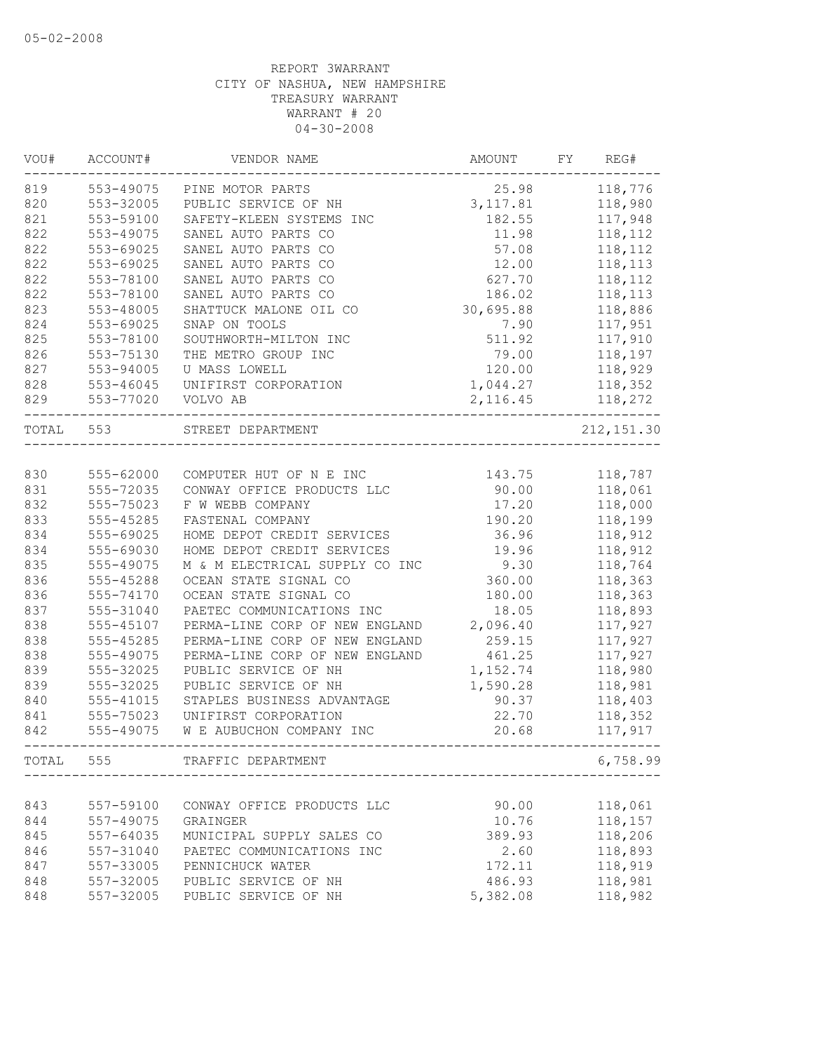| VOU#      | ACCOUNT#  | VENDOR NAME                    | AMOUNT    | FY<br>REG#  |
|-----------|-----------|--------------------------------|-----------|-------------|
| 819       | 553-49075 | PINE MOTOR PARTS               | 25.98     | 118,776     |
| 820       | 553-32005 | PUBLIC SERVICE OF NH           | 3, 117.81 | 118,980     |
| 821       | 553-59100 | SAFETY-KLEEN SYSTEMS INC       | 182.55    | 117,948     |
| 822       | 553-49075 | SANEL AUTO PARTS CO            | 11.98     | 118,112     |
| 822       | 553-69025 | SANEL AUTO PARTS CO            | 57.08     | 118,112     |
| 822       | 553-69025 | SANEL AUTO PARTS CO            | 12.00     | 118,113     |
| 822       | 553-78100 | SANEL AUTO PARTS CO            | 627.70    | 118,112     |
| 822       | 553-78100 | SANEL AUTO PARTS CO            | 186.02    | 118,113     |
| 823       | 553-48005 | SHATTUCK MALONE OIL CO         | 30,695.88 | 118,886     |
| 824       | 553-69025 | SNAP ON TOOLS                  | 7.90      | 117,951     |
| 825       | 553-78100 | SOUTHWORTH-MILTON INC          | 511.92    | 117,910     |
| 826       | 553-75130 | THE METRO GROUP INC            | 79.00     | 118,197     |
| 827       | 553-94005 | U MASS LOWELL                  | 120.00    | 118,929     |
| 828       | 553-46045 | UNIFIRST CORPORATION           | 1,044.27  | 118,352     |
| 829       | 553-77020 | VOLVO AB                       | 2, 116.45 | 118,272     |
| TOTAL 553 |           | STREET DEPARTMENT              |           | 212, 151.30 |
|           |           |                                |           |             |
| 830       | 555-62000 | COMPUTER HUT OF N E INC        | 143.75    | 118,787     |
| 831       | 555-72035 | CONWAY OFFICE PRODUCTS LLC     | 90.00     | 118,061     |
| 832       | 555-75023 | F W WEBB COMPANY               | 17.20     | 118,000     |
| 833       | 555-45285 | FASTENAL COMPANY               | 190.20    | 118,199     |
| 834       | 555-69025 | HOME DEPOT CREDIT SERVICES     | 36.96     | 118,912     |
| 834       | 555-69030 | HOME DEPOT CREDIT SERVICES     | 19.96     | 118,912     |
| 835       | 555-49075 | M & M ELECTRICAL SUPPLY CO INC | 9.30      | 118,764     |
| 836       | 555-45288 | OCEAN STATE SIGNAL CO          | 360.00    | 118,363     |
| 836       | 555-74170 | OCEAN STATE SIGNAL CO          | 180.00    | 118,363     |
| 837       | 555-31040 | PAETEC COMMUNICATIONS INC      | 18.05     | 118,893     |
| 838       | 555-45107 | PERMA-LINE CORP OF NEW ENGLAND | 2,096.40  | 117,927     |
| 838       | 555-45285 | PERMA-LINE CORP OF NEW ENGLAND | 259.15    | 117,927     |
| 838       | 555-49075 | PERMA-LINE CORP OF NEW ENGLAND | 461.25    | 117,927     |
| 839       | 555-32025 | PUBLIC SERVICE OF NH           | 1,152.74  | 118,980     |
| 839       | 555-32025 | PUBLIC SERVICE OF NH           | 1,590.28  | 118,981     |
| 840       | 555-41015 | STAPLES BUSINESS ADVANTAGE     | 90.37     | 118,403     |
| 841       | 555-75023 | UNIFIRST CORPORATION           | 22.70     | 118,352     |
| 842       | 555-49075 | W E AUBUCHON COMPANY INC       | 20.68     | 117,917     |
| TOTAL     | 555       | TRAFFIC DEPARTMENT             |           | 6,758.99    |
|           |           |                                |           |             |
| 843       | 557-59100 | CONWAY OFFICE PRODUCTS LLC     | 90.00     | 118,061     |
| 844       | 557-49075 | GRAINGER                       | 10.76     | 118,157     |
| 845       | 557-64035 | MUNICIPAL SUPPLY SALES CO      | 389.93    | 118,206     |
| 846       | 557-31040 | PAETEC COMMUNICATIONS INC      | 2.60      | 118,893     |
| 847       | 557-33005 | PENNICHUCK WATER               | 172.11    | 118,919     |
| 848       | 557-32005 | PUBLIC SERVICE OF NH           | 486.93    | 118,981     |
| 848       | 557-32005 | PUBLIC SERVICE OF NH           | 5,382.08  | 118,982     |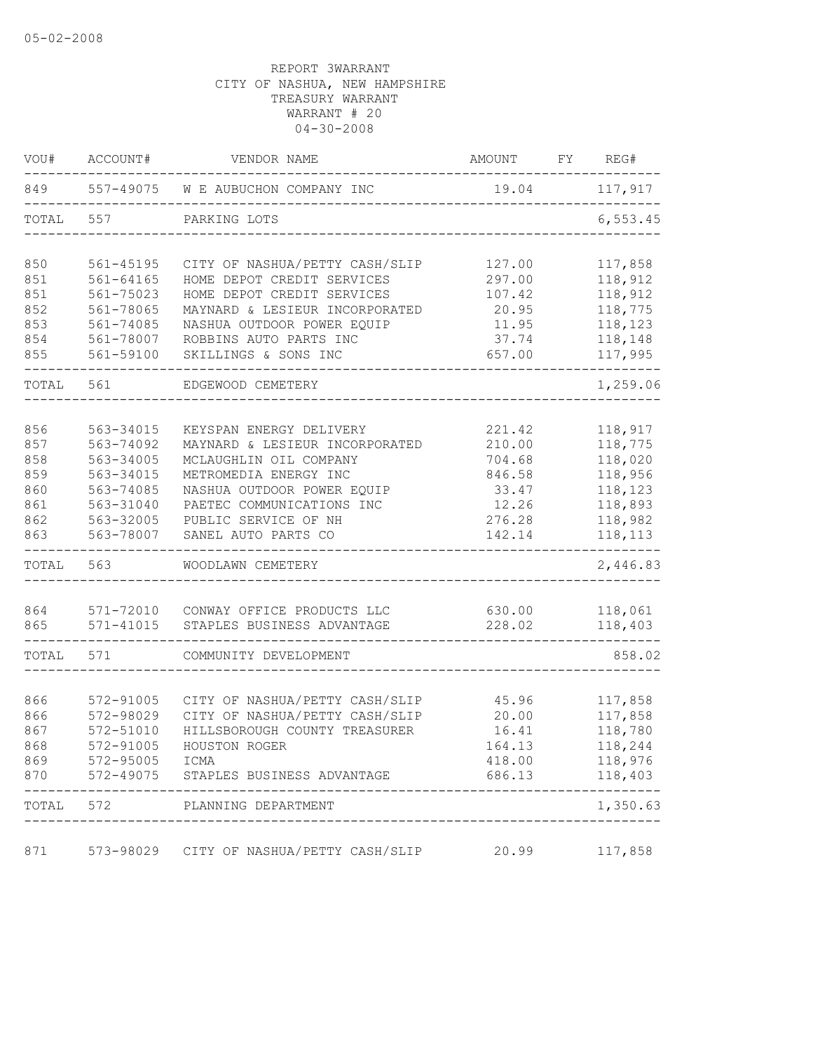| VOU#  | ACCOUNT#      | VENDOR NAME                              | AMOUNT | FY REG#   |
|-------|---------------|------------------------------------------|--------|-----------|
| 849   | 557-49075     | W E AUBUCHON COMPANY INC                 | 19.04  | 117,917   |
| TOTAL | 557           | PARKING LOTS                             |        | 6, 553.45 |
| 850   | 561-45195     | CITY OF NASHUA/PETTY CASH/SLIP           | 127.00 | 117,858   |
| 851   | $561 - 64165$ | HOME DEPOT CREDIT SERVICES               | 297.00 | 118,912   |
| 851   | 561-75023     | HOME DEPOT CREDIT SERVICES               | 107.42 | 118,912   |
| 852   | 561-78065     | MAYNARD & LESIEUR INCORPORATED           | 20.95  | 118,775   |
| 853   | 561-74085     | NASHUA OUTDOOR POWER EQUIP               | 11.95  | 118,123   |
| 854   | 561-78007     | ROBBINS AUTO PARTS INC                   | 37.74  | 118,148   |
| 855   | 561-59100     | SKILLINGS & SONS INC                     | 657.00 | 117,995   |
| TOTAL | 561           | EDGEWOOD CEMETERY                        |        | 1,259.06  |
| 856   | 563-34015     | KEYSPAN ENERGY DELIVERY                  | 221.42 | 118,917   |
| 857   | 563-74092     | MAYNARD & LESIEUR INCORPORATED           | 210.00 | 118,775   |
| 858   | 563-34005     | MCLAUGHLIN OIL COMPANY                   | 704.68 | 118,020   |
| 859   | 563-34015     | METROMEDIA ENERGY INC                    | 846.58 | 118,956   |
| 860   | 563-74085     | NASHUA OUTDOOR POWER EQUIP               | 33.47  | 118,123   |
| 861   | 563-31040     | PAETEC COMMUNICATIONS INC                | 12.26  | 118,893   |
| 862   | 563-32005     | PUBLIC SERVICE OF NH                     | 276.28 | 118,982   |
| 863   | 563-78007     | SANEL AUTO PARTS CO                      | 142.14 | 118,113   |
| TOTAL | 563           | WOODLAWN CEMETERY                        |        | 2,446.83  |
| 864   | 571-72010     | CONWAY OFFICE PRODUCTS LLC               | 630.00 | 118,061   |
| 865   | $571 - 41015$ | STAPLES BUSINESS ADVANTAGE               | 228.02 | 118,403   |
| TOTAL | 571           | COMMUNITY DEVELOPMENT                    |        | 858.02    |
|       |               |                                          |        |           |
| 866   | 572-91005     | CITY OF NASHUA/PETTY CASH/SLIP           | 45.96  | 117,858   |
| 866   | 572-98029     | CITY OF NASHUA/PETTY CASH/SLIP           | 20.00  | 117,858   |
| 867   | 572-51010     | HILLSBOROUGH COUNTY TREASURER            | 16.41  | 118,780   |
| 868   | 572-91005     | HOUSTON ROGER                            | 164.13 | 118,244   |
| 869   | 572-95005     | ICMA                                     | 418.00 | 118,976   |
| 870   |               | 572-49075 STAPLES BUSINESS ADVANTAGE     | 686.13 | 118,403   |
| TOTAL | 572           | PLANNING DEPARTMENT                      |        | 1,350.63  |
| 871   |               | 573-98029 CITY OF NASHUA/PETTY CASH/SLIP | 20.99  | 117,858   |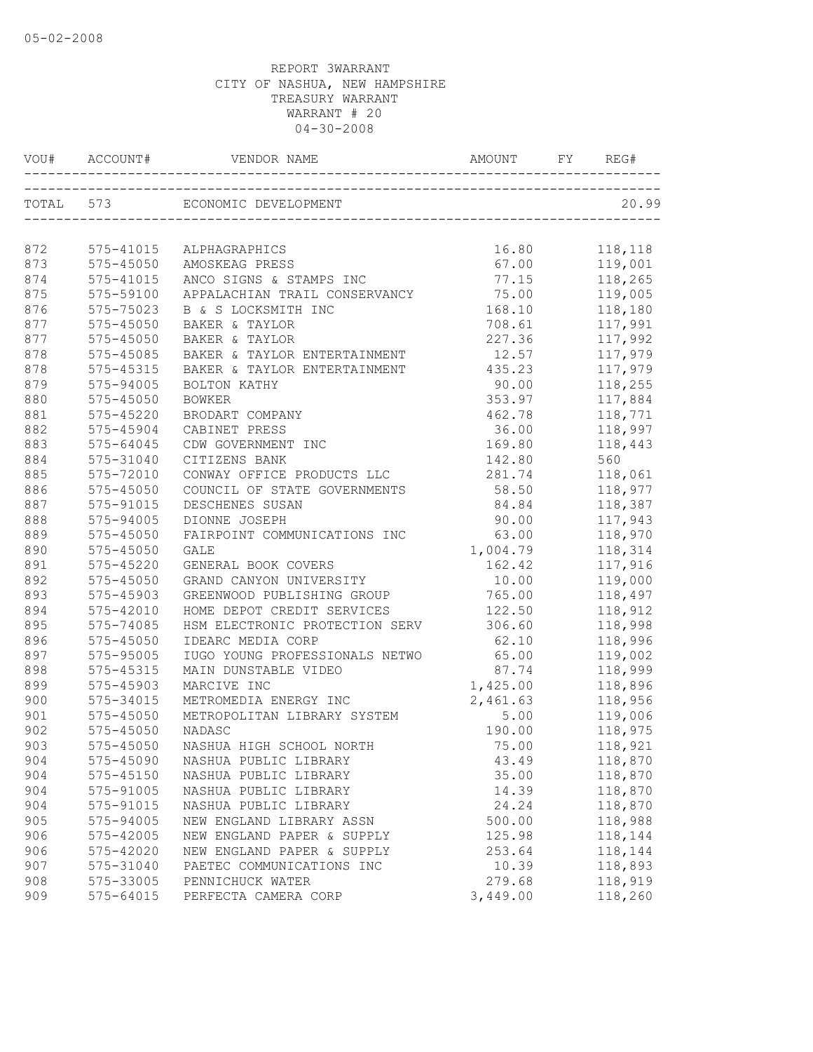|     | VOU# ACCOUNT# |                                                         |          | REG#    |
|-----|---------------|---------------------------------------------------------|----------|---------|
|     | TOTAL 573     | ECONOMIC DEVELOPMENT<br>------------------------------- |          | 20.99   |
| 872 | 575-41015     | ALPHAGRAPHICS                                           | 16.80    | 118,118 |
| 873 | 575-45050     | AMOSKEAG PRESS                                          | 67.00    | 119,001 |
| 874 | 575-41015     | ANCO SIGNS & STAMPS INC                                 | 77.15    | 118,265 |
| 875 | 575-59100     | APPALACHIAN TRAIL CONSERVANCY                           | 75.00    | 119,005 |
| 876 | 575-75023     | B & S LOCKSMITH INC                                     | 168.10   | 118,180 |
| 877 | 575-45050     | BAKER & TAYLOR                                          | 708.61   | 117,991 |
| 877 | 575-45050     | BAKER & TAYLOR                                          | 227.36   | 117,992 |
| 878 | 575-45085     | BAKER & TAYLOR ENTERTAINMENT                            | 12.57    | 117,979 |
| 878 | 575-45315     | BAKER & TAYLOR ENTERTAINMENT                            | 435.23   | 117,979 |
| 879 | 575-94005     | BOLTON KATHY                                            | 90.00    | 118,255 |
| 880 | 575-45050     | <b>BOWKER</b>                                           | 353.97   | 117,884 |
| 881 | 575-45220     | BRODART COMPANY                                         | 462.78   | 118,771 |
| 882 | 575-45904     | CABINET PRESS                                           | 36.00    | 118,997 |
| 883 | 575-64045     | CDW GOVERNMENT INC                                      | 169.80   | 118,443 |
| 884 | 575-31040     | CITIZENS BANK                                           | 142.80   | 560     |
| 885 | 575-72010     | CONWAY OFFICE PRODUCTS LLC                              | 281.74   | 118,061 |
| 886 | 575-45050     | COUNCIL OF STATE GOVERNMENTS                            | 58.50    | 118,977 |
| 887 | 575-91015     | DESCHENES SUSAN                                         | 84.84    | 118,387 |
| 888 | 575-94005     | DIONNE JOSEPH                                           | 90.00    | 117,943 |
| 889 | 575-45050     | FAIRPOINT COMMUNICATIONS INC                            | 63.00    | 118,970 |
| 890 | 575-45050     | GALE                                                    | 1,004.79 | 118,314 |
| 891 | 575-45220     | GENERAL BOOK COVERS                                     | 162.42   | 117,916 |
| 892 | 575-45050     | GRAND CANYON UNIVERSITY                                 | 10.00    | 119,000 |
| 893 | 575-45903     | GREENWOOD PUBLISHING GROUP                              | 765.00   | 118,497 |
| 894 | 575-42010     | HOME DEPOT CREDIT SERVICES                              | 122.50   | 118,912 |
| 895 | 575-74085     | HSM ELECTRONIC PROTECTION SERV                          | 306.60   | 118,998 |
| 896 | 575-45050     | IDEARC MEDIA CORP                                       | 62.10    | 118,996 |
| 897 | 575-95005     | IUGO YOUNG PROFESSIONALS NETWO                          | 65.00    | 119,002 |
| 898 | 575-45315     | MAIN DUNSTABLE VIDEO                                    | 87.74    | 118,999 |
| 899 | 575-45903     | MARCIVE INC                                             | 1,425.00 | 118,896 |
| 900 | 575-34015     | METROMEDIA ENERGY INC                                   | 2,461.63 | 118,956 |
| 901 | $575 - 45050$ | METROPOLITAN LIBRARY SYSTEM                             | 5.00     | 119,006 |
| 902 | 575-45050     | <b>NADASC</b>                                           | 190.00   | 118,975 |
| 903 |               | 575-45050 NASHUA HIGH SCHOOL NORTH                      | 75.00    | 118,921 |
| 904 | 575-45090     | NASHUA PUBLIC LIBRARY                                   | 43.49    | 118,870 |
| 904 | $575 - 45150$ | NASHUA PUBLIC LIBRARY                                   | 35.00    | 118,870 |
| 904 | 575-91005     | NASHUA PUBLIC LIBRARY                                   | 14.39    | 118,870 |
| 904 | 575-91015     | NASHUA PUBLIC LIBRARY                                   | 24.24    | 118,870 |
| 905 | 575-94005     | NEW ENGLAND LIBRARY ASSN                                | 500.00   | 118,988 |
| 906 | 575-42005     | NEW ENGLAND PAPER & SUPPLY                              | 125.98   | 118,144 |
| 906 | 575-42020     | NEW ENGLAND PAPER & SUPPLY                              | 253.64   | 118,144 |
| 907 | 575-31040     | PAETEC COMMUNICATIONS INC                               | 10.39    | 118,893 |
| 908 | 575-33005     | PENNICHUCK WATER                                        | 279.68   | 118,919 |
| 909 | $575 - 64015$ | PERFECTA CAMERA CORP                                    | 3,449.00 | 118,260 |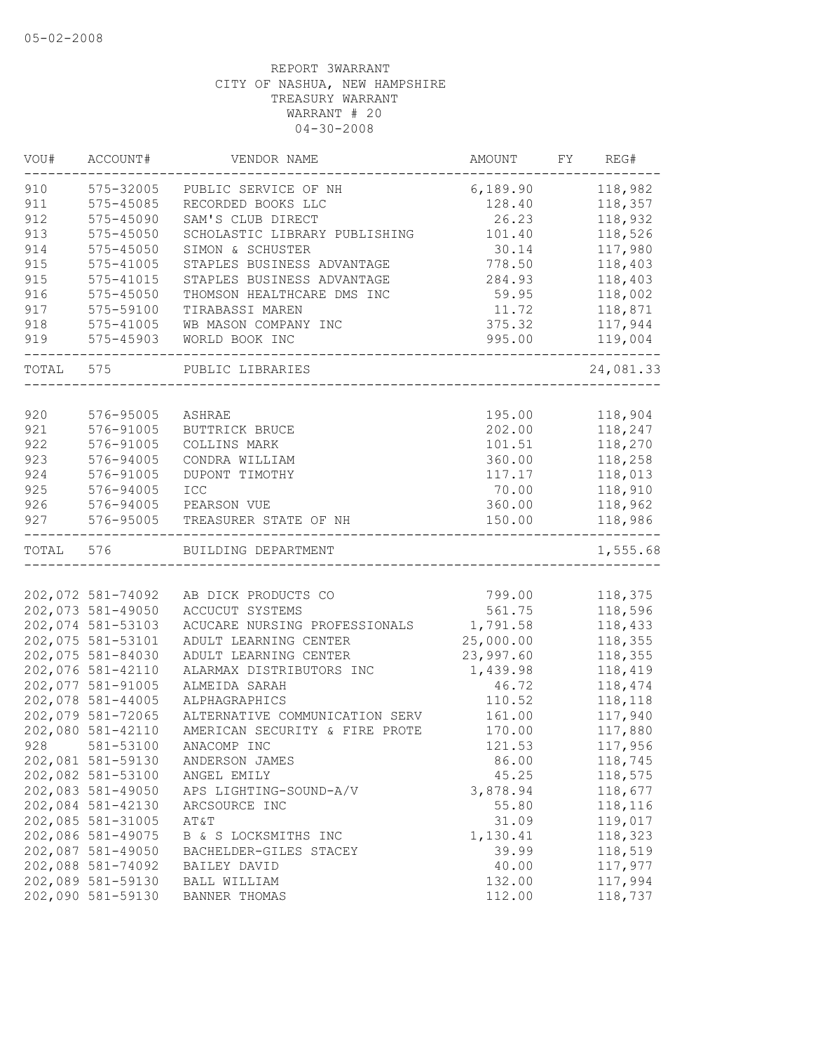| VOU#  | ACCOUNT#          | VENDOR NAME                    | AMOUNT    | FY | REG#      |
|-------|-------------------|--------------------------------|-----------|----|-----------|
| 910   | 575-32005         | PUBLIC SERVICE OF NH           | 6,189.90  |    | 118,982   |
| 911   | 575-45085         | RECORDED BOOKS LLC             | 128.40    |    | 118,357   |
| 912   | 575-45090         | SAM'S CLUB DIRECT              | 26.23     |    | 118,932   |
| 913   | $575 - 45050$     | SCHOLASTIC LIBRARY PUBLISHING  | 101.40    |    | 118,526   |
| 914   | 575-45050         | SIMON & SCHUSTER               | 30.14     |    | 117,980   |
| 915   | 575-41005         | STAPLES BUSINESS ADVANTAGE     | 778.50    |    | 118,403   |
| 915   | 575-41015         | STAPLES BUSINESS ADVANTAGE     | 284.93    |    | 118,403   |
| 916   | 575-45050         | THOMSON HEALTHCARE DMS INC     | 59.95     |    | 118,002   |
| 917   | 575-59100         | TIRABASSI MAREN                | 11.72     |    | 118,871   |
| 918   | 575-41005         | WB MASON COMPANY INC           | 375.32    |    | 117,944   |
| 919   | 575-45903         | WORLD BOOK INC                 | 995.00    |    | 119,004   |
| TOTAL | 575               | PUBLIC LIBRARIES               |           |    | 24,081.33 |
|       |                   |                                |           |    |           |
| 920   | 576-95005         | ASHRAE                         | 195.00    |    | 118,904   |
| 921   | 576-91005         | BUTTRICK BRUCE                 | 202.00    |    | 118,247   |
| 922   | 576-91005         | COLLINS MARK                   | 101.51    |    | 118,270   |
| 923   | 576-94005         | CONDRA WILLIAM                 | 360.00    |    | 118,258   |
| 924   | 576-91005         | DUPONT TIMOTHY                 | 117.17    |    | 118,013   |
| 925   | 576-94005         | <b>ICC</b>                     | 70.00     |    | 118,910   |
| 926   | 576-94005         | PEARSON VUE                    | 360.00    |    | 118,962   |
| 927   | 576-95005         | TREASURER STATE OF NH          | 150.00    |    | 118,986   |
| TOTAL | 576               | BUILDING DEPARTMENT            |           |    | 1,555.68  |
|       |                   |                                |           |    |           |
|       | 202,072 581-74092 | AB DICK PRODUCTS CO            | 799.00    |    | 118,375   |
|       | 202,073 581-49050 | ACCUCUT SYSTEMS                | 561.75    |    | 118,596   |
|       | 202,074 581-53103 | ACUCARE NURSING PROFESSIONALS  | 1,791.58  |    | 118,433   |
|       | 202,075 581-53101 | ADULT LEARNING CENTER          | 25,000.00 |    | 118,355   |
|       | 202,075 581-84030 | ADULT LEARNING CENTER          | 23,997.60 |    | 118,355   |
|       | 202,076 581-42110 | ALARMAX DISTRIBUTORS INC       | 1,439.98  |    | 118,419   |
|       | 202,077 581-91005 | ALMEIDA SARAH                  | 46.72     |    | 118,474   |
|       | 202,078 581-44005 | ALPHAGRAPHICS                  | 110.52    |    | 118,118   |
|       | 202,079 581-72065 | ALTERNATIVE COMMUNICATION SERV | 161.00    |    | 117,940   |
|       | 202,080 581-42110 | AMERICAN SECURITY & FIRE PROTE | 170.00    |    | 117,880   |
|       | 928 581-53100     | ANACOMP INC                    | 121.53    |    | 117,956   |
|       | 202,081 581-59130 | ANDERSON JAMES                 | 86.00     |    | 118,745   |
|       | 202,082 581-53100 | ANGEL EMILY                    | 45.25     |    | 118,575   |
|       | 202,083 581-49050 | APS LIGHTING-SOUND-A/V         | 3,878.94  |    | 118,677   |
|       | 202,084 581-42130 | ARCSOURCE INC                  | 55.80     |    | 118,116   |
|       | 202,085 581-31005 | AT&T                           | 31.09     |    | 119,017   |
|       | 202,086 581-49075 | B & S LOCKSMITHS INC           | 1,130.41  |    | 118,323   |
|       | 202,087 581-49050 | BACHELDER-GILES STACEY         | 39.99     |    | 118,519   |
|       | 202,088 581-74092 | BAILEY DAVID                   | 40.00     |    | 117,977   |
|       | 202,089 581-59130 | BALL WILLIAM                   | 132.00    |    | 117,994   |
|       | 202,090 581-59130 | BANNER THOMAS                  | 112.00    |    | 118,737   |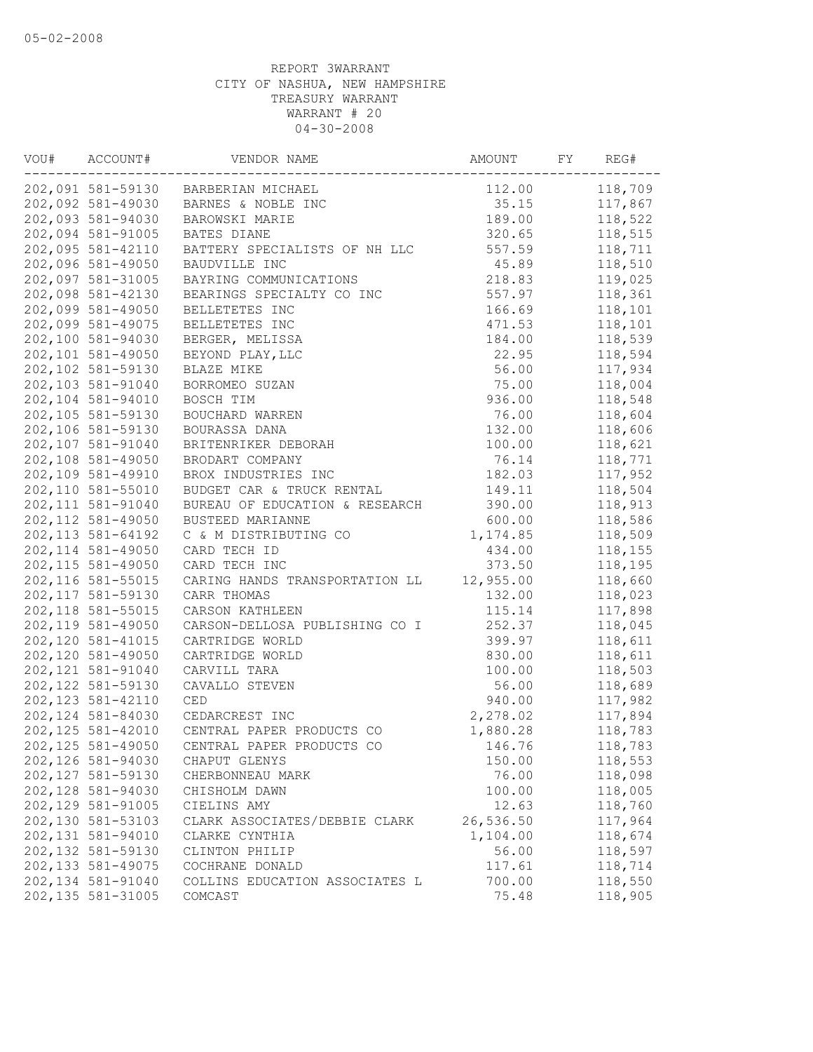| VOU# | ACCOUNT#           | VENDOR NAME                         | AMOUNT    | FY | REG#    |
|------|--------------------|-------------------------------------|-----------|----|---------|
|      |                    | 202,091 581-59130 BARBERIAN MICHAEL | 112.00    |    | 118,709 |
|      | 202,092 581-49030  | BARNES & NOBLE INC                  | 35.15     |    | 117,867 |
|      | 202,093 581-94030  | BAROWSKI MARIE                      | 189.00    |    | 118,522 |
|      | 202,094 581-91005  | BATES DIANE                         | 320.65    |    | 118,515 |
|      | 202,095 581-42110  | BATTERY SPECIALISTS OF NH LLC       | 557.59    |    | 118,711 |
|      | 202,096 581-49050  | BAUDVILLE INC                       | 45.89     |    | 118,510 |
|      | 202,097 581-31005  | BAYRING COMMUNICATIONS              | 218.83    |    | 119,025 |
|      | 202,098 581-42130  | BEARINGS SPECIALTY CO INC           | 557.97    |    | 118,361 |
|      | 202,099 581-49050  | BELLETETES INC                      | 166.69    |    | 118,101 |
|      | 202,099 581-49075  | BELLETETES INC                      | 471.53    |    | 118,101 |
|      | 202,100 581-94030  | BERGER, MELISSA                     | 184.00    |    | 118,539 |
|      | 202,101 581-49050  | BEYOND PLAY, LLC                    | 22.95     |    | 118,594 |
|      | 202,102 581-59130  | BLAZE MIKE                          | 56.00     |    | 117,934 |
|      | 202,103 581-91040  | BORROMEO SUZAN                      | 75.00     |    | 118,004 |
|      | 202,104 581-94010  | BOSCH TIM                           | 936.00    |    | 118,548 |
|      | 202,105 581-59130  | BOUCHARD WARREN                     | 76.00     |    | 118,604 |
|      | 202,106 581-59130  | BOURASSA DANA                       | 132.00    |    | 118,606 |
|      | 202,107 581-91040  | BRITENRIKER DEBORAH                 | 100.00    |    | 118,621 |
|      | 202,108 581-49050  | BRODART COMPANY                     | 76.14     |    | 118,771 |
|      | 202,109 581-49910  | BROX INDUSTRIES INC                 | 182.03    |    | 117,952 |
|      | 202,110 581-55010  | BUDGET CAR & TRUCK RENTAL           | 149.11    |    | 118,504 |
|      | 202, 111 581-91040 | BUREAU OF EDUCATION & RESEARCH      | 390.00    |    | 118,913 |
|      | 202, 112 581-49050 | BUSTEED MARIANNE                    | 600.00    |    | 118,586 |
|      | 202, 113 581-64192 | C & M DISTRIBUTING CO               | 1,174.85  |    | 118,509 |
|      | 202, 114 581-49050 | CARD TECH ID                        | 434.00    |    | 118,155 |
|      | 202, 115 581-49050 | CARD TECH INC                       | 373.50    |    | 118,195 |
|      | 202, 116 581-55015 | CARING HANDS TRANSPORTATION LL      | 12,955.00 |    | 118,660 |
|      | 202, 117 581-59130 | CARR THOMAS                         | 132.00    |    | 118,023 |
|      | 202, 118 581-55015 | CARSON KATHLEEN                     | 115.14    |    | 117,898 |
|      | 202, 119 581-49050 | CARSON-DELLOSA PUBLISHING CO I      | 252.37    |    | 118,045 |
|      | 202,120 581-41015  | CARTRIDGE WORLD                     | 399.97    |    | 118,611 |
|      | 202,120 581-49050  | CARTRIDGE WORLD                     | 830.00    |    | 118,611 |
|      | 202, 121 581-91040 | CARVILL TARA                        | 100.00    |    | 118,503 |
|      | 202, 122 581-59130 | CAVALLO STEVEN                      | 56.00     |    | 118,689 |
|      | 202, 123 581-42110 | CED                                 | 940.00    |    | 117,982 |
|      | 202,124 581-84030  | CEDARCREST INC                      | 2,278.02  |    | 117,894 |
|      | 202, 125 581-42010 | CENTRAL PAPER PRODUCTS CO           | 1,880.28  |    | 118,783 |
|      | 202, 125 581-49050 | CENTRAL PAPER PRODUCTS CO           | 146.76    |    | 118,783 |
|      | 202,126 581-94030  | CHAPUT GLENYS                       | 150.00    |    | 118,553 |
|      | 202,127 581-59130  | CHERBONNEAU MARK                    | 76.00     |    | 118,098 |
|      | 202,128 581-94030  | CHISHOLM DAWN                       | 100.00    |    | 118,005 |
|      | 202,129 581-91005  | CIELINS AMY                         | 12.63     |    | 118,760 |
|      | 202,130 581-53103  | CLARK ASSOCIATES/DEBBIE CLARK       | 26,536.50 |    | 117,964 |
|      | 202,131 581-94010  | CLARKE CYNTHIA                      | 1,104.00  |    | 118,674 |
|      | 202,132 581-59130  | CLINTON PHILIP                      | 56.00     |    | 118,597 |
|      | 202, 133 581-49075 | COCHRANE DONALD                     | 117.61    |    | 118,714 |
|      | 202,134 581-91040  | COLLINS EDUCATION ASSOCIATES L      | 700.00    |    | 118,550 |
|      | 202,135 581-31005  | COMCAST                             | 75.48     |    | 118,905 |
|      |                    |                                     |           |    |         |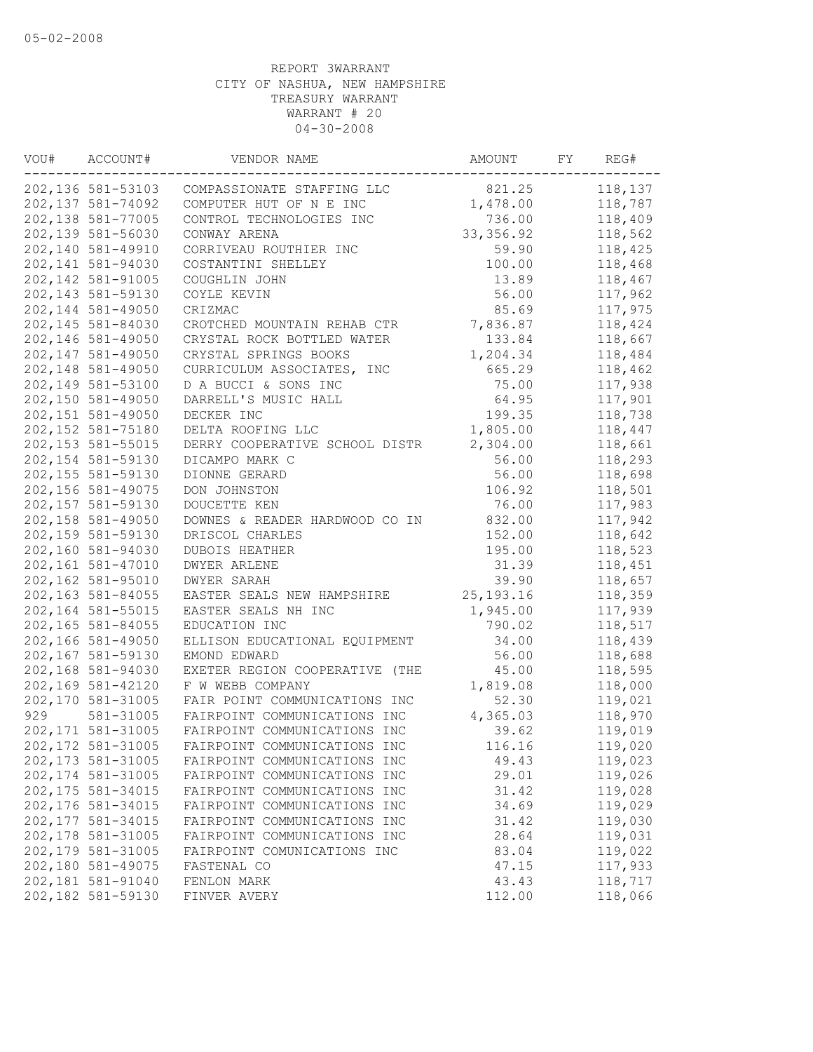| VOU# | ACCOUNT#           | VENDOR NAME                          | AMOUNT      | FY | REG#    |
|------|--------------------|--------------------------------------|-------------|----|---------|
|      | 202,136 581-53103  | COMPASSIONATE STAFFING LLC           | 821.25      |    | 118,137 |
|      | 202, 137 581-74092 | COMPUTER HUT OF N E INC              | 1,478.00    |    | 118,787 |
|      | 202,138 581-77005  | CONTROL TECHNOLOGIES INC             | 736.00      |    | 118,409 |
|      | 202,139 581-56030  | CONWAY ARENA                         | 33, 356.92  |    | 118,562 |
|      | 202,140 581-49910  | CORRIVEAU ROUTHIER INC               | 59.90       |    | 118,425 |
|      | 202,141 581-94030  | COSTANTINI SHELLEY                   | 100.00      |    | 118,468 |
|      | 202, 142 581-91005 | COUGHLIN JOHN                        | 13.89       |    | 118,467 |
|      | 202, 143 581-59130 | COYLE KEVIN                          | 56.00       |    | 117,962 |
|      | 202,144 581-49050  | CRIZMAC                              | 85.69       |    | 117,975 |
|      | 202,145 581-84030  | CROTCHED MOUNTAIN REHAB CTR          | 7,836.87    |    | 118,424 |
|      | 202,146 581-49050  | CRYSTAL ROCK BOTTLED WATER           | 133.84      |    | 118,667 |
|      | 202,147 581-49050  | CRYSTAL SPRINGS BOOKS                | 1,204.34    |    | 118,484 |
|      | 202,148 581-49050  | CURRICULUM ASSOCIATES, INC           | 665.29      |    | 118,462 |
|      | 202,149 581-53100  | D A BUCCI & SONS INC                 | 75.00       |    | 117,938 |
|      | 202,150 581-49050  | DARRELL'S MUSIC HALL                 | 64.95       |    | 117,901 |
|      | 202,151 581-49050  | DECKER INC                           | 199.35      |    | 118,738 |
|      | 202,152 581-75180  | DELTA ROOFING LLC                    | 1,805.00    |    | 118,447 |
|      | 202, 153 581-55015 | DERRY COOPERATIVE SCHOOL DISTR       | 2,304.00    |    | 118,661 |
|      | 202, 154 581-59130 | DICAMPO MARK C                       | 56.00       |    | 118,293 |
|      | 202, 155 581-59130 | DIONNE GERARD                        | 56.00       |    | 118,698 |
|      | 202, 156 581-49075 | DON JOHNSTON                         | 106.92      |    | 118,501 |
|      | 202,157 581-59130  | DOUCETTE KEN                         | 76.00       |    | 117,983 |
|      | 202, 158 581-49050 | DOWNES & READER HARDWOOD CO IN       | 832.00      |    | 117,942 |
|      | 202,159 581-59130  | DRISCOL CHARLES                      | 152.00      |    | 118,642 |
|      | 202,160 581-94030  | DUBOIS HEATHER                       | 195.00      |    | 118,523 |
|      | 202,161 581-47010  | <b>DWYER ARLENE</b>                  | 31.39       |    | 118,451 |
|      | 202,162 581-95010  | DWYER SARAH                          | 39.90       |    | 118,657 |
|      | 202,163 581-84055  |                                      |             |    |         |
|      |                    | EASTER SEALS NEW HAMPSHIRE           | 25, 193. 16 |    | 118,359 |
|      | 202,164 581-55015  | EASTER SEALS NH INC<br>EDUCATION INC | 1,945.00    |    | 117,939 |
|      | 202,165 581-84055  |                                      | 790.02      |    | 118,517 |
|      | 202,166 581-49050  | ELLISON EDUCATIONAL EQUIPMENT        | 34.00       |    | 118,439 |
|      | 202,167 581-59130  | EMOND EDWARD                         | 56.00       |    | 118,688 |
|      | 202,168 581-94030  | EXETER REGION COOPERATIVE (THE       | 45.00       |    | 118,595 |
|      | 202,169 581-42120  | F W WEBB COMPANY                     | 1,819.08    |    | 118,000 |
|      | 202,170 581-31005  | FAIR POINT COMMUNICATIONS INC        | 52.30       |    | 119,021 |
| 929  | 581-31005          | FAIRPOINT COMMUNICATIONS INC         | 4,365.03    |    | 118,970 |
|      | 202, 171 581-31005 | FAIRPOINT COMMUNICATIONS INC         | 39.62       |    | 119,019 |
|      | 202, 172 581-31005 | FAIRPOINT COMMUNICATIONS INC         | 116.16      |    | 119,020 |
|      | 202, 173 581-31005 | FAIRPOINT COMMUNICATIONS INC         | 49.43       |    | 119,023 |
|      | 202, 174 581-31005 | FAIRPOINT COMMUNICATIONS INC         | 29.01       |    | 119,026 |
|      | 202, 175 581-34015 | FAIRPOINT COMMUNICATIONS INC         | 31.42       |    | 119,028 |
|      | 202,176 581-34015  | FAIRPOINT COMMUNICATIONS INC         | 34.69       |    | 119,029 |
|      | 202, 177 581-34015 | FAIRPOINT COMMUNICATIONS INC         | 31.42       |    | 119,030 |
|      | 202, 178 581-31005 | FAIRPOINT COMMUNICATIONS INC         | 28.64       |    | 119,031 |
|      | 202, 179 581-31005 | FAIRPOINT COMUNICATIONS INC          | 83.04       |    | 119,022 |
|      | 202,180 581-49075  | FASTENAL CO                          | 47.15       |    | 117,933 |
|      | 202,181 581-91040  | FENLON MARK                          | 43.43       |    | 118,717 |
|      | 202,182 581-59130  | FINVER AVERY                         | 112.00      |    | 118,066 |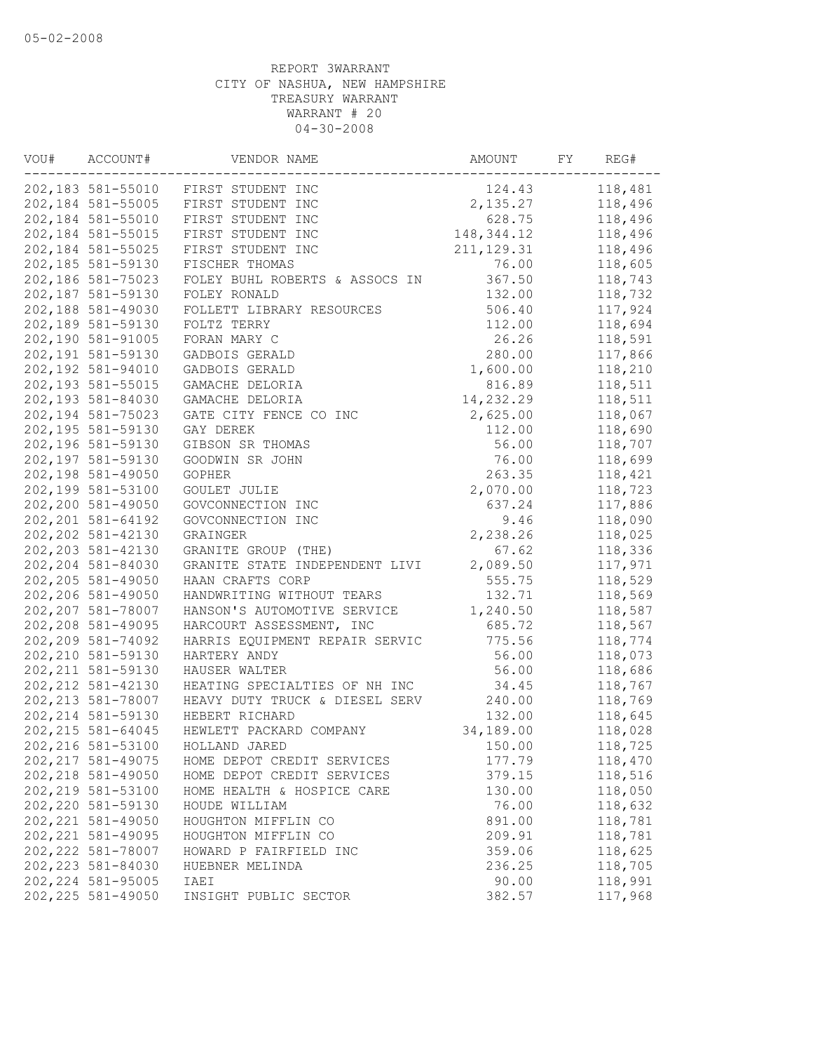| VOU# | ACCOUNT#           | VENDOR NAME                    | AMOUNT       | FY | REG#    |
|------|--------------------|--------------------------------|--------------|----|---------|
|      | 202,183 581-55010  | FIRST STUDENT INC              | 124.43       |    | 118,481 |
|      | 202,184 581-55005  | FIRST STUDENT INC              | 2,135.27     |    | 118,496 |
|      | 202,184 581-55010  | FIRST STUDENT INC              | 628.75       |    | 118,496 |
|      | 202, 184 581-55015 | FIRST STUDENT INC              | 148, 344. 12 |    | 118,496 |
|      | 202,184 581-55025  | FIRST STUDENT INC              | 211, 129.31  |    | 118,496 |
|      | 202,185 581-59130  | FISCHER THOMAS                 | 76.00        |    | 118,605 |
|      | 202,186 581-75023  | FOLEY BUHL ROBERTS & ASSOCS IN | 367.50       |    | 118,743 |
|      | 202,187 581-59130  | FOLEY RONALD                   | 132.00       |    | 118,732 |
|      | 202,188 581-49030  | FOLLETT LIBRARY RESOURCES      | 506.40       |    | 117,924 |
|      | 202,189 581-59130  | FOLTZ TERRY                    | 112.00       |    | 118,694 |
|      | 202,190 581-91005  | FORAN MARY C                   | 26.26        |    | 118,591 |
|      | 202,191 581-59130  | GADBOIS GERALD                 | 280.00       |    | 117,866 |
|      | 202,192 581-94010  | GADBOIS GERALD                 | 1,600.00     |    | 118,210 |
|      | 202,193 581-55015  | GAMACHE DELORIA                | 816.89       |    | 118,511 |
|      | 202,193 581-84030  | GAMACHE DELORIA                | 14,232.29    |    | 118,511 |
|      | 202,194 581-75023  | GATE CITY FENCE CO INC         | 2,625.00     |    | 118,067 |
|      | 202,195 581-59130  | GAY DEREK                      | 112.00       |    | 118,690 |
|      | 202,196 581-59130  | GIBSON SR THOMAS               | 56.00        |    | 118,707 |
|      | 202,197 581-59130  | GOODWIN SR JOHN                | 76.00        |    | 118,699 |
|      | 202,198 581-49050  | <b>GOPHER</b>                  | 263.35       |    | 118,421 |
|      | 202,199 581-53100  | GOULET JULIE                   | 2,070.00     |    | 118,723 |
|      | 202,200 581-49050  | GOVCONNECTION INC              | 637.24       |    | 117,886 |
|      | 202, 201 581-64192 | GOVCONNECTION INC              | 9.46         |    | 118,090 |
|      | 202, 202 581-42130 | GRAINGER                       | 2,238.26     |    | 118,025 |
|      | 202, 203 581-42130 | GRANITE GROUP (THE)            | 67.62        |    | 118,336 |
|      | 202,204 581-84030  | GRANITE STATE INDEPENDENT LIVI | 2,089.50     |    | 117,971 |
|      | 202, 205 581-49050 | HAAN CRAFTS CORP               | 555.75       |    | 118,529 |
|      | 202,206 581-49050  | HANDWRITING WITHOUT TEARS      | 132.71       |    | 118,569 |
|      | 202,207 581-78007  | HANSON'S AUTOMOTIVE SERVICE    | 1,240.50     |    | 118,587 |
|      | 202,208 581-49095  | HARCOURT ASSESSMENT, INC       | 685.72       |    | 118,567 |
|      | 202, 209 581-74092 | HARRIS EQUIPMENT REPAIR SERVIC | 775.56       |    | 118,774 |
|      | 202, 210 581-59130 | HARTERY ANDY                   | 56.00        |    | 118,073 |
|      | 202, 211 581-59130 | HAUSER WALTER                  | 56.00        |    | 118,686 |
|      | 202, 212 581-42130 | HEATING SPECIALTIES OF NH INC  | 34.45        |    | 118,767 |
|      | 202, 213 581-78007 | HEAVY DUTY TRUCK & DIESEL SERV | 240.00       |    | 118,769 |
|      | 202, 214 581-59130 | HEBERT RICHARD                 | 132.00       |    | 118,645 |
|      | 202, 215 581-64045 | HEWLETT PACKARD COMPANY        | 34,189.00    |    | 118,028 |
|      | 202, 216 581-53100 | HOLLAND JARED                  | 150.00       |    | 118,725 |
|      | 202, 217 581-49075 | HOME DEPOT CREDIT SERVICES     | 177.79       |    | 118,470 |
|      | 202, 218 581-49050 | HOME DEPOT CREDIT SERVICES     | 379.15       |    | 118,516 |
|      | 202, 219 581-53100 | HOME HEALTH & HOSPICE CARE     | 130.00       |    | 118,050 |
|      | 202, 220 581-59130 | HOUDE WILLIAM                  | 76.00        |    | 118,632 |
|      | 202, 221 581-49050 | HOUGHTON MIFFLIN CO            | 891.00       |    | 118,781 |
|      | 202, 221 581-49095 | HOUGHTON MIFFLIN CO            | 209.91       |    | 118,781 |
|      | 202, 222 581-78007 | HOWARD P FAIRFIELD INC         | 359.06       |    | 118,625 |
|      | 202, 223 581-84030 | HUEBNER MELINDA                | 236.25       |    | 118,705 |
|      | 202, 224 581-95005 | IAEI                           | 90.00        |    | 118,991 |
|      | 202, 225 581-49050 | INSIGHT PUBLIC SECTOR          | 382.57       |    | 117,968 |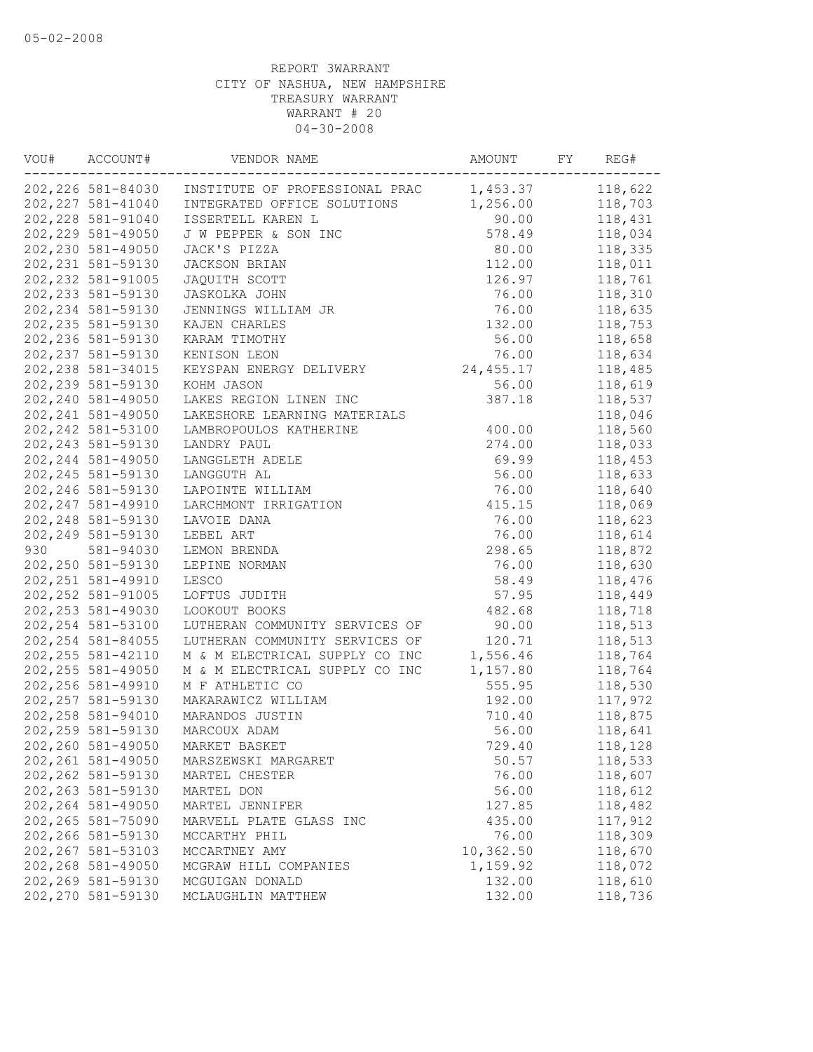| 202,226 581-84030 INSTITUTE OF PROFESSIONAL PRAC<br>1,453.37<br>202, 227 581-41040<br>INTEGRATED OFFICE SOLUTIONS<br>1,256.00<br>202, 228 581-91040<br>ISSERTELL KAREN L<br>90.00<br>202, 229 581-49050<br>578.49<br>J W PEPPER & SON INC<br>202,230 581-49050<br>JACK'S PIZZA<br>80.00<br>202, 231 581-59130<br>112.00<br>JACKSON BRIAN<br>202, 232 581-91005<br>126.97<br>JAQUITH SCOTT<br>202, 233 581-59130<br>76.00<br>JASKOLKA JOHN<br>202, 234 581-59130<br>76.00<br>JENNINGS WILLIAM JR | 118,622<br>118,703<br>118,431<br>118,034<br>118,335<br>118,011<br>118,761<br>118,310<br>118,635<br>118,753 |
|-------------------------------------------------------------------------------------------------------------------------------------------------------------------------------------------------------------------------------------------------------------------------------------------------------------------------------------------------------------------------------------------------------------------------------------------------------------------------------------------------|------------------------------------------------------------------------------------------------------------|
|                                                                                                                                                                                                                                                                                                                                                                                                                                                                                                 |                                                                                                            |
|                                                                                                                                                                                                                                                                                                                                                                                                                                                                                                 |                                                                                                            |
|                                                                                                                                                                                                                                                                                                                                                                                                                                                                                                 |                                                                                                            |
|                                                                                                                                                                                                                                                                                                                                                                                                                                                                                                 |                                                                                                            |
|                                                                                                                                                                                                                                                                                                                                                                                                                                                                                                 |                                                                                                            |
|                                                                                                                                                                                                                                                                                                                                                                                                                                                                                                 |                                                                                                            |
|                                                                                                                                                                                                                                                                                                                                                                                                                                                                                                 |                                                                                                            |
|                                                                                                                                                                                                                                                                                                                                                                                                                                                                                                 |                                                                                                            |
|                                                                                                                                                                                                                                                                                                                                                                                                                                                                                                 |                                                                                                            |
| 202, 235 581-59130<br>132.00<br>KAJEN CHARLES                                                                                                                                                                                                                                                                                                                                                                                                                                                   |                                                                                                            |
| 202, 236 581-59130<br>KARAM TIMOTHY<br>56.00                                                                                                                                                                                                                                                                                                                                                                                                                                                    | 118,658                                                                                                    |
| 202, 237 581-59130<br>KENISON LEON<br>76.00                                                                                                                                                                                                                                                                                                                                                                                                                                                     | 118,634                                                                                                    |
| 202, 238 581-34015<br>KEYSPAN ENERGY DELIVERY<br>24,455.17                                                                                                                                                                                                                                                                                                                                                                                                                                      | 118,485                                                                                                    |
| 56.00<br>202, 239 581-59130<br>KOHM JASON                                                                                                                                                                                                                                                                                                                                                                                                                                                       | 118,619                                                                                                    |
| 202, 240 581-49050<br>387.18<br>LAKES REGION LINEN INC                                                                                                                                                                                                                                                                                                                                                                                                                                          | 118,537                                                                                                    |
| 202, 241 581-49050<br>LAKESHORE LEARNING MATERIALS                                                                                                                                                                                                                                                                                                                                                                                                                                              | 118,046                                                                                                    |
| 202, 242 581-53100<br>LAMBROPOULOS KATHERINE<br>400.00                                                                                                                                                                                                                                                                                                                                                                                                                                          | 118,560                                                                                                    |
| 202, 243 581-59130<br>274.00<br>LANDRY PAUL                                                                                                                                                                                                                                                                                                                                                                                                                                                     | 118,033                                                                                                    |
| 202, 244 581-49050<br>LANGGLETH ADELE<br>69.99                                                                                                                                                                                                                                                                                                                                                                                                                                                  | 118,453                                                                                                    |
| 202, 245 581-59130<br>56.00<br>LANGGUTH AL                                                                                                                                                                                                                                                                                                                                                                                                                                                      | 118,633                                                                                                    |
| 202, 246 581-59130<br>LAPOINTE WILLIAM<br>76.00                                                                                                                                                                                                                                                                                                                                                                                                                                                 | 118,640                                                                                                    |
| 202, 247 581-49910<br>415.15<br>LARCHMONT IRRIGATION                                                                                                                                                                                                                                                                                                                                                                                                                                            | 118,069                                                                                                    |
| 202, 248 581-59130<br>76.00<br>LAVOIE DANA                                                                                                                                                                                                                                                                                                                                                                                                                                                      | 118,623                                                                                                    |
| 202, 249 581-59130<br>LEBEL ART<br>76.00                                                                                                                                                                                                                                                                                                                                                                                                                                                        | 118,614                                                                                                    |
| 930<br>298.65                                                                                                                                                                                                                                                                                                                                                                                                                                                                                   |                                                                                                            |
| 581-94030<br>LEMON BRENDA                                                                                                                                                                                                                                                                                                                                                                                                                                                                       | 118,872                                                                                                    |
| 202, 250 581-59130<br>LEPINE NORMAN<br>76.00                                                                                                                                                                                                                                                                                                                                                                                                                                                    | 118,630                                                                                                    |
| 202, 251 581-49910<br>LESCO<br>58.49                                                                                                                                                                                                                                                                                                                                                                                                                                                            | 118,476                                                                                                    |
| 202, 252 581-91005<br>LOFTUS JUDITH<br>57.95                                                                                                                                                                                                                                                                                                                                                                                                                                                    | 118,449                                                                                                    |
| 202, 253 581-49030<br>LOOKOUT BOOKS<br>482.68                                                                                                                                                                                                                                                                                                                                                                                                                                                   | 118,718                                                                                                    |
| 202, 254 581-53100<br>LUTHERAN COMMUNITY SERVICES OF<br>90.00                                                                                                                                                                                                                                                                                                                                                                                                                                   | 118,513                                                                                                    |
| 202, 254 581-84055<br>LUTHERAN COMMUNITY SERVICES OF<br>120.71                                                                                                                                                                                                                                                                                                                                                                                                                                  | 118,513                                                                                                    |
| 202, 255 581-42110<br>M & M ELECTRICAL SUPPLY CO INC<br>1,556.46                                                                                                                                                                                                                                                                                                                                                                                                                                | 118,764                                                                                                    |
| 202, 255 581-49050<br>M & M ELECTRICAL SUPPLY CO INC<br>1,157.80                                                                                                                                                                                                                                                                                                                                                                                                                                | 118,764                                                                                                    |
| 202,256 581-49910<br>555.95<br>M F ATHLETIC CO                                                                                                                                                                                                                                                                                                                                                                                                                                                  | 118,530                                                                                                    |
| 202, 257 581-59130<br>192.00<br>MAKARAWICZ WILLIAM                                                                                                                                                                                                                                                                                                                                                                                                                                              | 117,972                                                                                                    |
| 202, 258 581-94010<br>MARANDOS JUSTIN<br>710.40                                                                                                                                                                                                                                                                                                                                                                                                                                                 | 118,875                                                                                                    |
| 202,259 581-59130<br>MARCOUX ADAM<br>56.00                                                                                                                                                                                                                                                                                                                                                                                                                                                      | 118,641                                                                                                    |
| 202,260 581-49050<br>MARKET BASKET<br>729.40                                                                                                                                                                                                                                                                                                                                                                                                                                                    | 118,128                                                                                                    |
| 202, 261 581-49050<br>50.57<br>MARSZEWSKI MARGARET                                                                                                                                                                                                                                                                                                                                                                                                                                              | 118,533                                                                                                    |
| 202, 262 581-59130<br>76.00<br>MARTEL CHESTER                                                                                                                                                                                                                                                                                                                                                                                                                                                   | 118,607                                                                                                    |
| 202, 263 581-59130<br>56.00<br>MARTEL DON                                                                                                                                                                                                                                                                                                                                                                                                                                                       | 118,612                                                                                                    |
| 202, 264 581-49050<br>127.85<br>MARTEL JENNIFER                                                                                                                                                                                                                                                                                                                                                                                                                                                 | 118,482                                                                                                    |
| 202, 265 581-75090<br>MARVELL PLATE GLASS INC<br>435.00                                                                                                                                                                                                                                                                                                                                                                                                                                         | 117,912                                                                                                    |
| 202,266 581-59130<br>76.00<br>MCCARTHY PHIL                                                                                                                                                                                                                                                                                                                                                                                                                                                     | 118,309                                                                                                    |
| 202, 267 581-53103<br>10,362.50<br>MCCARTNEY AMY                                                                                                                                                                                                                                                                                                                                                                                                                                                | 118,670                                                                                                    |
| 202,268 581-49050<br>1,159.92<br>MCGRAW HILL COMPANIES                                                                                                                                                                                                                                                                                                                                                                                                                                          | 118,072                                                                                                    |
| 202,269 581-59130<br>132.00<br>MCGUIGAN DONALD                                                                                                                                                                                                                                                                                                                                                                                                                                                  | 118,610                                                                                                    |
| 202, 270 581-59130<br>132.00<br>MCLAUGHLIN MATTHEW                                                                                                                                                                                                                                                                                                                                                                                                                                              | 118,736                                                                                                    |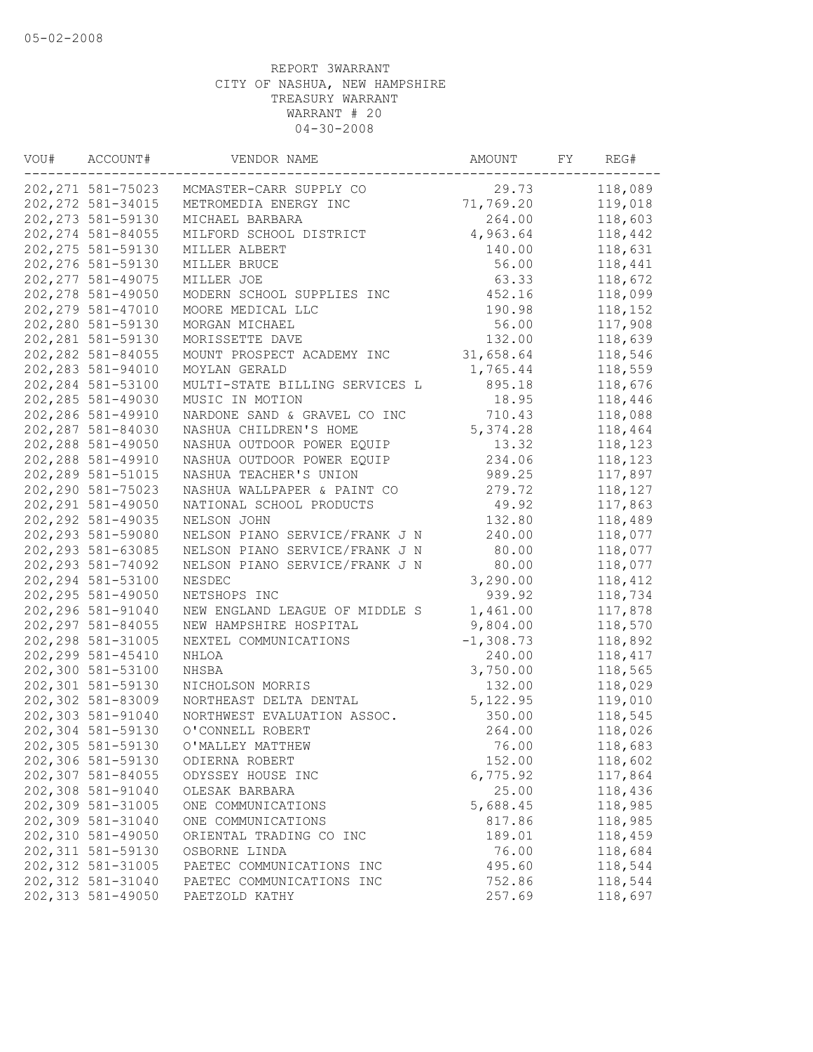| VOU# | ACCOUNT#           | VENDOR NAME                    | AMOUNT      | FY | REG#    |
|------|--------------------|--------------------------------|-------------|----|---------|
|      | 202, 271 581-75023 | MCMASTER-CARR SUPPLY CO        | 29.73       |    | 118,089 |
|      | 202, 272 581-34015 | METROMEDIA ENERGY INC          | 71,769.20   |    | 119,018 |
|      | 202, 273 581-59130 | MICHAEL BARBARA                | 264.00      |    | 118,603 |
|      | 202, 274 581-84055 | MILFORD SCHOOL DISTRICT        | 4,963.64    |    | 118,442 |
|      | 202, 275 581-59130 | MILLER ALBERT                  | 140.00      |    | 118,631 |
|      | 202, 276 581-59130 | MILLER BRUCE                   | 56.00       |    | 118,441 |
|      | 202, 277 581-49075 | MILLER JOE                     | 63.33       |    | 118,672 |
|      | 202, 278 581-49050 | MODERN SCHOOL SUPPLIES INC     | 452.16      |    | 118,099 |
|      | 202, 279 581-47010 | MOORE MEDICAL LLC              | 190.98      |    | 118,152 |
|      | 202,280 581-59130  | MORGAN MICHAEL                 | 56.00       |    | 117,908 |
|      | 202, 281 581-59130 | MORISSETTE DAVE                | 132.00      |    | 118,639 |
|      | 202, 282 581-84055 | MOUNT PROSPECT ACADEMY INC     | 31,658.64   |    | 118,546 |
|      | 202, 283 581-94010 | MOYLAN GERALD                  | 1,765.44    |    | 118,559 |
|      | 202, 284 581-53100 | MULTI-STATE BILLING SERVICES L | 895.18      |    | 118,676 |
|      | 202, 285 581-49030 | MUSIC IN MOTION                | 18.95       |    | 118,446 |
|      | 202,286 581-49910  | NARDONE SAND & GRAVEL CO INC   | 710.43      |    | 118,088 |
|      | 202, 287 581-84030 | NASHUA CHILDREN'S HOME         | 5, 374.28   |    | 118,464 |
|      | 202, 288 581-49050 | NASHUA OUTDOOR POWER EQUIP     | 13.32       |    | 118,123 |
|      | 202,288 581-49910  | NASHUA OUTDOOR POWER EQUIP     | 234.06      |    | 118,123 |
|      | 202, 289 581-51015 | NASHUA TEACHER'S UNION         | 989.25      |    | 117,897 |
|      | 202,290 581-75023  | NASHUA WALLPAPER & PAINT CO    | 279.72      |    | 118,127 |
|      | 202, 291 581-49050 | NATIONAL SCHOOL PRODUCTS       | 49.92       |    | 117,863 |
|      | 202, 292 581-49035 | NELSON JOHN                    | 132.80      |    | 118,489 |
|      | 202,293 581-59080  | NELSON PIANO SERVICE/FRANK J N | 240.00      |    | 118,077 |
|      | 202, 293 581-63085 | NELSON PIANO SERVICE/FRANK J N | 80.00       |    | 118,077 |
|      | 202, 293 581-74092 | NELSON PIANO SERVICE/FRANK J N | 80.00       |    | 118,077 |
|      | 202, 294 581-53100 | NESDEC                         | 3,290.00    |    | 118,412 |
|      | 202, 295 581-49050 | NETSHOPS INC                   | 939.92      |    | 118,734 |
|      | 202,296 581-91040  | NEW ENGLAND LEAGUE OF MIDDLE S | 1,461.00    |    | 117,878 |
|      | 202, 297 581-84055 | NEW HAMPSHIRE HOSPITAL         | 9,804.00    |    | 118,570 |
|      | 202, 298 581-31005 | NEXTEL COMMUNICATIONS          | $-1,308.73$ |    | 118,892 |
|      | 202, 299 581-45410 | NHLOA                          | 240.00      |    | 118,417 |
|      | 202,300 581-53100  | NHSBA                          | 3,750.00    |    | 118,565 |
|      | 202,301 581-59130  | NICHOLSON MORRIS               | 132.00      |    | 118,029 |
|      | 202,302 581-83009  | NORTHEAST DELTA DENTAL         | 5, 122.95   |    | 119,010 |
|      | 202,303 581-91040  | NORTHWEST EVALUATION ASSOC.    | 350.00      |    | 118,545 |
|      | 202,304 581-59130  | O'CONNELL ROBERT               | 264.00      |    | 118,026 |
|      | 202,305 581-59130  | O'MALLEY MATTHEW               | 76.00       |    | 118,683 |
|      | 202,306 581-59130  | ODIERNA ROBERT                 | 152.00      |    | 118,602 |
|      | 202,307 581-84055  | ODYSSEY HOUSE INC              | 6,775.92    |    | 117,864 |
|      | 202,308 581-91040  | OLESAK BARBARA                 | 25.00       |    | 118,436 |
|      | 202,309 581-31005  | ONE COMMUNICATIONS             | 5,688.45    |    | 118,985 |
|      | 202,309 581-31040  | ONE COMMUNICATIONS             | 817.86      |    | 118,985 |
|      | 202,310 581-49050  | ORIENTAL TRADING CO INC        | 189.01      |    | 118,459 |
|      | 202, 311 581-59130 | OSBORNE LINDA                  | 76.00       |    | 118,684 |
|      | 202, 312 581-31005 | PAETEC COMMUNICATIONS INC      | 495.60      |    | 118,544 |
|      | 202, 312 581-31040 | PAETEC COMMUNICATIONS INC      | 752.86      |    | 118,544 |
|      | 202, 313 581-49050 | PAETZOLD KATHY                 | 257.69      |    | 118,697 |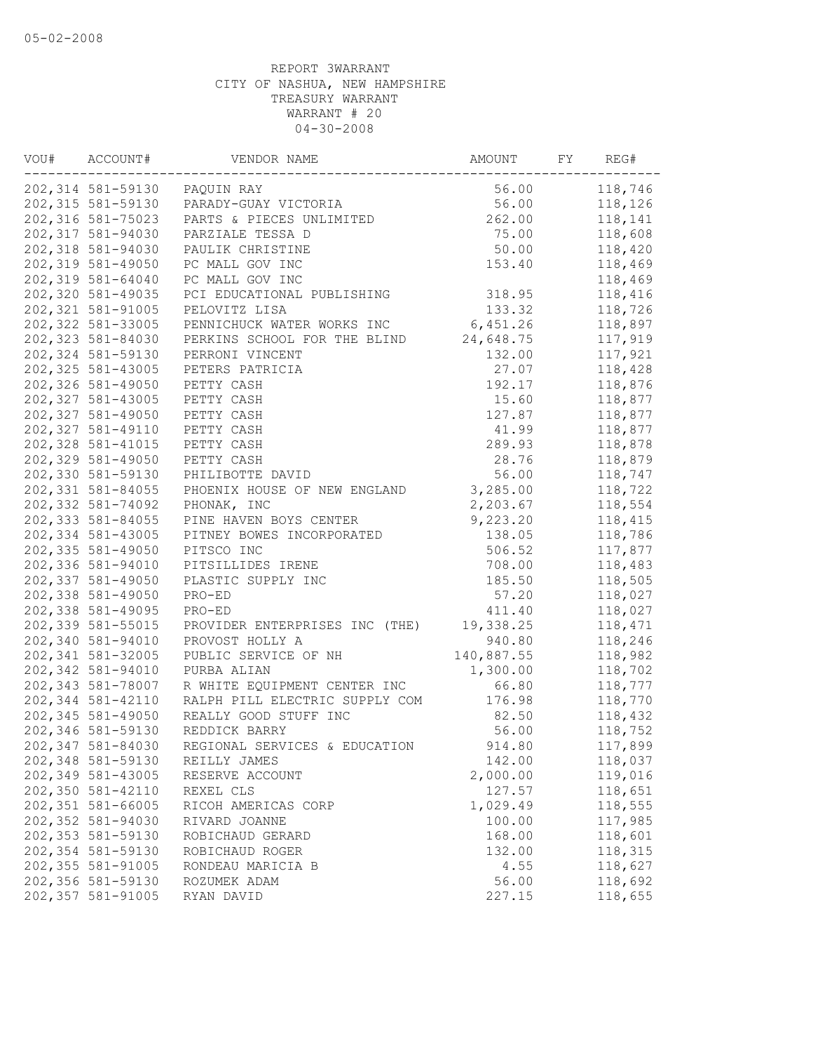| VOU# | ACCOUNT#           | VENDOR NAME                    | AMOUNT     | FY | REG#    |
|------|--------------------|--------------------------------|------------|----|---------|
|      | 202,314 581-59130  | PAQUIN RAY                     | 56.00      |    | 118,746 |
|      | 202,315 581-59130  | PARADY-GUAY VICTORIA           | 56.00      |    | 118,126 |
|      | 202,316 581-75023  | PARTS & PIECES UNLIMITED       | 262.00     |    | 118,141 |
|      | 202,317 581-94030  | PARZIALE TESSA D               | 75.00      |    | 118,608 |
|      | 202,318 581-94030  | PAULIK CHRISTINE               | 50.00      |    | 118,420 |
|      | 202,319 581-49050  | PC MALL GOV INC                | 153.40     |    | 118,469 |
|      | 202,319 581-64040  | PC MALL GOV INC                |            |    | 118,469 |
|      | 202,320 581-49035  | PCI EDUCATIONAL PUBLISHING     | 318.95     |    | 118,416 |
|      | 202, 321 581-91005 | PELOVITZ LISA                  | 133.32     |    | 118,726 |
|      | 202,322 581-33005  | PENNICHUCK WATER WORKS INC     | 6,451.26   |    | 118,897 |
|      | 202,323 581-84030  | PERKINS SCHOOL FOR THE BLIND   | 24,648.75  |    | 117,919 |
|      | 202,324 581-59130  | PERRONI VINCENT                | 132.00     |    | 117,921 |
|      | 202,325 581-43005  | PETERS PATRICIA                | 27.07      |    | 118,428 |
|      | 202,326 581-49050  | PETTY CASH                     | 192.17     |    | 118,876 |
|      | 202,327 581-43005  | PETTY CASH                     | 15.60      |    | 118,877 |
|      | 202,327 581-49050  | PETTY CASH                     | 127.87     |    | 118,877 |
|      | 202,327 581-49110  | PETTY CASH                     | 41.99      |    | 118,877 |
|      | 202,328 581-41015  | PETTY CASH                     | 289.93     |    | 118,878 |
|      | 202,329 581-49050  | PETTY CASH                     | 28.76      |    | 118,879 |
|      | 202,330 581-59130  | PHILIBOTTE DAVID               | 56.00      |    | 118,747 |
|      | 202,331 581-84055  | PHOENIX HOUSE OF NEW ENGLAND   | 3,285.00   |    | 118,722 |
|      | 202,332 581-74092  | PHONAK, INC                    | 2,203.67   |    | 118,554 |
|      | 202,333 581-84055  | PINE HAVEN BOYS CENTER         | 9,223.20   |    | 118,415 |
|      | 202,334 581-43005  | PITNEY BOWES INCORPORATED      | 138.05     |    | 118,786 |
|      | 202,335 581-49050  |                                | 506.52     |    | 117,877 |
|      |                    | PITSCO INC                     |            |    |         |
|      | 202,336 581-94010  | PITSILLIDES IRENE              | 708.00     |    | 118,483 |
|      | 202,337 581-49050  | PLASTIC SUPPLY INC             | 185.50     |    | 118,505 |
|      | 202,338 581-49050  | PRO-ED                         | 57.20      |    | 118,027 |
|      | 202,338 581-49095  | PRO-ED                         | 411.40     |    | 118,027 |
|      | 202,339 581-55015  | PROVIDER ENTERPRISES INC (THE) | 19,338.25  |    | 118,471 |
|      | 202,340 581-94010  | PROVOST HOLLY A                | 940.80     |    | 118,246 |
|      | 202,341 581-32005  | PUBLIC SERVICE OF NH           | 140,887.55 |    | 118,982 |
|      | 202,342 581-94010  | PURBA ALIAN                    | 1,300.00   |    | 118,702 |
|      | 202,343 581-78007  | R WHITE EQUIPMENT CENTER INC   | 66.80      |    | 118,777 |
|      | 202,344 581-42110  | RALPH PILL ELECTRIC SUPPLY COM | 176.98     |    | 118,770 |
|      | 202,345 581-49050  | REALLY GOOD STUFF INC          | 82.50      |    | 118,432 |
|      | 202,346 581-59130  | REDDICK BARRY                  | 56.00      |    | 118,752 |
|      | 202,347 581-84030  | REGIONAL SERVICES & EDUCATION  | 914.80     |    | 117,899 |
|      | 202,348 581-59130  | REILLY JAMES                   | 142.00     |    | 118,037 |
|      | 202,349 581-43005  | RESERVE ACCOUNT                | 2,000.00   |    | 119,016 |
|      | 202,350 581-42110  | REXEL CLS                      | 127.57     |    | 118,651 |
|      | 202,351 581-66005  | RICOH AMERICAS CORP            | 1,029.49   |    | 118,555 |
|      | 202,352 581-94030  | RIVARD JOANNE                  | 100.00     |    | 117,985 |
|      | 202,353 581-59130  | ROBICHAUD GERARD               | 168.00     |    | 118,601 |
|      | 202,354 581-59130  | ROBICHAUD ROGER                | 132.00     |    | 118,315 |
|      | 202,355 581-91005  | RONDEAU MARICIA B              | 4.55       |    | 118,627 |
|      | 202,356 581-59130  | ROZUMEK ADAM                   | 56.00      |    | 118,692 |
|      | 202,357 581-91005  | RYAN DAVID                     | 227.15     |    | 118,655 |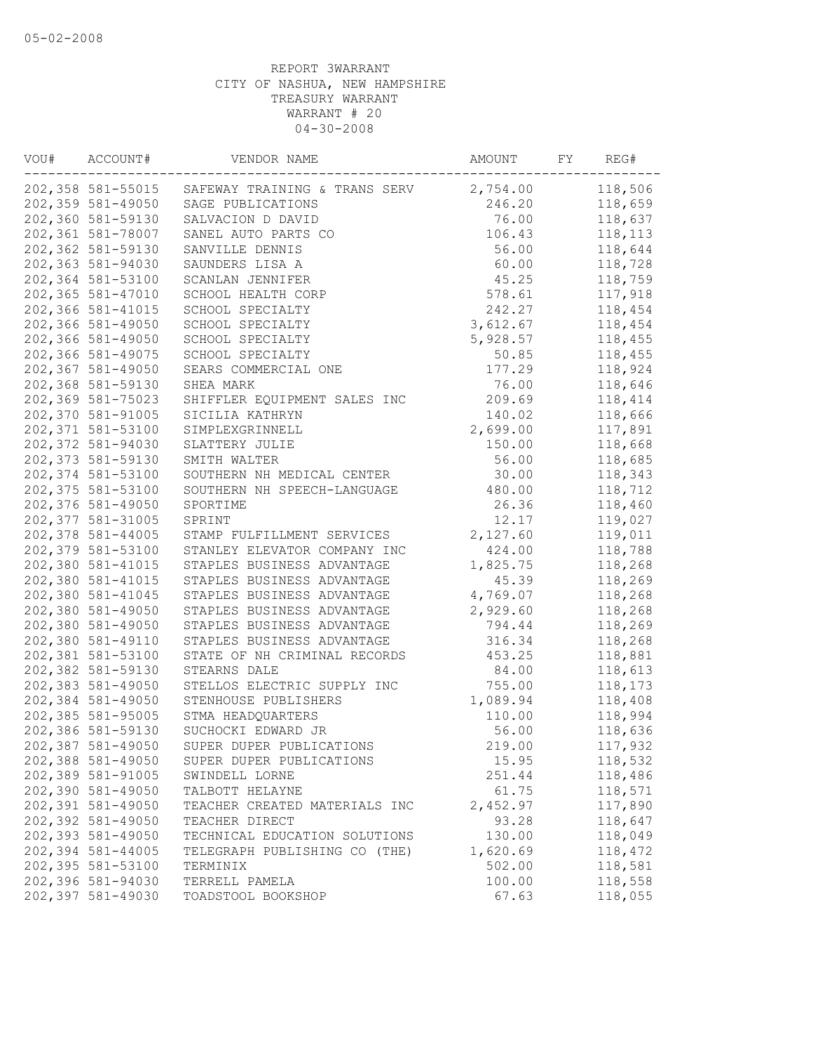| VOU# | ACCOUNT#           | VENDOR NAME                                     | AMOUNT   | FY | REG#    |
|------|--------------------|-------------------------------------------------|----------|----|---------|
|      |                    | 202,358 581-55015 SAFEWAY TRAINING & TRANS SERV | 2,754.00 |    | 118,506 |
|      | 202,359 581-49050  | SAGE PUBLICATIONS                               | 246.20   |    | 118,659 |
|      | 202,360 581-59130  | SALVACION D DAVID                               | 76.00    |    | 118,637 |
|      | 202,361 581-78007  | SANEL AUTO PARTS CO                             | 106.43   |    | 118,113 |
|      | 202,362 581-59130  | SANVILLE DENNIS                                 | 56.00    |    | 118,644 |
|      | 202,363 581-94030  | SAUNDERS LISA A                                 | 60.00    |    | 118,728 |
|      | 202,364 581-53100  | SCANLAN JENNIFER                                | 45.25    |    | 118,759 |
|      | 202,365 581-47010  | SCHOOL HEALTH CORP                              | 578.61   |    | 117,918 |
|      | 202,366 581-41015  | SCHOOL SPECIALTY                                | 242.27   |    | 118,454 |
|      | 202,366 581-49050  | SCHOOL SPECIALTY                                | 3,612.67 |    | 118,454 |
|      | 202,366 581-49050  | SCHOOL SPECIALTY                                | 5,928.57 |    | 118,455 |
|      | 202,366 581-49075  | SCHOOL SPECIALTY                                | 50.85    |    | 118,455 |
|      | 202,367 581-49050  | SEARS COMMERCIAL ONE                            | 177.29   |    | 118,924 |
|      | 202,368 581-59130  | SHEA MARK                                       | 76.00    |    | 118,646 |
|      | 202,369 581-75023  | SHIFFLER EQUIPMENT SALES INC                    | 209.69   |    | 118,414 |
|      | 202,370 581-91005  | SICILIA KATHRYN                                 | 140.02   |    | 118,666 |
|      | 202,371 581-53100  | SIMPLEXGRINNELL                                 | 2,699.00 |    | 117,891 |
|      | 202,372 581-94030  | SLATTERY JULIE                                  | 150.00   |    | 118,668 |
|      | 202,373 581-59130  | SMITH WALTER                                    | 56.00    |    | 118,685 |
|      | 202,374 581-53100  | SOUTHERN NH MEDICAL CENTER                      | 30.00    |    | 118,343 |
|      | 202,375 581-53100  | SOUTHERN NH SPEECH-LANGUAGE                     | 480.00   |    | 118,712 |
|      | 202,376 581-49050  | SPORTIME                                        | 26.36    |    | 118,460 |
|      | 202, 377 581-31005 | SPRINT                                          | 12.17    |    | 119,027 |
|      | 202,378 581-44005  | STAMP FULFILLMENT SERVICES                      | 2,127.60 |    | 119,011 |
|      | 202,379 581-53100  | STANLEY ELEVATOR COMPANY INC                    | 424.00   |    | 118,788 |
|      | 202,380 581-41015  | STAPLES BUSINESS ADVANTAGE                      | 1,825.75 |    | 118,268 |
|      | 202,380 581-41015  | STAPLES BUSINESS ADVANTAGE                      | 45.39    |    | 118,269 |
|      | 202,380 581-41045  | STAPLES BUSINESS ADVANTAGE                      | 4,769.07 |    | 118,268 |
|      | 202,380 581-49050  | STAPLES BUSINESS ADVANTAGE                      | 2,929.60 |    | 118,268 |
|      | 202,380 581-49050  | STAPLES BUSINESS ADVANTAGE                      | 794.44   |    | 118,269 |
|      | 202,380 581-49110  | STAPLES BUSINESS ADVANTAGE                      | 316.34   |    | 118,268 |
|      | 202,381 581-53100  | STATE OF NH CRIMINAL RECORDS                    | 453.25   |    | 118,881 |
|      | 202,382 581-59130  | STEARNS DALE                                    | 84.00    |    | 118,613 |
|      | 202,383 581-49050  | STELLOS ELECTRIC SUPPLY INC                     | 755.00   |    | 118,173 |
|      | 202,384 581-49050  | STENHOUSE PUBLISHERS                            | 1,089.94 |    | 118,408 |
|      | 202,385 581-95005  | STMA HEADQUARTERS                               | 110.00   |    | 118,994 |
|      | 202,386 581-59130  | SUCHOCKI EDWARD JR                              | 56.00    |    | 118,636 |
|      | 202,387 581-49050  | SUPER DUPER PUBLICATIONS                        | 219.00   |    | 117,932 |
|      | 202,388 581-49050  | SUPER DUPER PUBLICATIONS                        | 15.95    |    | 118,532 |
|      | 202,389 581-91005  | SWINDELL LORNE                                  | 251.44   |    | 118,486 |
|      | 202,390 581-49050  | TALBOTT HELAYNE                                 | 61.75    |    | 118,571 |
|      | 202,391 581-49050  | TEACHER CREATED MATERIALS INC                   | 2,452.97 |    | 117,890 |
|      | 202,392 581-49050  | TEACHER DIRECT                                  | 93.28    |    | 118,647 |
|      | 202,393 581-49050  | TECHNICAL EDUCATION SOLUTIONS                   | 130.00   |    | 118,049 |
|      | 202,394 581-44005  | TELEGRAPH PUBLISHING CO (THE)                   | 1,620.69 |    | 118,472 |
|      | 202,395 581-53100  | TERMINIX                                        | 502.00   |    | 118,581 |
|      | 202,396 581-94030  | TERRELL PAMELA                                  | 100.00   |    | 118,558 |
|      | 202,397 581-49030  | TOADSTOOL BOOKSHOP                              | 67.63    |    | 118,055 |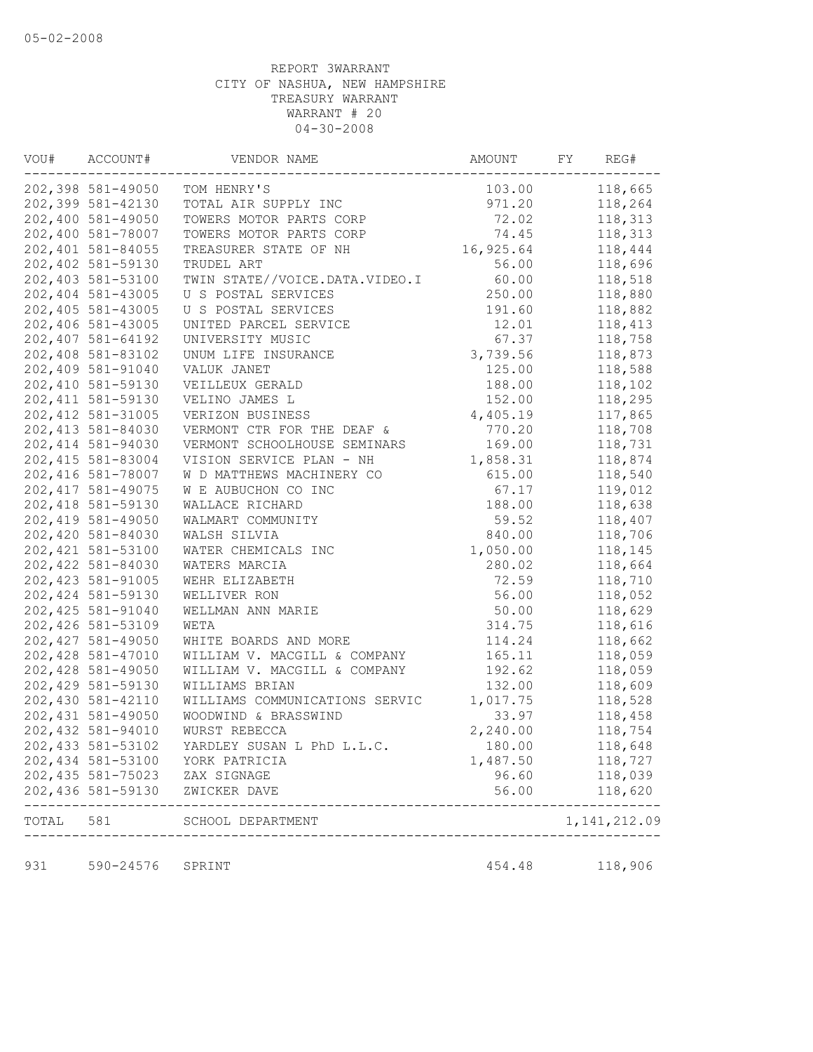| VOU#      | ACCOUNT#           | VENDOR NAME                    | AMOUNT    | FY | REG#                              |
|-----------|--------------------|--------------------------------|-----------|----|-----------------------------------|
|           | 202,398 581-49050  | TOM HENRY'S                    | 103.00    |    | 118,665                           |
|           | 202,399 581-42130  | TOTAL AIR SUPPLY INC           | 971.20    |    | 118,264                           |
|           | 202,400 581-49050  | TOWERS MOTOR PARTS CORP        | 72.02     |    | 118,313                           |
|           | 202,400 581-78007  | TOWERS MOTOR PARTS CORP        | 74.45     |    | 118,313                           |
|           | 202,401 581-84055  | TREASURER STATE OF NH          | 16,925.64 |    | 118,444                           |
|           | 202,402 581-59130  | TRUDEL ART                     | 56.00     |    | 118,696                           |
|           | 202,403 581-53100  | TWIN STATE//VOICE.DATA.VIDEO.I | 60.00     |    | 118,518                           |
|           | 202,404 581-43005  | U S POSTAL SERVICES            | 250.00    |    | 118,880                           |
|           | 202,405 581-43005  | U S POSTAL SERVICES            | 191.60    |    | 118,882                           |
|           | 202,406 581-43005  | UNITED PARCEL SERVICE          | 12.01     |    | 118,413                           |
|           | 202,407 581-64192  | UNIVERSITY MUSIC               | 67.37     |    | 118,758                           |
|           | 202,408 581-83102  | UNUM LIFE INSURANCE            | 3,739.56  |    | 118,873                           |
|           | 202,409 581-91040  | VALUK JANET                    | 125.00    |    | 118,588                           |
|           | 202,410 581-59130  | VEILLEUX GERALD                | 188.00    |    | 118,102                           |
|           | 202, 411 581-59130 | VELINO JAMES L                 | 152.00    |    | 118,295                           |
|           | 202, 412 581-31005 | VERIZON BUSINESS               | 4,405.19  |    | 117,865                           |
|           | 202, 413 581-84030 | VERMONT CTR FOR THE DEAF &     | 770.20    |    | 118,708                           |
|           | 202, 414 581-94030 | VERMONT SCHOOLHOUSE SEMINARS   | 169.00    |    | 118,731                           |
|           | 202, 415 581-83004 | VISION SERVICE PLAN - NH       | 1,858.31  |    | 118,874                           |
|           | 202, 416 581-78007 | W D MATTHEWS MACHINERY CO      | 615.00    |    | 118,540                           |
|           | 202, 417 581-49075 | W E AUBUCHON CO INC            | 67.17     |    | 119,012                           |
|           | 202, 418 581-59130 | WALLACE RICHARD                | 188.00    |    | 118,638                           |
|           | 202, 419 581-49050 | WALMART COMMUNITY              | 59.52     |    | 118,407                           |
|           | 202,420 581-84030  | WALSH SILVIA                   | 840.00    |    | 118,706                           |
|           | 202, 421 581-53100 | WATER CHEMICALS INC            | 1,050.00  |    | 118,145                           |
|           | 202,422 581-84030  | WATERS MARCIA                  | 280.02    |    | 118,664                           |
|           | 202, 423 581-91005 | WEHR ELIZABETH                 | 72.59     |    | 118,710                           |
|           | 202, 424 581-59130 | WELLIVER RON                   | 56.00     |    | 118,052                           |
|           | 202, 425 581-91040 | WELLMAN ANN MARIE              | 50.00     |    | 118,629                           |
|           | 202,426 581-53109  | WETA                           | 314.75    |    | 118,616                           |
|           | 202, 427 581-49050 | WHITE BOARDS AND MORE          | 114.24    |    | 118,662                           |
|           | 202,428 581-47010  | WILLIAM V. MACGILL & COMPANY   | 165.11    |    | 118,059                           |
|           | 202,428 581-49050  | WILLIAM V. MACGILL & COMPANY   | 192.62    |    | 118,059                           |
|           | 202,429 581-59130  | WILLIAMS BRIAN                 | 132.00    |    | 118,609                           |
|           | 202,430 581-42110  | WILLIAMS COMMUNICATIONS SERVIC | 1,017.75  |    | 118,528                           |
|           | 202, 431 581-49050 | WOODWIND & BRASSWIND           | 33.97     |    | 118,458                           |
|           | 202, 432 581-94010 | WURST REBECCA                  | 2,240.00  |    | 118,754                           |
|           | 202, 433 581-53102 | YARDLEY SUSAN L PhD L.L.C.     | 180.00    |    | 118,648                           |
|           | 202,434 581-53100  | YORK PATRICIA                  | 1,487.50  |    | 118,727                           |
|           | 202, 435 581-75023 | ZAX SIGNAGE                    | 96.60     |    | 118,039                           |
|           | 202,436 581-59130  | ZWICKER DAVE                   | 56.00     |    | 118,620                           |
| TOTAL 581 |                    | SCHOOL DEPARTMENT              |           |    | $- - - - - - -$<br>1, 141, 212.09 |
|           |                    | -------------------------      |           |    |                                   |
| 931       | 590-24576          | SPRINT                         | 454.48    |    | 118,906                           |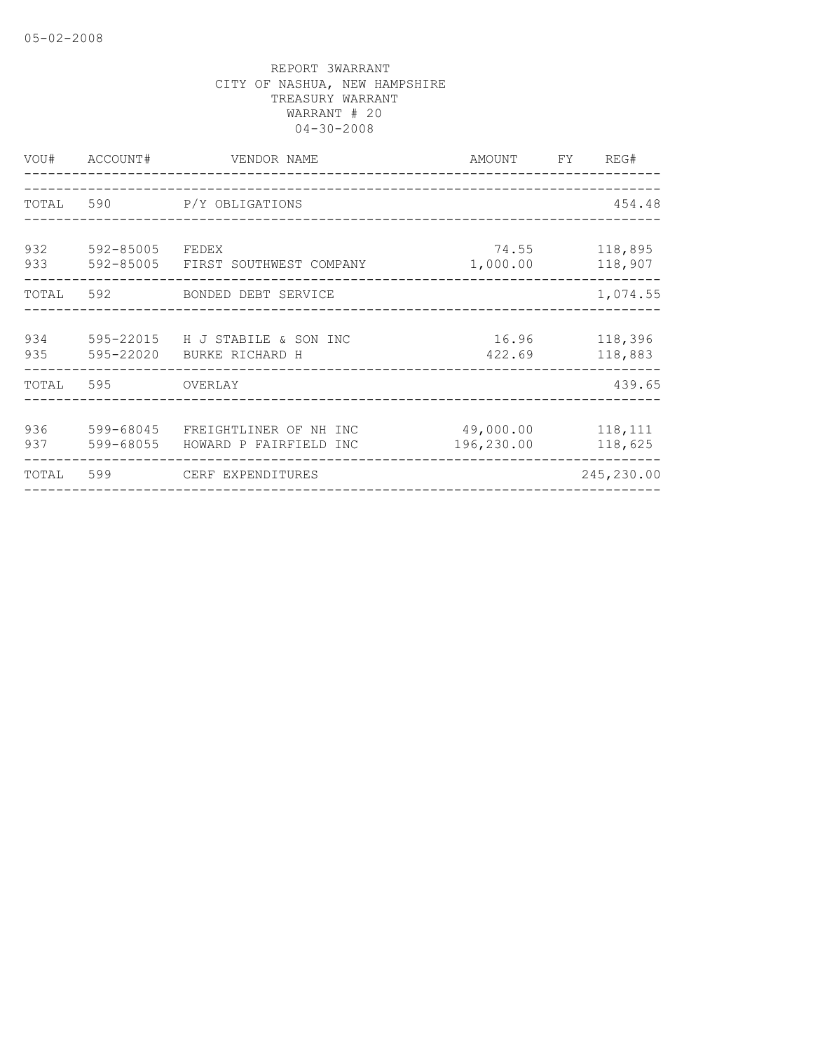| VOU#       | ACCOUNT#               | VENDOR NAME                                        | AMOUNT FY               | REG#               |
|------------|------------------------|----------------------------------------------------|-------------------------|--------------------|
| TOTAL      | 590                    | P/Y OBLIGATIONS                                    |                         | 454.48             |
| 932<br>933 | 592-85005              | FEDEX<br>592-85005 FIRST SOUTHWEST COMPANY         | 74.55<br>1,000.00       | 118,895<br>118,907 |
|            |                        | TOTAL 592 BONDED DEBT SERVICE                      |                         | 1,074.55           |
| 934<br>935 | 595-22020              | 595-22015 H J STABILE & SON INC<br>BURKE RICHARD H | 16.96<br>422.69         | 118,396<br>118,883 |
| TOTAL      | 595                    | <b>OVERLAY</b>                                     |                         | 439.65             |
| 936<br>937 | 599-68045<br>599-68055 | FREIGHTLINER OF NH INC<br>HOWARD P FAIRFIELD INC   | 49,000.00<br>196,230.00 | 118,111<br>118,625 |
| TOTAL      | 599                    | CERF EXPENDITURES                                  |                         | 245,230.00         |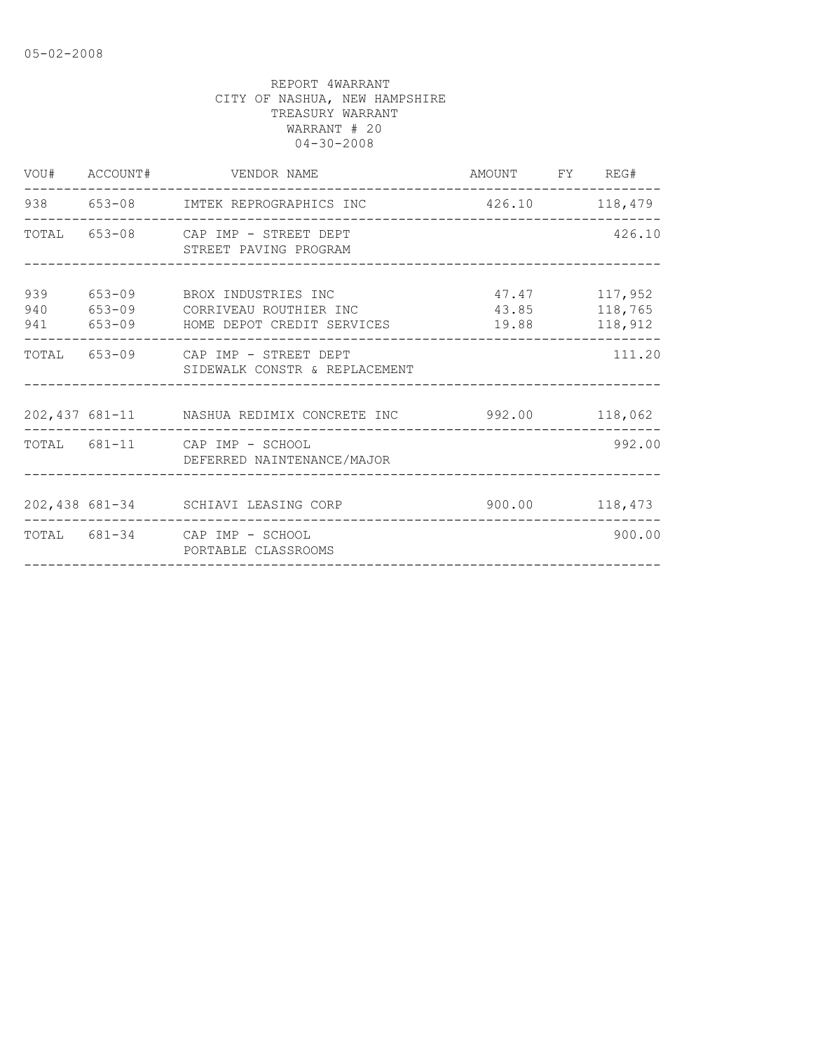|            | VOU# ACCOUNT# VENDOR NAME                                                                            | AMOUNT FY REG#                          |                |
|------------|------------------------------------------------------------------------------------------------------|-----------------------------------------|----------------|
|            | 938 653-08 IMTEK REPROGRAPHICS INC                                                                   | 426.10 118,479                          |                |
|            | TOTAL 653-08 CAP IMP - STREET DEPT<br>STREET PAVING PROGRAM                                          |                                         | 426.10         |
| 939<br>940 | 653-09 BROX INDUSTRIES INC<br>653-09 CORRIVEAU ROUTHIER INC<br>941 653-09 HOME DEPOT CREDIT SERVICES | 47.47 117,952<br>43.85 118,765<br>19.88 | 118,912        |
|            | TOTAL 653-09 CAP IMP - STREET DEPT<br>SIDEWALK CONSTR & REPLACEMENT                                  |                                         | 111.20         |
|            | 202,437 681-11 NASHUA REDIMIX CONCRETE INC 992.00 118,062                                            |                                         |                |
|            | TOTAL 681-11 CAP IMP - SCHOOL<br>DEFERRED NAINTENANCE/MAJOR                                          |                                         | 992.00         |
|            | 202,438 681-34 SCHIAVI LEASING CORP                                                                  |                                         | 900.00 118,473 |
|            | TOTAL 681-34 CAP IMP - SCHOOL<br>PORTABLE CLASSROOMS                                                 |                                         | 900.00         |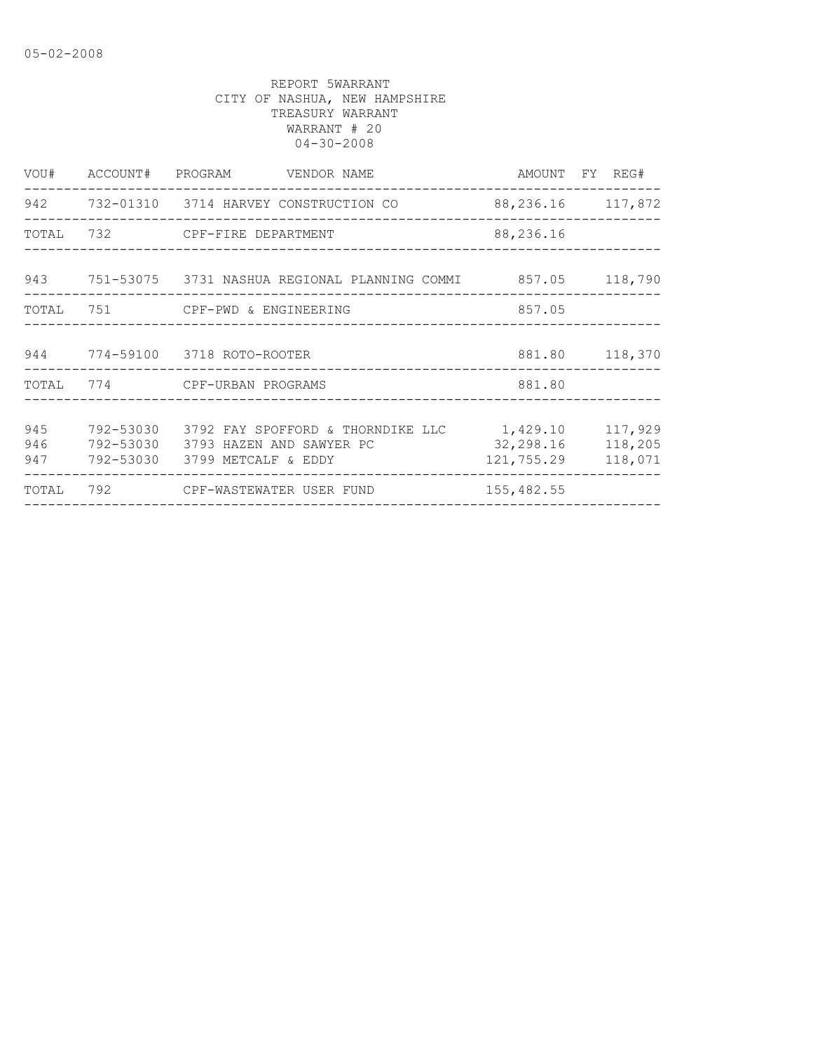|                   | VOU# ACCOUNT# PROGRAM VENDOR NAME                                   |                                                                  | AMOUNT FY REG#          |                               |
|-------------------|---------------------------------------------------------------------|------------------------------------------------------------------|-------------------------|-------------------------------|
|                   |                                                                     | 942 732-01310 3714 HARVEY CONSTRUCTION CO                        | 88, 236. 16 117, 872    |                               |
|                   | TOTAL 732 CPF-FIRE DEPARTMENT                                       |                                                                  | 88,236.16               |                               |
|                   |                                                                     | 943 751-53075 3731 NASHUA REGIONAL PLANNING COMMI 857.05 118,790 |                         |                               |
|                   | TOTAL 751 CPF-PWD & ENGINEERING                                     |                                                                  | 857.05                  |                               |
|                   | 944 774-59100 3718 ROTO-ROOTER                                      |                                                                  | 881.80 118,370          |                               |
|                   | TOTAL 774 CPF-URBAN PROGRAMS                                        |                                                                  | 881.80                  |                               |
| 945<br>946<br>947 | 792-53030 3793 HAZEN AND SAWYER PC<br>792-53030 3799 METCALF & EDDY | 792-53030 3792 FAY SPOFFORD & THORNDIKE LLC 1,429.10             | 32,298.16<br>121,755.29 | 117,929<br>118,205<br>118,071 |
| TOTAL             | 792 CPF-WASTEWATER USER FUND                                        |                                                                  | 155,482.55              | -------------                 |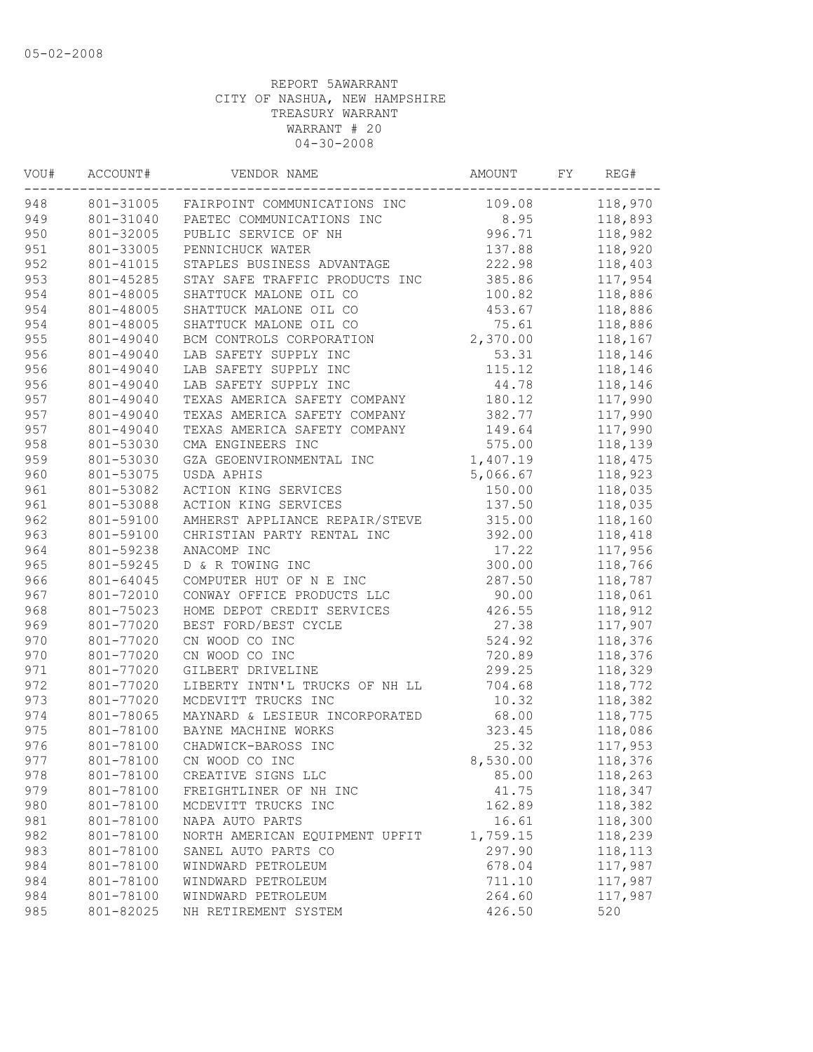| VOU# | ACCOUNT#  | VENDOR NAME                    | AMOUNT   | FY | REG#    |
|------|-----------|--------------------------------|----------|----|---------|
| 948  | 801-31005 | FAIRPOINT COMMUNICATIONS INC   | 109.08   |    | 118,970 |
| 949  | 801-31040 | PAETEC COMMUNICATIONS INC      | 8.95     |    | 118,893 |
| 950  | 801-32005 | PUBLIC SERVICE OF NH           | 996.71   |    | 118,982 |
| 951  | 801-33005 | PENNICHUCK WATER               | 137.88   |    | 118,920 |
| 952  | 801-41015 | STAPLES BUSINESS ADVANTAGE     | 222.98   |    | 118,403 |
| 953  | 801-45285 | STAY SAFE TRAFFIC PRODUCTS INC | 385.86   |    | 117,954 |
| 954  | 801-48005 | SHATTUCK MALONE OIL CO         | 100.82   |    | 118,886 |
| 954  | 801-48005 | SHATTUCK MALONE OIL CO         | 453.67   |    | 118,886 |
| 954  | 801-48005 | SHATTUCK MALONE OIL CO         | 75.61    |    | 118,886 |
| 955  | 801-49040 | BCM CONTROLS CORPORATION       | 2,370.00 |    | 118,167 |
| 956  | 801-49040 | LAB SAFETY SUPPLY INC          | 53.31    |    | 118,146 |
| 956  | 801-49040 | LAB SAFETY SUPPLY INC          | 115.12   |    | 118,146 |
| 956  | 801-49040 | LAB SAFETY SUPPLY INC          | 44.78    |    | 118,146 |
| 957  | 801-49040 | TEXAS AMERICA SAFETY COMPANY   | 180.12   |    | 117,990 |
| 957  | 801-49040 | TEXAS AMERICA SAFETY COMPANY   | 382.77   |    | 117,990 |
| 957  | 801-49040 | TEXAS AMERICA SAFETY COMPANY   | 149.64   |    | 117,990 |
| 958  | 801-53030 | CMA ENGINEERS INC              | 575.00   |    | 118,139 |
| 959  | 801-53030 | GZA GEOENVIRONMENTAL INC       | 1,407.19 |    | 118,475 |
| 960  | 801-53075 | USDA APHIS                     | 5,066.67 |    | 118,923 |
| 961  | 801-53082 | ACTION KING SERVICES           | 150.00   |    | 118,035 |
| 961  | 801-53088 | ACTION KING SERVICES           | 137.50   |    | 118,035 |
| 962  | 801-59100 | AMHERST APPLIANCE REPAIR/STEVE | 315.00   |    | 118,160 |
| 963  | 801-59100 | CHRISTIAN PARTY RENTAL INC     | 392.00   |    | 118,418 |
| 964  | 801-59238 | ANACOMP INC                    | 17.22    |    | 117,956 |
| 965  | 801-59245 | D & R TOWING INC               | 300.00   |    | 118,766 |
| 966  | 801-64045 | COMPUTER HUT OF N E INC        | 287.50   |    | 118,787 |
| 967  | 801-72010 | CONWAY OFFICE PRODUCTS LLC     | 90.00    |    | 118,061 |
| 968  | 801-75023 | HOME DEPOT CREDIT SERVICES     | 426.55   |    | 118,912 |
| 969  | 801-77020 | BEST FORD/BEST CYCLE           | 27.38    |    | 117,907 |
| 970  | 801-77020 | CN WOOD CO INC                 | 524.92   |    | 118,376 |
| 970  | 801-77020 | CN WOOD CO INC                 | 720.89   |    | 118,376 |
| 971  | 801-77020 | GILBERT DRIVELINE              | 299.25   |    | 118,329 |
| 972  | 801-77020 | LIBERTY INTN'L TRUCKS OF NH LL | 704.68   |    | 118,772 |
| 973  | 801-77020 | MCDEVITT TRUCKS INC            | 10.32    |    | 118,382 |
| 974  | 801-78065 | MAYNARD & LESIEUR INCORPORATED | 68.00    |    | 118,775 |
| 975  | 801-78100 | BAYNE MACHINE WORKS            | 323.45   |    | 118,086 |
| 976  | 801-78100 | CHADWICK-BAROSS INC            | 25.32    |    | 117,953 |
| 977  | 801-78100 | CN WOOD CO INC                 | 8,530.00 |    | 118,376 |
| 978  | 801-78100 | CREATIVE SIGNS LLC             | 85.00    |    | 118,263 |
| 979  | 801-78100 | FREIGHTLINER OF NH INC         | 41.75    |    | 118,347 |
| 980  | 801-78100 | MCDEVITT TRUCKS INC            | 162.89   |    | 118,382 |
| 981  | 801-78100 | NAPA AUTO PARTS                | 16.61    |    | 118,300 |
| 982  | 801-78100 | NORTH AMERICAN EQUIPMENT UPFIT | 1,759.15 |    | 118,239 |
| 983  | 801-78100 | SANEL AUTO PARTS CO            | 297.90   |    | 118,113 |
| 984  | 801-78100 | WINDWARD PETROLEUM             | 678.04   |    | 117,987 |
| 984  | 801-78100 | WINDWARD PETROLEUM             | 711.10   |    | 117,987 |
| 984  | 801-78100 | WINDWARD PETROLEUM             | 264.60   |    | 117,987 |
| 985  | 801-82025 | NH RETIREMENT SYSTEM           | 426.50   |    | 520     |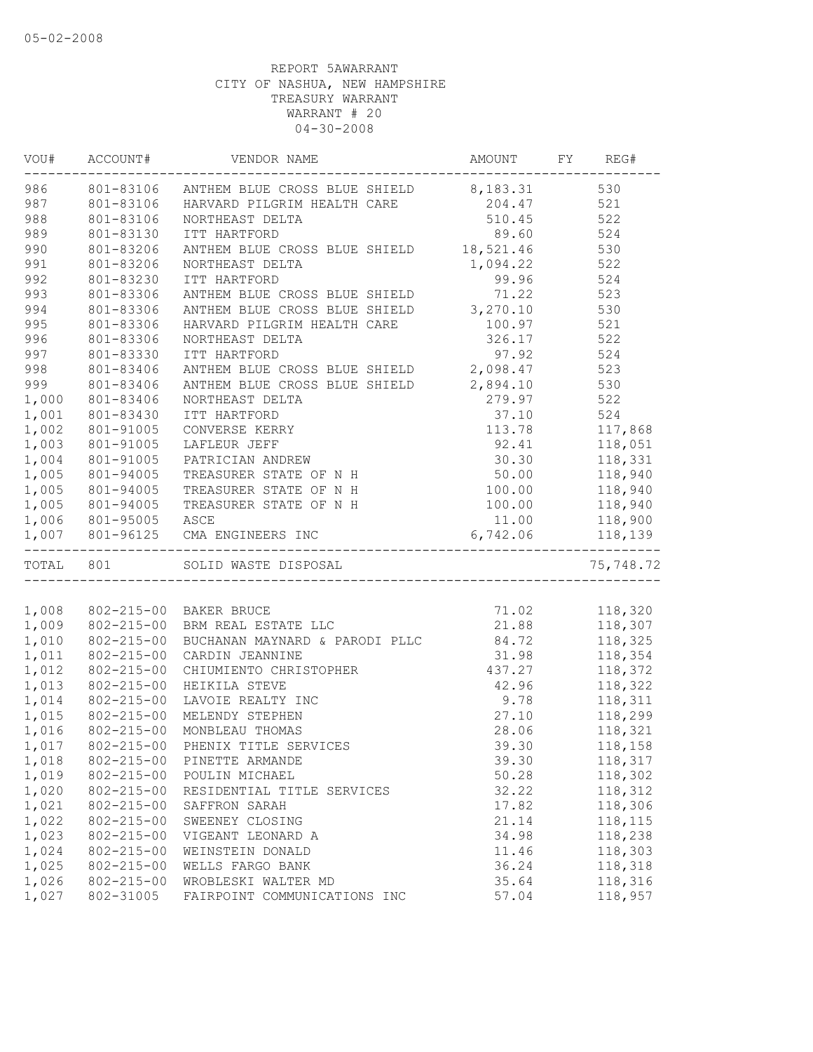|       |                      | VOU# ACCOUNT# VENDOR NAME                                                                                                                    |                                |                                                                                                               |
|-------|----------------------|----------------------------------------------------------------------------------------------------------------------------------------------|--------------------------------|---------------------------------------------------------------------------------------------------------------|
|       |                      | 986 801-83106 ANTHEM BLUE CROSS BLUE SHIELD 8,183.31 530                                                                                     |                                |                                                                                                               |
| 987   |                      | 801-83106 HARVARD PILGRIM HEALTH CARE                                                                                                        | 204.47 521                     |                                                                                                               |
| 988   | 801-83106            | NORTHEAST DELTA                                                                                                                              | 510.45 522                     |                                                                                                               |
| 989   | 801-83130            | ITT HARTFORD                                                                                                                                 | 89.60 524                      |                                                                                                               |
| 990   | 801-83206            | ANTHEM BLUE CROSS BLUE SHIELD 18,521.46 530                                                                                                  |                                |                                                                                                               |
| 991   | 801-83206            | NORTHEAST DELTA                                                                                                                              | 1,094.22 522                   |                                                                                                               |
| 992   | 801-83230            | ITT HARTFORD                                                                                                                                 | 99.96 524                      |                                                                                                               |
| 993   | 801-83306            | 99.96 524<br>ANTHEM BLUE CROSS BLUE SHIELD 71.22 523<br>ANTHEM BLUE CROSS BLUE SHIELD 3,270.10 530<br>HARVARD PILGRIM HEALTH CARE 100.97 521 |                                |                                                                                                               |
| 994   | 801-83306            |                                                                                                                                              |                                |                                                                                                               |
| 995   | $801 - 83306$        |                                                                                                                                              |                                |                                                                                                               |
| 996   | 801-83306            | NORTHEAST DELTA                                                                                                                              | 326.17 522                     |                                                                                                               |
| 997   | 801-83330            | ITT HARTFORD                                                                                                                                 | 97.92 524                      |                                                                                                               |
| 998   | 801-83406            | 524 52.92<br>ANTHEM BLUE CROSS BLUE SHIELD 2,098.47                                                                                          |                                |                                                                                                               |
| 999   | 801-83406            | ANTHEM BLUE CROSS BLUE SHIELD 2,894.10 530                                                                                                   |                                |                                                                                                               |
| 1,000 | 801-83406            | NORTHEAST DELTA                                                                                                                              |                                |                                                                                                               |
| 1,001 | 801-83430            | ITT HARTFORD                                                                                                                                 |                                |                                                                                                               |
| 1,002 | 801-91005            | CONVERSE KERRY                                                                                                                               |                                |                                                                                                               |
| 1,003 | 801-91005            | LAFLEUR JEFF                                                                                                                                 |                                |                                                                                                               |
| 1,004 | 801-91005            | $279.97$<br>$37.10$<br>$113.78$<br>$92.41$<br>$118,051$<br>$30.30$<br>$119.23$<br>$119.23$<br>$119.23$<br>$119.23$<br>PATRICIAN ANDREW       |                                | 118,051<br>118,331<br>118,940                                                                                 |
| 1,005 | 801-94005            | TREASURER STATE OF N H                                                                                                                       | 50.00                          |                                                                                                               |
| 1,005 | 801-94005            | TREASURER STATE OF N H 100.00 118,940                                                                                                        |                                |                                                                                                               |
| 1,005 | 801-94005            | TREASURER STATE OF N H                                                                                                                       | 100.00 118,940                 |                                                                                                               |
|       | 1,006 801-95005 ASCE |                                                                                                                                              | 11.00 118,900                  |                                                                                                               |
|       |                      | 1,007 801-96125 CMA ENGINEERS INC                                                                                                            | 6,742.06 118,139               |                                                                                                               |
|       | TOTAL 801            | ---------------------------------<br>SOLID WASTE DISPOSAL                                                                                    |                                | ---------<br>75,748.72                                                                                        |
|       |                      |                                                                                                                                              |                                |                                                                                                               |
|       |                      | 1,008 802-215-00 BAKER BRUCE                                                                                                                 | 71.02 118,320<br>21.88 118,307 |                                                                                                               |
| 1,009 |                      | 002-215-00 DANER BRUCE<br>802-215-00 BRM REAL ESTATE LLC                                                                                     |                                |                                                                                                               |
| 1,010 | 802-215-00           | BUCHANAN MAYNARD & PARODI PLLC 84.72 118,325                                                                                                 |                                |                                                                                                               |
| 1,011 | 802-215-00           | CARDIN JEANNINE                                                                                                                              | 31.98 118,354                  |                                                                                                               |
| 1,012 | 802-215-00           | CARDIN JEANNINE<br>CHIUMIENTO CHRISTOPHER (197.27 118,372                                                                                    |                                |                                                                                                               |
| 1,013 | 802-215-00           | HEIKILA STEVE                                                                                                                                | 42.96 118,322                  |                                                                                                               |
| 1,014 | $802 - 215 - 00$     | LAVOIE REALTY INC                                                                                                                            |                                | $\begin{array}{ccc} 9.78 & \quad & 118,311 \\ 27.10 & \quad & 118,299 \\ 28.06 & \quad & 118,321 \end{array}$ |
| 1,015 | 802-215-00           | MELENDY STEPHEN                                                                                                                              |                                |                                                                                                               |
| 1,016 | $802 - 215 - 00$     | MONBLEAU THOMAS                                                                                                                              | 28.06                          |                                                                                                               |
| 1,017 |                      | 802-215-00 PHENIX TITLE SERVICES                                                                                                             | 39.30                          | 118,158                                                                                                       |
| 1,018 | $802 - 215 - 00$     | PINETTE ARMANDE                                                                                                                              | 39.30                          | 118,317                                                                                                       |
| 1,019 | 802-215-00           | POULIN MICHAEL                                                                                                                               | 50.28                          | 118,302                                                                                                       |
| 1,020 | $802 - 215 - 00$     | RESIDENTIAL TITLE SERVICES                                                                                                                   | 32.22                          | 118,312                                                                                                       |
| 1,021 | $802 - 215 - 00$     | SAFFRON SARAH                                                                                                                                | 17.82                          | 118,306                                                                                                       |
| 1,022 | $802 - 215 - 00$     | SWEENEY CLOSING                                                                                                                              | 21.14                          | 118,115                                                                                                       |
| 1,023 | $802 - 215 - 00$     | VIGEANT LEONARD A                                                                                                                            | 34.98                          | 118,238                                                                                                       |
| 1,024 | $802 - 215 - 00$     | WEINSTEIN DONALD                                                                                                                             | 11.46                          | 118,303                                                                                                       |
| 1,025 | $802 - 215 - 00$     | WELLS FARGO BANK                                                                                                                             | 36.24                          | 118,318                                                                                                       |
| 1,026 | 802-215-00           | WROBLESKI WALTER MD                                                                                                                          | 35.64                          | 118,316                                                                                                       |
| 1,027 | 802-31005            | FAIRPOINT COMMUNICATIONS INC                                                                                                                 | 57.04                          | 118,957                                                                                                       |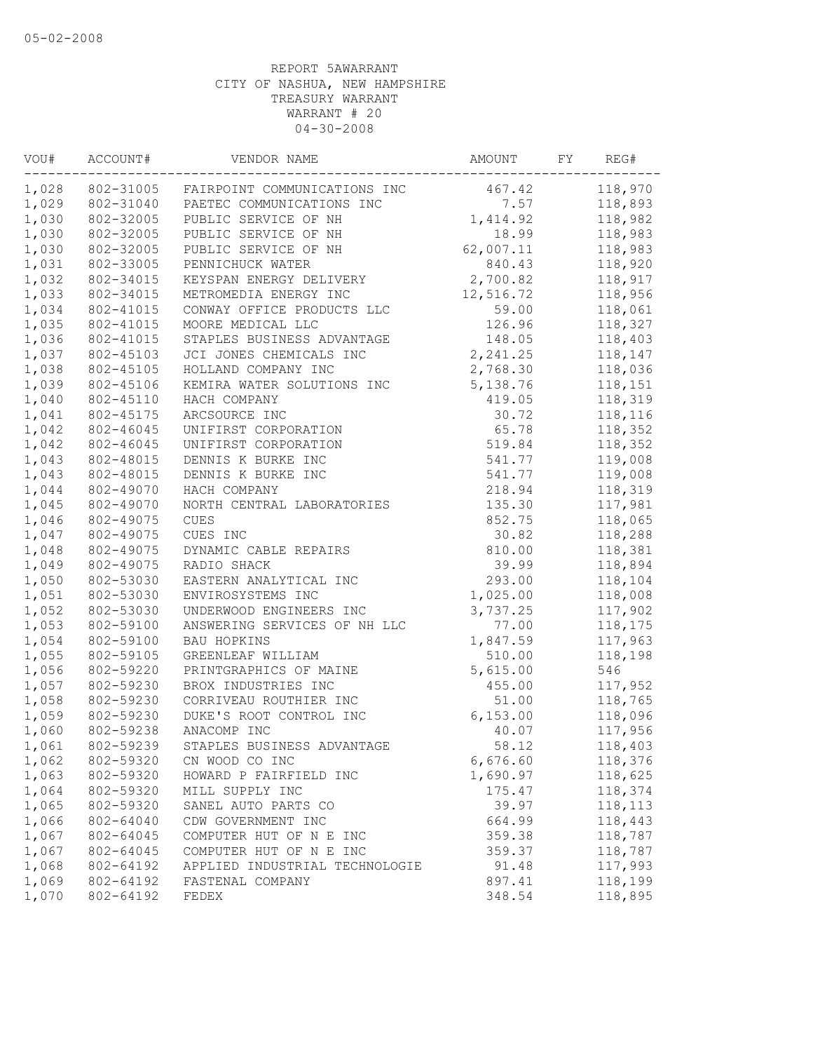| VOU#  | ACCOUNT#  | VENDOR NAME                    | AMOUNT          | FY | REG#    |
|-------|-----------|--------------------------------|-----------------|----|---------|
| 1,028 | 802-31005 | FAIRPOINT COMMUNICATIONS INC   | 467.42          |    | 118,970 |
| 1,029 | 802-31040 | PAETEC COMMUNICATIONS INC      | 7.57            |    | 118,893 |
| 1,030 | 802-32005 | PUBLIC SERVICE OF NH           | 1,414.92        |    | 118,982 |
| 1,030 | 802-32005 | PUBLIC SERVICE OF NH           | 18.99           |    | 118,983 |
| 1,030 | 802-32005 | PUBLIC SERVICE OF NH           | 62,007.11       |    | 118,983 |
| 1,031 | 802-33005 | PENNICHUCK WATER               | 840.43          |    | 118,920 |
| 1,032 | 802-34015 | KEYSPAN ENERGY DELIVERY        | 2,700.82        |    | 118,917 |
| 1,033 | 802-34015 | METROMEDIA ENERGY INC          | 12,516.72       |    | 118,956 |
| 1,034 | 802-41015 | CONWAY OFFICE PRODUCTS LLC     | 59.00           |    | 118,061 |
| 1,035 | 802-41015 | MOORE MEDICAL LLC              | 126.96          |    | 118,327 |
| 1,036 | 802-41015 | STAPLES BUSINESS ADVANTAGE     | 148.05          |    | 118,403 |
| 1,037 | 802-45103 | JCI JONES CHEMICALS INC        | 2, 241.25       |    | 118,147 |
| 1,038 | 802-45105 | HOLLAND COMPANY INC            | 2,768.30        |    | 118,036 |
| 1,039 | 802-45106 | KEMIRA WATER SOLUTIONS INC     | 5,138.76        |    | 118,151 |
| 1,040 | 802-45110 | HACH COMPANY                   | 419.05          |    | 118,319 |
| 1,041 | 802-45175 | ARCSOURCE INC                  | 30.72           |    | 118,116 |
| 1,042 | 802-46045 | UNIFIRST CORPORATION           | 65.78           |    | 118,352 |
| 1,042 | 802-46045 | UNIFIRST CORPORATION           | 519.84          |    | 118,352 |
| 1,043 | 802-48015 | DENNIS K BURKE INC             | 541.77          |    | 119,008 |
| 1,043 | 802-48015 | DENNIS K BURKE INC             | 541.77          |    | 119,008 |
| 1,044 | 802-49070 | HACH COMPANY                   | 218.94          |    | 118,319 |
| 1,045 | 802-49070 | NORTH CENTRAL LABORATORIES     | 135.30          |    | 117,981 |
| 1,046 | 802-49075 | CUES                           | 852.75          |    | 118,065 |
| 1,047 | 802-49075 | CUES INC                       | 30.82           |    | 118,288 |
| 1,048 | 802-49075 | DYNAMIC CABLE REPAIRS          | 810.00          |    | 118,381 |
| 1,049 | 802-49075 | RADIO SHACK                    | 39.99           |    | 118,894 |
| 1,050 | 802-53030 | EASTERN ANALYTICAL INC         | 293.00          |    | 118,104 |
| 1,051 | 802-53030 | ENVIROSYSTEMS INC              | 1,025.00        |    | 118,008 |
| 1,052 | 802-53030 | UNDERWOOD ENGINEERS INC        | 3,737.25        |    | 117,902 |
| 1,053 | 802-59100 | ANSWERING SERVICES OF NH LLC   | 77.00           |    | 118,175 |
| 1,054 | 802-59100 | BAU HOPKINS                    | 1,847.59        |    | 117,963 |
| 1,055 | 802-59105 | GREENLEAF WILLIAM              | 510.00          |    | 118,198 |
| 1,056 | 802-59220 | PRINTGRAPHICS OF MAINE         | 5,615.00        |    | 546     |
| 1,057 | 802-59230 | BROX INDUSTRIES INC            | 455.00          |    | 117,952 |
| 1,058 | 802-59230 | CORRIVEAU ROUTHIER INC         | 51.00           |    | 118,765 |
| 1,059 | 802-59230 | DUKE'S ROOT CONTROL INC        | 6, 153.00       |    | 118,096 |
| 1,060 | 802-59238 | ANACOMP INC                    | 40.07           |    | 117,956 |
| 1,061 | 802-59239 | STAPLES BUSINESS ADVANTAGE     | 58.12           |    | 118,403 |
| 1,062 | 802-59320 | CN WOOD CO INC                 | 6,676.60        |    | 118,376 |
| 1,063 | 802-59320 | HOWARD P FAIRFIELD INC         | 1,690.97        |    | 118,625 |
| 1,064 | 802-59320 | MILL SUPPLY INC                | 175.47          |    | 118,374 |
| 1,065 | 802-59320 | SANEL AUTO PARTS CO            | 39.97           |    | 118,113 |
| 1,066 | 802-64040 | CDW GOVERNMENT INC             | 664.99          |    | 118,443 |
| 1,067 | 802-64045 | COMPUTER HUT OF N E INC        | 359.38          |    | 118,787 |
| 1,067 | 802-64045 | COMPUTER HUT OF N E INC        |                 |    | 118,787 |
| 1,068 | 802-64192 | APPLIED INDUSTRIAL TECHNOLOGIE | 359.37<br>91.48 |    | 117,993 |
| 1,069 | 802-64192 | FASTENAL COMPANY               | 897.41          |    | 118,199 |
|       |           |                                |                 |    |         |
| 1,070 | 802-64192 | FEDEX                          | 348.54          |    | 118,895 |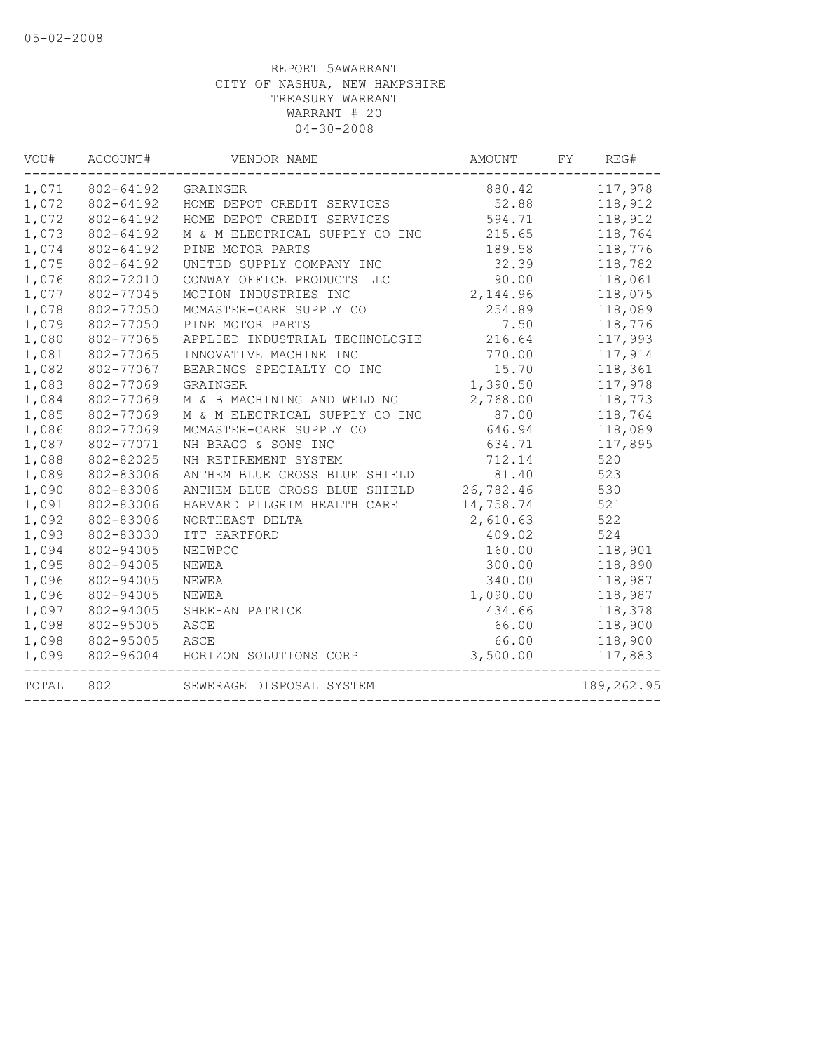| VOU#  | ACCOUNT#  | VENDOR NAME                      | AMOUNT    | FY | REG#       |
|-------|-----------|----------------------------------|-----------|----|------------|
| 1,071 | 802-64192 | GRAINGER                         | 880.42    |    | 117,978    |
| 1,072 | 802-64192 | HOME DEPOT CREDIT SERVICES       | 52.88     |    | 118,912    |
| 1,072 | 802-64192 | HOME DEPOT CREDIT SERVICES       | 594.71    |    | 118,912    |
| 1,073 | 802-64192 | M & M ELECTRICAL SUPPLY CO INC   | 215.65    |    | 118,764    |
| 1,074 | 802-64192 | PINE MOTOR PARTS                 | 189.58    |    | 118,776    |
| 1,075 | 802-64192 | UNITED SUPPLY COMPANY INC        | 32.39     |    | 118,782    |
| 1,076 | 802-72010 | CONWAY OFFICE PRODUCTS LLC       | 90.00     |    | 118,061    |
| 1,077 | 802-77045 | MOTION INDUSTRIES INC            | 2,144.96  |    | 118,075    |
| 1,078 | 802-77050 | MCMASTER-CARR SUPPLY CO          | 254.89    |    | 118,089    |
| 1,079 | 802-77050 | PINE MOTOR PARTS                 | 7.50      |    | 118,776    |
| 1,080 | 802-77065 | APPLIED INDUSTRIAL TECHNOLOGIE   | 216.64    |    | 117,993    |
| 1,081 | 802-77065 | INNOVATIVE MACHINE INC           | 770.00    |    | 117,914    |
| 1,082 | 802-77067 | BEARINGS SPECIALTY CO INC        | 15.70     |    | 118,361    |
| 1,083 | 802-77069 | GRAINGER                         | 1,390.50  |    | 117,978    |
| 1,084 | 802-77069 | M & B MACHINING AND WELDING      | 2,768.00  |    | 118,773    |
| 1,085 | 802-77069 | M & M ELECTRICAL SUPPLY CO INC   | 87.00     |    | 118,764    |
| 1,086 | 802-77069 | MCMASTER-CARR SUPPLY CO          | 646.94    |    | 118,089    |
| 1,087 | 802-77071 | NH BRAGG & SONS INC              | 634.71    |    | 117,895    |
| 1,088 | 802-82025 | NH RETIREMENT SYSTEM             | 712.14    |    | 520        |
| 1,089 | 802-83006 | ANTHEM BLUE CROSS BLUE SHIELD    | 81.40     |    | 523        |
| 1,090 | 802-83006 | ANTHEM BLUE CROSS BLUE SHIELD    | 26,782.46 |    | 530        |
| 1,091 | 802-83006 | HARVARD PILGRIM HEALTH CARE      | 14,758.74 |    | 521        |
| 1,092 | 802-83006 | NORTHEAST DELTA                  | 2,610.63  |    | 522        |
| 1,093 | 802-83030 | ITT HARTFORD                     | 409.02    |    | 524        |
| 1,094 | 802-94005 | NEIWPCC                          | 160.00    |    | 118,901    |
| 1,095 | 802-94005 | NEWEA                            | 300.00    |    | 118,890    |
| 1,096 | 802-94005 | NEWEA                            | 340.00    |    | 118,987    |
| 1,096 | 802-94005 | NEWEA                            | 1,090.00  |    | 118,987    |
| 1,097 | 802-94005 | SHEEHAN PATRICK                  | 434.66    |    | 118,378    |
| 1,098 | 802-95005 | ASCE                             | 66.00     |    | 118,900    |
| 1,098 | 802-95005 | ASCE                             | 66.00     |    | 118,900    |
| 1,099 |           | 802-96004 HORIZON SOLUTIONS CORP | 3,500.00  |    | 117,883    |
| TOTAL | 802       | SEWERAGE DISPOSAL SYSTEM         |           |    | 189,262.95 |
|       |           |                                  |           |    |            |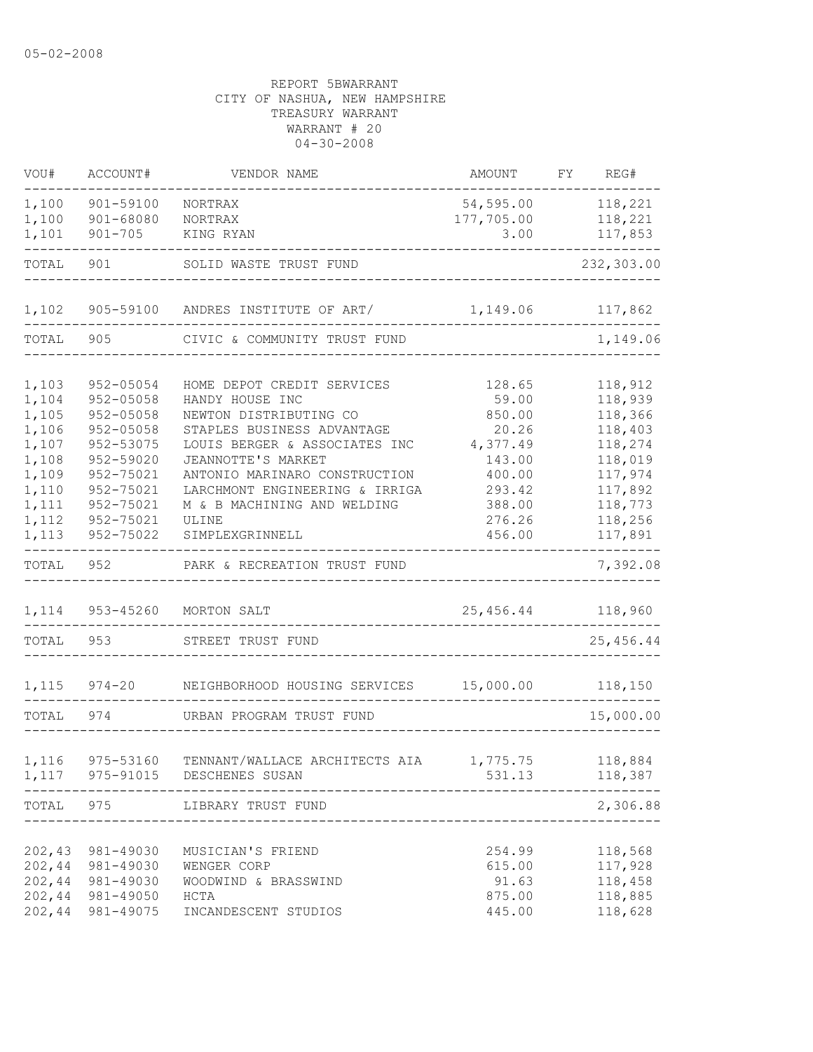| VOU#   | ACCOUNT#         | VENDOR NAME                             | AMOUNT     | FY | REG#       |
|--------|------------------|-----------------------------------------|------------|----|------------|
| 1,100  | 901-59100        | NORTRAX                                 | 54, 595.00 |    | 118,221    |
| 1,100  | 901-68080        | NORTRAX                                 | 177,705.00 |    | 118,221    |
| 1,101  | $901 - 705$      | KING RYAN                               | 3.00       |    | 117,853    |
| TOTAL  | 901              | SOLID WASTE TRUST FUND                  |            |    | 232,303.00 |
| 1,102  |                  | 905-59100 ANDRES INSTITUTE OF ART/      | 1,149.06   |    | 117,862    |
| TOTAL  | 905              | CIVIC & COMMUNITY TRUST FUND            |            |    | 1,149.06   |
|        |                  |                                         |            |    |            |
| 1,103  | 952-05054        | HOME DEPOT CREDIT SERVICES              | 128.65     |    | 118,912    |
| 1,104  | $952 - 05058$    | HANDY HOUSE INC                         | 59.00      |    | 118,939    |
| 1,105  | $952 - 05058$    | NEWTON DISTRIBUTING CO                  | 850.00     |    | 118,366    |
| 1,106  | $952 - 05058$    | STAPLES BUSINESS ADVANTAGE              | 20.26      |    | 118,403    |
| 1,107  | 952-53075        | LOUIS BERGER & ASSOCIATES INC           | 4,377.49   |    | 118,274    |
| 1,108  | 952-59020        | JEANNOTTE'S MARKET                      | 143.00     |    | 118,019    |
| 1,109  | 952-75021        | ANTONIO MARINARO CONSTRUCTION           | 400.00     |    | 117,974    |
| 1,110  | 952-75021        | LARCHMONT ENGINEERING & IRRIGA          | 293.42     |    | 117,892    |
| 1,111  | 952-75021        | M & B MACHINING AND WELDING             | 388.00     |    | 118,773    |
| 1,112  | 952-75021        | ULINE                                   | 276.26     |    | 118,256    |
| 1,113  | 952-75022        | SIMPLEXGRINNELL                         | 456.00     |    | 117,891    |
| TOTAL  | 952              | PARK & RECREATION TRUST FUND            |            |    | 7,392.08   |
| 1,114  | 953-45260        | MORTON SALT                             | 25,456.44  |    | 118,960    |
| TOTAL  | 953              | STREET TRUST FUND                       |            |    | 25, 456.44 |
|        |                  |                                         |            |    |            |
| 1,115  | $974 - 20$       | NEIGHBORHOOD HOUSING SERVICES           | 15,000.00  |    | 118,150    |
| TOTAL  | 974              | URBAN PROGRAM TRUST FUND                |            |    | 15,000.00  |
|        |                  |                                         |            |    |            |
| 1,116  | 975-53160        | TENNANT/WALLACE ARCHITECTS AIA 1,775.75 |            |    | 118,884    |
|        |                  | 1,117 975-91015 DESCHENES SUSAN         | 531.13     |    | 118,387    |
|        |                  | TOTAL 975 LIBRARY TRUST FUND            |            |    | 2,306.88   |
|        |                  |                                         |            |    |            |
|        | 202,43 981-49030 | MUSICIAN'S FRIEND                       | 254.99     |    | 118,568    |
|        | 202,44 981-49030 | WENGER CORP                             | 615.00     |    | 117,928    |
| 202,44 | 981-49030        | WOODWIND & BRASSWIND                    | 91.63      |    | 118,458    |
|        | 202,44 981-49050 | HCTA                                    | 875.00     |    | 118,885    |
|        | 202,44 981-49075 | INCANDESCENT STUDIOS                    | 445.00     |    | 118,628    |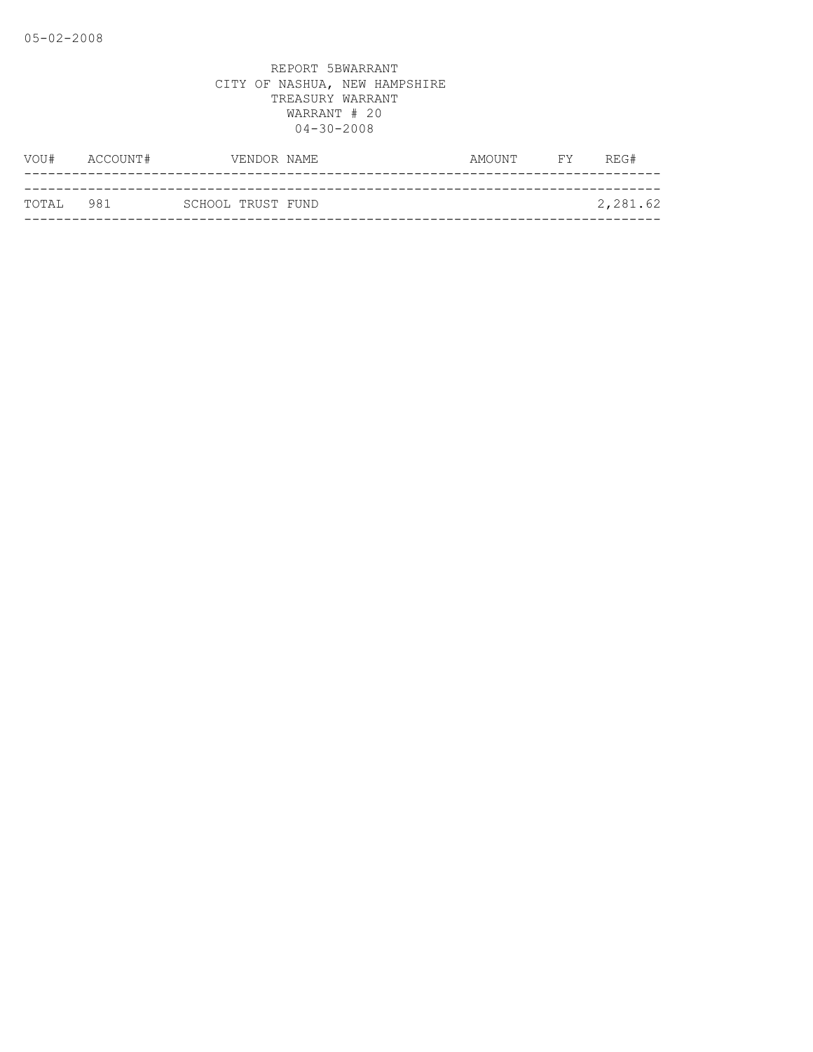| VOU#      | ACCOUNT# |                   | VENDOR NAME | AMOUNT | <b>FY</b> | REG#     |
|-----------|----------|-------------------|-------------|--------|-----------|----------|
|           |          |                   |             |        |           |          |
| TOTAL 981 |          | SCHOOL TRUST FUND |             |        |           | 2,281.62 |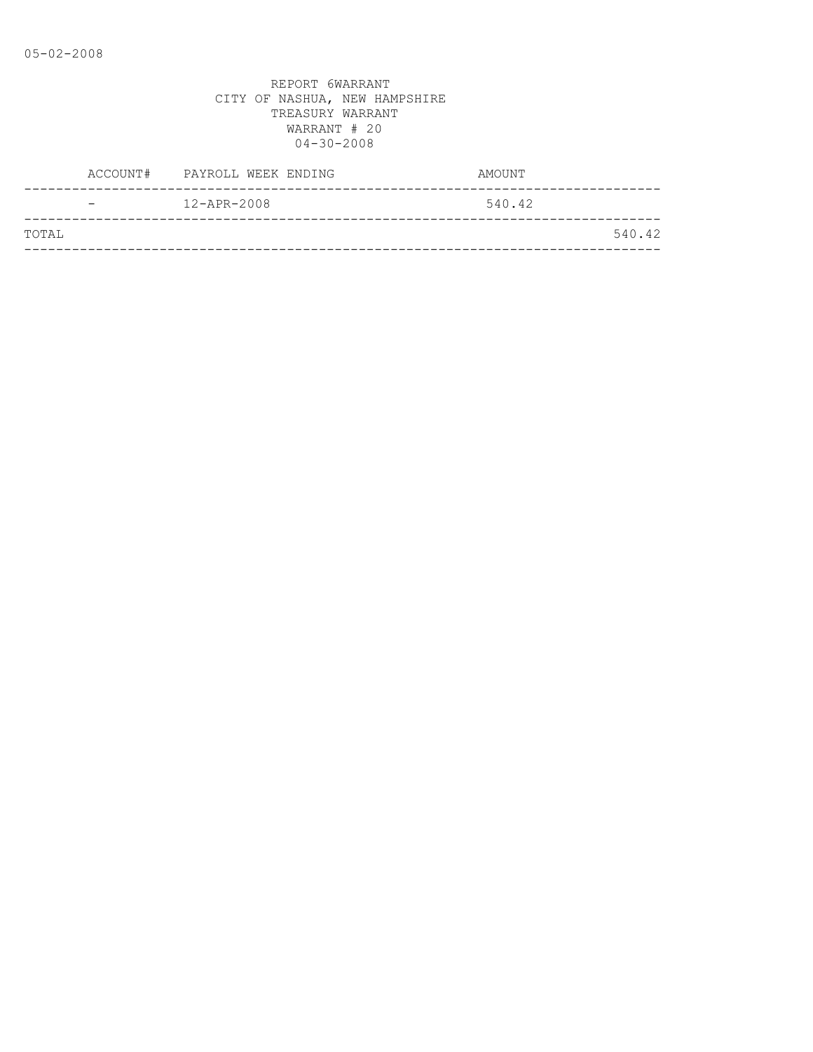|       |                          | ACCOUNT# PAYROLL WEEK ENDING | AMOUNT |
|-------|--------------------------|------------------------------|--------|
|       | $\overline{\phantom{0}}$ | $12 - APR - 2008$            | 540.42 |
| TOTAL |                          |                              | 540.42 |
|       |                          |                              |        |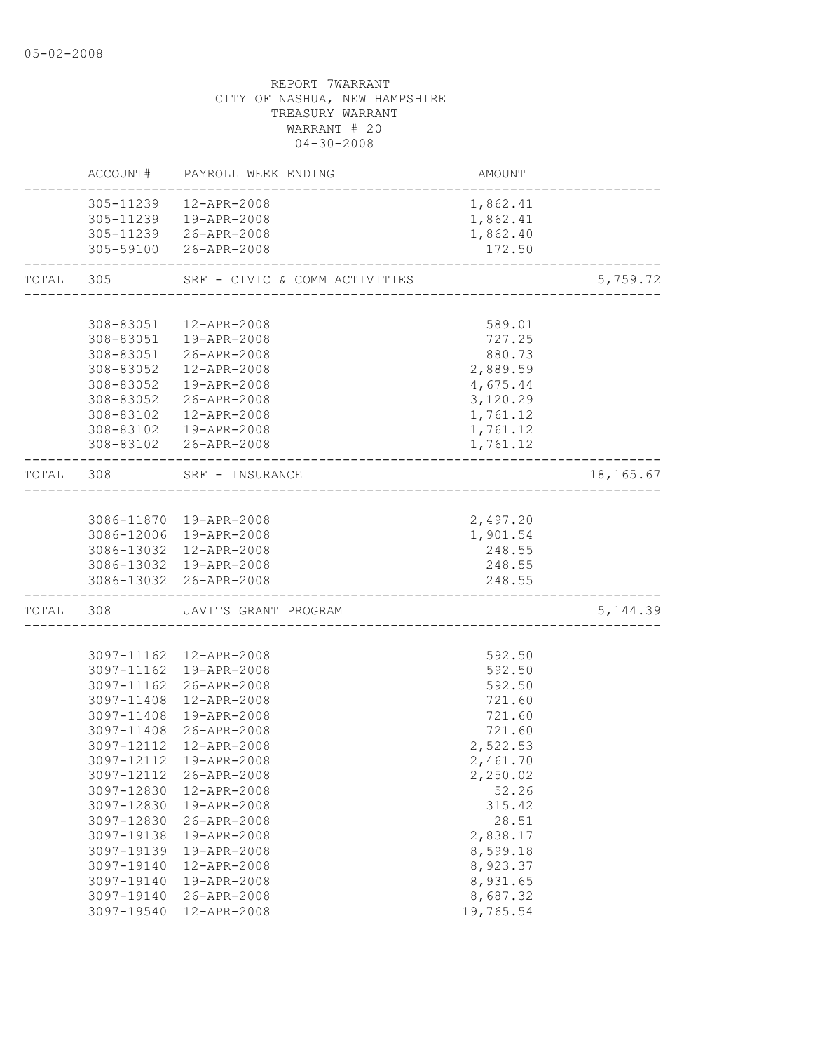| 305-11239<br>12-APR-2008<br>1,862.41<br>305-11239  19-APR-2008<br>1,862.41<br>305-11239 26-APR-2008<br>1,862.40 |           |
|-----------------------------------------------------------------------------------------------------------------|-----------|
|                                                                                                                 |           |
|                                                                                                                 |           |
|                                                                                                                 |           |
| 305-59100 26-APR-2008<br>172.50<br>---------------------                                                        |           |
| TOTAL 305 SRF - CIVIC & COMM ACTIVITIES<br>-------------------------------------                                | 5,759.72  |
|                                                                                                                 |           |
| 308-83051  12-APR-2008<br>589.01                                                                                |           |
| 727.25<br>308-83051  19-APR-2008                                                                                |           |
| 308-83051 26-APR-2008<br>880.73                                                                                 |           |
| 2,889.59<br>308-83052<br>12-APR-2008                                                                            |           |
| 19-APR-2008<br>308-83052<br>4,675.44                                                                            |           |
| 308-83052 26-APR-2008<br>3,120.29                                                                               |           |
| 308-83102  12-APR-2008<br>1,761.12                                                                              |           |
| 308-83102  19-APR-2008<br>1,761.12                                                                              |           |
| 308-83102 26-APR-2008<br>1,761.12                                                                               |           |
| TOTAL 308<br>SRF - INSURANCE                                                                                    | 18,165.67 |
|                                                                                                                 |           |
| 2,497.20<br>3086-11870 19-APR-2008                                                                              |           |
| 3086-12006 19-APR-2008<br>1,901.54                                                                              |           |
| 3086-13032 12-APR-2008<br>248.55                                                                                |           |
| 3086-13032 19-APR-2008<br>248.55                                                                                |           |
| 3086-13032 26-APR-2008<br>248.55                                                                                |           |
| TOTAL 308 JAVITS GRANT PROGRAM                                                                                  | 5, 144.39 |
|                                                                                                                 |           |
| 592.50<br>3097-11162  12-APR-2008                                                                               |           |
| 3097-11162 19-APR-2008<br>592.50                                                                                |           |
| 3097-11162 26-APR-2008<br>592.50                                                                                |           |
| 3097-11408 12-APR-2008<br>721.60                                                                                |           |
| 721.60<br>3097-11408 19-APR-2008                                                                                |           |
| 3097-11408 26-APR-2008<br>721.60                                                                                |           |
| 2,522.53<br>3097-12112 12-APR-2008                                                                              |           |
| 3097-12112 19-APR-2008<br>2,461.70                                                                              |           |
| 3097-12112<br>26-APR-2008<br>2,250.02<br>12-APR-2008<br>52.26                                                   |           |
| 3097-12830<br>3097-12830<br>19-APR-2008<br>315.42                                                               |           |
| 3097-12830<br>26-APR-2008<br>28.51                                                                              |           |
| 19-APR-2008<br>2,838.17<br>3097-19138                                                                           |           |
| 19-APR-2008<br>8,599.18<br>3097-19139                                                                           |           |
| 3097-19140<br>12-APR-2008<br>8,923.37                                                                           |           |
| 8,931.65<br>3097-19140<br>19-APR-2008                                                                           |           |
| 8,687.32<br>3097-19140<br>26-APR-2008                                                                           |           |
| 19,765.54<br>3097-19540<br>12-APR-2008                                                                          |           |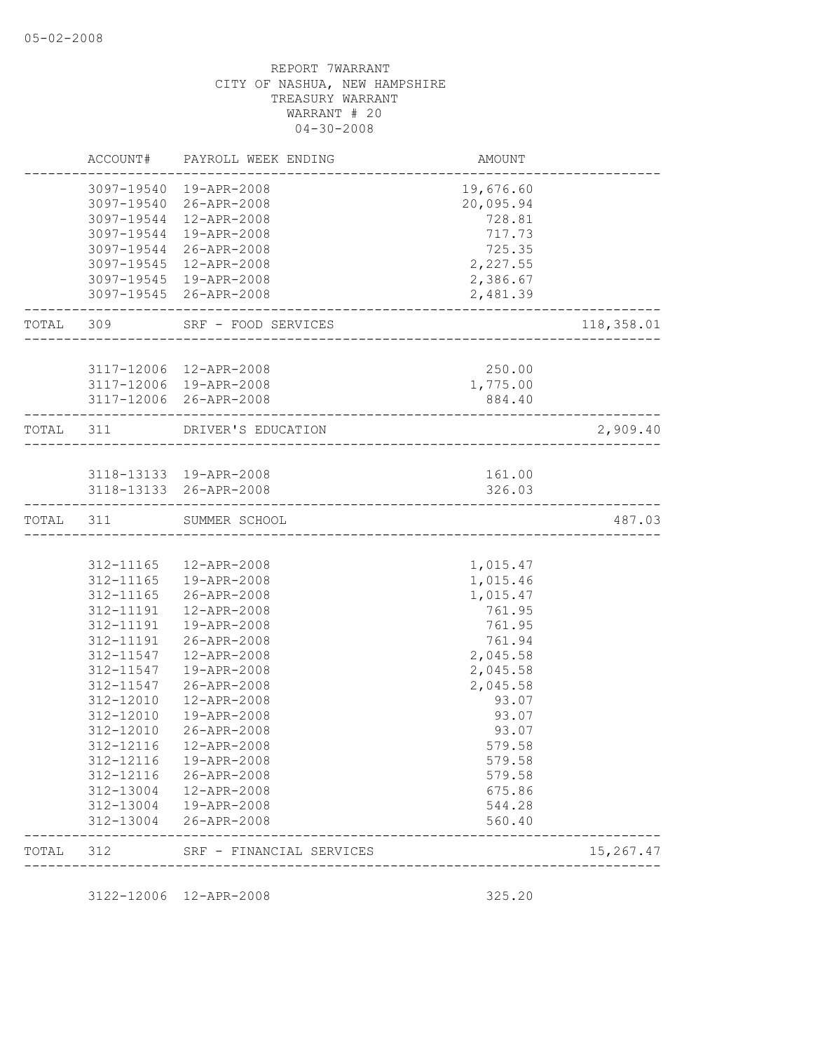| TOTAL     | 312                    | SRF - FINANCIAL SERVICES                          |                        | 15,267.47  |
|-----------|------------------------|---------------------------------------------------|------------------------|------------|
|           | 312-13004              | 26-APR-2008                                       | 560.40                 |            |
|           | 312-13004              | 19-APR-2008                                       | 544.28                 |            |
|           | 312-13004              | 12-APR-2008                                       | 675.86                 |            |
|           | 312-12116              | 26-APR-2008                                       | 579.58                 |            |
|           | 312-12116              | 19-APR-2008                                       | 579.58                 |            |
|           | 312-12116              | 12-APR-2008                                       | 579.58                 |            |
|           | 312-12010              | 26-APR-2008                                       | 93.07                  |            |
|           | 312-12010              | 19-APR-2008                                       | 93.07                  |            |
|           | 312-11547<br>312-12010 | 12-APR-2008                                       | 2,045.58<br>93.07      |            |
|           | 312-11547              | 19-APR-2008<br>26-APR-2008                        | 2,045.58               |            |
|           | 312-11547              | 12-APR-2008                                       | 2,045.58               |            |
|           | 312-11191              | 26-APR-2008                                       | 761.94                 |            |
|           |                        | 312-11191  19-APR-2008                            | 761.95                 |            |
|           |                        | 312-11191  12-APR-2008                            | 761.95                 |            |
|           |                        | 312-11165 26-APR-2008                             | 1,015.47               |            |
|           |                        | 312-11165  19-APR-2008                            | 1,015.46               |            |
|           |                        | 312-11165  12-APR-2008                            | 1,015.47               |            |
| TOTAL 311 |                        | SUMMER SCHOOL                                     |                        | 487.03     |
|           |                        | 3118-13133 19-APR-2008<br>3118-13133 26-APR-2008  | 161.00<br>326.03       |            |
|           |                        | TOTAL 311 DRIVER'S EDUCATION                      | ---------------------- | 2,909.40   |
|           |                        |                                                   |                        |            |
|           |                        | 3117-12006 19-APR-2008<br>3117-12006 26-APR-2008  | 1,775.00<br>884.40     |            |
|           |                        | 3117-12006 12-APR-2008                            | 250.00                 |            |
|           |                        | TOTAL 309 SRF - FOOD SERVICES                     | ____________________   | 118,358.01 |
|           |                        | 3097-19545  19-APR-2008<br>3097-19545 26-APR-2008 | 2,386.67<br>2,481.39   |            |
|           |                        | 3097-19545 12-APR-2008                            | 2,227.55               |            |
|           |                        | 3097-19544 26-APR-2008                            | 725.35                 |            |
|           |                        | 3097-19544 19-APR-2008                            | 717.73                 |            |
|           |                        | 3097-19544  12-APR-2008                           | 728.81                 |            |
|           |                        | 3097-19540 26-APR-2008                            | 20,095.94              |            |
|           |                        | 3097-19540  19-APR-2008                           | 19,676.60              |            |
|           |                        | ACCOUNT# PAYROLL WEEK ENDING                      | AMOUNT                 |            |

3122-12006 12-APR-2008 325.20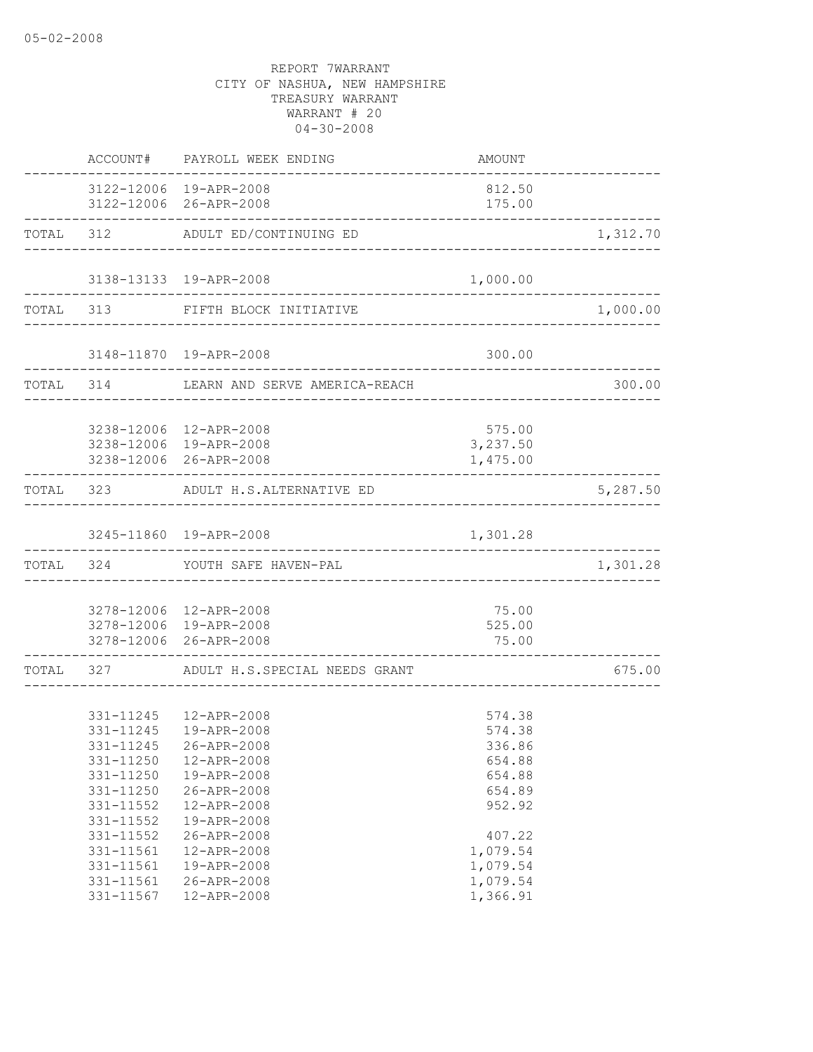|                                                                                                                                                          | ACCOUNT# PAYROLL WEEK ENDING                                                                                                                                                                               | AMOUNT                                                                                                                       |                                           |
|----------------------------------------------------------------------------------------------------------------------------------------------------------|------------------------------------------------------------------------------------------------------------------------------------------------------------------------------------------------------------|------------------------------------------------------------------------------------------------------------------------------|-------------------------------------------|
|                                                                                                                                                          | 3122-12006 19-APR-2008<br>3122-12006 26-APR-2008                                                                                                                                                           | 812.50<br>175.00                                                                                                             |                                           |
|                                                                                                                                                          | TOTAL 312 ADULT ED/CONTINUING ED                                                                                                                                                                           |                                                                                                                              | 1,312.70                                  |
|                                                                                                                                                          | 3138-13133 19-APR-2008<br>-----------------------------                                                                                                                                                    | 1,000.00                                                                                                                     |                                           |
|                                                                                                                                                          | TOTAL 313 FIFTH BLOCK INITIATIVE                                                                                                                                                                           |                                                                                                                              | 1,000.00                                  |
|                                                                                                                                                          | 3148-11870  19-APR-2008                                                                                                                                                                                    | 300.00                                                                                                                       |                                           |
|                                                                                                                                                          | TOTAL 314 LEARN AND SERVE AMERICA-REACH                                                                                                                                                                    |                                                                                                                              | 300.00                                    |
|                                                                                                                                                          | 3238-12006 12-APR-2008<br>3238-12006 19-APR-2008<br>3238-12006 26-APR-2008                                                                                                                                 | 575.00<br>3,237.50<br>1,475.00                                                                                               |                                           |
|                                                                                                                                                          | TOTAL 323 ADULT H.S.ALTERNATIVE ED                                                                                                                                                                         |                                                                                                                              | 5,287.50                                  |
|                                                                                                                                                          | 3245-11860 19-APR-2008                                                                                                                                                                                     | 1,301.28                                                                                                                     |                                           |
|                                                                                                                                                          | TOTAL 324 YOUTH SAFE HAVEN-PAL                                                                                                                                                                             |                                                                                                                              | . _ _ _ _ _ _ _ _ _ _ _ _ _ _<br>1,301.28 |
|                                                                                                                                                          | 3278-12006 12-APR-2008<br>3278-12006 19-APR-2008<br>3278-12006 26-APR-2008                                                                                                                                 | 75.00<br>525.00<br>75.00                                                                                                     |                                           |
|                                                                                                                                                          | TOTAL 327 ADULT H.S.SPECIAL NEEDS GRANT                                                                                                                                                                    |                                                                                                                              | 675.00                                    |
| 331-11245<br>331-11245<br>331-11250<br>331-11250<br>331-11250<br>331-11552<br>331-11552<br>331-11552<br>331-11561<br>331-11561<br>331-11561<br>331-11567 | 331-11245  12-APR-2008<br>19-APR-2008<br>26-APR-2008<br>12-APR-2008<br>19-APR-2008<br>26-APR-2008<br>12-APR-2008<br>19-APR-2008<br>26-APR-2008<br>12-APR-2008<br>19-APR-2008<br>26-APR-2008<br>12-APR-2008 | 574.38<br>574.38<br>336.86<br>654.88<br>654.88<br>654.89<br>952.92<br>407.22<br>1,079.54<br>1,079.54<br>1,079.54<br>1,366.91 |                                           |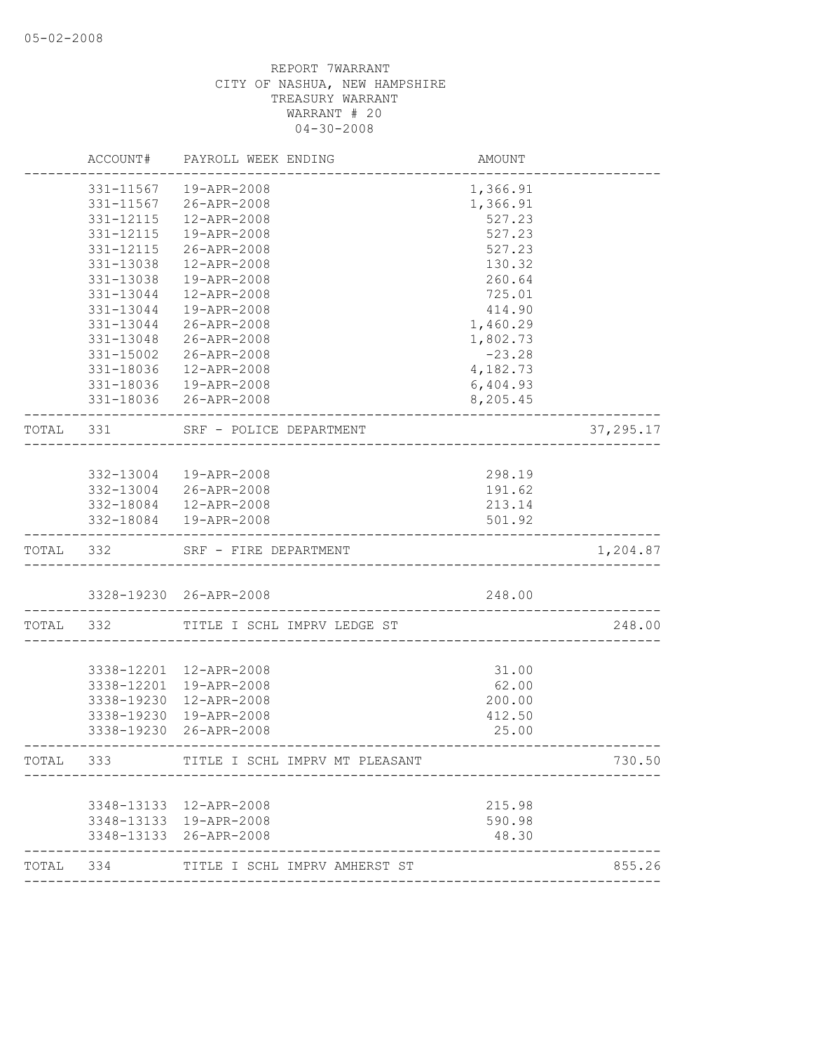|           | ACCOUNT#   | PAYROLL WEEK ENDING                              | AMOUNT           |            |
|-----------|------------|--------------------------------------------------|------------------|------------|
|           | 331-11567  | 19-APR-2008                                      | 1,366.91         |            |
|           | 331-11567  | 26-APR-2008                                      | 1,366.91         |            |
|           | 331-12115  | 12-APR-2008                                      | 527.23           |            |
|           | 331-12115  | 19-APR-2008                                      | 527.23           |            |
|           | 331-12115  | 26-APR-2008                                      | 527.23           |            |
|           | 331-13038  | 12-APR-2008                                      | 130.32           |            |
|           | 331-13038  | 19-APR-2008                                      | 260.64           |            |
|           | 331-13044  | 12-APR-2008                                      | 725.01           |            |
|           | 331-13044  | 19-APR-2008                                      | 414.90           |            |
|           | 331-13044  | 26-APR-2008                                      | 1,460.29         |            |
|           | 331-13048  | 26-APR-2008                                      | 1,802.73         |            |
|           | 331-15002  | 26-APR-2008                                      | $-23.28$         |            |
|           | 331-18036  | 12-APR-2008                                      | 4,182.73         |            |
|           | 331-18036  | 19-APR-2008                                      | 6,404.93         |            |
|           |            | 331-18036 26-APR-2008                            | 8,205.45         |            |
| TOTAL 331 |            | SRF - POLICE DEPARTMENT<br>.                     |                  | 37, 295.17 |
|           |            |                                                  |                  |            |
|           |            | 332-13004  19-APR-2008                           | 298.19           |            |
|           |            | 332-13004 26-APR-2008                            | 191.62           |            |
|           |            | 332-18084  12-APR-2008                           | 213.14           |            |
|           |            | 332-18084  19-APR-2008                           | 501.92           |            |
| TOTAL 332 |            | SRF - FIRE DEPARTMENT                            |                  | 1,204.87   |
|           |            | 3328-19230 26-APR-2008                           | 248.00           |            |
|           |            |                                                  |                  |            |
| TOTAL     | 332        | TITLE I SCHL IMPRV LEDGE ST                      |                  | 248.00     |
|           |            |                                                  |                  |            |
|           | 3338-12201 | 12-APR-2008                                      | 31.00            |            |
|           | 3338-12201 | 19-APR-2008                                      | 62.00            |            |
|           | 3338-19230 | 12-APR-2008                                      | 200.00           |            |
|           | 3338-19230 | 19-APR-2008<br>3338-19230 26-APR-2008            | 412.50<br>25.00  |            |
|           |            |                                                  |                  |            |
| TOTAL     | 333        | TITLE I SCHL IMPRV MT PLEASANT                   |                  | 730.50     |
|           |            |                                                  |                  |            |
|           |            | 3348-13133 12-APR-2008<br>3348-13133 19-APR-2008 | 215.98<br>590.98 |            |
|           | 3348-13133 | 26-APR-2008                                      | 48.30            |            |
| TOTAL     |            |                                                  |                  | 855.26     |
|           | 334        | TITLE I SCHL IMPRV AMHERST ST                    |                  |            |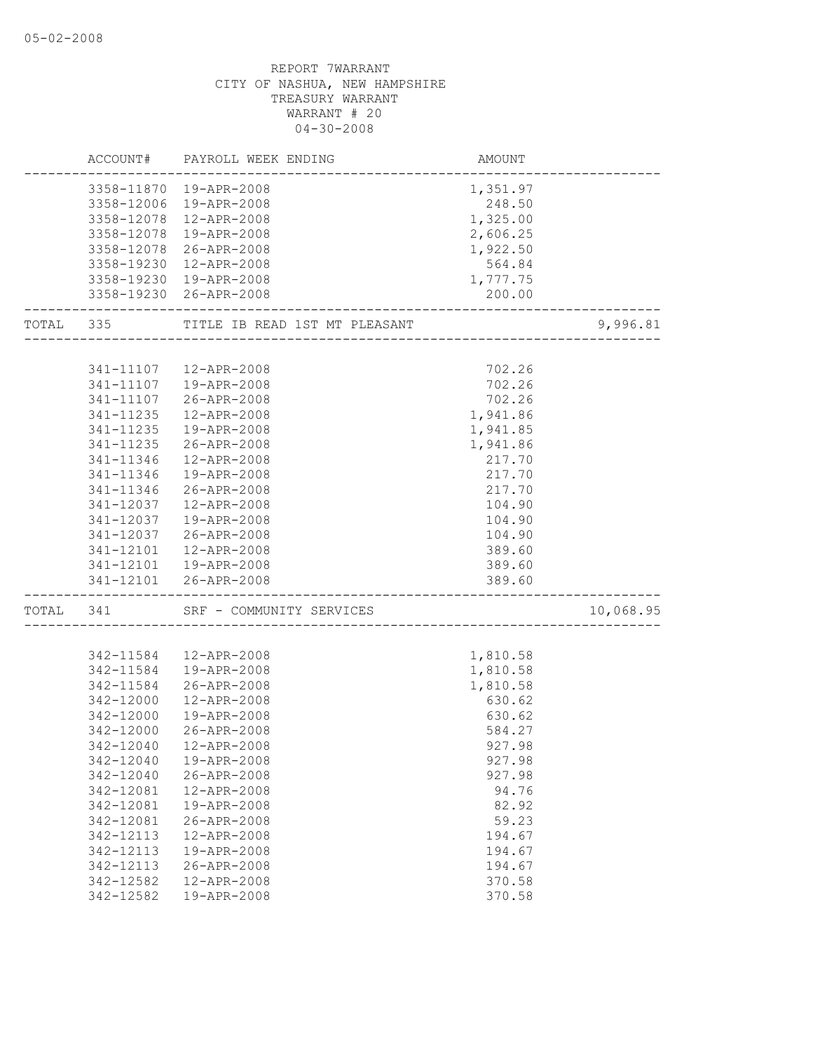|       | ACCOUNT#  | PAYROLL WEEK ENDING                     | AMOUNT   |           |
|-------|-----------|-----------------------------------------|----------|-----------|
|       |           | 3358-11870  19-APR-2008                 | 1,351.97 |           |
|       |           | 3358-12006 19-APR-2008                  | 248.50   |           |
|       |           | 3358-12078 12-APR-2008                  | 1,325.00 |           |
|       |           | 3358-12078 19-APR-2008                  | 2,606.25 |           |
|       |           | 3358-12078 26-APR-2008                  | 1,922.50 |           |
|       |           | 3358-19230 12-APR-2008                  | 564.84   |           |
|       |           | 3358-19230 19-APR-2008                  | 1,777.75 |           |
|       |           | 3358-19230 26-APR-2008                  | 200.00   |           |
|       |           | TOTAL 335 TITLE IB READ 1ST MT PLEASANT |          | 9,996.81  |
|       |           |                                         |          |           |
|       |           | 341-11107  12-APR-2008                  | 702.26   |           |
|       | 341-11107 | 19-APR-2008                             | 702.26   |           |
|       | 341-11107 | 26-APR-2008                             | 702.26   |           |
|       | 341-11235 | 12-APR-2008                             | 1,941.86 |           |
|       | 341-11235 | 19-APR-2008                             | 1,941.85 |           |
|       | 341-11235 | 26-APR-2008                             | 1,941.86 |           |
|       | 341-11346 | 12-APR-2008                             | 217.70   |           |
|       | 341-11346 | 19-APR-2008                             | 217.70   |           |
|       | 341-11346 | 26-APR-2008                             | 217.70   |           |
|       | 341-12037 | 12-APR-2008                             | 104.90   |           |
|       | 341-12037 | 19-APR-2008                             | 104.90   |           |
|       | 341-12037 | 26-APR-2008                             | 104.90   |           |
|       | 341-12101 | 12-APR-2008                             | 389.60   |           |
|       |           | 341-12101  19-APR-2008                  | 389.60   |           |
|       |           | 341-12101 26-APR-2008                   | 389.60   |           |
| TOTAL | 341       | SRF - COMMUNITY SERVICES                |          | 10,068.95 |
|       |           |                                         |          |           |
|       | 342-11584 | 12-APR-2008                             | 1,810.58 |           |
|       | 342-11584 | 19-APR-2008                             | 1,810.58 |           |
|       | 342-11584 | 26-APR-2008                             | 1,810.58 |           |
|       | 342-12000 | 12-APR-2008                             | 630.62   |           |
|       | 342-12000 | 19-APR-2008                             | 630.62   |           |
|       | 342-12000 | 26-APR-2008                             | 584.27   |           |
|       | 342-12040 | 12-APR-2008                             | 927.98   |           |
|       | 342-12040 | 19-APR-2008                             | 927.98   |           |
|       | 342-12040 | 26-APR-2008                             | 927.98   |           |
|       | 342-12081 | 12-APR-2008                             | 94.76    |           |
|       | 342-12081 | 19-APR-2008                             | 82.92    |           |
|       | 342-12081 | 26-APR-2008                             | 59.23    |           |
|       | 342-12113 | 12-APR-2008                             | 194.67   |           |
|       | 342-12113 | 19-APR-2008                             | 194.67   |           |
|       | 342-12113 | 26-APR-2008                             | 194.67   |           |
|       | 342-12582 | 12-APR-2008                             | 370.58   |           |
|       | 342-12582 | 19-APR-2008                             | 370.58   |           |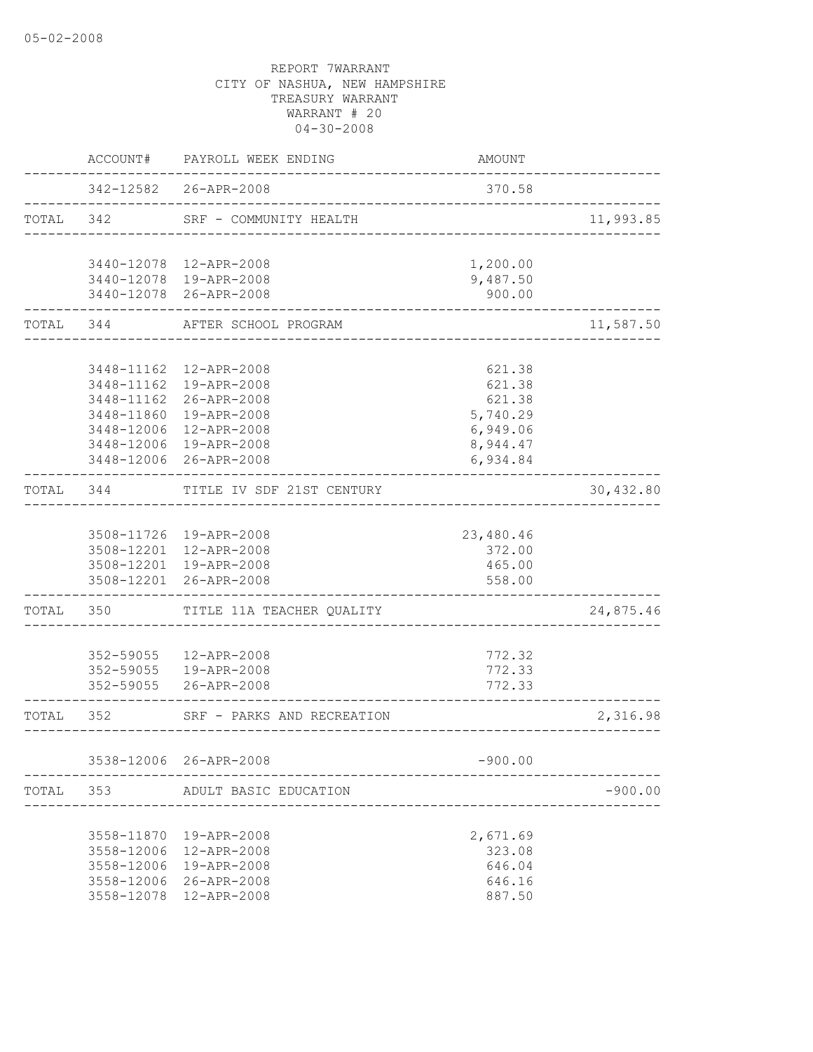|           |             | ACCOUNT# PAYROLL WEEK ENDING                             | AMOUNT                               |           |
|-----------|-------------|----------------------------------------------------------|--------------------------------------|-----------|
|           |             | 342-12582 26-APR-2008<br>------------------------------- | 370.58                               |           |
| TOTAL 342 |             | SRF - COMMUNITY HEALTH                                   | ____________________________________ | 11,993.85 |
|           |             | 3440-12078 12-APR-2008                                   | 1,200.00                             |           |
|           |             | 3440-12078 19-APR-2008                                   | 9,487.50                             |           |
|           |             | 3440-12078 26-APR-2008                                   | 900.00                               |           |
|           |             | TOTAL 344 AFTER SCHOOL PROGRAM                           | _____________________________        | 11,587.50 |
|           |             |                                                          |                                      |           |
|           |             | 3448-11162  12-APR-2008                                  | 621.38                               |           |
|           |             | 3448-11162  19-APR-2008<br>3448-11162 26-APR-2008        | 621.38<br>621.38                     |           |
|           |             | 3448-11860 19-APR-2008                                   | 5,740.29                             |           |
|           |             | 3448-12006 12-APR-2008                                   | 6,949.06                             |           |
|           |             | 3448-12006 19-APR-2008                                   | 8,944.47                             |           |
|           |             | 3448-12006 26-APR-2008                                   | 6,934.84                             |           |
| TOTAL 344 |             | TITLE IV SDF 21ST CENTURY                                | ___________________________________  | 30,432.80 |
|           |             |                                                          |                                      |           |
|           |             | 3508-11726 19-APR-2008                                   | 23,480.46                            |           |
|           |             | 3508-12201 12-APR-2008                                   | 372.00                               |           |
|           |             | 3508-12201 19-APR-2008                                   | 465.00                               |           |
|           | ___________ | 3508-12201 26-APR-2008                                   | 558.00                               |           |
|           |             | TOTAL 350 TITLE 11A TEACHER QUALITY                      |                                      | 24,875.46 |
|           |             | 352-59055  12-APR-2008                                   | 772.32                               |           |
|           |             | 352-59055   19-APR-2008                                  | 772.33                               |           |
|           |             | 352-59055 26-APR-2008                                    | 772.33                               |           |
| TOTAL 352 |             | SRF - PARKS AND RECREATION                               | _____________________________        | 2,316.98  |
|           |             | 3538-12006 26-APR-2008                                   | $-900.00$                            |           |
|           |             |                                                          |                                      |           |
| TOTAL     | 353         | ADULT BASIC EDUCATION                                    |                                      | $-900.00$ |
|           |             | 3558-11870  19-APR-2008                                  | 2,671.69                             |           |
|           | 3558-12006  | 12-APR-2008                                              | 323.08                               |           |
|           | 3558-12006  | 19-APR-2008                                              | 646.04                               |           |
|           |             | 3558-12006 26-APR-2008                                   | 646.16                               |           |
|           | 3558-12078  | 12-APR-2008                                              | 887.50                               |           |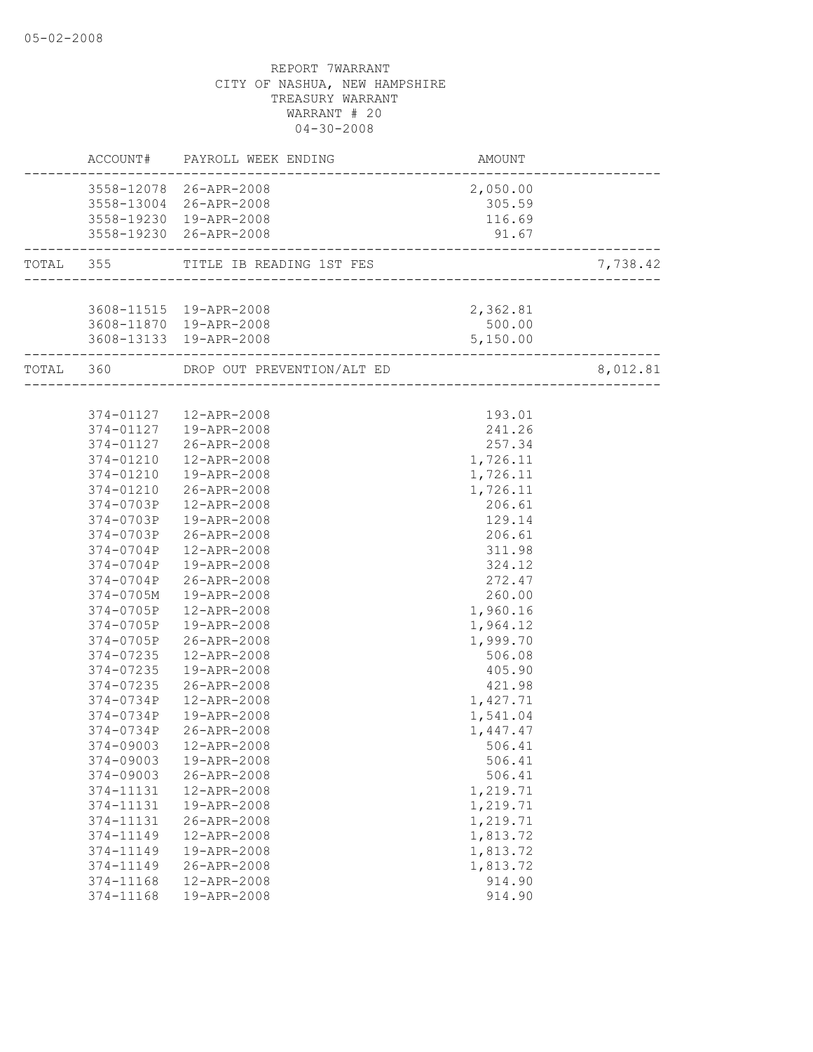|                        | ACCOUNT# PAYROLL WEEK ENDING       | AMOUNT<br>----------------------         |          |
|------------------------|------------------------------------|------------------------------------------|----------|
|                        | 3558-12078 26-APR-2008             | 2,050.00                                 |          |
|                        | 3558-13004 26-APR-2008             | 305.59                                   |          |
|                        | 3558-19230 19-APR-2008             | 116.69                                   |          |
|                        | 3558-19230 26-APR-2008             | 91.67<br>------------------------------  |          |
|                        | TOTAL 355 TITLE IB READING 1ST FES | 'ES<br>.-------------------------------- | 7,738.42 |
|                        |                                    |                                          |          |
|                        | 3608-11515  19-APR-2008            | 2,362.81                                 |          |
|                        | 3608-11870 19-APR-2008             | 500.00                                   |          |
|                        | 3608-13133 19-APR-2008             | 5,150.00<br>------------------           |          |
|                        |                                    |                                          | 8,012.81 |
|                        |                                    |                                          |          |
|                        | 374-01127  12-APR-2008             | 193.01                                   |          |
|                        | 374-01127  19-APR-2008             | 241.26                                   |          |
| 374-01127              | 26-APR-2008                        | 257.34                                   |          |
| 374-01210              | 12-APR-2008                        | 1,726.11                                 |          |
| 374-01210              | 19-APR-2008                        | 1,726.11                                 |          |
|                        | 374-01210 26-APR-2008              | 1,726.11                                 |          |
| 374-0703P              | 12-APR-2008                        | 206.61                                   |          |
| 374-0703P              | 19-APR-2008                        | 129.14                                   |          |
| 374-0703P              | 26-APR-2008                        | 206.61                                   |          |
| 374-0704P              | 12-APR-2008                        | 311.98                                   |          |
| 374-0704P              | 19-APR-2008                        | 324.12                                   |          |
| 374-0704P              | 26-APR-2008                        | 272.47                                   |          |
| 374-0705M              | 19-APR-2008                        | 260.00                                   |          |
| 374-0705P              | 12-APR-2008                        | 1,960.16                                 |          |
| 374-0705P              | 19-APR-2008                        | 1,964.12                                 |          |
| 374-0705P              | 26-APR-2008                        | 1,999.70                                 |          |
| 374-07235              | 12-APR-2008                        | 506.08                                   |          |
| 374-07235              | 19-APR-2008                        | 405.90                                   |          |
| 374-07235              | 26-APR-2008                        | 421.98                                   |          |
| 374-0734P              | 12-APR-2008                        | 1,427.71                                 |          |
| 374-0734P              | 19-APR-2008                        | 1,541.04                                 |          |
| 374-0734P              | 26-APR-2008                        | 1,447.47                                 |          |
| 374-09003              | 12-APR-2008                        | 506.41                                   |          |
| 374-09003<br>374-09003 | 19-APR-2008                        | 506.41                                   |          |
| 374-11131              | 26-APR-2008                        | 506.41<br>1,219.71                       |          |
| 374-11131              | 12-APR-2008<br>19-APR-2008         |                                          |          |
|                        | 26-APR-2008                        | 1,219.71<br>1,219.71                     |          |
| 374-11131<br>374-11149 | 12-APR-2008                        | 1,813.72                                 |          |
| 374-11149              | 19-APR-2008                        | 1,813.72                                 |          |
| 374-11149              | 26-APR-2008                        | 1,813.72                                 |          |
| 374-11168              | 12-APR-2008                        | 914.90                                   |          |
| 374-11168              | 19-APR-2008                        | 914.90                                   |          |
|                        |                                    |                                          |          |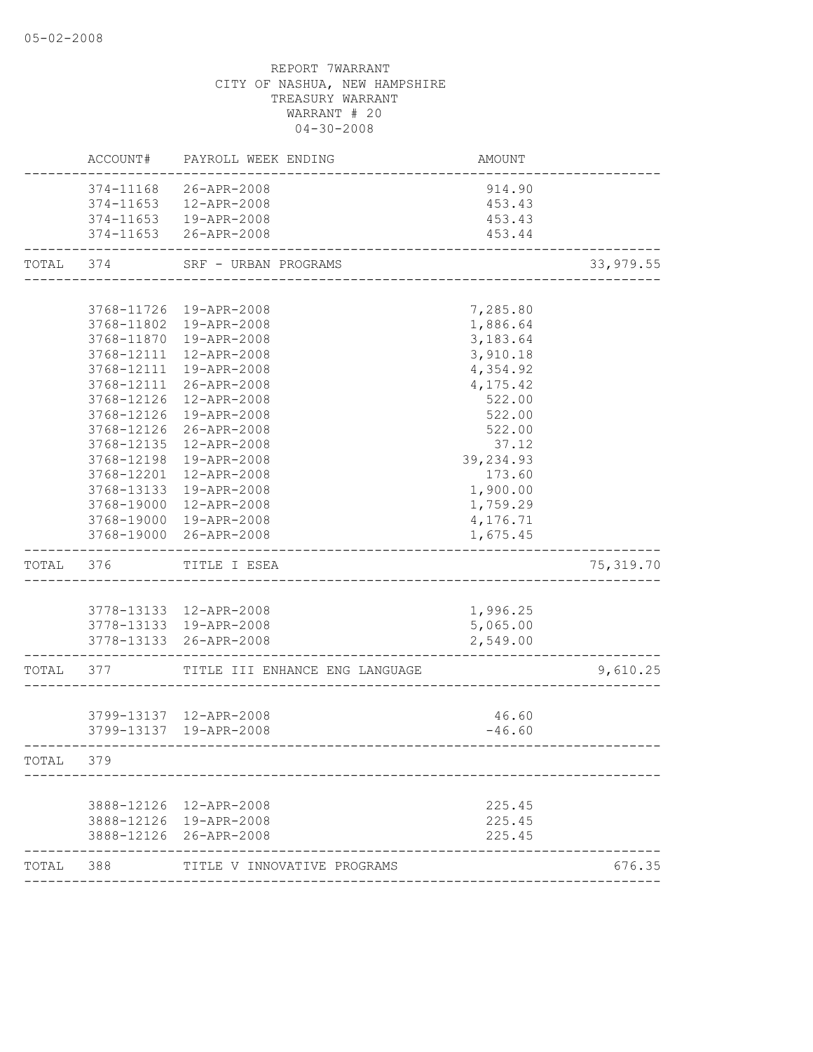|           | ACCOUNT#   | PAYROLL WEEK ENDING                      | AMOUNT                   |            |
|-----------|------------|------------------------------------------|--------------------------|------------|
|           | 374-11168  | 26-APR-2008                              | 914.90                   |            |
|           | 374-11653  | 12-APR-2008                              | 453.43                   |            |
|           |            | 374-11653  19-APR-2008                   | 453.43                   |            |
|           |            | 374-11653 26-APR-2008                    | 453.44                   |            |
| TOTAL 374 |            | SRF - URBAN PROGRAMS                     | ------------------------ | 33,979.55  |
|           |            |                                          |                          |            |
|           |            | 3768-11726 19-APR-2008                   | 7,285.80                 |            |
|           |            | 3768-11802 19-APR-2008                   | 1,886.64                 |            |
|           |            | 3768-11870  19-APR-2008                  | 3,183.64                 |            |
|           | 3768-12111 | 12-APR-2008                              | 3,910.18                 |            |
|           | 3768-12111 | 19-APR-2008                              | 4,354.92                 |            |
|           | 3768-12111 | 26-APR-2008                              | 4,175.42                 |            |
|           | 3768-12126 | 12-APR-2008                              | 522.00                   |            |
|           | 3768-12126 | 19-APR-2008                              | 522.00                   |            |
|           | 3768-12126 | 26-APR-2008                              | 522.00                   |            |
|           | 3768-12135 | 12-APR-2008                              | 37.12                    |            |
|           | 3768-12198 | 19-APR-2008                              | 39,234.93                |            |
|           | 3768-12201 | 12-APR-2008                              | 173.60                   |            |
|           | 3768-13133 | 19-APR-2008                              | 1,900.00                 |            |
|           |            | 3768-19000 12-APR-2008                   | 1,759.29                 |            |
|           |            | 3768-19000 19-APR-2008                   | 4,176.71                 |            |
|           |            | 3768-19000 26-APR-2008                   | 1,675.45                 |            |
| TOTAL 376 |            | TITLE I ESEA                             |                          | 75, 319.70 |
|           |            |                                          |                          |            |
|           |            | 3778-13133 12-APR-2008                   | 1,996.25                 |            |
|           |            | 3778-13133 19-APR-2008                   | 5,065.00                 |            |
|           |            | 3778-13133 26-APR-2008                   | 2,549.00                 |            |
|           |            | TOTAL 377 TITLE III ENHANCE ENG LANGUAGE |                          | 9,610.25   |
|           |            |                                          |                          |            |
|           |            | 3799-13137 12-APR-2008                   | 46.60                    |            |
|           |            | 3799-13137 19-APR-2008                   | $-46.60$                 |            |
| TOTAL     | 379        |                                          |                          |            |
|           |            |                                          |                          |            |
|           |            | 3888-12126 12-APR-2008                   | 225.45                   |            |
|           |            | 3888-12126 19-APR-2008                   | 225.45                   |            |
|           |            | 3888-12126 26-APR-2008                   | 225.45                   |            |
| TOTAL 388 |            | TITLE V INNOVATIVE PROGRAMS              |                          | 676.35     |
|           |            |                                          |                          |            |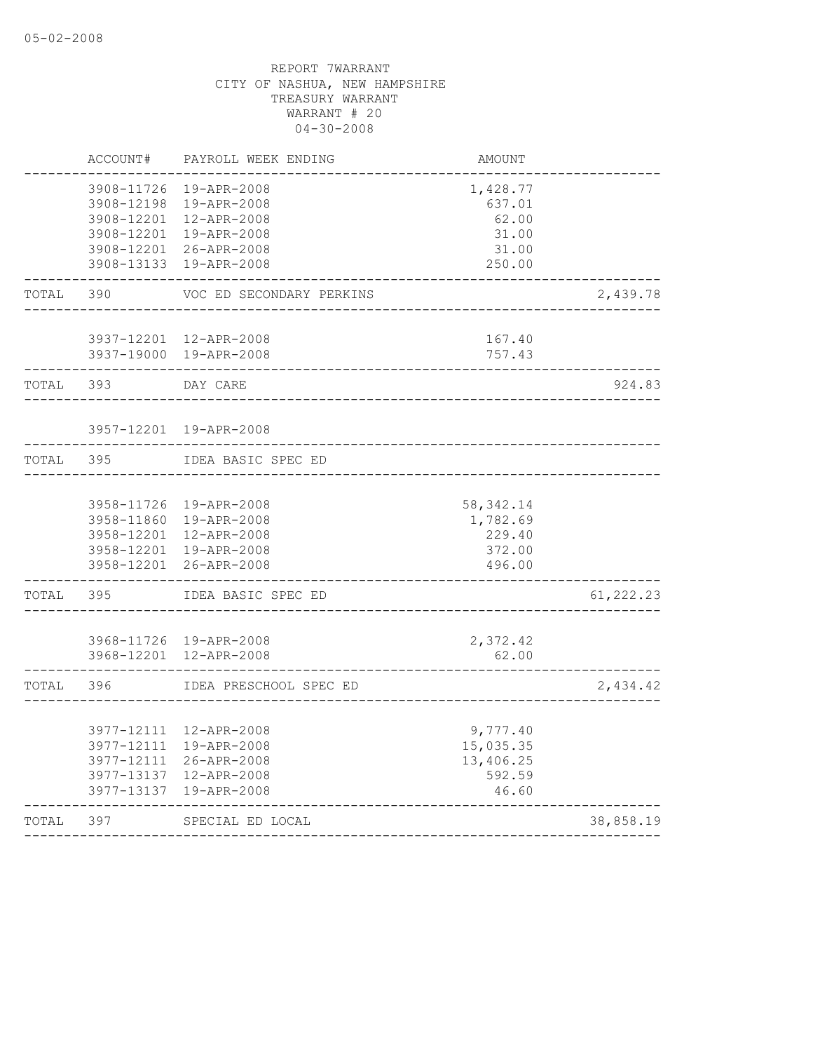| TOTAL | 397                                    | SPECIAL ED LOCAL                          |                          | 38,858.19  |
|-------|----------------------------------------|-------------------------------------------|--------------------------|------------|
|       | 3977-13137                             | 19-APR-2008                               | 46.60                    |            |
|       | 3977-12111<br>3977-13137               | 26-APR-2008<br>12-APR-2008                | 13,406.25<br>592.59      |            |
|       | 3977-12111                             | 19-APR-2008                               | 15,035.35                |            |
|       | 3977-12111                             | 12-APR-2008                               | 9,777.40                 |            |
| TOTAL | 396                                    | IDEA PRESCHOOL SPEC ED                    |                          | 2,434.42   |
|       |                                        |                                           |                          |            |
|       | 3968-12201                             | 3968-11726 19-APR-2008<br>12-APR-2008     | 2,372.42<br>62.00        |            |
| TOTAL | 395                                    | IDEA BASIC SPEC ED                        |                          | 61, 222.23 |
|       | 3958-12201                             | 26-APR-2008                               | 496.00                   |            |
|       | 3958-12201<br>3958-12201               | 12-APR-2008<br>19-APR-2008                | 229.40<br>372.00         |            |
|       | 3958-11726<br>3958-11860               | 19-APR-2008<br>19-APR-2008                | 58, 342.14<br>1,782.69   |            |
| TOTAL | 395                                    | IDEA BASIC SPEC ED                        |                          |            |
|       |                                        |                                           |                          |            |
|       | 3957-12201                             | 19-APR-2008                               |                          |            |
| TOTAL | 393                                    | DAY CARE                                  |                          | 924.83     |
|       | 3937-19000                             | 3937-12201 12-APR-2008<br>19-APR-2008     | 167.40<br>757.43         |            |
| TOTAL | 390                                    | VOC ED SECONDARY PERKINS                  |                          | 2,439.78   |
|       | 3908-12201<br>3908-13133               | 26-APR-2008<br>19-APR-2008                | 31.00<br>250.00          |            |
|       | 3908-12198<br>3908-12201<br>3908-12201 | 19-APR-2008<br>12-APR-2008<br>19-APR-2008 | 637.01<br>62.00<br>31.00 |            |
|       | 3908-11726                             | 19-APR-2008                               | 1,428.77                 |            |
|       | ACCOUNT#                               | PAYROLL WEEK ENDING                       | AMOUNT                   |            |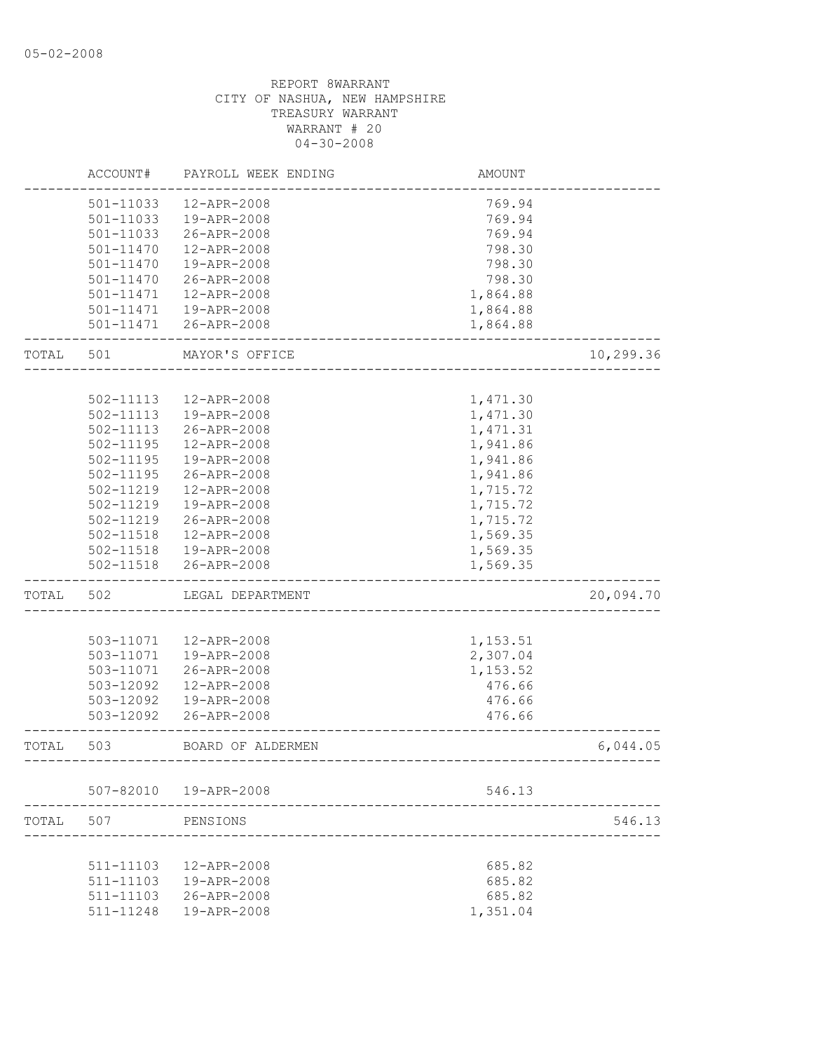|       | ACCOUNT#      | PAYROLL WEEK ENDING    | <b>AMOUNT</b>               |           |
|-------|---------------|------------------------|-----------------------------|-----------|
|       | 501-11033     | 12-APR-2008            | 769.94                      |           |
|       | 501-11033     | 19-APR-2008            | 769.94                      |           |
|       | 501-11033     | 26-APR-2008            | 769.94                      |           |
|       | 501-11470     | 12-APR-2008            | 798.30                      |           |
|       | 501-11470     | 19-APR-2008            | 798.30                      |           |
|       | 501-11470     | 26-APR-2008            | 798.30                      |           |
|       | 501-11471     | 12-APR-2008            | 1,864.88                    |           |
|       | 501-11471     | 19-APR-2008            | 1,864.88                    |           |
|       |               | 501-11471 26-APR-2008  | 1,864.88                    |           |
| TOTAL | 501           | MAYOR'S OFFICE         |                             | 10,299.36 |
|       |               |                        |                             |           |
|       | 502-11113     | 12-APR-2008            | 1,471.30                    |           |
|       | 502-11113     | 19-APR-2008            | 1,471.30                    |           |
|       | 502-11113     | 26-APR-2008            | 1,471.31                    |           |
|       | $502 - 11195$ | 12-APR-2008            | 1,941.86                    |           |
|       | 502-11195     | 19-APR-2008            | 1,941.86                    |           |
|       | 502-11195     | 26-APR-2008            | 1,941.86                    |           |
|       | 502-11219     | 12-APR-2008            | 1,715.72                    |           |
|       | 502-11219     | 19-APR-2008            | 1,715.72                    |           |
|       | 502-11219     | 26-APR-2008            | 1,715.72                    |           |
|       | 502-11518     | 12-APR-2008            | 1,569.35                    |           |
|       | 502-11518     | 19-APR-2008            | 1,569.35                    |           |
|       | 502-11518     | 26-APR-2008            | 1,569.35                    |           |
| TOTAL | 502           | LEGAL DEPARTMENT       |                             | 20,094.70 |
|       |               |                        |                             |           |
|       | 503-11071     | 12-APR-2008            | 1,153.51                    |           |
|       | 503-11071     | 19-APR-2008            | 2,307.04                    |           |
|       | 503-11071     | 26-APR-2008            | 1,153.52                    |           |
|       | 503-12092     | 12-APR-2008            | 476.66                      |           |
|       | 503-12092     | 19-APR-2008            | 476.66                      |           |
|       | 503-12092     | 26-APR-2008            | 476.66                      |           |
| TOTAL | 503           | BOARD OF ALDERMEN      | --------------------------- | 6,044.05  |
|       |               | 507-82010  19-APR-2008 | 546.13                      |           |
|       |               |                        |                             |           |
| TOTAL | 507           | PENSIONS               |                             | 546.13    |
|       | 511-11103     | 12-APR-2008            | 685.82                      |           |
|       | 511-11103     | 19-APR-2008            | 685.82                      |           |
|       | 511-11103     | 26-APR-2008            | 685.82                      |           |
|       | 511-11248     | 19-APR-2008            | 1,351.04                    |           |
|       |               |                        |                             |           |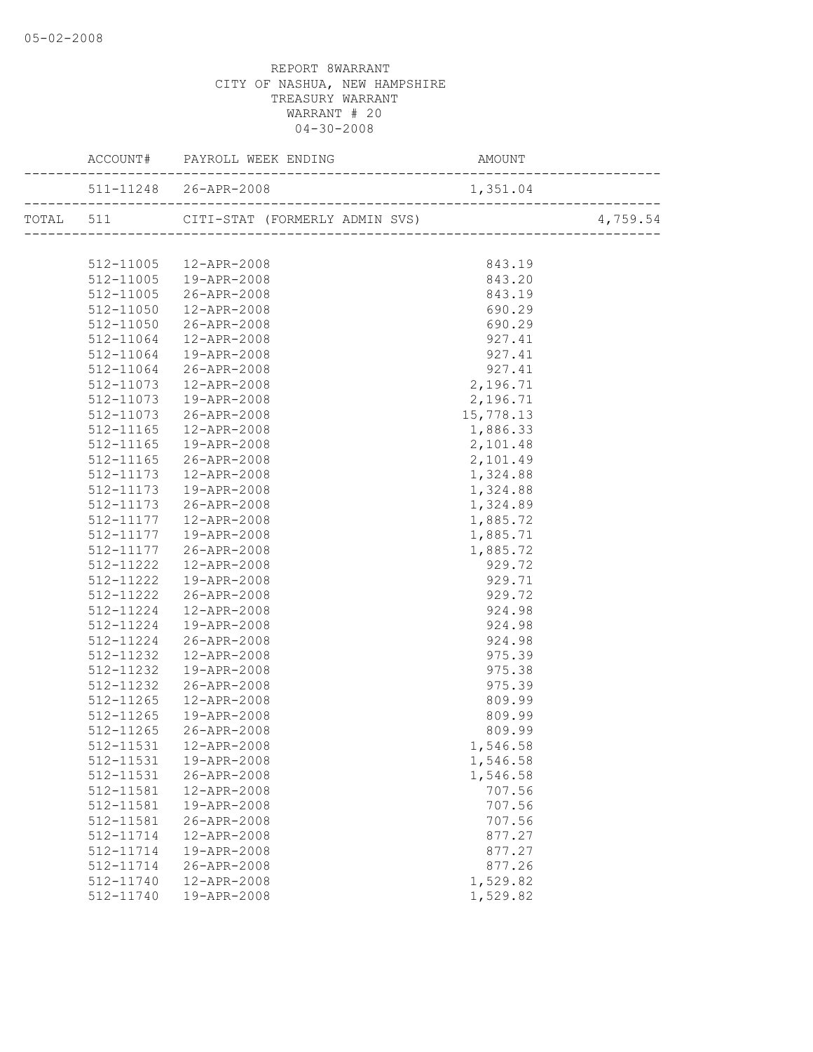|               | TOTAL 511 CITI-STAT (FORMERLY ADMIN SVS) 4,759.54 |                                                        |  |
|---------------|---------------------------------------------------|--------------------------------------------------------|--|
|               |                                                   |                                                        |  |
|               | 512-11005 12-APR-2008                             | 843.19                                                 |  |
|               |                                                   | 843.20                                                 |  |
|               | 512-11005  19-APR-2008<br>512-11005  26-APR-2008  | 843.19                                                 |  |
| 512-11050     | 12-APR-2008                                       | 690.29                                                 |  |
|               | 512-11050 26-APR-2008                             | 690.29                                                 |  |
|               | 512-11064  12-APR-2008                            |                                                        |  |
| 512-11064     | 19-APR-2008                                       | 927.4<br>927.4<br>927.41<br>2,196.71<br>2,196.71<br>15 |  |
| 512-11064     | 26-APR-2008                                       |                                                        |  |
| 512-11073     | 12-APR-2008                                       |                                                        |  |
| 512-11073     | 19-APR-2008                                       |                                                        |  |
| 512-11073     | 26-APR-2008                                       |                                                        |  |
| $512 - 11165$ | 12-APR-2008                                       | 1,886.33                                               |  |
| 512-11165     | 19-APR-2008                                       | 2,101.48                                               |  |
| 512-11165     | 26-APR-2008                                       | 2,101.49                                               |  |
| 512-11173     | 12-APR-2008                                       | 1,324.88                                               |  |
| 512-11173     | 19-APR-2008                                       | 1,324.88                                               |  |
| 512-11173     | 26-APR-2008                                       | 1,324.89                                               |  |
|               | 512-11177  12-APR-2008                            | 1,885.72                                               |  |
|               | 512-11177   19-APR-2008                           | 1,885.71                                               |  |
|               |                                                   | 1,885.72                                               |  |
|               | 512-11177 26-APR-2008<br>512-11222 12-APR-2008    | 929.72                                                 |  |
| 512-11222     | 19-APR-2008                                       | 929.71                                                 |  |
| 512-11222     | 26-APR-2008                                       | 929.72                                                 |  |
|               | 512-11224  12-APR-2008                            | 924.98                                                 |  |
| 512-11224     | 19-APR-2008                                       | 924.98                                                 |  |
| 512-11224     | 26-APR-2008                                       | 924.98                                                 |  |
| 512-11232     | 12-APR-2008                                       | 975.39                                                 |  |
| 512-11232     | 19-APR-2008                                       | 975.38                                                 |  |
| 512-11232     | 26-APR-2008                                       | 975.39                                                 |  |
| 512-11265     | 12-APR-2008                                       | 809.99                                                 |  |
| 512-11265     | 19-APR-2008                                       | 809.99                                                 |  |
| 512-11265     | 26-APR-2008                                       | 809.99                                                 |  |
|               | 512-11531    12-APR-2008                          | 1,546.58                                               |  |
| 512-11531     | 19-APR-2008                                       | 1,546.58                                               |  |
| 512-11531     | 26-APR-2008                                       | 1,546.58                                               |  |
| 512-11581     | 12-APR-2008                                       | 707.56                                                 |  |
| 512-11581     | 19-APR-2008                                       | 707.56                                                 |  |
| 512-11581     | 26-APR-2008                                       | 707.56                                                 |  |
| 512-11714     | 12-APR-2008                                       | 877.27                                                 |  |
| 512-11714     | 19-APR-2008                                       | 877.27                                                 |  |
| 512-11714     | 26-APR-2008                                       | 877.26                                                 |  |
| 512-11740     | 12-APR-2008                                       | 1,529.82                                               |  |
| 512-11740     | 19-APR-2008                                       | 1,529.82                                               |  |
|               |                                                   |                                                        |  |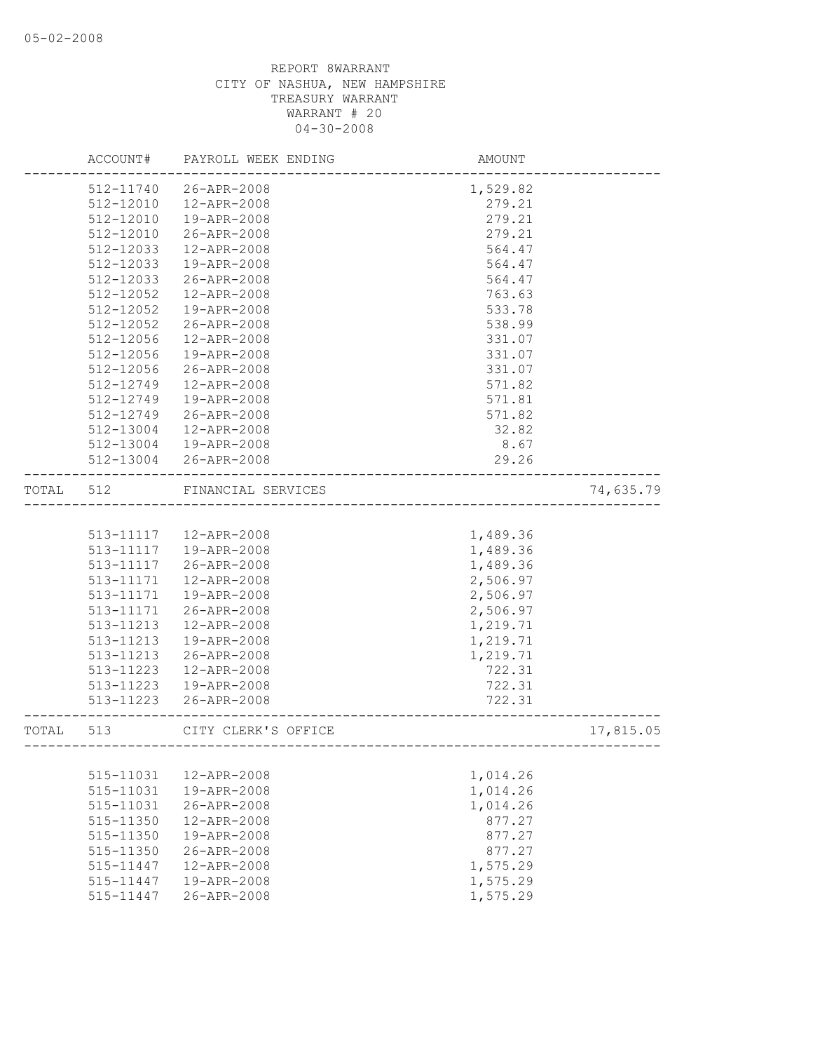|       | ACCOUNT#  | PAYROLL WEEK ENDING     | AMOUNT   |           |
|-------|-----------|-------------------------|----------|-----------|
|       | 512-11740 | 26-APR-2008             | 1,529.82 |           |
|       | 512-12010 | 12-APR-2008             | 279.21   |           |
|       | 512-12010 | 19-APR-2008             | 279.21   |           |
|       | 512-12010 | 26-APR-2008             | 279.21   |           |
|       | 512-12033 | 12-APR-2008             | 564.47   |           |
|       | 512-12033 | 19-APR-2008             | 564.47   |           |
|       | 512-12033 | 26-APR-2008             | 564.47   |           |
|       | 512-12052 | 12-APR-2008             | 763.63   |           |
|       | 512-12052 | 19-APR-2008             | 533.78   |           |
|       | 512-12052 | 26-APR-2008             | 538.99   |           |
|       | 512-12056 | 12-APR-2008             | 331.07   |           |
|       | 512-12056 | 19-APR-2008             | 331.07   |           |
|       | 512-12056 | 26-APR-2008             | 331.07   |           |
|       | 512-12749 | 12-APR-2008             | 571.82   |           |
|       | 512-12749 | 19-APR-2008             | 571.81   |           |
|       | 512-12749 | 26-APR-2008             | 571.82   |           |
|       | 512-13004 | 12-APR-2008             | 32.82    |           |
|       | 512-13004 | 19-APR-2008             | 8.67     |           |
|       | 512-13004 | 26-APR-2008             | 29.26    |           |
| TOTAL | 512       | FINANCIAL SERVICES      |          | 74,635.79 |
|       |           |                         |          |           |
|       |           | 513-11117  12-APR-2008  | 1,489.36 |           |
|       | 513-11117 | 19-APR-2008             | 1,489.36 |           |
|       | 513-11117 | 26-APR-2008             | 1,489.36 |           |
|       | 513-11171 | 12-APR-2008             | 2,506.97 |           |
|       | 513-11171 | 19-APR-2008             | 2,506.97 |           |
|       | 513-11171 | 26-APR-2008             | 2,506.97 |           |
|       | 513-11213 | 12-APR-2008             | 1,219.71 |           |
|       | 513-11213 | 19-APR-2008             | 1,219.71 |           |
|       | 513-11213 | 26-APR-2008             | 1,219.71 |           |
|       | 513-11223 | 12-APR-2008             | 722.31   |           |
|       | 513-11223 | 19-APR-2008             | 722.31   |           |
|       | 513-11223 | 26-APR-2008             | 722.31   |           |
| TOTAL | 513       | CITY CLERK'S OFFICE     |          | 17,815.05 |
|       | --------- | ----------------------- |          |           |
|       | 515-11031 | 12-APR-2008             | 1,014.26 |           |
|       | 515-11031 | 19-APR-2008             | 1,014.26 |           |
|       | 515-11031 | 26-APR-2008             | 1,014.26 |           |
|       | 515-11350 | 12-APR-2008             | 877.27   |           |
|       | 515-11350 | 19-APR-2008             | 877.27   |           |
|       | 515-11350 | 26-APR-2008             | 877.27   |           |
|       | 515-11447 | 12-APR-2008             | 1,575.29 |           |
|       | 515-11447 | 19-APR-2008             | 1,575.29 |           |
|       | 515-11447 | 26-APR-2008             | 1,575.29 |           |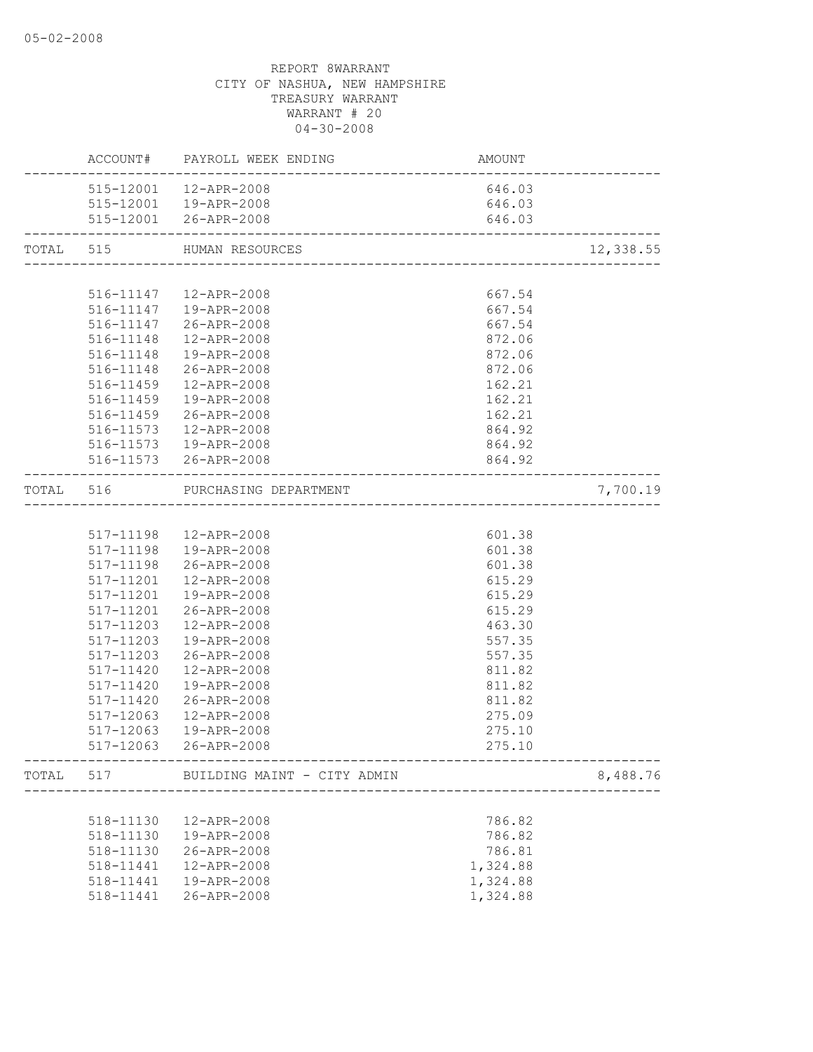|       |           | AMOUNT<br>--------------------------<br>ACCOUNT# PAYROLL WEEK ENDING |          |           |
|-------|-----------|----------------------------------------------------------------------|----------|-----------|
|       |           | 515-12001  12-APR-2008                                               | 646.03   |           |
|       |           | 515-12001  19-APR-2008                                               | 646.03   |           |
|       |           | 515-12001 26-APR-2008                                                | 646.03   |           |
|       |           | TOTAL 515 HUMAN RESOURCES                                            |          | 12,338.55 |
|       |           |                                                                      |          |           |
|       |           | 516-11147  12-APR-2008                                               | 667.54   |           |
|       |           | 516-11147  19-APR-2008                                               | 667.54   |           |
|       |           | 516-11147 26-APR-2008                                                | 667.54   |           |
|       |           | 516-11148  12-APR-2008                                               | 872.06   |           |
|       |           | 516-11148  19-APR-2008                                               | 872.06   |           |
|       |           | 516-11148 26-APR-2008                                                | 872.06   |           |
|       | 516-11459 | 12-APR-2008                                                          | 162.21   |           |
|       | 516-11459 | 19-APR-2008                                                          | 162.21   |           |
|       | 516-11459 | 26-APR-2008                                                          | 162.21   |           |
|       | 516-11573 | 12-APR-2008                                                          | 864.92   |           |
|       |           | 516-11573  19-APR-2008                                               | 864.92   |           |
|       |           | 516-11573 26-APR-2008                                                | 864.92   |           |
|       |           | TOTAL 516 PURCHASING DEPARTMENT                                      |          | 7,700.19  |
|       |           |                                                                      |          |           |
|       |           | 517-11198  12-APR-2008                                               | 601.38   |           |
|       |           | 517-11198  19-APR-2008                                               | 601.38   |           |
|       | 517-11198 | 26-APR-2008                                                          | 601.38   |           |
|       | 517-11201 | 12-APR-2008                                                          | 615.29   |           |
|       | 517-11201 | 19-APR-2008                                                          | 615.29   |           |
|       |           | 517-11201 26-APR-2008                                                | 615.29   |           |
|       | 517-11203 | 12-APR-2008                                                          | 463.30   |           |
|       | 517-11203 | 19-APR-2008                                                          | 557.35   |           |
|       | 517-11203 | 26-APR-2008                                                          | 557.35   |           |
|       | 517-11420 | 12-APR-2008                                                          | 811.82   |           |
|       | 517-11420 | 19-APR-2008                                                          | 811.82   |           |
|       | 517-11420 | 26-APR-2008                                                          | 811.82   |           |
|       | 517-12063 | 12-APR-2008                                                          | 275.09   |           |
|       | 517-12063 | 19-APR-2008                                                          | 275.10   |           |
|       |           | 517-12063 26-APR-2008                                                | 275.10   |           |
| TOTAL | 517       | BUILDING MAINT - CITY ADMIN<br>--------------------------            |          | 8,488.76  |
|       |           |                                                                      |          |           |
|       | 518-11130 | 12-APR-2008                                                          | 786.82   |           |
|       | 518-11130 | 19-APR-2008                                                          | 786.82   |           |
|       | 518-11130 | 26-APR-2008                                                          | 786.81   |           |
|       | 518-11441 | 12-APR-2008                                                          | 1,324.88 |           |
|       | 518-11441 | 19-APR-2008                                                          | 1,324.88 |           |
|       | 518-11441 | 26-APR-2008                                                          | 1,324.88 |           |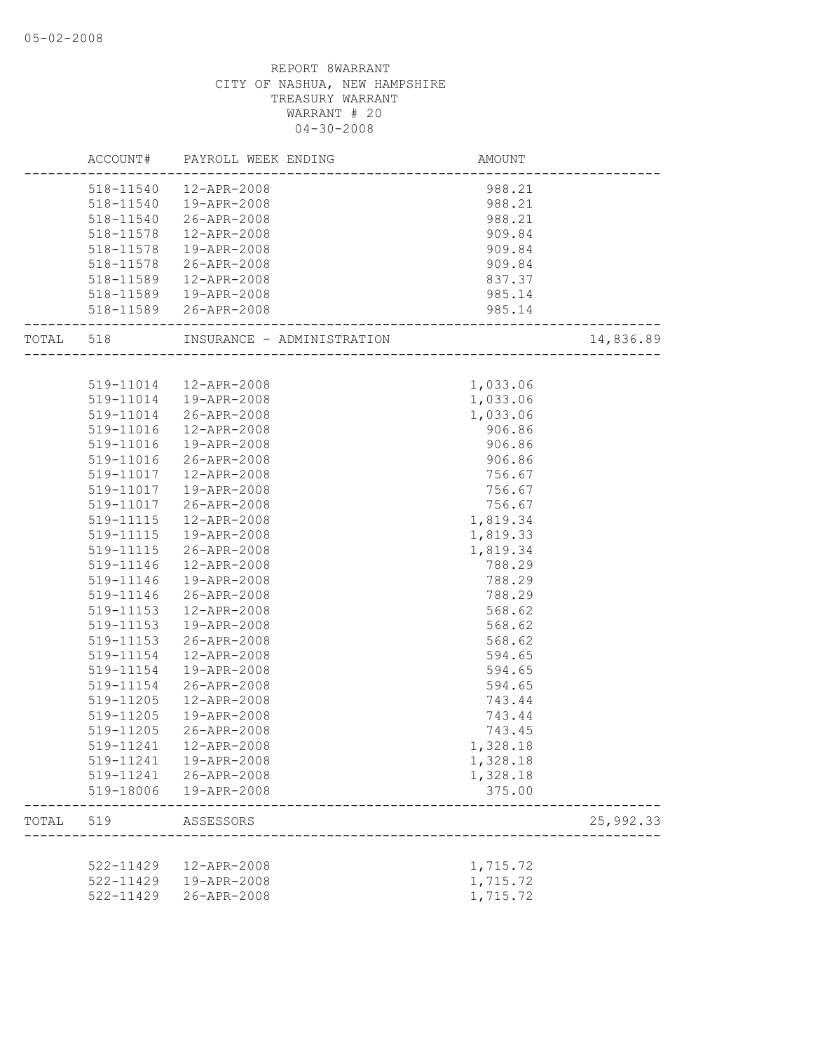|           |           | ACCOUNT# PAYROLL WEEK ENDING                                     | AMOUNT   |           |
|-----------|-----------|------------------------------------------------------------------|----------|-----------|
|           |           | 518-11540  12-APR-2008                                           | 988.21   |           |
|           |           | 518-11540  19-APR-2008                                           | 988.21   |           |
|           | 518-11540 | 26-APR-2008                                                      | 988.21   |           |
|           | 518-11578 | 12-APR-2008                                                      | 909.84   |           |
|           | 518-11578 | 19-APR-2008                                                      | 909.84   |           |
|           | 518-11578 | 26-APR-2008                                                      | 909.84   |           |
|           | 518-11589 | 12-APR-2008                                                      | 837.37   |           |
|           |           | 518-11589  19-APR-2008                                           | 985.14   |           |
|           |           | 518-11589 26-APR-2008                                            | 985.14   |           |
| TOTAL 518 |           | INSURANCE - ADMINISTRATION<br>---------------------------------- |          | 14,836.89 |
|           |           |                                                                  |          |           |
|           |           | 519-11014  12-APR-2008                                           | 1,033.06 |           |
|           | 519-11014 | 19-APR-2008                                                      | 1,033.06 |           |
|           | 519-11014 | 26-APR-2008                                                      | 1,033.06 |           |
|           | 519-11016 | 12-APR-2008                                                      | 906.86   |           |
|           | 519-11016 | 19-APR-2008                                                      | 906.86   |           |
|           | 519-11016 | 26-APR-2008                                                      | 906.86   |           |
|           |           | 519-11017  12-APR-2008                                           | 756.67   |           |
|           | 519-11017 | 19-APR-2008                                                      | 756.67   |           |
|           | 519-11017 | 26-APR-2008                                                      | 756.67   |           |
|           | 519-11115 | 12-APR-2008                                                      | 1,819.34 |           |
|           | 519-11115 | 19-APR-2008                                                      | 1,819.33 |           |
|           | 519-11115 | 26-APR-2008                                                      | 1,819.34 |           |
|           | 519-11146 | 12-APR-2008                                                      | 788.29   |           |
|           | 519-11146 | 19-APR-2008                                                      | 788.29   |           |
|           | 519-11146 | 26-APR-2008                                                      | 788.29   |           |
|           | 519-11153 | 12-APR-2008                                                      | 568.62   |           |
|           | 519-11153 | 19-APR-2008                                                      | 568.62   |           |
|           | 519-11153 | 26-APR-2008                                                      | 568.62   |           |
|           | 519-11154 | 12-APR-2008                                                      | 594.65   |           |
|           | 519-11154 | 19-APR-2008                                                      | 594.65   |           |
|           | 519-11154 | 26-APR-2008                                                      | 594.65   |           |
|           | 519-11205 | 12-APR-2008                                                      | 743.44   |           |
|           | 519-11205 | 19-APR-2008                                                      | 743.44   |           |
|           | 519-11205 | 26-APR-2008                                                      | 743.45   |           |
|           | 519-11241 | 12-APR-2008                                                      | 1,328.18 |           |
|           | 519-11241 | 19-APR-2008                                                      | 1,328.18 |           |
|           | 519-11241 | 26-APR-2008                                                      | 1,328.18 |           |
|           | 519-18006 | 19-APR-2008                                                      | 375.00   |           |
| TOTAL     | 519       | ASSESSORS                                                        |          | 25,992.33 |
|           |           |                                                                  |          |           |
|           | 522-11429 | 12-APR-2008                                                      | 1,715.72 |           |
|           |           | 522-11429  19-APR-2008                                           | 1,715.72 |           |
|           | 522-11429 | 26-APR-2008                                                      | 1,715.72 |           |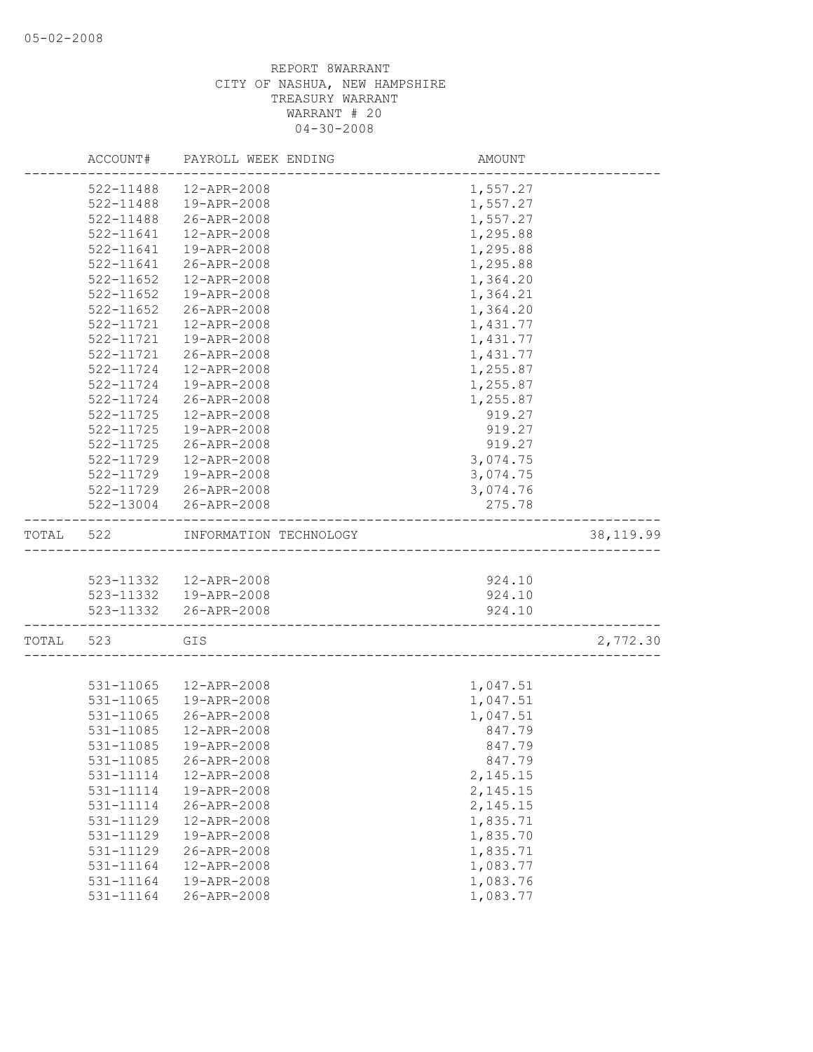|       | ACCOUNT#      | PAYROLL WEEK ENDING    | AMOUNT   |            |
|-------|---------------|------------------------|----------|------------|
|       | 522-11488     | 12-APR-2008            | 1,557.27 |            |
|       | 522-11488     | 19-APR-2008            | 1,557.27 |            |
|       | 522-11488     | 26-APR-2008            | 1,557.27 |            |
|       | 522-11641     | 12-APR-2008            | 1,295.88 |            |
|       | 522-11641     | 19-APR-2008            | 1,295.88 |            |
|       | 522-11641     | 26-APR-2008            | 1,295.88 |            |
|       | 522-11652     | 12-APR-2008            | 1,364.20 |            |
|       | 522-11652     | 19-APR-2008            | 1,364.21 |            |
|       | 522-11652     | 26-APR-2008            | 1,364.20 |            |
|       | 522-11721     | 12-APR-2008            | 1,431.77 |            |
|       | 522-11721     | 19-APR-2008            | 1,431.77 |            |
|       | 522-11721     | 26-APR-2008            | 1,431.77 |            |
|       | 522-11724     | 12-APR-2008            | 1,255.87 |            |
|       | 522-11724     | 19-APR-2008            | 1,255.87 |            |
|       | 522-11724     | 26-APR-2008            | 1,255.87 |            |
|       | 522-11725     | 12-APR-2008            | 919.27   |            |
|       | $522 - 11725$ | 19-APR-2008            | 919.27   |            |
|       | $522 - 11725$ | 26-APR-2008            | 919.27   |            |
|       | 522-11729     | 12-APR-2008            | 3,074.75 |            |
|       | 522-11729     | 19-APR-2008            | 3,074.75 |            |
|       |               | 522-11729 26-APR-2008  | 3,074.76 |            |
|       | 522-13004     | 26-APR-2008            | 275.78   |            |
| TOTAL | 522           | INFORMATION TECHNOLOGY |          | 38, 119.99 |
|       |               |                        |          |            |
|       |               | 523-11332  12-APR-2008 | 924.10   |            |
|       |               | 523-11332  19-APR-2008 | 924.10   |            |
|       |               | 523-11332 26-APR-2008  | 924.10   |            |
| TOTAL | 523           | GIS                    |          | 2,772.30   |
|       |               |                        |          |            |
|       | 531-11065     | 12-APR-2008            | 1,047.51 |            |
|       | 531-11065     | 19-APR-2008            | 1,047.51 |            |
|       | 531-11065     | 26-APR-2008            | 1,047.51 |            |
|       | 531-11085     | 12-APR-2008            | 847.79   |            |
|       | 531-11085     | 19-APR-2008            | 847.79   |            |
|       | 531-11085     | 26-APR-2008            | 847.79   |            |
|       | 531-11114     | 12-APR-2008            | 2,145.15 |            |
|       | 531-11114     | 19-APR-2008            | 2,145.15 |            |
|       | 531-11114     | 26-APR-2008            | 2,145.15 |            |
|       | 531-11129     | 12-APR-2008            | 1,835.71 |            |
|       | 531-11129     | 19-APR-2008            | 1,835.70 |            |
|       | 531-11129     | 26-APR-2008            | 1,835.71 |            |
|       | 531-11164     | 12-APR-2008            | 1,083.77 |            |
|       | 531-11164     | 19-APR-2008            | 1,083.76 |            |
|       | 531-11164     | 26-APR-2008            | 1,083.77 |            |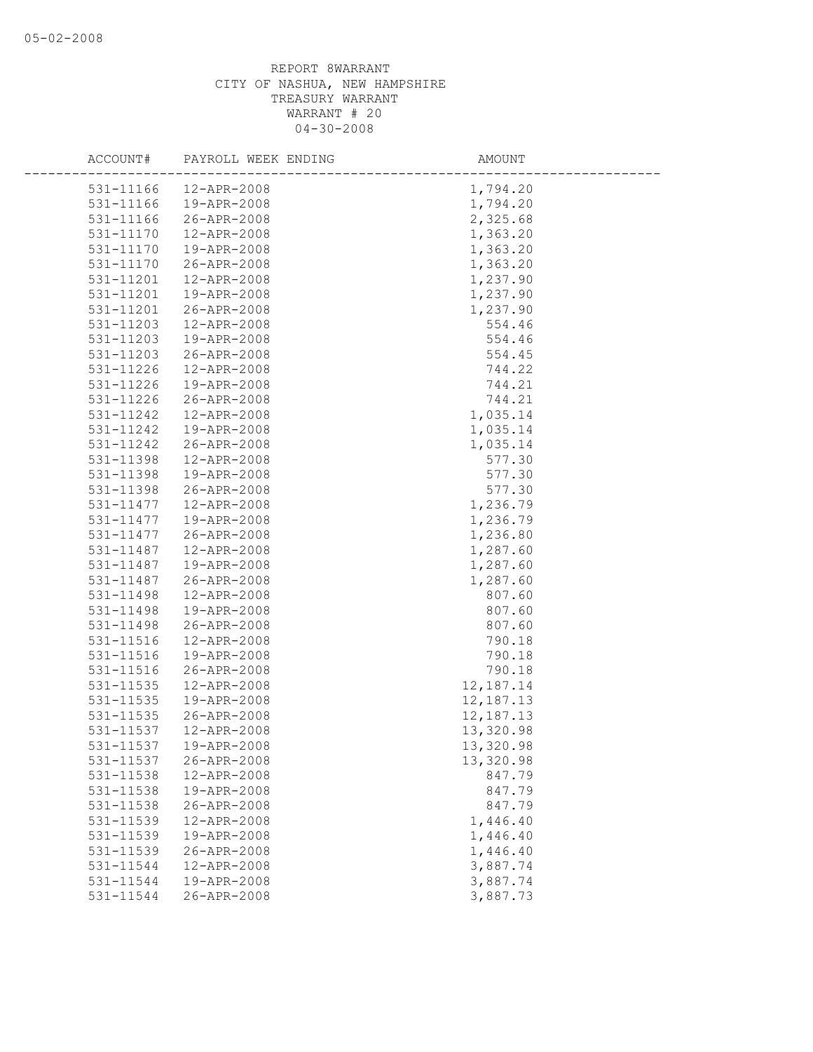| ACCOUNT#      | PAYROLL WEEK ENDING | AMOUNT    |
|---------------|---------------------|-----------|
| 531-11166     | 12-APR-2008         | 1,794.20  |
| 531-11166     | 19-APR-2008         | 1,794.20  |
| 531-11166     | 26-APR-2008         | 2,325.68  |
| 531-11170     | 12-APR-2008         | 1,363.20  |
| 531-11170     | 19-APR-2008         | 1,363.20  |
| 531-11170     | 26-APR-2008         | 1,363.20  |
| 531-11201     | 12-APR-2008         | 1,237.90  |
| 531-11201     | 19-APR-2008         | 1,237.90  |
| 531-11201     | 26-APR-2008         | 1,237.90  |
| 531-11203     | 12-APR-2008         | 554.46    |
| 531-11203     | 19-APR-2008         | 554.46    |
| 531-11203     | 26-APR-2008         | 554.45    |
| 531-11226     | 12-APR-2008         | 744.22    |
| 531-11226     | 19-APR-2008         | 744.21    |
| 531-11226     | 26-APR-2008         | 744.21    |
| 531-11242     | 12-APR-2008         | 1,035.14  |
| 531-11242     | 19-APR-2008         | 1,035.14  |
| 531-11242     | 26-APR-2008         | 1,035.14  |
| 531-11398     | 12-APR-2008         | 577.30    |
| 531-11398     | 19-APR-2008         | 577.30    |
| 531-11398     | 26-APR-2008         | 577.30    |
| 531-11477     | 12-APR-2008         | 1,236.79  |
| 531-11477     | 19-APR-2008         | 1,236.79  |
| 531-11477     | 26-APR-2008         | 1,236.80  |
| 531-11487     | 12-APR-2008         | 1,287.60  |
| 531-11487     | 19-APR-2008         | 1,287.60  |
| 531-11487     | 26-APR-2008         | 1,287.60  |
| 531-11498     | 12-APR-2008         | 807.60    |
| 531-11498     | 19-APR-2008         | 807.60    |
| 531-11498     | 26-APR-2008         | 807.60    |
| 531-11516     | 12-APR-2008         | 790.18    |
| 531-11516     | 19-APR-2008         | 790.18    |
| 531-11516     | 26-APR-2008         | 790.18    |
| $531 - 11535$ | 12-APR-2008         | 12,187.14 |
| 531-11535     | 19-APR-2008         | 12,187.13 |
| 531-11535     | 26-APR-2008         | 12,187.13 |
| 531-11537     | 12-APR-2008         | 13,320.98 |
| 531-11537     | 19-APR-2008         | 13,320.98 |
| 531-11537     | 26-APR-2008         | 13,320.98 |
| 531-11538     | 12-APR-2008         | 847.79    |
| 531-11538     | 19-APR-2008         | 847.79    |
| 531-11538     | 26-APR-2008         | 847.79    |
| 531-11539     | 12-APR-2008         | 1,446.40  |
| 531-11539     | 19-APR-2008         | 1,446.40  |
| 531-11539     | 26-APR-2008         | 1,446.40  |
| 531-11544     | 12-APR-2008         | 3,887.74  |
| 531-11544     | 19-APR-2008         | 3,887.74  |
| 531-11544     | 26-APR-2008         | 3,887.73  |
|               |                     |           |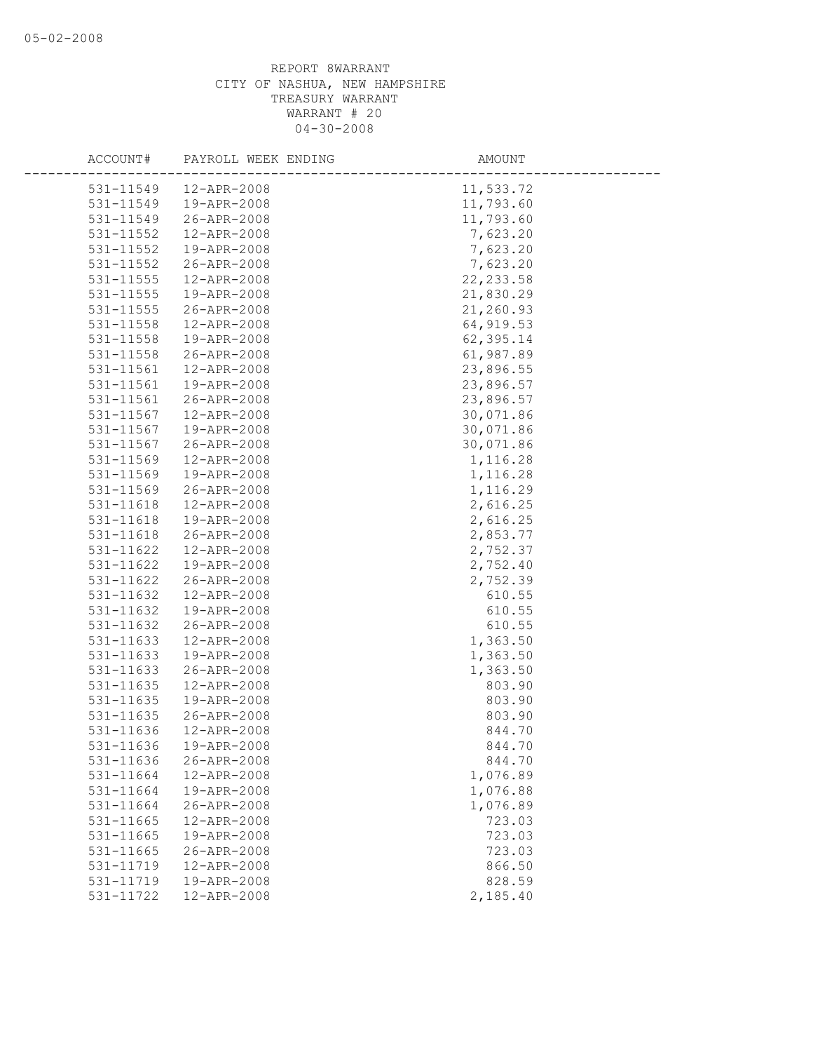| ACCOUNT#  | PAYROLL WEEK ENDING | AMOUNT     |
|-----------|---------------------|------------|
| 531-11549 | 12-APR-2008         | 11,533.72  |
| 531-11549 | 19-APR-2008         | 11,793.60  |
| 531-11549 | 26-APR-2008         | 11,793.60  |
| 531-11552 | 12-APR-2008         | 7,623.20   |
| 531-11552 | 19-APR-2008         | 7,623.20   |
| 531-11552 | 26-APR-2008         | 7,623.20   |
| 531-11555 | 12-APR-2008         | 22, 233.58 |
| 531-11555 | 19-APR-2008         | 21,830.29  |
| 531-11555 | 26-APR-2008         | 21,260.93  |
| 531-11558 | 12-APR-2008         | 64, 919.53 |
| 531-11558 | 19-APR-2008         | 62,395.14  |
| 531-11558 | 26-APR-2008         | 61,987.89  |
| 531-11561 | 12-APR-2008         | 23,896.55  |
| 531-11561 | 19-APR-2008         | 23,896.57  |
| 531-11561 | 26-APR-2008         | 23,896.57  |
| 531-11567 | 12-APR-2008         | 30,071.86  |
| 531-11567 | 19-APR-2008         | 30,071.86  |
| 531-11567 | 26-APR-2008         | 30,071.86  |
| 531-11569 | 12-APR-2008         | 1,116.28   |
| 531-11569 | 19-APR-2008         | 1,116.28   |
| 531-11569 | 26-APR-2008         | 1,116.29   |
| 531-11618 | 12-APR-2008         | 2,616.25   |
| 531-11618 | 19-APR-2008         | 2,616.25   |
| 531-11618 | 26-APR-2008         | 2,853.77   |
| 531-11622 | 12-APR-2008         | 2,752.37   |
| 531-11622 | 19-APR-2008         | 2,752.40   |
| 531-11622 | 26-APR-2008         | 2,752.39   |
| 531-11632 | 12-APR-2008         | 610.55     |
| 531-11632 | 19-APR-2008         | 610.55     |
| 531-11632 | 26-APR-2008         | 610.55     |
| 531-11633 | 12-APR-2008         | 1,363.50   |
| 531-11633 | 19-APR-2008         | 1,363.50   |
| 531-11633 | 26-APR-2008         | 1,363.50   |
| 531-11635 | 12-APR-2008         | 803.90     |
| 531-11635 | 19-APR-2008         | 803.90     |
| 531-11635 | 26-APR-2008         | 803.90     |
| 531-11636 | 12-APR-2008         | 844.70     |
| 531-11636 | 19-APR-2008         | 844.70     |
| 531-11636 | 26-APR-2008         | 844.70     |
| 531-11664 | 12-APR-2008         | 1,076.89   |
| 531-11664 | 19-APR-2008         | 1,076.88   |
| 531-11664 | 26-APR-2008         | 1,076.89   |
| 531-11665 | 12-APR-2008         | 723.03     |
| 531-11665 | 19-APR-2008         | 723.03     |
| 531-11665 | 26-APR-2008         | 723.03     |
| 531-11719 | 12-APR-2008         | 866.50     |
| 531-11719 | 19-APR-2008         | 828.59     |
| 531-11722 | 12-APR-2008         | 2,185.40   |
|           |                     |            |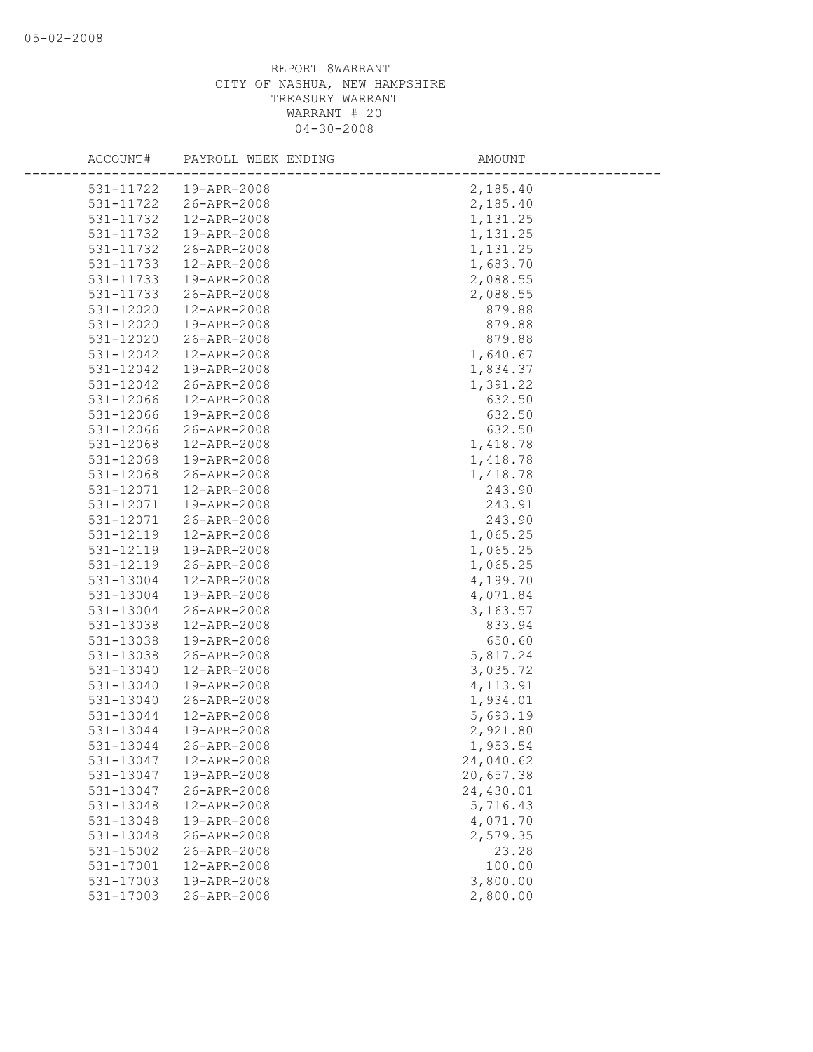| ACCOUNT#      | PAYROLL WEEK ENDING | AMOUNT    |
|---------------|---------------------|-----------|
| 531-11722     | 19-APR-2008         | 2,185.40  |
| 531-11722     | 26-APR-2008         | 2,185.40  |
| 531-11732     | 12-APR-2008         | 1,131.25  |
| 531-11732     | 19-APR-2008         | 1,131.25  |
| 531-11732     | 26-APR-2008         | 1,131.25  |
| 531-11733     | 12-APR-2008         | 1,683.70  |
| 531-11733     | 19-APR-2008         | 2,088.55  |
| 531-11733     | 26-APR-2008         | 2,088.55  |
| 531-12020     | 12-APR-2008         | 879.88    |
| 531-12020     | 19-APR-2008         | 879.88    |
| 531-12020     | 26-APR-2008         | 879.88    |
| 531-12042     | 12-APR-2008         | 1,640.67  |
| 531-12042     | 19-APR-2008         | 1,834.37  |
| 531-12042     | 26-APR-2008         | 1,391.22  |
| 531-12066     | 12-APR-2008         | 632.50    |
| 531-12066     | 19-APR-2008         | 632.50    |
| 531-12066     | 26-APR-2008         | 632.50    |
| 531-12068     | 12-APR-2008         | 1,418.78  |
| 531-12068     | 19-APR-2008         | 1,418.78  |
| 531-12068     | 26-APR-2008         | 1,418.78  |
| 531-12071     | 12-APR-2008         | 243.90    |
| 531-12071     | 19-APR-2008         | 243.91    |
| 531-12071     | 26-APR-2008         | 243.90    |
| 531-12119     | 12-APR-2008         | 1,065.25  |
| 531-12119     | 19-APR-2008         | 1,065.25  |
| 531-12119     | 26-APR-2008         | 1,065.25  |
| 531-13004     | 12-APR-2008         | 4,199.70  |
| 531-13004     | 19-APR-2008         | 4,071.84  |
| 531-13004     | 26-APR-2008         | 3, 163.57 |
| 531-13038     | 12-APR-2008         | 833.94    |
| 531-13038     | 19-APR-2008         | 650.60    |
| 531-13038     | 26-APR-2008         | 5,817.24  |
| 531-13040     | 12-APR-2008         | 3,035.72  |
| $531 - 13040$ | 19-APR-2008         | 4, 113.91 |
| 531-13040     | 26-APR-2008         | 1,934.01  |
| 531-13044     | 12-APR-2008         | 5,693.19  |
| 531-13044     | 19-APR-2008         | 2,921.80  |
| 531-13044     | 26-APR-2008         | 1,953.54  |
| 531-13047     | 12-APR-2008         | 24,040.62 |
| 531-13047     | 19-APR-2008         | 20,657.38 |
| 531-13047     | 26-APR-2008         | 24,430.01 |
| 531-13048     | 12-APR-2008         | 5,716.43  |
| 531-13048     | 19-APR-2008         | 4,071.70  |
| 531-13048     | 26-APR-2008         | 2,579.35  |
| 531-15002     | 26-APR-2008         | 23.28     |
| 531-17001     | 12-APR-2008         | 100.00    |
| 531-17003     | 19-APR-2008         | 3,800.00  |
| 531-17003     | 26-APR-2008         | 2,800.00  |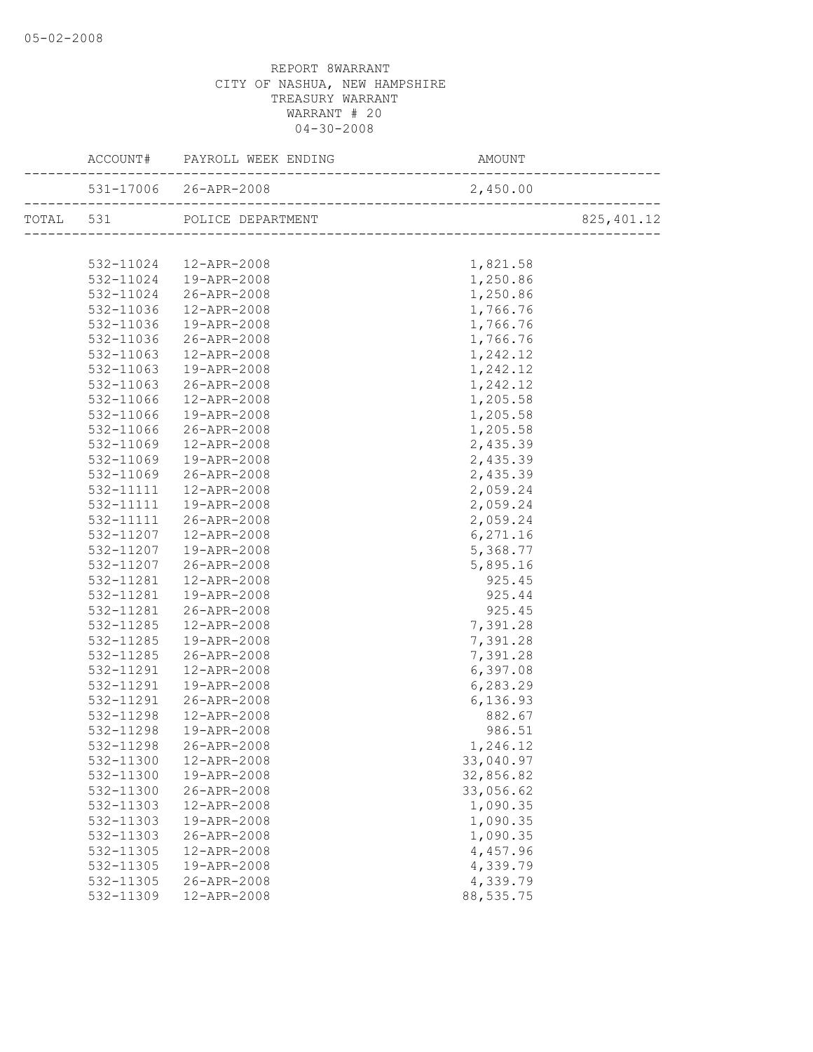|           | TOTAL 531 POLICE DEPARTMENT                      |            | 825, 401.12 |
|-----------|--------------------------------------------------|------------|-------------|
|           |                                                  |            |             |
|           |                                                  | 1,821.58   |             |
|           | 532-11024  12-APR-2008<br>532-11024  19-APR-2008 | 1,250.86   |             |
|           | 532-11024 26-APR-2008                            | 1,250.86   |             |
| 532-11036 | 12-APR-2008                                      | 1,766.76   |             |
| 532-11036 | 19-APR-2008                                      | 1,766.76   |             |
|           | 532-11036 26-APR-2008                            | 1,766.76   |             |
| 532-11063 | 12-APR-2008                                      | 1,242.12   |             |
| 532-11063 | 19-APR-2008                                      | 1,242.12   |             |
| 532-11063 | $26 - APR - 2008$                                | 1,242.12   |             |
| 532-11066 | 12-APR-2008                                      | 1,205.58   |             |
| 532-11066 | 19-APR-2008                                      | 1,205.58   |             |
| 532-11066 | 26-APR-2008                                      | 1,205.58   |             |
| 532-11069 | 12-APR-2008                                      | 2,435.39   |             |
| 532-11069 | 19-APR-2008                                      | 2,435.39   |             |
|           | 532-11069 26-APR-2008                            | 2,435.39   |             |
| 532-11111 | 12-APR-2008                                      | 2,059.24   |             |
| 532-11111 | 19-APR-2008                                      | 2,059.24   |             |
|           | 532-11111 26-APR-2008                            | 2,059.24   |             |
|           | 532-11207  12-APR-2008                           | 6, 271.16  |             |
| 532-11207 | -<br>19-APR-2008                                 | 5,368.77   |             |
| 532-11207 | $26 - APR - 2008$                                | 5,895.16   |             |
| 532-11281 | 12-APR-2008                                      | 925.45     |             |
| 532-11281 | 19-APR-2008                                      | 925.44     |             |
| 532-11281 | 26-APR-2008                                      | 925.45     |             |
| 532-11285 | 12-APR-2008                                      | 7,391.28   |             |
| 532-11285 | 19-APR-2008                                      | 7,391.28   |             |
| 532-11285 | 26-APR-2008                                      | 7,391.28   |             |
| 532-11291 | 12-APR-2008                                      | 6,397.08   |             |
| 532-11291 | 19-APR-2008                                      | 6,283.29   |             |
| 532-11291 | 26-APR-2008                                      | 6,136.93   |             |
| 532-11298 | 12-APR-2008                                      | 882.67     |             |
| 532-11298 | 19-APR-2008                                      | 986.51     |             |
|           | 532-11298 26-APR-2008                            | 1,246.12   |             |
| 532-11300 | 12-APR-2008                                      | 33,040.97  |             |
| 532-11300 | 19-APR-2008                                      | 32,856.82  |             |
| 532-11300 | 26-APR-2008                                      | 33,056.62  |             |
| 532-11303 | 12-APR-2008                                      | 1,090.35   |             |
| 532-11303 | 19-APR-2008                                      | 1,090.35   |             |
| 532-11303 | 26-APR-2008                                      | 1,090.35   |             |
| 532-11305 | 12-APR-2008                                      | 4,457.96   |             |
| 532-11305 | 19-APR-2008                                      | 4,339.79   |             |
| 532-11305 | 26-APR-2008                                      | 4,339.79   |             |
| 532-11309 | 12-APR-2008                                      | 88, 535.75 |             |
|           |                                                  |            |             |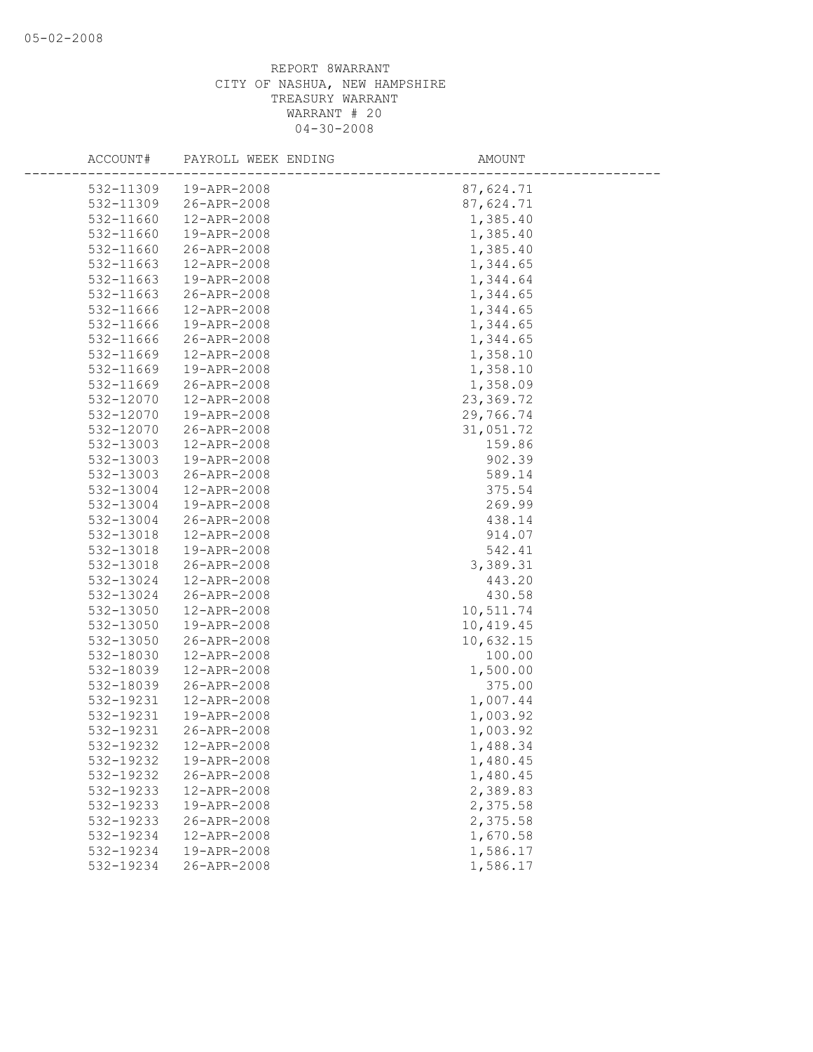| ACCOUNT#               | PAYROLL WEEK ENDING        | AMOUNT               |
|------------------------|----------------------------|----------------------|
| 532-11309              | 19-APR-2008                | 87,624.71            |
| 532-11309              | 26-APR-2008                | 87,624.71            |
| 532-11660              | 12-APR-2008                | 1,385.40             |
| 532-11660              | 19-APR-2008                | 1,385.40             |
| 532-11660              | 26-APR-2008                | 1,385.40             |
| 532-11663              | 12-APR-2008                | 1,344.65             |
| 532-11663              | 19-APR-2008                | 1,344.64             |
| 532-11663              | 26-APR-2008                | 1,344.65             |
| 532-11666              | 12-APR-2008                | 1,344.65             |
| 532-11666              | 19-APR-2008                | 1,344.65             |
| 532-11666              | 26-APR-2008                | 1,344.65             |
| 532-11669              | 12-APR-2008                | 1,358.10             |
| 532-11669              | 19-APR-2008                | 1,358.10             |
| 532-11669              | 26-APR-2008                | 1,358.09             |
| 532-12070              | 12-APR-2008                | 23,369.72            |
| 532-12070              | 19-APR-2008                | 29,766.74            |
| 532-12070              | 26-APR-2008                | 31,051.72            |
| 532-13003              | 12-APR-2008                | 159.86               |
| 532-13003              | 19-APR-2008                | 902.39               |
| 532-13003              | 26-APR-2008                | 589.14               |
| 532-13004              | 12-APR-2008                | 375.54               |
| 532-13004              | 19-APR-2008                | 269.99               |
| 532-13004              | 26-APR-2008                | 438.14               |
| 532-13018              | 12-APR-2008                | 914.07               |
| 532-13018              | 19-APR-2008                | 542.41               |
| 532-13018              | 26-APR-2008                | 3,389.31             |
| 532-13024              | 12-APR-2008                | 443.20               |
| 532-13024              | 26-APR-2008                | 430.58               |
| 532-13050              | 12-APR-2008                | 10,511.74            |
| 532-13050              | 19-APR-2008                | 10,419.45            |
| 532-13050              | 26-APR-2008                | 10,632.15            |
| 532-18030              | 12-APR-2008                | 100.00               |
| 532-18039              | 12-APR-2008                | 1,500.00             |
| 532-18039<br>532-19231 | 26-APR-2008                | 375.00               |
|                        | 12-APR-2008                | 1,007.44<br>1,003.92 |
| 532-19231<br>532-19231 | 19-APR-2008<br>26-APR-2008 | 1,003.92             |
| 532-19232              | 12-APR-2008                | 1,488.34             |
| 532-19232              | 19-APR-2008                |                      |
| 532-19232              | 26-APR-2008                | 1,480.45<br>1,480.45 |
| 532-19233              | 12-APR-2008                | 2,389.83             |
| 532-19233              | 19-APR-2008                | 2,375.58             |
| 532-19233              | 26-APR-2008                | 2,375.58             |
| 532-19234              | 12-APR-2008                | 1,670.58             |
| 532-19234              | 19-APR-2008                | 1,586.17             |
| 532-19234              | 26-APR-2008                | 1,586.17             |
|                        |                            |                      |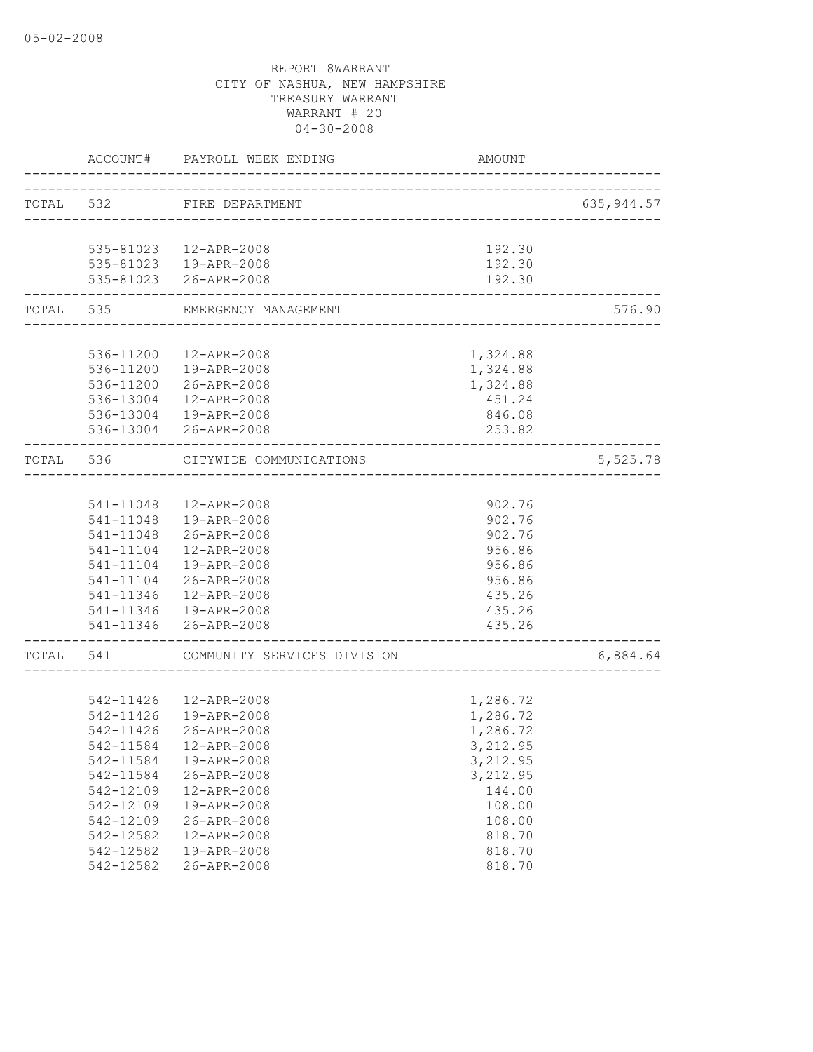|           | ACCOUNT#      | PAYROLL WEEK ENDING                             | AMOUNT           |            |
|-----------|---------------|-------------------------------------------------|------------------|------------|
| TOTAL 532 |               | FIRE DEPARTMENT                                 |                  | 635,944.57 |
|           |               | __________________________                      |                  |            |
|           |               | 535-81023  12-APR-2008                          | 192.30           |            |
|           |               | 535-81023  19-APR-2008                          | 192.30           |            |
|           |               | 535-81023 26-APR-2008                           | 192.30           |            |
| TOTAL     | 535           | EMERGENCY MANAGEMENT                            |                  | 576.90     |
|           |               |                                                 |                  |            |
|           |               | 536-11200  12-APR-2008                          | 1,324.88         |            |
|           |               | 536-11200  19-APR-2008                          | 1,324.88         |            |
|           |               | 536-11200 26-APR-2008                           | 1,324.88         |            |
|           |               | 536-13004 12-APR-2008                           | 451.24           |            |
|           |               | 536-13004  19-APR-2008<br>536-13004 26-APR-2008 | 846.08<br>253.82 |            |
| TOTAL 536 |               | CITYWIDE COMMUNICATIONS                         |                  | 5,525.78   |
|           |               |                                                 |                  |            |
|           |               | 541-11048  12-APR-2008                          | 902.76           |            |
|           |               | 541-11048  19-APR-2008                          | 902.76           |            |
|           | 541-11048     | 26-APR-2008                                     | 902.76           |            |
|           | 541-11104     | 12-APR-2008                                     | 956.86           |            |
|           | 541-11104     | 19-APR-2008                                     | 956.86           |            |
|           | 541-11104     | 26-APR-2008                                     | 956.86           |            |
|           | 541-11346     | 12-APR-2008                                     | 435.26           |            |
|           |               | 541-11346  19-APR-2008                          | 435.26           |            |
|           |               | 541-11346 26-APR-2008                           | 435.26           |            |
| TOTAL     | 541           | COMMUNITY SERVICES DIVISION                     |                  | 6,884.64   |
|           |               |                                                 |                  |            |
|           |               | 542-11426  12-APR-2008                          | 1,286.72         |            |
|           | 542-11426     | 19-APR-2008                                     | 1,286.72         |            |
|           | $542 - 11426$ | 26-APR-2008                                     | 1,286.72         |            |
|           |               | 542-11584  12-APR-2008                          | 3,212.95         |            |
|           | 542-11584     | 19-APR-2008                                     | 3,212.95         |            |
|           | 542-11584     | 26-APR-2008                                     | 3,212.95         |            |
|           | 542-12109     | 12-APR-2008                                     | 144.00           |            |
|           | 542-12109     | 19-APR-2008                                     | 108.00           |            |
|           | 542-12109     | 26-APR-2008                                     | 108.00           |            |
|           | 542-12582     | 12-APR-2008                                     | 818.70           |            |
|           | 542-12582     | 19-APR-2008                                     | 818.70           |            |
|           | 542-12582     | 26-APR-2008                                     | 818.70           |            |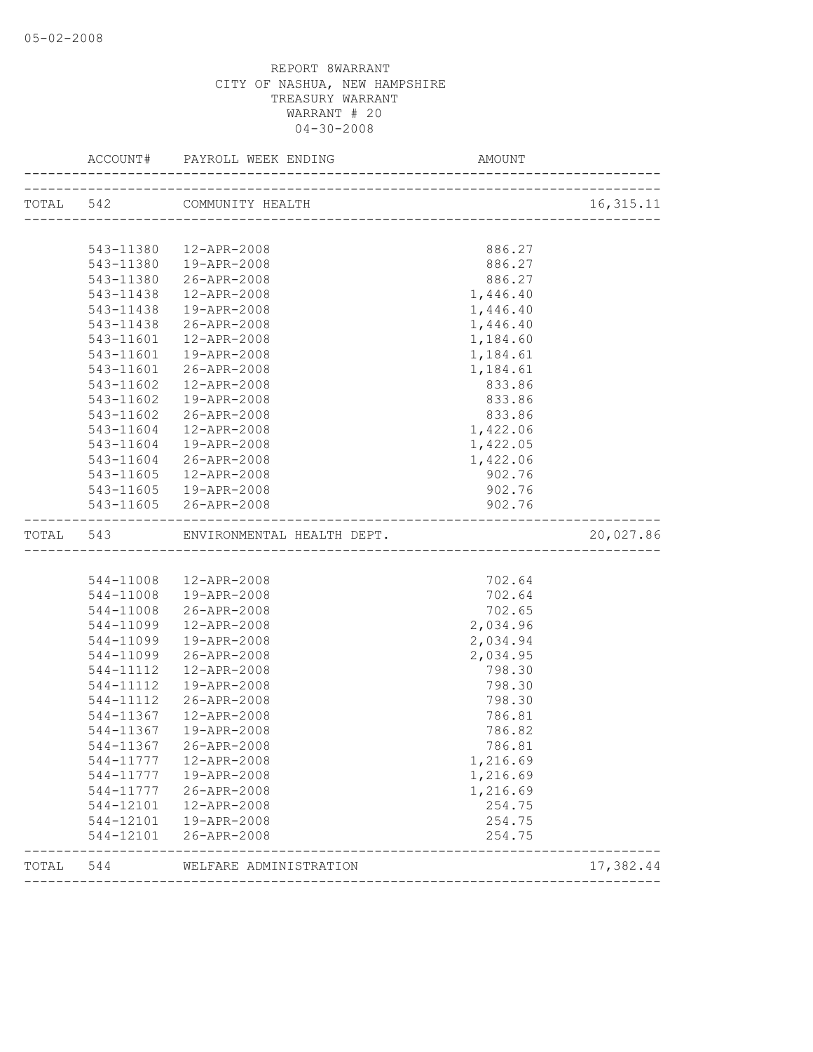|           |           | TOTAL 542 COMMUNITY HEALTH |          | 16, 315. 11 |
|-----------|-----------|----------------------------|----------|-------------|
|           |           |                            |          |             |
|           |           | 543-11380  12-APR-2008     | 886.27   |             |
|           | 543-11380 | 19-APR-2008                | 886.27   |             |
|           | 543-11380 | 26-APR-2008                | 886.27   |             |
|           | 543-11438 | 12-APR-2008                | 1,446.40 |             |
|           | 543-11438 | 19-APR-2008                | 1,446.40 |             |
|           | 543-11438 | 26-APR-2008                | 1,446.40 |             |
|           | 543-11601 | 12-APR-2008                | 1,184.60 |             |
|           | 543-11601 | 19-APR-2008                | 1,184.61 |             |
|           | 543-11601 | 26-APR-2008                | 1,184.61 |             |
|           | 543-11602 | 12-APR-2008                | 833.86   |             |
|           | 543-11602 | 19-APR-2008                | 833.86   |             |
|           | 543-11602 | 26-APR-2008                | 833.86   |             |
|           | 543-11604 | 12-APR-2008                | 1,422.06 |             |
|           | 543-11604 | 19-APR-2008                | 1,422.05 |             |
|           | 543-11604 | 26-APR-2008                | 1,422.06 |             |
|           | 543-11605 | 12-APR-2008                | 902.76   |             |
|           | 543-11605 | 19-APR-2008                | 902.76   |             |
|           |           | 543-11605 26-APR-2008      | 902.76   |             |
| TOTAL 543 |           | ENVIRONMENTAL HEALTH DEPT. |          | 20,027.86   |
|           |           |                            |          |             |
|           |           | 544-11008  12-APR-2008     | 702.64   |             |
|           | 544-11008 | 19-APR-2008                | 702.64   |             |
|           | 544-11008 | 26-APR-2008                | 702.65   |             |
|           | 544-11099 | 12-APR-2008                | 2,034.96 |             |
|           | 544-11099 | 19-APR-2008                | 2,034.94 |             |
|           | 544-11099 | 26-APR-2008                | 2,034.95 |             |
|           | 544-11112 | 12-APR-2008                | 798.30   |             |
|           | 544-11112 | 19-APR-2008                | 798.30   |             |
|           | 544-11112 | 26-APR-2008                | 798.30   |             |
|           | 544-11367 | 12-APR-2008                | 786.81   |             |
|           | 544-11367 | 19-APR-2008                | 786.82   |             |
|           | 544-11367 | 26-APR-2008                | 786.81   |             |
|           | 544-11777 | 12-APR-2008                | 1,216.69 |             |
|           |           | 544-11777  19-APR-2008     | 1,216.69 |             |
|           |           | 544-11777 26-APR-2008      | 1,216.69 |             |
|           | 544-12101 | 12-APR-2008                | 254.75   |             |
|           | 544-12101 | 19-APR-2008                | 254.75   |             |
|           | 544-12101 | 26-APR-2008                | 254.75   |             |
|           |           |                            |          |             |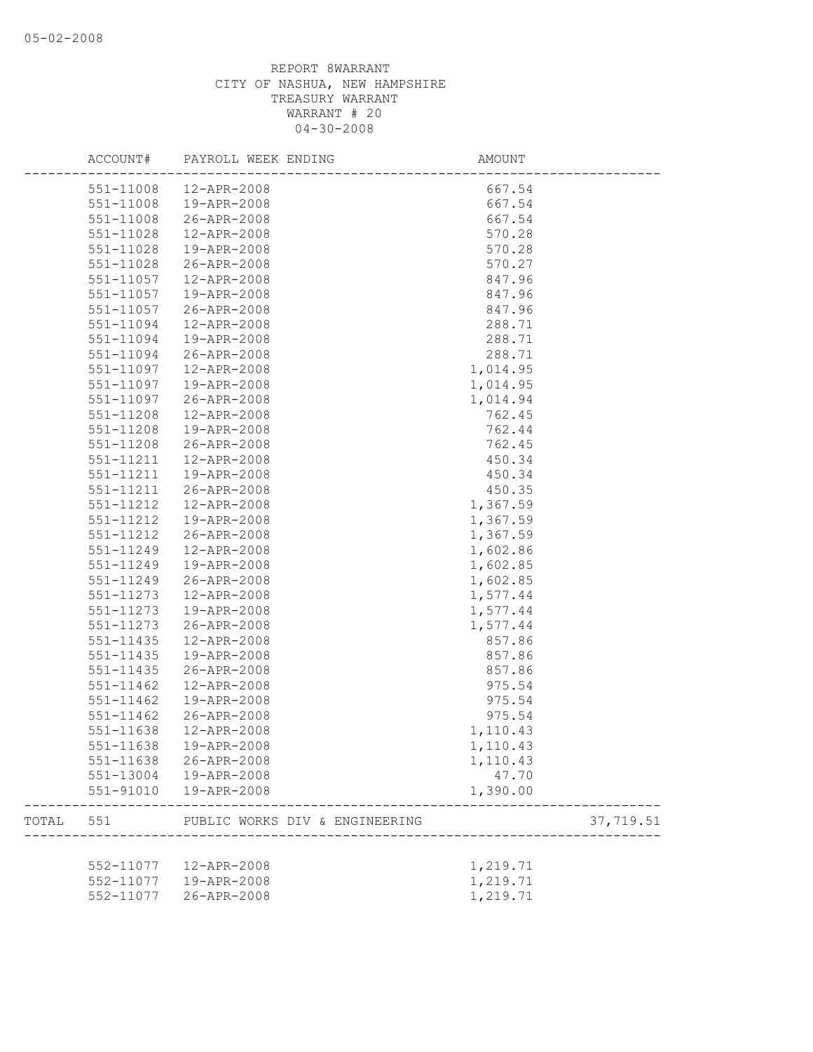|       | ACCOUNT#               | PAYROLL WEEK ENDING            | AMOUNT   |           |
|-------|------------------------|--------------------------------|----------|-----------|
|       | 551-11008              | 12-APR-2008                    | 667.54   |           |
|       | 551-11008              | 19-APR-2008                    | 667.54   |           |
|       | 551-11008              | 26-APR-2008                    | 667.54   |           |
|       | 551-11028              | 12-APR-2008                    | 570.28   |           |
|       | 551-11028              | 19-APR-2008                    | 570.28   |           |
|       | 551-11028              | 26-APR-2008                    | 570.27   |           |
|       | 551-11057              | 12-APR-2008                    | 847.96   |           |
|       | 551-11057              | 19-APR-2008                    | 847.96   |           |
|       | 551-11057              | 26-APR-2008                    | 847.96   |           |
|       | 551-11094              | 12-APR-2008                    | 288.71   |           |
|       | 551-11094              | 19-APR-2008                    | 288.71   |           |
|       | 551-11094              | 26-APR-2008                    | 288.71   |           |
|       | 551-11097              | 12-APR-2008                    | 1,014.95 |           |
|       | 551-11097              | 19-APR-2008                    | 1,014.95 |           |
|       | 551-11097              | 26-APR-2008                    | 1,014.94 |           |
|       | 551-11208              | 12-APR-2008                    | 762.45   |           |
|       | 551-11208              | 19-APR-2008                    | 762.44   |           |
|       | 551-11208              | 26-APR-2008                    | 762.45   |           |
|       | 551-11211              | 12-APR-2008                    | 450.34   |           |
|       | 551-11211              | 19-APR-2008                    | 450.34   |           |
|       | 551-11211              | 26-APR-2008                    | 450.35   |           |
|       | 551-11212              | 12-APR-2008                    | 1,367.59 |           |
|       | 551-11212              | 19-APR-2008                    | 1,367.59 |           |
|       | 551-11212              | 26-APR-2008                    | 1,367.59 |           |
|       | 551-11249              | 12-APR-2008                    | 1,602.86 |           |
|       | 551-11249              | 19-APR-2008                    | 1,602.85 |           |
|       | 551-11249              | 26-APR-2008                    | 1,602.85 |           |
|       | 551-11273              | 12-APR-2008                    | 1,577.44 |           |
|       | 551-11273              | 19-APR-2008                    | 1,577.44 |           |
|       | 551-11273              | 26-APR-2008                    | 1,577.44 |           |
|       | 551-11435              | 12-APR-2008                    | 857.86   |           |
|       | 551-11435              | 19-APR-2008                    | 857.86   |           |
|       | $551 - 11435$          | 26-APR-2008                    | 857.86   |           |
|       | $551 - 11462$          | 12-APR-2008                    | 975.54   |           |
|       | 551-11462              | 19-APR-2008                    | 975.54   |           |
|       | 551-11462              | 26-APR-2008                    | 975.54   |           |
|       | 551-11638              | 12-APR-2008                    | 1,110.43 |           |
|       | 551-11638              | 19-APR-2008                    | 1,110.43 |           |
|       |                        | 26-APR-2008                    |          |           |
|       | 551-11638<br>551-13004 | 19-APR-2008                    | 1,110.43 |           |
|       |                        |                                | 47.70    |           |
|       | 551-91010              | 19-APR-2008                    | 1,390.00 |           |
| TOTAL | 551                    | PUBLIC WORKS DIV & ENGINEERING |          | 37,719.51 |
|       |                        |                                |          |           |
|       | 552-11077              | 12-APR-2008                    | 1,219.71 |           |
|       | 552-11077              | 19-APR-2008                    | 1,219.71 |           |
|       | 552-11077              | 26-APR-2008                    | 1,219.71 |           |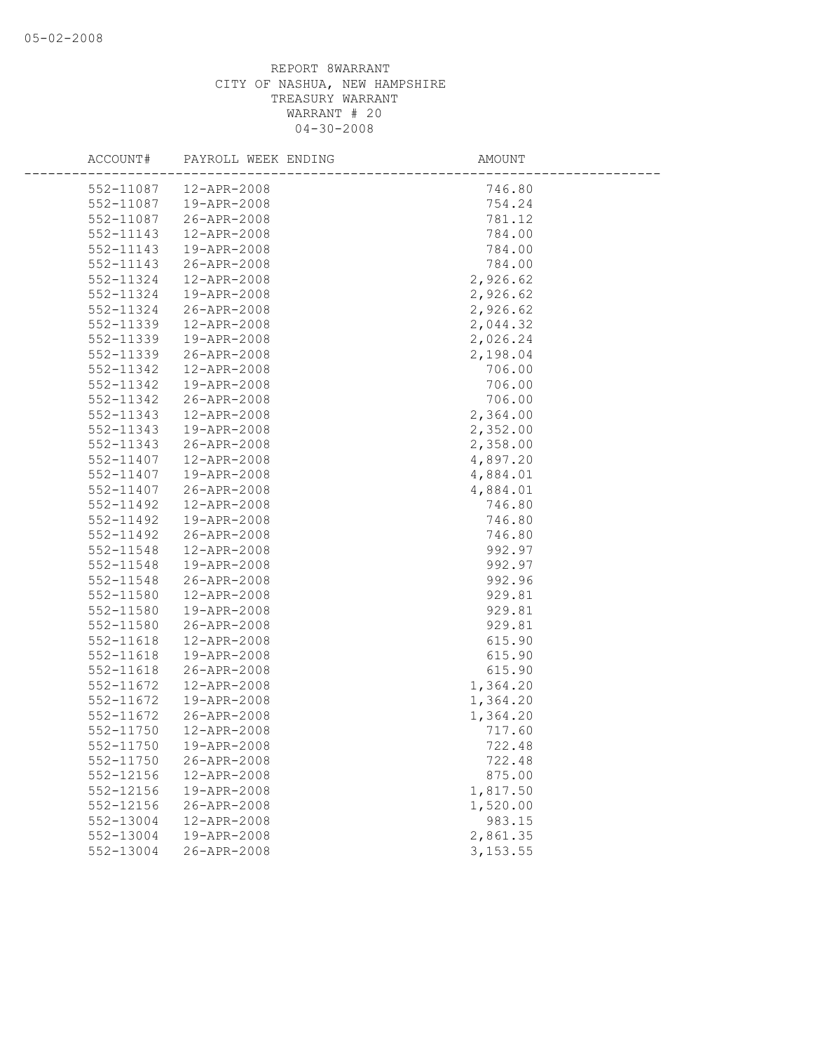| ACCOUNT#               | PAYROLL WEEK ENDING        | AMOUNT             |
|------------------------|----------------------------|--------------------|
| 552-11087              | 12-APR-2008                | 746.80             |
| 552-11087              | 19-APR-2008                | 754.24             |
| 552-11087              | 26-APR-2008                | 781.12             |
| 552-11143              | 12-APR-2008                | 784.00             |
| 552-11143              | 19-APR-2008                | 784.00             |
| 552-11143              | 26-APR-2008                | 784.00             |
| 552-11324              | 12-APR-2008                | 2,926.62           |
| 552-11324              | 19-APR-2008                | 2,926.62           |
| 552-11324              | 26-APR-2008                | 2,926.62           |
| 552-11339              | 12-APR-2008                | 2,044.32           |
| 552-11339              | 19-APR-2008                | 2,026.24           |
| 552-11339              | 26-APR-2008                | 2,198.04           |
| 552-11342              | 12-APR-2008                | 706.00             |
| 552-11342              | 19-APR-2008                | 706.00             |
| 552-11342              | 26-APR-2008                | 706.00             |
| 552-11343              | 12-APR-2008                | 2,364.00           |
| 552-11343              | 19-APR-2008                | 2,352.00           |
| 552-11343              | 26-APR-2008                | 2,358.00           |
| 552-11407              | 12-APR-2008                | 4,897.20           |
| 552-11407              | 19-APR-2008                | 4,884.01           |
| 552-11407              | 26-APR-2008                | 4,884.01           |
| 552-11492              | 12-APR-2008                | 746.80             |
| 552-11492              | 19-APR-2008                | 746.80             |
| 552-11492              | 26-APR-2008                | 746.80             |
| 552-11548              | 12-APR-2008                | 992.97             |
| 552-11548              | 19-APR-2008                | 992.97             |
| 552-11548              | 26-APR-2008                | 992.96             |
| 552-11580              | 12-APR-2008                | 929.81             |
| 552-11580              | 19-APR-2008                | 929.81             |
| 552-11580              | 26-APR-2008                | 929.81             |
| 552-11618              | 12-APR-2008                | 615.90             |
| 552-11618              | 19-APR-2008                | 615.90             |
| 552-11618              | 26-APR-2008                | 615.90             |
| 552-11672              | 12-APR-2008                | 1,364.20           |
| 552-11672              | 19-APR-2008                | 1,364.20           |
| 552-11672              | 26-APR-2008                | 1,364.20           |
| 552-11750              | 12-APR-2008                | 717.60             |
| 552-11750              | 19-APR-2008                | 722.48             |
| 552-11750              | 26-APR-2008                | 722.48             |
| 552-12156<br>552-12156 | 12-APR-2008<br>19-APR-2008 | 875.00<br>1,817.50 |
| 552-12156              | 26-APR-2008                | 1,520.00           |
| 552-13004              | 12-APR-2008                | 983.15             |
| 552-13004              | 19-APR-2008                | 2,861.35           |
| 552-13004              | 26-APR-2008                |                    |
|                        |                            | 3, 153.55          |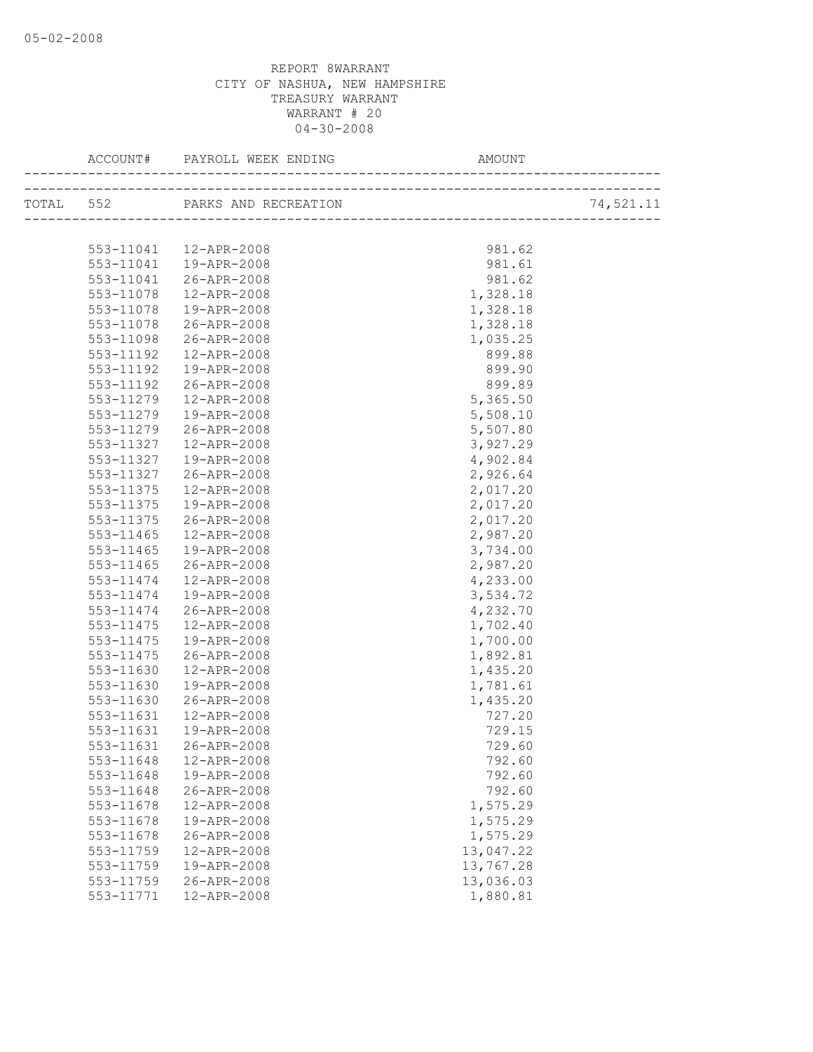| TOTAL 552 PARKS AND RECREATION        |           |
|---------------------------------------|-----------|
|                                       | 74,521.11 |
|                                       |           |
| 981.62<br>553-11041  12-APR-2008      |           |
| 553-11041 19-APR-2008<br>981.61       |           |
| 26-APR-2008<br>981.62<br>553-11041    |           |
| 12-APR-2008<br>1,328.18<br>553-11078  |           |
| 19-APR-2008<br>1,328.18<br>553-11078  |           |
| 26-APR-2008<br>1,328.18<br>553-11078  |           |
| 553-11098 26-APR-2008<br>1,035.25     |           |
| 12-APR-2008<br>899.88<br>553-11192    |           |
| 899.90<br>553-11192<br>19-APR-2008    |           |
| 553-11192<br>26-APR-2008<br>899.89    |           |
| 5,365.50<br>553-11279<br>12-APR-2008  |           |
| 5,508.10<br>553-11279<br>19-APR-2008  |           |
| 5,507.80<br>553-11279<br>26-APR-2008  |           |
| 3,927.29<br>553-11327<br>12-APR-2008  |           |
| 4,902.84<br>553-11327<br>19-APR-2008  |           |
| 553-11327<br>26-APR-2008<br>2,926.64  |           |
| 12-APR-2008<br>2,017.20<br>553-11375  |           |
| 2,017.20<br>553-11375<br>19-APR-2008  |           |
| 2,017.20<br>553-11375<br>26-APR-2008  |           |
| 2,987.20<br>553-11465<br>12-APR-2008  |           |
| 3,734.00<br>553-11465<br>19-APR-2008  |           |
| 2,987.20<br>26-APR-2008<br>553-11465  |           |
| 4,233.00<br>553-11474<br>12-APR-2008  |           |
| 19-APR-2008<br>3,534.72<br>553-11474  |           |
| 553-11474<br>26-APR-2008<br>4,232.70  |           |
| 553-11475<br>12-APR-2008<br>1,702.40  |           |
| 1,700.00<br>553-11475<br>19-APR-2008  |           |
| 1,892.81<br>553-11475<br>26-APR-2008  |           |
| 1,435.20<br>553-11630<br>12-APR-2008  |           |
| 1,781.61<br>553-11630<br>19-APR-2008  |           |
| 1,435.20<br>553-11630<br>26-APR-2008  |           |
| 727.20<br>553-11631<br>12-APR-2008    |           |
| 729.15<br>553-11631<br>19-APR-2008    |           |
| 553-11631 26-APR-2008<br>729.60       |           |
| 553-11648<br>12-APR-2008<br>792.60    |           |
| 19-APR-2008<br>792.60<br>553-11648    |           |
| 792.60<br>553-11648<br>26-APR-2008    |           |
| 12-APR-2008<br>1,575.29<br>553-11678  |           |
| 1,575.29<br>553-11678<br>19-APR-2008  |           |
| 553-11678<br>26-APR-2008<br>1,575.29  |           |
| 13,047.22<br>553-11759<br>12-APR-2008 |           |
| 13,767.28<br>553-11759<br>19-APR-2008 |           |
| 26-APR-2008<br>13,036.03<br>553-11759 |           |
| 553-11771<br>12-APR-2008<br>1,880.81  |           |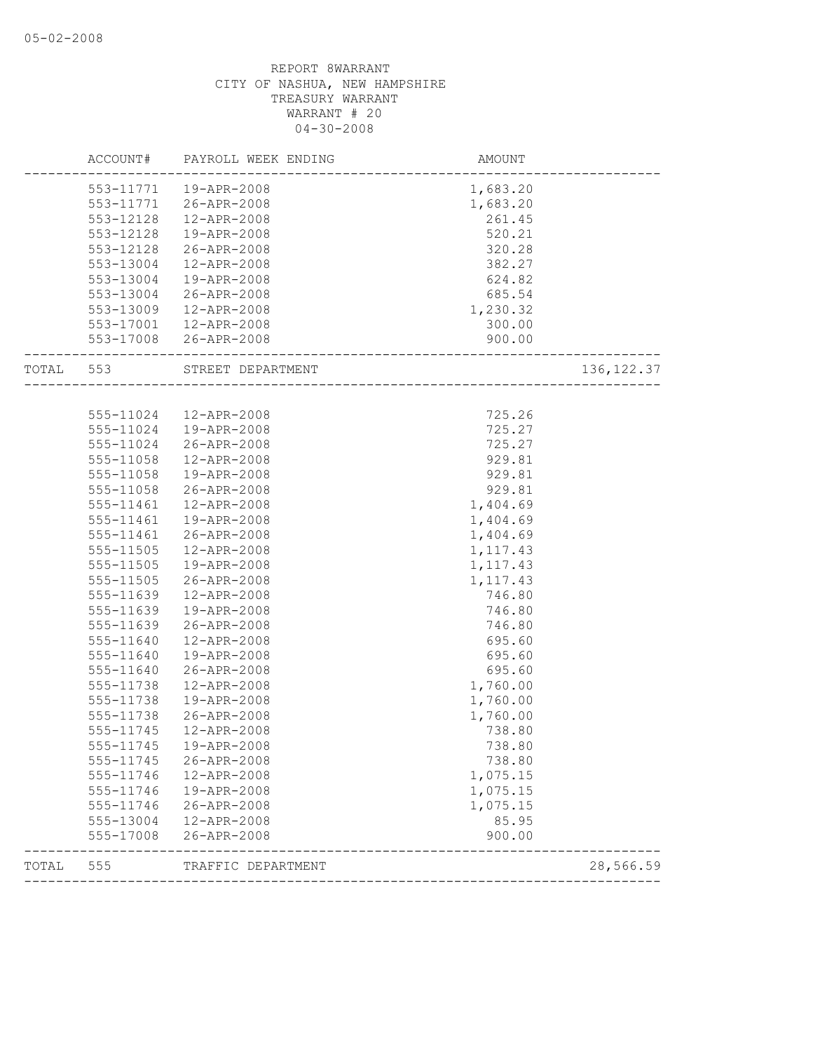| ACCOUNT#  | PAYROLL WEEK ENDING                                                                                                                                                                                                                                 | <b>AMOUNT</b>                                                                                                                                                                                                                                                                                                                                                                                                           |                                                                                                                                                                                                                                                                |
|-----------|-----------------------------------------------------------------------------------------------------------------------------------------------------------------------------------------------------------------------------------------------------|-------------------------------------------------------------------------------------------------------------------------------------------------------------------------------------------------------------------------------------------------------------------------------------------------------------------------------------------------------------------------------------------------------------------------|----------------------------------------------------------------------------------------------------------------------------------------------------------------------------------------------------------------------------------------------------------------|
|           |                                                                                                                                                                                                                                                     | 1,683.20                                                                                                                                                                                                                                                                                                                                                                                                                |                                                                                                                                                                                                                                                                |
| 553-11771 |                                                                                                                                                                                                                                                     | 1,683.20                                                                                                                                                                                                                                                                                                                                                                                                                |                                                                                                                                                                                                                                                                |
| 553-12128 | 12-APR-2008                                                                                                                                                                                                                                         | 261.45                                                                                                                                                                                                                                                                                                                                                                                                                  |                                                                                                                                                                                                                                                                |
| 553-12128 | 19-APR-2008                                                                                                                                                                                                                                         | 520.21                                                                                                                                                                                                                                                                                                                                                                                                                  |                                                                                                                                                                                                                                                                |
| 553-12128 | 26-APR-2008                                                                                                                                                                                                                                         | 320.28                                                                                                                                                                                                                                                                                                                                                                                                                  |                                                                                                                                                                                                                                                                |
| 553-13004 | 12-APR-2008                                                                                                                                                                                                                                         | 382.27                                                                                                                                                                                                                                                                                                                                                                                                                  |                                                                                                                                                                                                                                                                |
| 553-13004 | 19-APR-2008                                                                                                                                                                                                                                         | 624.82                                                                                                                                                                                                                                                                                                                                                                                                                  |                                                                                                                                                                                                                                                                |
| 553-13004 | 26-APR-2008                                                                                                                                                                                                                                         | 685.54                                                                                                                                                                                                                                                                                                                                                                                                                  |                                                                                                                                                                                                                                                                |
| 553-13009 | 12-APR-2008                                                                                                                                                                                                                                         | 1,230.32                                                                                                                                                                                                                                                                                                                                                                                                                |                                                                                                                                                                                                                                                                |
|           |                                                                                                                                                                                                                                                     | 300.00                                                                                                                                                                                                                                                                                                                                                                                                                  |                                                                                                                                                                                                                                                                |
|           |                                                                                                                                                                                                                                                     | 900.00                                                                                                                                                                                                                                                                                                                                                                                                                  |                                                                                                                                                                                                                                                                |
| 553       |                                                                                                                                                                                                                                                     |                                                                                                                                                                                                                                                                                                                                                                                                                         | 136, 122.37                                                                                                                                                                                                                                                    |
|           |                                                                                                                                                                                                                                                     |                                                                                                                                                                                                                                                                                                                                                                                                                         |                                                                                                                                                                                                                                                                |
|           | 12-APR-2008                                                                                                                                                                                                                                         | 725.26                                                                                                                                                                                                                                                                                                                                                                                                                  |                                                                                                                                                                                                                                                                |
| 555-11024 | 19-APR-2008                                                                                                                                                                                                                                         | 725.27                                                                                                                                                                                                                                                                                                                                                                                                                  |                                                                                                                                                                                                                                                                |
| 555-11024 | 26-APR-2008                                                                                                                                                                                                                                         | 725.27                                                                                                                                                                                                                                                                                                                                                                                                                  |                                                                                                                                                                                                                                                                |
| 555-11058 | 12-APR-2008                                                                                                                                                                                                                                         | 929.81                                                                                                                                                                                                                                                                                                                                                                                                                  |                                                                                                                                                                                                                                                                |
| 555-11058 | 19-APR-2008                                                                                                                                                                                                                                         | 929.81                                                                                                                                                                                                                                                                                                                                                                                                                  |                                                                                                                                                                                                                                                                |
| 555-11058 | 26-APR-2008                                                                                                                                                                                                                                         | 929.81                                                                                                                                                                                                                                                                                                                                                                                                                  |                                                                                                                                                                                                                                                                |
| 555-11461 | 12-APR-2008                                                                                                                                                                                                                                         | 1,404.69                                                                                                                                                                                                                                                                                                                                                                                                                |                                                                                                                                                                                                                                                                |
| 555-11461 | 19-APR-2008                                                                                                                                                                                                                                         |                                                                                                                                                                                                                                                                                                                                                                                                                         |                                                                                                                                                                                                                                                                |
|           | 26-APR-2008                                                                                                                                                                                                                                         |                                                                                                                                                                                                                                                                                                                                                                                                                         |                                                                                                                                                                                                                                                                |
| 555-11505 |                                                                                                                                                                                                                                                     |                                                                                                                                                                                                                                                                                                                                                                                                                         |                                                                                                                                                                                                                                                                |
|           |                                                                                                                                                                                                                                                     |                                                                                                                                                                                                                                                                                                                                                                                                                         |                                                                                                                                                                                                                                                                |
|           |                                                                                                                                                                                                                                                     |                                                                                                                                                                                                                                                                                                                                                                                                                         |                                                                                                                                                                                                                                                                |
|           |                                                                                                                                                                                                                                                     |                                                                                                                                                                                                                                                                                                                                                                                                                         |                                                                                                                                                                                                                                                                |
|           |                                                                                                                                                                                                                                                     |                                                                                                                                                                                                                                                                                                                                                                                                                         |                                                                                                                                                                                                                                                                |
|           |                                                                                                                                                                                                                                                     |                                                                                                                                                                                                                                                                                                                                                                                                                         |                                                                                                                                                                                                                                                                |
|           |                                                                                                                                                                                                                                                     |                                                                                                                                                                                                                                                                                                                                                                                                                         |                                                                                                                                                                                                                                                                |
|           |                                                                                                                                                                                                                                                     |                                                                                                                                                                                                                                                                                                                                                                                                                         |                                                                                                                                                                                                                                                                |
|           |                                                                                                                                                                                                                                                     |                                                                                                                                                                                                                                                                                                                                                                                                                         |                                                                                                                                                                                                                                                                |
|           |                                                                                                                                                                                                                                                     |                                                                                                                                                                                                                                                                                                                                                                                                                         |                                                                                                                                                                                                                                                                |
|           |                                                                                                                                                                                                                                                     |                                                                                                                                                                                                                                                                                                                                                                                                                         |                                                                                                                                                                                                                                                                |
|           |                                                                                                                                                                                                                                                     |                                                                                                                                                                                                                                                                                                                                                                                                                         |                                                                                                                                                                                                                                                                |
|           |                                                                                                                                                                                                                                                     |                                                                                                                                                                                                                                                                                                                                                                                                                         |                                                                                                                                                                                                                                                                |
|           |                                                                                                                                                                                                                                                     |                                                                                                                                                                                                                                                                                                                                                                                                                         |                                                                                                                                                                                                                                                                |
|           |                                                                                                                                                                                                                                                     |                                                                                                                                                                                                                                                                                                                                                                                                                         |                                                                                                                                                                                                                                                                |
|           |                                                                                                                                                                                                                                                     |                                                                                                                                                                                                                                                                                                                                                                                                                         |                                                                                                                                                                                                                                                                |
|           |                                                                                                                                                                                                                                                     |                                                                                                                                                                                                                                                                                                                                                                                                                         |                                                                                                                                                                                                                                                                |
|           |                                                                                                                                                                                                                                                     |                                                                                                                                                                                                                                                                                                                                                                                                                         |                                                                                                                                                                                                                                                                |
|           |                                                                                                                                                                                                                                                     |                                                                                                                                                                                                                                                                                                                                                                                                                         |                                                                                                                                                                                                                                                                |
| 555-17008 | 26-APR-2008                                                                                                                                                                                                                                         | 900.00                                                                                                                                                                                                                                                                                                                                                                                                                  |                                                                                                                                                                                                                                                                |
| 555       | TRAFFIC DEPARTMENT                                                                                                                                                                                                                                  |                                                                                                                                                                                                                                                                                                                                                                                                                         | 28,566.59                                                                                                                                                                                                                                                      |
|           | 555-11461<br>555-11505<br>555-11505<br>555-11639<br>555-11639<br>555-11639<br>555-11640<br>555-11640<br>555-11640<br>555-11738<br>555-11738<br>555-11738<br>555-11745<br>555-11745<br>555-11745<br>555-11746<br>555-11746<br>555-11746<br>555-13004 | 553-11771  19-APR-2008<br>26-APR-2008<br>553-17001  12-APR-2008<br>553-17008 26-APR-2008<br>STREET DEPARTMENT<br>555-11024<br>12-APR-2008<br>19-APR-2008<br>26-APR-2008<br>12-APR-2008<br>19-APR-2008<br>26-APR-2008<br>12-APR-2008<br>19-APR-2008<br>26-APR-2008<br>12-APR-2008<br>19-APR-2008<br>26-APR-2008<br>12-APR-2008<br>19-APR-2008<br>26-APR-2008<br>12-APR-2008<br>19-APR-2008<br>26-APR-2008<br>12-APR-2008 | ---------------------<br>1,404.69<br>1,404.69<br>1, 117.43<br>1,117.43<br>1, 117.43<br>746.80<br>746.80<br>746.80<br>695.60<br>695.60<br>695.60<br>1,760.00<br>1,760.00<br>1,760.00<br>738.80<br>738.80<br>738.80<br>1,075.15<br>1,075.15<br>1,075.15<br>85.95 |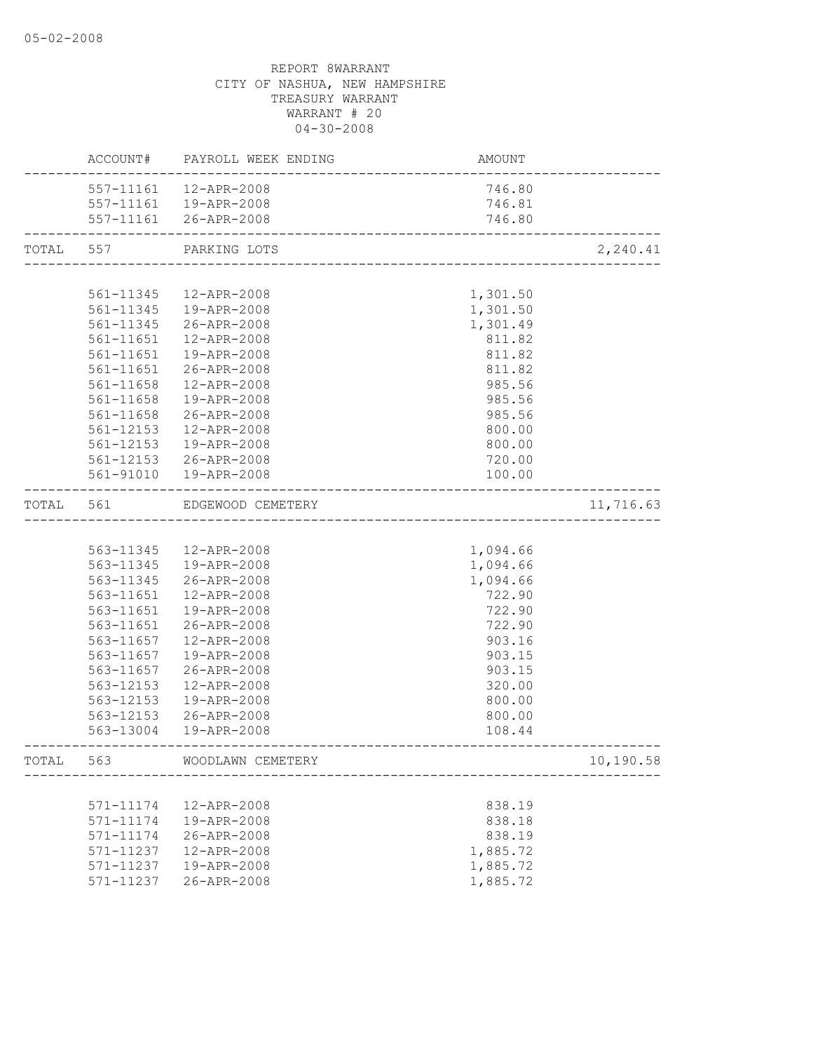|           |           | ACCOUNT# PAYROLL WEEK ENDING | AMOUNT   |           |
|-----------|-----------|------------------------------|----------|-----------|
|           |           | 557-11161  12-APR-2008       | 746.80   |           |
|           |           | 557-11161  19-APR-2008       | 746.81   |           |
|           |           | 557-11161 26-APR-2008        | 746.80   |           |
| TOTAL 557 |           | PARKING LOTS                 |          | 2,240.41  |
|           |           |                              |          |           |
|           | 561-11345 | 12-APR-2008                  | 1,301.50 |           |
|           |           | 561-11345  19-APR-2008       | 1,301.50 |           |
|           |           | 561-11345 26-APR-2008        | 1,301.49 |           |
|           |           | 561-11651  12-APR-2008       | 811.82   |           |
|           | 561-11651 | 19-APR-2008                  | 811.82   |           |
|           | 561-11651 | 26-APR-2008                  | 811.82   |           |
|           | 561-11658 | 12-APR-2008                  | 985.56   |           |
|           | 561-11658 | 19-APR-2008                  | 985.56   |           |
|           | 561-11658 | 26-APR-2008                  | 985.56   |           |
|           | 561-12153 | 12-APR-2008                  | 800.00   |           |
|           | 561-12153 | 19-APR-2008                  | 800.00   |           |
|           |           | 561-12153 26-APR-2008        | 720.00   |           |
|           |           | 561-91010  19-APR-2008       | 100.00   |           |
| TOTAL 561 |           | EDGEWOOD CEMETERY            |          | 11,716.63 |
|           |           |                              |          |           |
|           |           | 563-11345 12-APR-2008        | 1,094.66 |           |
|           |           | 563-11345  19-APR-2008       | 1,094.66 |           |
|           | 563-11345 | 26-APR-2008                  | 1,094.66 |           |
|           | 563-11651 | 12-APR-2008                  | 722.90   |           |
|           | 563-11651 | 19-APR-2008                  | 722.90   |           |
|           | 563-11651 | 26-APR-2008                  | 722.90   |           |
|           | 563-11657 | 12-APR-2008                  | 903.16   |           |
|           | 563-11657 | 19-APR-2008                  | 903.15   |           |
|           | 563-11657 | 26-APR-2008                  | 903.15   |           |
|           | 563-12153 | 12-APR-2008                  | 320.00   |           |
|           | 563-12153 | 19-APR-2008                  | 800.00   |           |
|           | 563-12153 | 26-APR-2008                  | 800.00   |           |
|           |           | 563-13004  19-APR-2008       | 108.44   |           |
| TOTAL     | 563       | WOODLAWN CEMETERY            |          | 10,190.58 |
|           |           |                              |          |           |
|           | 571-11174 | 12-APR-2008                  | 838.19   |           |
|           | 571-11174 | 19-APR-2008                  | 838.18   |           |
|           | 571-11174 | 26-APR-2008                  | 838.19   |           |
|           | 571-11237 | 12-APR-2008                  | 1,885.72 |           |
|           | 571-11237 | 19-APR-2008                  | 1,885.72 |           |
|           | 571-11237 | 26-APR-2008                  | 1,885.72 |           |
|           |           |                              |          |           |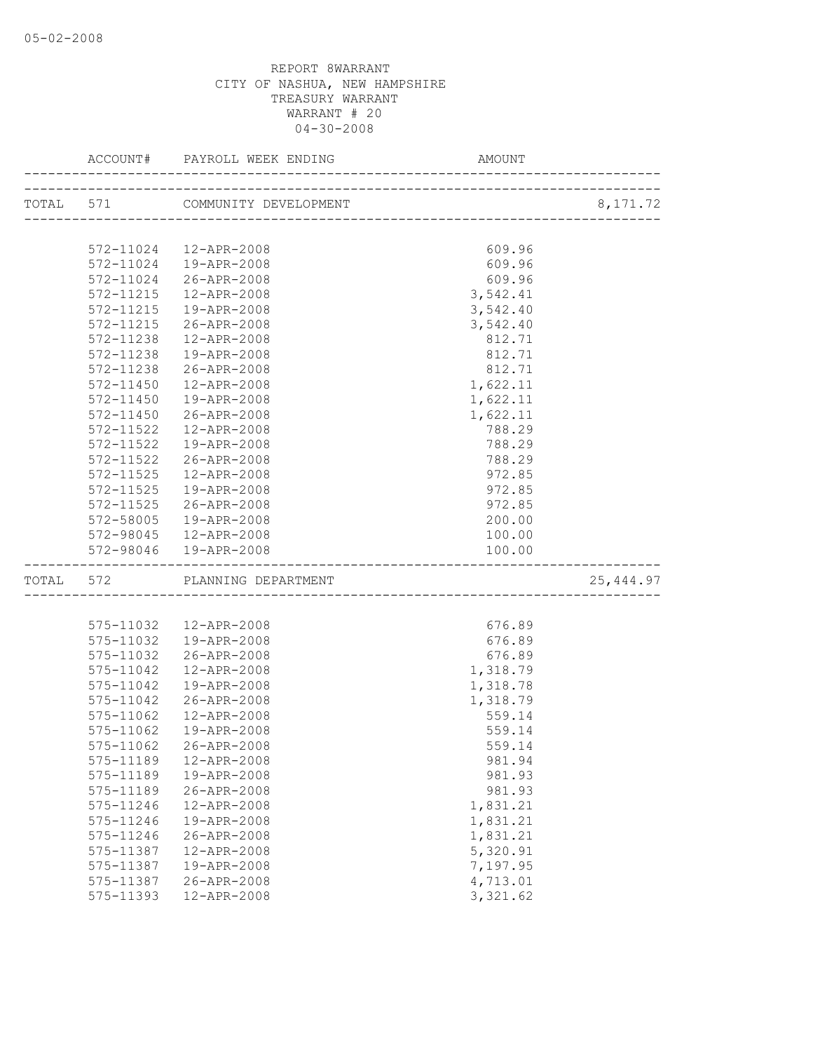|           | ACCOUNT#      | PAYROLL WEEK ENDING             | AMOUNT   |            |
|-----------|---------------|---------------------------------|----------|------------|
|           |               | TOTAL 571 COMMUNITY DEVELOPMENT |          | 8,171.72   |
|           |               |                                 |          |            |
|           | 572-11024     | 12-APR-2008                     | 609.96   |            |
|           | 572-11024     | 19-APR-2008                     | 609.96   |            |
|           | 572-11024     | 26-APR-2008                     | 609.96   |            |
|           | 572-11215     | 12-APR-2008                     | 3,542.41 |            |
|           | 572-11215     | 19-APR-2008                     | 3,542.40 |            |
|           | 572-11215     | 26-APR-2008                     | 3,542.40 |            |
|           | 572-11238     | 12-APR-2008                     | 812.71   |            |
|           | 572-11238     | 19-APR-2008                     | 812.71   |            |
|           | 572-11238     | 26-APR-2008                     | 812.71   |            |
|           | 572-11450     | 12-APR-2008                     | 1,622.11 |            |
|           | 572-11450     | 19-APR-2008                     | 1,622.11 |            |
|           | 572-11450     | 26-APR-2008                     | 1,622.11 |            |
|           | $572 - 11522$ | 12-APR-2008                     | 788.29   |            |
|           | 572-11522     | 19-APR-2008                     | 788.29   |            |
|           | 572-11522     | 26-APR-2008                     | 788.29   |            |
|           | $572 - 11525$ | 12-APR-2008                     | 972.85   |            |
|           | $572 - 11525$ | 19-APR-2008                     | 972.85   |            |
|           | 572-11525     | 26-APR-2008                     | 972.85   |            |
|           | 572-58005     | 19-APR-2008                     | 200.00   |            |
|           |               | 572-98045  12-APR-2008          | 100.00   |            |
|           | 572-98046     | 19-APR-2008                     | 100.00   |            |
| TOTAL 572 |               | PLANNING DEPARTMENT             |          | 25, 444.97 |
|           |               |                                 |          |            |
|           | 575-11032     | 12-APR-2008                     | 676.89   |            |
|           | 575-11032     | 19-APR-2008                     | 676.89   |            |
|           | 575-11032     | 26-APR-2008                     | 676.89   |            |
|           | 575-11042     | 12-APR-2008                     | 1,318.79 |            |
|           | 575-11042     | 19-APR-2008                     | 1,318.78 |            |
|           | 575-11042     | 26-APR-2008                     | 1,318.79 |            |
|           | 575-11062     | 12-APR-2008                     | 559.14   |            |
|           | 575-11062     | 19-APR-2008                     | 559.14   |            |
|           | 575-11062     | 26-APR-2008                     | 559.14   |            |
|           | 575-11189     | 12-APR-2008                     | 981.94   |            |
|           | 575-11189     | 19-APR-2008                     | 981.93   |            |
|           | 575-11189     | 26-APR-2008                     | 981.93   |            |
|           | 575-11246     | 12-APR-2008                     | 1,831.21 |            |
|           | 575-11246     | 19-APR-2008                     | 1,831.21 |            |
|           | 575-11246     | 26-APR-2008                     | 1,831.21 |            |
|           | 575-11387     | 12-APR-2008                     | 5,320.91 |            |
|           | 575-11387     | 19-APR-2008                     | 7,197.95 |            |
|           | 575-11387     | 26-APR-2008                     | 4,713.01 |            |
|           | 575-11393     | 12-APR-2008                     | 3,321.62 |            |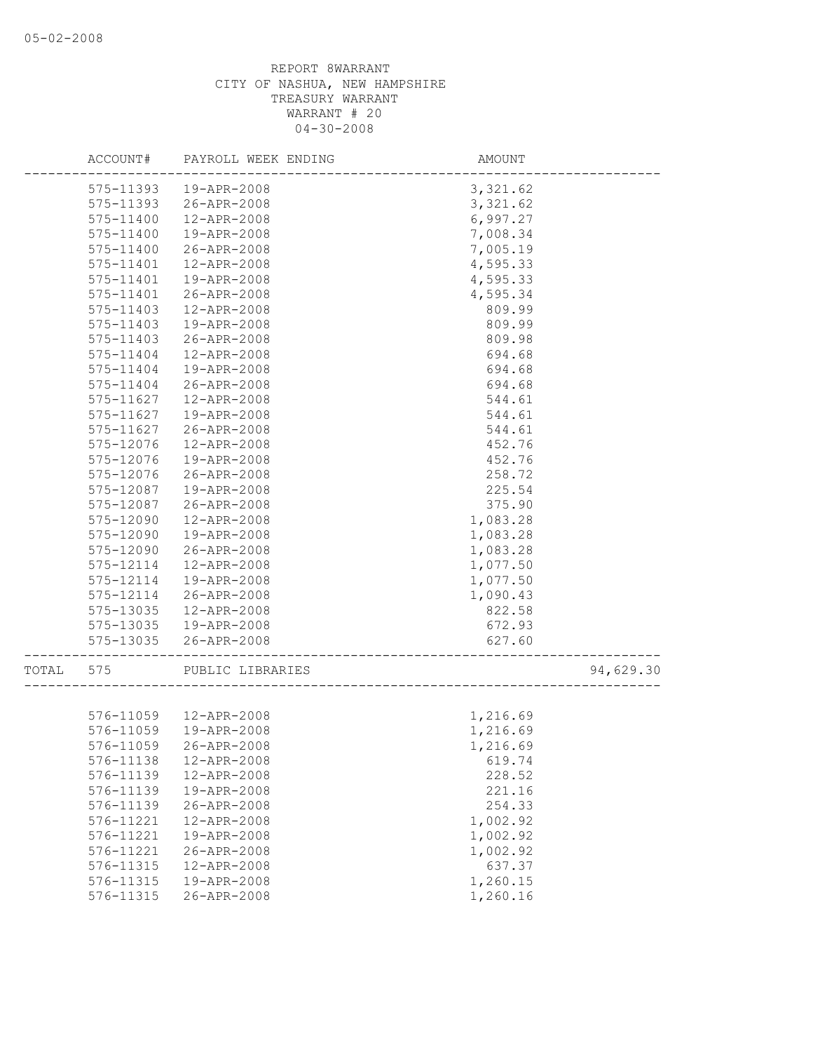|       | ACCOUNT#      | PAYROLL WEEK ENDING    | AMOUNT   |           |
|-------|---------------|------------------------|----------|-----------|
|       | 575-11393     | 19-APR-2008            | 3,321.62 |           |
|       | 575-11393     | 26-APR-2008            | 3,321.62 |           |
|       | 575-11400     | 12-APR-2008            | 6,997.27 |           |
|       | 575-11400     | 19-APR-2008            | 7,008.34 |           |
|       | 575-11400     | 26-APR-2008            | 7,005.19 |           |
|       | 575-11401     | 12-APR-2008            | 4,595.33 |           |
|       | 575-11401     | 19-APR-2008            | 4,595.33 |           |
|       | 575-11401     | 26-APR-2008            | 4,595.34 |           |
|       | 575-11403     | 12-APR-2008            | 809.99   |           |
|       | 575-11403     | 19-APR-2008            | 809.99   |           |
|       | $575 - 11403$ | 26-APR-2008            | 809.98   |           |
|       | 575-11404     | 12-APR-2008            | 694.68   |           |
|       | 575-11404     | 19-APR-2008            | 694.68   |           |
|       | 575-11404     | 26-APR-2008            | 694.68   |           |
|       | 575-11627     | 12-APR-2008            | 544.61   |           |
|       | 575-11627     | 19-APR-2008            | 544.61   |           |
|       | 575-11627     | 26-APR-2008            | 544.61   |           |
|       | 575-12076     | 12-APR-2008            | 452.76   |           |
|       | 575-12076     | 19-APR-2008            | 452.76   |           |
|       | 575-12076     | 26-APR-2008            | 258.72   |           |
|       | 575-12087     | 19-APR-2008            | 225.54   |           |
|       | 575-12087     | 26-APR-2008            | 375.90   |           |
|       | 575-12090     | 12-APR-2008            | 1,083.28 |           |
|       | 575-12090     | 19-APR-2008            | 1,083.28 |           |
|       | 575-12090     | 26-APR-2008            | 1,083.28 |           |
|       | 575-12114     | 12-APR-2008            | 1,077.50 |           |
|       | 575-12114     | 19-APR-2008            | 1,077.50 |           |
|       | 575-12114     | 26-APR-2008            | 1,090.43 |           |
|       | 575-13035     | 12-APR-2008            | 822.58   |           |
|       | 575-13035     | 19-APR-2008            | 672.93   |           |
|       | 575-13035     | 26-APR-2008            | 627.60   |           |
|       |               |                        |          |           |
| TOTAL | 575           | PUBLIC LIBRARIES       |          | 94,629.30 |
|       |               |                        |          |           |
|       |               | 576-11059  12-APR-2008 | 1,216.69 |           |
|       | 576-11059     | 19-APR-2008            | 1,216.69 |           |
|       | 576-11059     | 26-APR-2008            | 1,216.69 |           |
|       | 576-11138     | 12-APR-2008            | 619.74   |           |
|       | 576-11139     | 12-APR-2008            | 228.52   |           |
|       | 576-11139     | 19-APR-2008            | 221.16   |           |
|       | 576-11139     | 26-APR-2008            | 254.33   |           |
|       | 576-11221     | 12-APR-2008            | 1,002.92 |           |
|       | 576-11221     | 19-APR-2008            | 1,002.92 |           |
|       | 576-11221     | 26-APR-2008            | 1,002.92 |           |
|       | 576-11315     | 12-APR-2008            | 637.37   |           |
|       | 576-11315     | 19-APR-2008            | 1,260.15 |           |
|       | 576-11315     | 26-APR-2008            | 1,260.16 |           |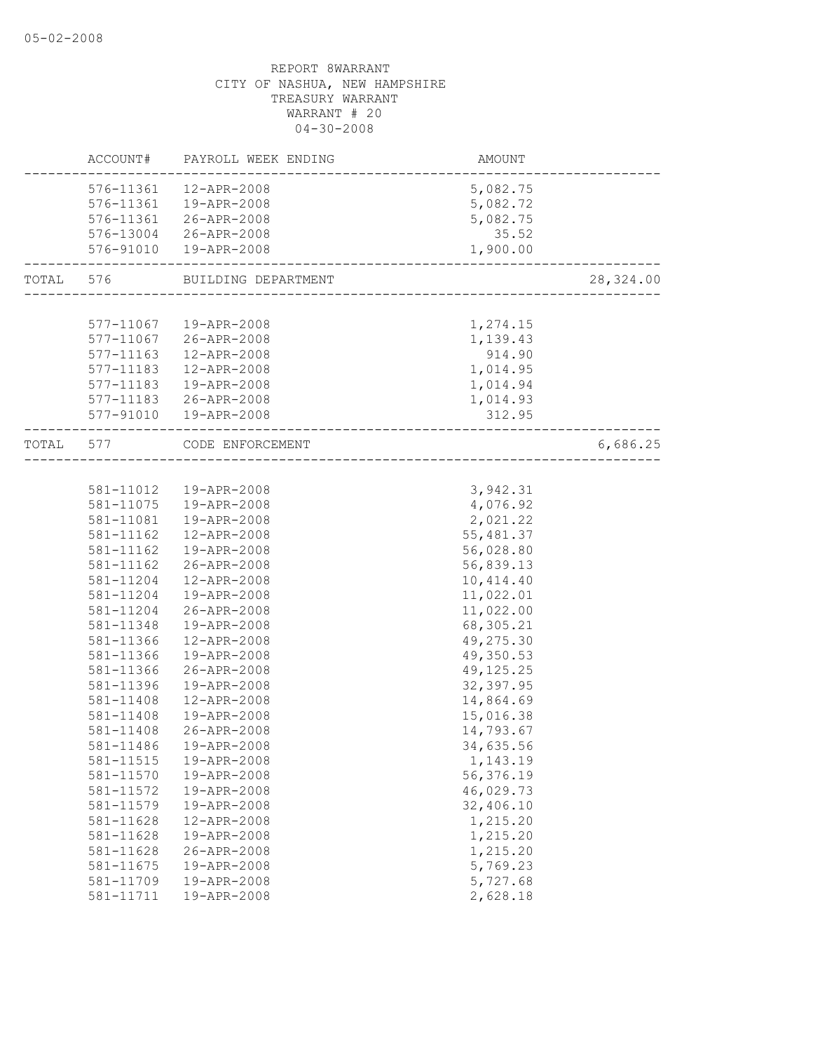|           |                        | ACCOUNT# PAYROLL WEEK ENDING | AMOUNT                       |           |
|-----------|------------------------|------------------------------|------------------------------|-----------|
|           |                        | 576-11361  12-APR-2008       | 5,082.75                     |           |
|           |                        | 576-11361  19-APR-2008       | 5,082.72                     |           |
|           |                        | 576-11361 26-APR-2008        | 5,082.75                     |           |
|           |                        | 576-13004 26-APR-2008        | 35.52                        |           |
|           |                        | 576-91010  19-APR-2008       | 1,900.00                     |           |
| TOTAL 576 |                        | BUILDING DEPARTMENT          |                              | 28,324.00 |
|           |                        |                              |                              |           |
|           | 577-11067              | 19-APR-2008                  | 1,274.15                     |           |
|           |                        | 577-11067 26-APR-2008        | 1,139.43                     |           |
|           |                        | 577-11163  12-APR-2008       | 914.90                       |           |
|           | 577-11183              | 12-APR-2008                  | 1,014.95                     |           |
|           | 577-11183              | 19-APR-2008                  | 1,014.94                     |           |
|           | 577-11183              | 26-APR-2008                  | 1,014.93                     |           |
|           |                        | 577-91010  19-APR-2008       | 312.95                       |           |
| TOTAL     | 577                    | CODE ENFORCEMENT             | ---------------------------- | 6,686.25  |
|           |                        |                              |                              |           |
|           |                        | 581-11012  19-APR-2008       | 3,942.31                     |           |
|           | 581-11075              | 19-APR-2008                  | 4,076.92                     |           |
|           | 581-11081              | 19-APR-2008                  | 2,021.22                     |           |
|           | 581-11162              | 12-APR-2008                  | 55,481.37                    |           |
|           | 581-11162              | 19-APR-2008                  | 56,028.80                    |           |
|           | 581-11162              | 26-APR-2008                  | 56,839.13                    |           |
|           | 581-11204              | 12-APR-2008                  | 10, 414.40                   |           |
|           | 581-11204              | 19-APR-2008                  | 11,022.01                    |           |
|           | 581-11204              | 26-APR-2008                  | 11,022.00                    |           |
|           | 581-11348              | 19-APR-2008                  | 68,305.21                    |           |
|           | 581-11366              | 12-APR-2008                  | 49,275.30                    |           |
|           | 581-11366              | 19-APR-2008                  | 49,350.53                    |           |
|           | 581-11366              | 26-APR-2008                  | 49, 125. 25                  |           |
|           | 581-11396<br>581-11408 | 19-APR-2008                  | 32, 397.95                   |           |
|           |                        | 12-APR-2008                  | 14,864.69                    |           |
|           | 581-11408<br>581-11408 | 19-APR-2008<br>26-APR-2008   | 15,016.38<br>14,793.67       |           |
|           | 581-11486              | 19-APR-2008                  | 34,635.56                    |           |
|           |                        | 19-APR-2008                  |                              |           |
|           | 581-11515<br>581-11570 | 19-APR-2008                  | 1,143.19<br>56,376.19        |           |
|           | 581-11572              | 19-APR-2008                  | 46,029.73                    |           |
|           | 581-11579              | 19-APR-2008                  | 32,406.10                    |           |
|           | 581-11628              | 12-APR-2008                  | 1,215.20                     |           |
|           | 581-11628              | 19-APR-2008                  | 1,215.20                     |           |
|           | 581-11628              | 26-APR-2008                  | 1,215.20                     |           |
|           | 581-11675              | 19-APR-2008                  | 5,769.23                     |           |
|           | 581-11709              | 19-APR-2008                  | 5,727.68                     |           |
|           | 581-11711              | 19-APR-2008                  | 2,628.18                     |           |
|           |                        |                              |                              |           |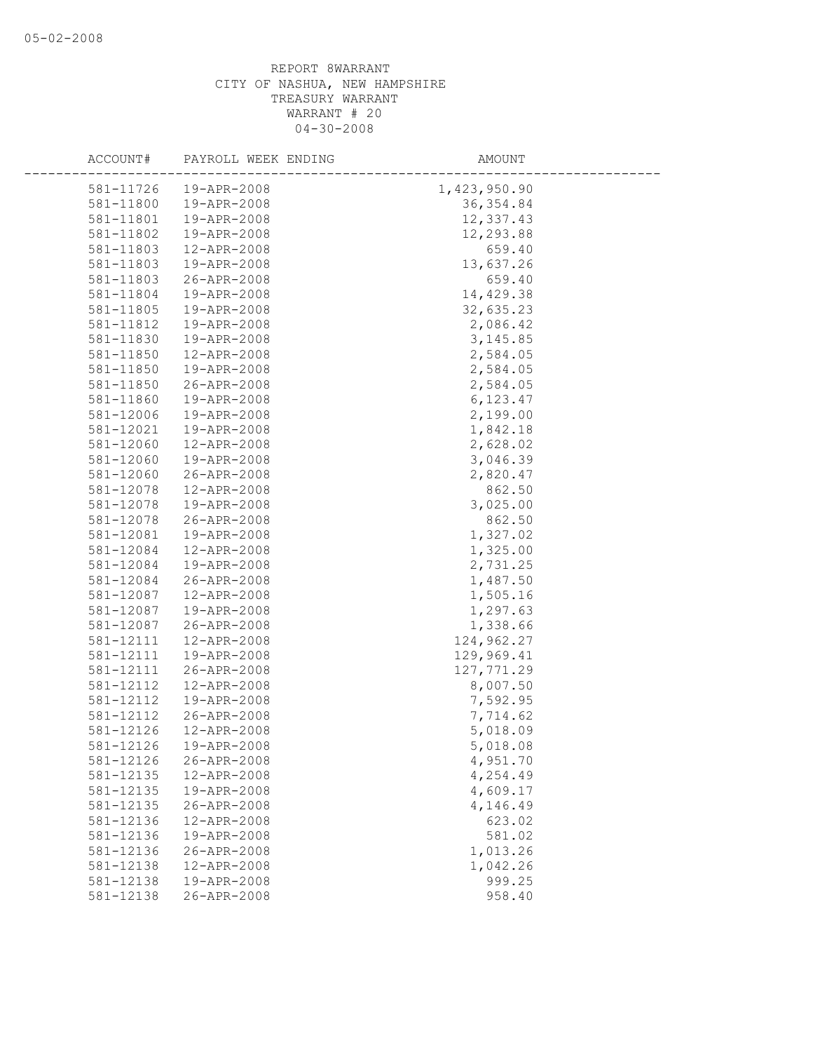| ACCOUNT#  | PAYROLL WEEK ENDING | AMOUNT       |  |
|-----------|---------------------|--------------|--|
| 581-11726 | 19-APR-2008         | 1,423,950.90 |  |
| 581-11800 | 19-APR-2008         | 36, 354.84   |  |
| 581-11801 | 19-APR-2008         | 12,337.43    |  |
| 581-11802 | 19-APR-2008         | 12,293.88    |  |
| 581-11803 | 12-APR-2008         | 659.40       |  |
| 581-11803 | 19-APR-2008         | 13,637.26    |  |
| 581-11803 | 26-APR-2008         | 659.40       |  |
| 581-11804 | 19-APR-2008         | 14,429.38    |  |
| 581-11805 | 19-APR-2008         | 32,635.23    |  |
| 581-11812 | 19-APR-2008         | 2,086.42     |  |
| 581-11830 | 19-APR-2008         | 3, 145.85    |  |
| 581-11850 | 12-APR-2008         | 2,584.05     |  |
| 581-11850 | 19-APR-2008         | 2,584.05     |  |
| 581-11850 | 26-APR-2008         | 2,584.05     |  |
| 581-11860 | 19-APR-2008         | 6,123.47     |  |
| 581-12006 | 19-APR-2008         | 2,199.00     |  |
| 581-12021 | 19-APR-2008         | 1,842.18     |  |
| 581-12060 | 12-APR-2008         | 2,628.02     |  |
| 581-12060 | 19-APR-2008         | 3,046.39     |  |
| 581-12060 | 26-APR-2008         | 2,820.47     |  |
| 581-12078 | 12-APR-2008         | 862.50       |  |
| 581-12078 | 19-APR-2008         | 3,025.00     |  |
| 581-12078 | 26-APR-2008         | 862.50       |  |
| 581-12081 | 19-APR-2008         | 1,327.02     |  |
| 581-12084 | 12-APR-2008         | 1,325.00     |  |
| 581-12084 | 19-APR-2008         | 2,731.25     |  |
| 581-12084 | 26-APR-2008         | 1,487.50     |  |
| 581-12087 | 12-APR-2008         | 1,505.16     |  |
| 581-12087 | 19-APR-2008         | 1,297.63     |  |
| 581-12087 | 26-APR-2008         | 1,338.66     |  |
| 581-12111 | 12-APR-2008         | 124,962.27   |  |
| 581-12111 | 19-APR-2008         | 129,969.41   |  |
| 581-12111 | 26-APR-2008         | 127,771.29   |  |
| 581-12112 | 12-APR-2008         | 8,007.50     |  |
| 581-12112 | 19-APR-2008         | 7,592.95     |  |
| 581-12112 | 26-APR-2008         | 7,714.62     |  |
| 581-12126 | 12-APR-2008         | 5,018.09     |  |
| 581-12126 | 19-APR-2008         | 5,018.08     |  |
| 581-12126 | 26-APR-2008         | 4,951.70     |  |
| 581-12135 | 12-APR-2008         | 4,254.49     |  |
| 581-12135 | 19-APR-2008         | 4,609.17     |  |
| 581-12135 | 26-APR-2008         | 4,146.49     |  |
| 581-12136 | 12-APR-2008         | 623.02       |  |
| 581-12136 | 19-APR-2008         | 581.02       |  |
| 581-12136 | 26-APR-2008         | 1,013.26     |  |
| 581-12138 | 12-APR-2008         | 1,042.26     |  |
| 581-12138 | 19-APR-2008         | 999.25       |  |
| 581-12138 | 26-APR-2008         | 958.40       |  |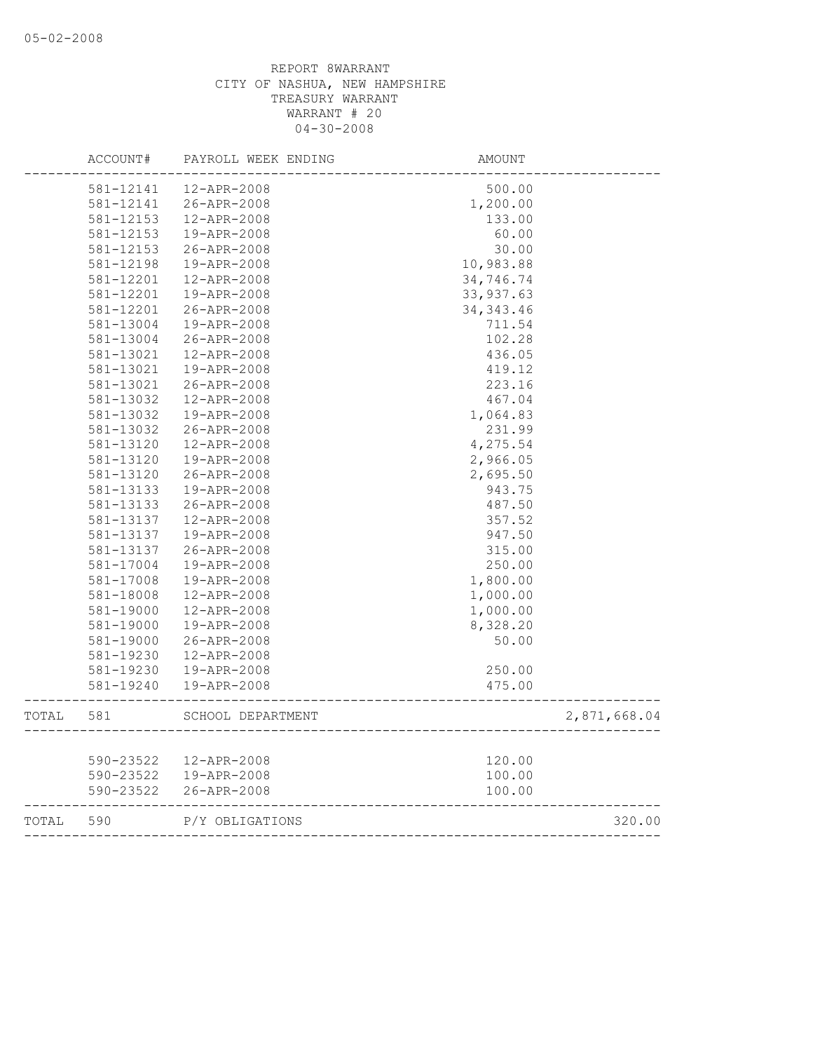|       | ACCOUNT#  | PAYROLL WEEK ENDING     | AMOUNT                                  |              |
|-------|-----------|-------------------------|-----------------------------------------|--------------|
|       | 581-12141 | 12-APR-2008             | 500.00                                  |              |
|       | 581-12141 | 26-APR-2008             | 1,200.00                                |              |
|       | 581-12153 | 12-APR-2008             | 133.00                                  |              |
|       | 581-12153 | 19-APR-2008             | 60.00                                   |              |
|       | 581-12153 | 26-APR-2008             | 30.00                                   |              |
|       | 581-12198 | 19-APR-2008             | 10,983.88                               |              |
|       | 581-12201 | 12-APR-2008             | 34,746.74                               |              |
|       | 581-12201 | 19-APR-2008             | 33, 937.63                              |              |
|       | 581-12201 | 26-APR-2008             | 34, 343.46                              |              |
|       | 581-13004 | 19-APR-2008             | 711.54                                  |              |
|       | 581-13004 | 26-APR-2008             | 102.28                                  |              |
|       | 581-13021 | 12-APR-2008             | 436.05                                  |              |
|       | 581-13021 | 19-APR-2008             | 419.12                                  |              |
|       | 581-13021 | 26-APR-2008             | 223.16                                  |              |
|       | 581-13032 | 12-APR-2008             | 467.04                                  |              |
|       | 581-13032 | 19-APR-2008             | 1,064.83                                |              |
|       | 581-13032 | 26-APR-2008             | 231.99                                  |              |
|       | 581-13120 | 12-APR-2008             | 4,275.54                                |              |
|       | 581-13120 | 19-APR-2008             | 2,966.05                                |              |
|       | 581-13120 | 26-APR-2008             | 2,695.50                                |              |
|       | 581-13133 | 19-APR-2008             | 943.75                                  |              |
|       | 581-13133 | 26-APR-2008             | 487.50                                  |              |
|       | 581-13137 | 12-APR-2008             | 357.52                                  |              |
|       | 581-13137 | 19-APR-2008             | 947.50                                  |              |
|       | 581-13137 | 26-APR-2008             | 315.00                                  |              |
|       | 581-17004 | 19-APR-2008             | 250.00                                  |              |
|       | 581-17008 | 19-APR-2008             | 1,800.00                                |              |
|       | 581-18008 | 12-APR-2008             | 1,000.00                                |              |
|       | 581-19000 | 12-APR-2008             | 1,000.00                                |              |
|       | 581-19000 | 19-APR-2008             | 8,328.20                                |              |
|       | 581-19000 | 26-APR-2008             | 50.00                                   |              |
|       | 581-19230 | 12-APR-2008             |                                         |              |
|       | 581-19230 | 19-APR-2008             | 250.00                                  |              |
|       |           |                         |                                         |              |
|       | 581-19240 | 19-APR-2008             | 475.00                                  |              |
| TOTAL | 581       | SCHOOL DEPARTMENT       |                                         | 2,871,668.04 |
|       |           |                         |                                         |              |
|       |           | 590-23522   12-APR-2008 | 120.00                                  |              |
|       |           | 590-23522  19-APR-2008  | 100.00                                  |              |
|       | 590-23522 | 26-APR-2008             | 100.00<br>_____________________________ |              |
| TOTAL | 590       | P/Y OBLIGATIONS         |                                         | 320.00       |
|       |           |                         |                                         |              |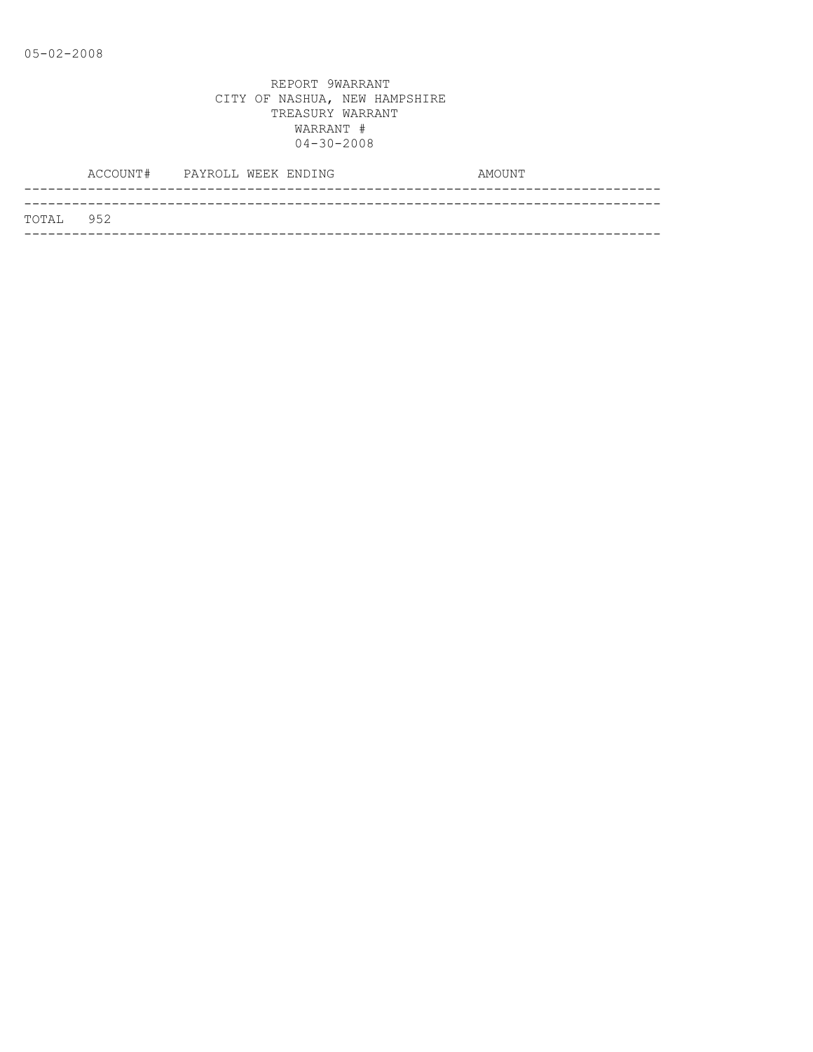|           | ACCOUNT# PAYROLL WEEK ENDING |  |  | AMOUNT |
|-----------|------------------------------|--|--|--------|
|           |                              |  |  |        |
| TOTAL 952 |                              |  |  |        |
|           |                              |  |  |        |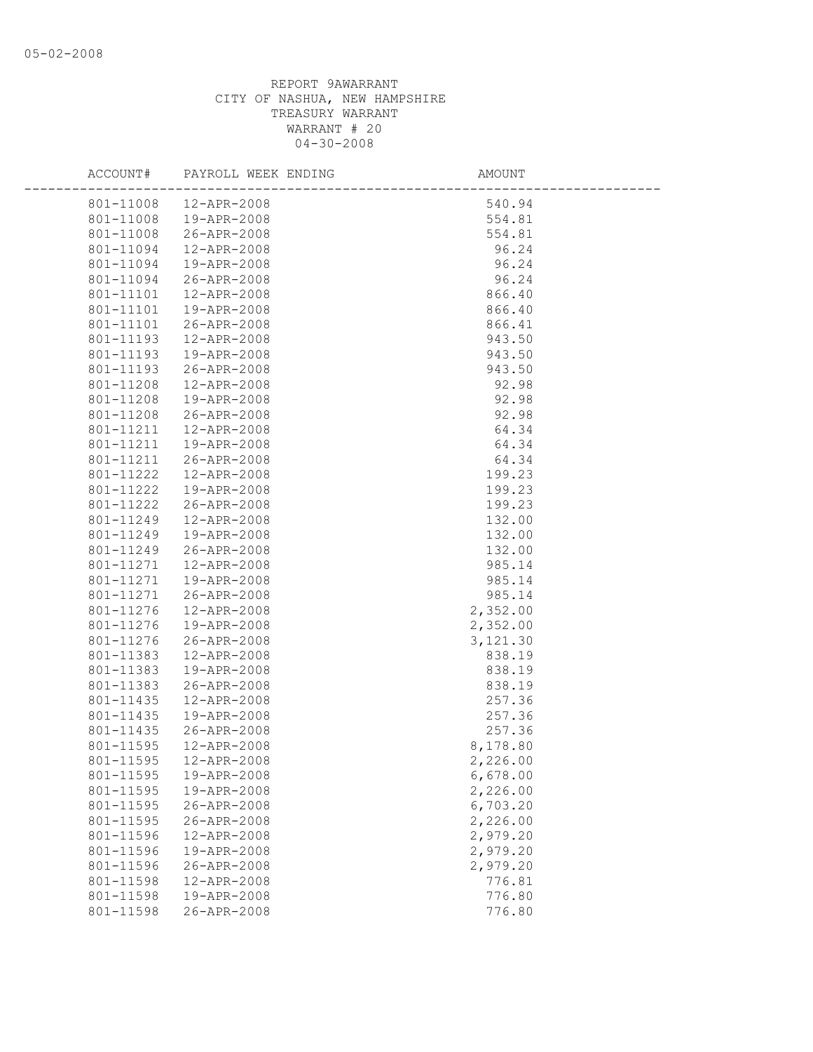| ACCOUNT#  | PAYROLL WEEK ENDING    | AMOUNT   |
|-----------|------------------------|----------|
| 801-11008 | 12-APR-2008            | 540.94   |
| 801-11008 | 19-APR-2008            | 554.81   |
| 801-11008 | 26-APR-2008            | 554.81   |
| 801-11094 | 12-APR-2008            | 96.24    |
| 801-11094 | 19-APR-2008            | 96.24    |
| 801-11094 | 26-APR-2008            | 96.24    |
| 801-11101 | 12-APR-2008            | 866.40   |
| 801-11101 | 19-APR-2008            | 866.40   |
| 801-11101 | 26-APR-2008            | 866.41   |
| 801-11193 | 12-APR-2008            | 943.50   |
| 801-11193 | 19-APR-2008            | 943.50   |
| 801-11193 | 26-APR-2008            | 943.50   |
| 801-11208 | 12-APR-2008            | 92.98    |
| 801-11208 | 19-APR-2008            | 92.98    |
| 801-11208 | 26-APR-2008            | 92.98    |
| 801-11211 | 12-APR-2008            | 64.34    |
| 801-11211 | 19-APR-2008            | 64.34    |
| 801-11211 | 26-APR-2008            | 64.34    |
| 801-11222 | $12 - APR - 2008$      | 199.23   |
| 801-11222 | 19-APR-2008            | 199.23   |
| 801-11222 | 26-APR-2008            | 199.23   |
| 801-11249 | 12-APR-2008            | 132.00   |
| 801-11249 | 19-APR-2008            | 132.00   |
| 801-11249 | 26-APR-2008            | 132.00   |
| 801-11271 | 12-APR-2008            | 985.14   |
| 801-11271 | 19-APR-2008            | 985.14   |
| 801-11271 | 26-APR-2008            | 985.14   |
| 801-11276 | 12-APR-2008            | 2,352.00 |
| 801-11276 | 19-APR-2008            | 2,352.00 |
| 801-11276 | 26-APR-2008            | 3,121.30 |
| 801-11383 | 12-APR-2008            | 838.19   |
| 801-11383 | 19-APR-2008            | 838.19   |
| 801-11383 | 26-APR-2008            | 838.19   |
| 801-11435 | 12-APR-2008            | 257.36   |
| 801-11435 | 19-APR-2008            | 257.36   |
| 801-11435 | 26-APR-2008            | 257.36   |
| 801-11595 | 12-APR-2008            | 8,178.80 |
|           | 801-11595  12-APR-2008 | 2,226.00 |
| 801-11595 | 19-APR-2008            | 6,678.00 |
| 801-11595 | 19-APR-2008            | 2,226.00 |
| 801-11595 | 26-APR-2008            | 6,703.20 |
| 801-11595 | 26-APR-2008            | 2,226.00 |
| 801-11596 | 12-APR-2008            | 2,979.20 |
| 801-11596 | 19-APR-2008            | 2,979.20 |
| 801-11596 | 26-APR-2008            | 2,979.20 |
| 801-11598 | 12-APR-2008            | 776.81   |
| 801-11598 | 19-APR-2008            | 776.80   |
| 801-11598 | 26-APR-2008            | 776.80   |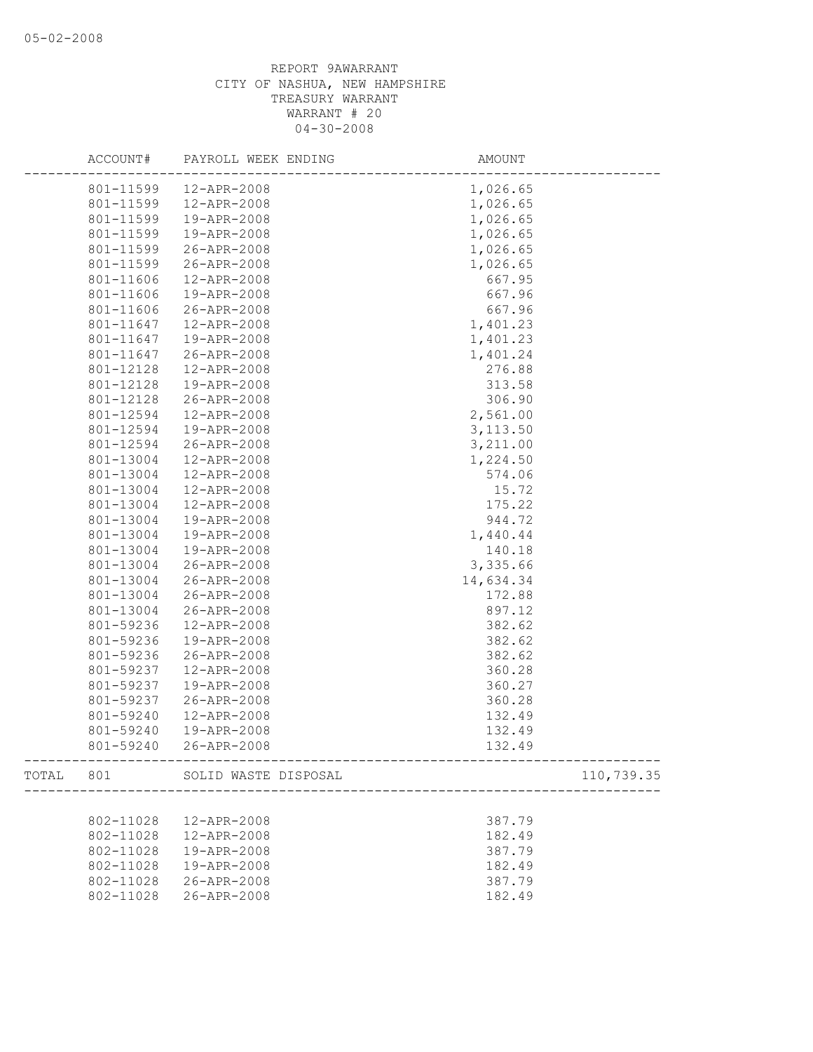| ACCOUNT#  | PAYROLL WEEK ENDING            | AMOUNT                                      |            |
|-----------|--------------------------------|---------------------------------------------|------------|
| 801-11599 | 12-APR-2008                    | 1,026.65                                    |            |
| 801-11599 | 12-APR-2008                    | 1,026.65                                    |            |
| 801-11599 | 19-APR-2008                    | 1,026.65                                    |            |
| 801-11599 | 19-APR-2008                    | 1,026.65                                    |            |
| 801-11599 | 26-APR-2008                    | 1,026.65                                    |            |
| 801-11599 | 26-APR-2008                    | 1,026.65                                    |            |
| 801-11606 | 12-APR-2008                    | 667.95                                      |            |
| 801-11606 | 19-APR-2008                    | 667.96                                      |            |
| 801-11606 | 26-APR-2008                    | 667.96                                      |            |
| 801-11647 | 12-APR-2008                    | 1,401.23                                    |            |
| 801-11647 | 19-APR-2008                    | 1,401.23                                    |            |
| 801-11647 | 26-APR-2008                    | 1,401.24                                    |            |
| 801-12128 | 12-APR-2008                    | 276.88                                      |            |
| 801-12128 | 19-APR-2008                    | 313.58                                      |            |
| 801-12128 | 26-APR-2008                    | 306.90                                      |            |
| 801-12594 | 12-APR-2008                    | 2,561.00                                    |            |
| 801-12594 | 19-APR-2008                    | 3,113.50                                    |            |
| 801-12594 | 26-APR-2008                    | 3,211.00                                    |            |
| 801-13004 | 12-APR-2008                    | 1,224.50                                    |            |
| 801-13004 | 12-APR-2008                    | 574.06                                      |            |
| 801-13004 | 12-APR-2008                    | 15.72                                       |            |
| 801-13004 | 12-APR-2008                    | 175.22                                      |            |
| 801-13004 | 19-APR-2008                    | 944.72                                      |            |
| 801-13004 | 19-APR-2008                    | 1,440.44                                    |            |
| 801-13004 | 19-APR-2008                    | 140.18                                      |            |
| 801-13004 | 26-APR-2008                    | 3,335.66                                    |            |
| 801-13004 | 26-APR-2008                    | 14,634.34                                   |            |
| 801-13004 | 26-APR-2008                    | 172.88                                      |            |
| 801-13004 | 26-APR-2008                    | 897.12                                      |            |
| 801-59236 | 12-APR-2008                    | 382.62                                      |            |
| 801-59236 | 19-APR-2008                    | 382.62                                      |            |
| 801-59236 | 26-APR-2008                    | 382.62                                      |            |
| 801-59237 | 12-APR-2008                    | 360.28                                      |            |
| 801-59237 | 19-APR-2008                    | 360.27                                      |            |
| 801-59237 | 26-APR-2008                    | 360.28                                      |            |
| 801-59240 | 12-APR-2008                    | 132.49                                      |            |
| 801-59240 | 19-APR-2008                    | 132.49                                      |            |
| 801-59240 | 26-APR-2008                    | 132.49<br>--------------------------------- |            |
|           | TOTAL 801 SOLID WASTE DISPOSAL |                                             | 110,739.35 |
|           |                                |                                             |            |
| 802-11028 | 12-APR-2008                    | 387.79                                      |            |
| 802-11028 | 12-APR-2008                    | 182.49                                      |            |
| 802-11028 | 19-APR-2008                    | 387.79                                      |            |
| 802-11028 | 19-APR-2008                    | 182.49                                      |            |
| 802-11028 | 26-APR-2008                    | 387.79                                      |            |
| 802-11028 | 26-APR-2008                    | 182.49                                      |            |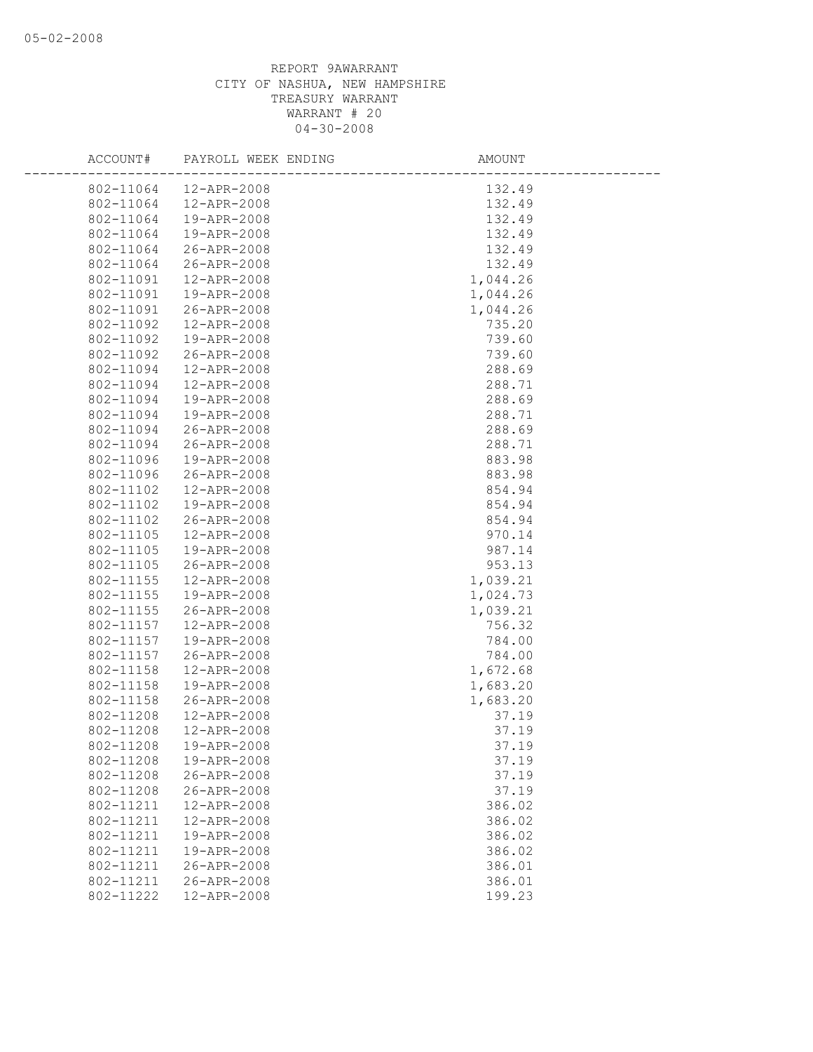| ACCOUNT#  | PAYROLL WEEK ENDING | AMOUNT   |
|-----------|---------------------|----------|
| 802-11064 | 12-APR-2008         | 132.49   |
| 802-11064 | 12-APR-2008         | 132.49   |
| 802-11064 | 19-APR-2008         | 132.49   |
| 802-11064 | 19-APR-2008         | 132.49   |
| 802-11064 | 26-APR-2008         | 132.49   |
| 802-11064 | 26-APR-2008         | 132.49   |
| 802-11091 | 12-APR-2008         | 1,044.26 |
| 802-11091 | 19-APR-2008         | 1,044.26 |
| 802-11091 | 26-APR-2008         | 1,044.26 |
| 802-11092 | 12-APR-2008         | 735.20   |
| 802-11092 | 19-APR-2008         | 739.60   |
| 802-11092 | 26-APR-2008         | 739.60   |
| 802-11094 | 12-APR-2008         | 288.69   |
| 802-11094 | 12-APR-2008         | 288.71   |
| 802-11094 | 19-APR-2008         | 288.69   |
| 802-11094 | 19-APR-2008         | 288.71   |
| 802-11094 | 26-APR-2008         | 288.69   |
| 802-11094 | 26-APR-2008         | 288.71   |
| 802-11096 | 19-APR-2008         | 883.98   |
| 802-11096 | 26-APR-2008         | 883.98   |
| 802-11102 | 12-APR-2008         | 854.94   |
| 802-11102 | 19-APR-2008         | 854.94   |
| 802-11102 | 26-APR-2008         | 854.94   |
| 802-11105 | 12-APR-2008         | 970.14   |
| 802-11105 | 19-APR-2008         | 987.14   |
| 802-11105 | 26-APR-2008         | 953.13   |
| 802-11155 | 12-APR-2008         | 1,039.21 |
| 802-11155 | 19-APR-2008         | 1,024.73 |
| 802-11155 | 26-APR-2008         | 1,039.21 |
| 802-11157 | 12-APR-2008         | 756.32   |
| 802-11157 | 19-APR-2008         | 784.00   |
| 802-11157 | 26-APR-2008         | 784.00   |
| 802-11158 | 12-APR-2008         | 1,672.68 |
| 802-11158 | 19-APR-2008         | 1,683.20 |
| 802-11158 | 26-APR-2008         | 1,683.20 |
| 802-11208 | 12-APR-2008         | 37.19    |
| 802-11208 | 12-APR-2008         | 37.19    |
| 802-11208 | 19-APR-2008         | 37.19    |
| 802-11208 | 19-APR-2008         | 37.19    |
| 802-11208 | 26-APR-2008         | 37.19    |
| 802-11208 | 26-APR-2008         | 37.19    |
| 802-11211 | 12-APR-2008         | 386.02   |
| 802-11211 | 12-APR-2008         | 386.02   |
| 802-11211 | 19-APR-2008         | 386.02   |
| 802-11211 | 19-APR-2008         | 386.02   |
| 802-11211 | 26-APR-2008         | 386.01   |
| 802-11211 | 26-APR-2008         | 386.01   |
| 802-11222 | 12-APR-2008         | 199.23   |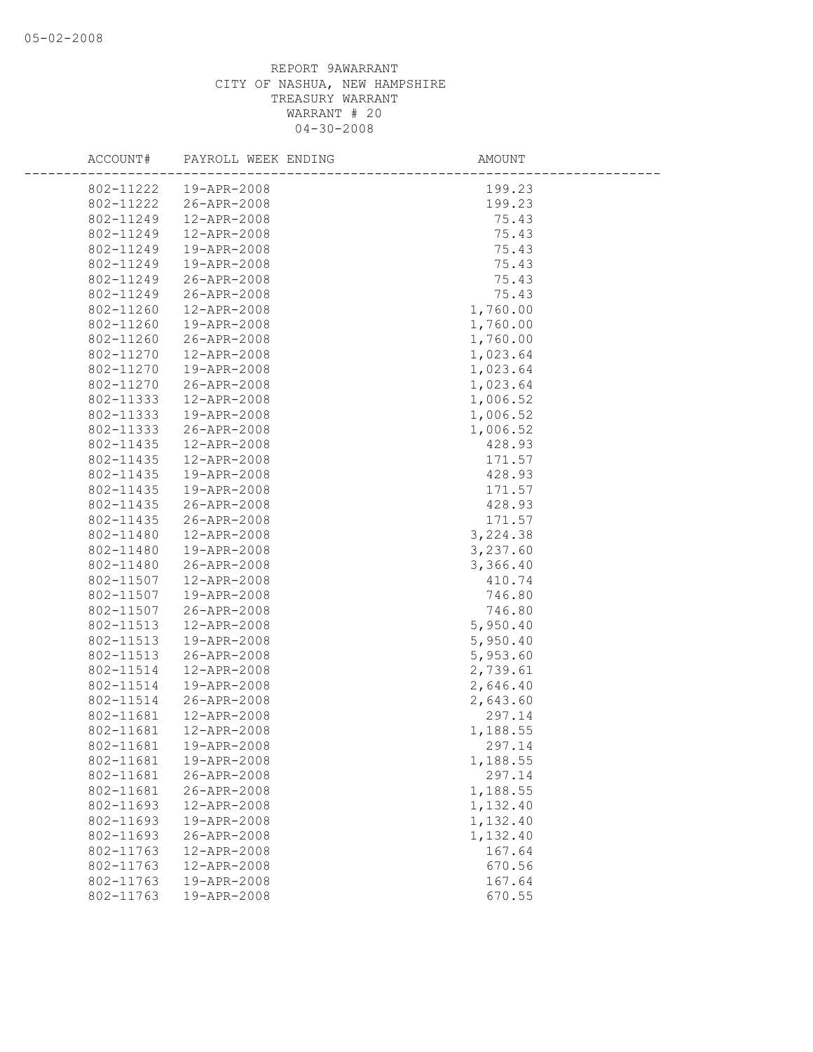| ACCOUNT#  | PAYROLL WEEK ENDING | AMOUNT   |
|-----------|---------------------|----------|
| 802-11222 | 19-APR-2008         | 199.23   |
| 802-11222 | 26-APR-2008         | 199.23   |
| 802-11249 | 12-APR-2008         | 75.43    |
| 802-11249 | 12-APR-2008         | 75.43    |
| 802-11249 | 19-APR-2008         | 75.43    |
| 802-11249 | 19-APR-2008         | 75.43    |
| 802-11249 | 26-APR-2008         | 75.43    |
| 802-11249 | 26-APR-2008         | 75.43    |
| 802-11260 | 12-APR-2008         | 1,760.00 |
| 802-11260 | 19-APR-2008         | 1,760.00 |
| 802-11260 | 26-APR-2008         | 1,760.00 |
| 802-11270 | 12-APR-2008         | 1,023.64 |
| 802-11270 | 19-APR-2008         | 1,023.64 |
| 802-11270 | 26-APR-2008         | 1,023.64 |
| 802-11333 | 12-APR-2008         | 1,006.52 |
| 802-11333 | 19-APR-2008         | 1,006.52 |
| 802-11333 | 26-APR-2008         | 1,006.52 |
| 802-11435 | 12-APR-2008         | 428.93   |
| 802-11435 | 12-APR-2008         | 171.57   |
| 802-11435 | 19-APR-2008         | 428.93   |
| 802-11435 | 19-APR-2008         | 171.57   |
| 802-11435 | 26-APR-2008         | 428.93   |
| 802-11435 | 26-APR-2008         | 171.57   |
| 802-11480 | 12-APR-2008         | 3,224.38 |
| 802-11480 | 19-APR-2008         | 3,237.60 |
| 802-11480 | 26-APR-2008         | 3,366.40 |
| 802-11507 | 12-APR-2008         | 410.74   |
| 802-11507 | 19-APR-2008         | 746.80   |
| 802-11507 | 26-APR-2008         | 746.80   |
| 802-11513 | 12-APR-2008         | 5,950.40 |
| 802-11513 | 19-APR-2008         | 5,950.40 |
| 802-11513 | 26-APR-2008         | 5,953.60 |
| 802-11514 | 12-APR-2008         | 2,739.61 |
| 802-11514 | 19-APR-2008         | 2,646.40 |
| 802-11514 | 26-APR-2008         | 2,643.60 |
| 802-11681 | 12-APR-2008         | 297.14   |
| 802-11681 | 12-APR-2008         | 1,188.55 |
| 802-11681 | 19-APR-2008         | 297.14   |
| 802-11681 | 19-APR-2008         | 1,188.55 |
| 802-11681 | 26-APR-2008         | 297.14   |
| 802-11681 | 26-APR-2008         | 1,188.55 |
| 802-11693 | 12-APR-2008         | 1,132.40 |
| 802-11693 | 19-APR-2008         | 1,132.40 |
| 802-11693 | 26-APR-2008         | 1,132.40 |
| 802-11763 | 12-APR-2008         | 167.64   |
| 802-11763 | 12-APR-2008         | 670.56   |
| 802-11763 | 19-APR-2008         | 167.64   |
| 802-11763 | 19-APR-2008         | 670.55   |